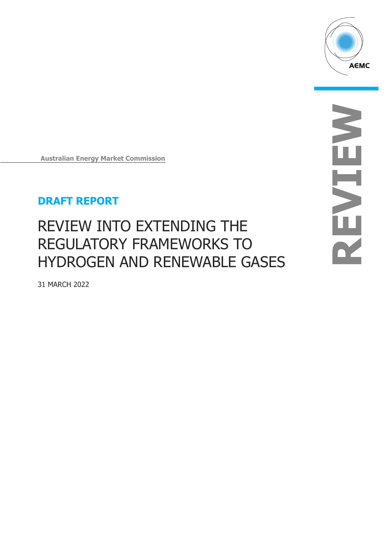

**Australian Energy Market Commission** 

# **DRAFT REPORT**

# REVIEW INTO EXTENDING THE REGULATORY FRAMEWORKS TO HYDROGEN AND RENEWABLE GASES

31 MARCH 2022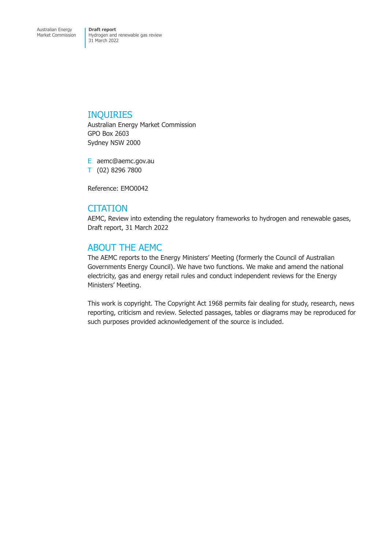# INQUIRIES

Australian Energy Market Commission GPO Box 2603 Sydney NSW 2000

E aemc@aemc.gov.au T (02) 8296 7800

Reference: EMO0042

# **CITATION**

AEMC, Review into extending the regulatory frameworks to hydrogen and renewable gases, Draft report, 31 March 2022

# ABOUT THE AEMC

The AEMC reports to the Energy Ministers' Meeting (formerly the Council of Australian Governments Energy Council). We have two functions. We make and amend the national electricity, gas and energy retail rules and conduct independent reviews for the Energy Ministers' Meeting.

This work is copyright. The Copyright Act 1968 permits fair dealing for study, research, news reporting, criticism and review. Selected passages, tables or diagrams may be reproduced for such purposes provided acknowledgement of the source is included.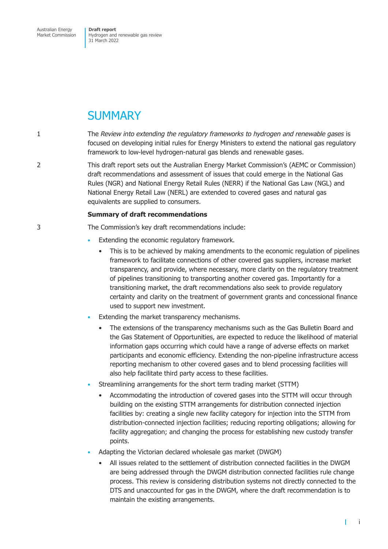Australian Energy Market Commission

**Draft report**  Hydrogen and renewable gas review 31 March 2022

# **SUMMARY**

1 The *Review into extending the regulatory frameworks to hydrogen and renewable gases* is focused on developing initial rules for Energy Ministers to extend the national gas regulatory framework to low-level hydrogen-natural gas blends and renewable gases.

2 This draft report sets out the Australian Energy Market Commission's (AEMC or Commission) draft recommendations and assessment of issues that could emerge in the National Gas Rules (NGR) and National Energy Retail Rules (NERR) if the National Gas Law (NGL) and National Energy Retail Law (NERL) are extended to covered gases and natural gas equivalents are supplied to consumers.

## **Summary of draft recommendations**

3 The Commission's key draft recommendations include:

- Extending the economic regulatory framework.
	- This is to be achieved by making amendments to the economic regulation of pipelines framework to facilitate connections of other covered gas suppliers, increase market transparency, and provide, where necessary, more clarity on the regulatory treatment of pipelines transitioning to transporting another covered gas. Importantly for a transitioning market, the draft recommendations also seek to provide regulatory certainty and clarity on the treatment of government grants and concessional finance used to support new investment.
- Extending the market transparency mechanisms.
	- The extensions of the transparency mechanisms such as the Gas Bulletin Board and the Gas Statement of Opportunities, are expected to reduce the likelihood of material information gaps occurring which could have a range of adverse effects on market participants and economic efficiency. Extending the non-pipeline infrastructure access reporting mechanism to other covered gases and to blend processing facilities will also help facilitate third party access to these facilities.
- Streamlining arrangements for the short term trading market (STTM)
	- Accommodating the introduction of covered gases into the STTM will occur through building on the existing STTM arrangements for distribution connected injection facilities by: creating a single new facility category for injection into the STTM from distribution-connected injection facilities; reducing reporting obligations; allowing for facility aggregation; and changing the process for establishing new custody transfer points.
- Adapting the Victorian declared wholesale gas market (DWGM)
	- All issues related to the settlement of distribution connected facilities in the DWGM are being addressed through the DWGM distribution connected facilities rule change process. This review is considering distribution systems not directly connected to the DTS and unaccounted for gas in the DWGM, where the draft recommendation is to maintain the existing arrangements.

т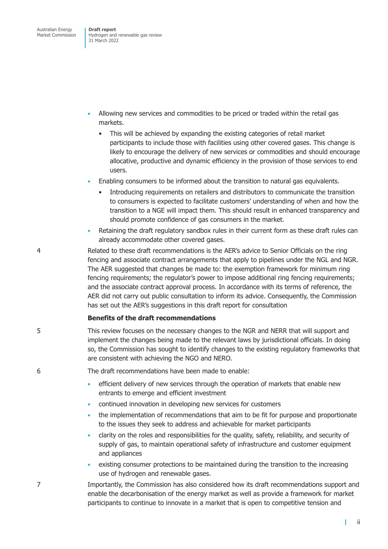- Allowing new services and commodities to be priced or traded within the retail gas markets.
	- This will be achieved by expanding the existing categories of retail market participants to include those with facilities using other covered gases. This change is likely to encourage the delivery of new services or commodities and should encourage allocative, productive and dynamic efficiency in the provision of those services to end users.
- Enabling consumers to be informed about the transition to natural gas equivalents.
	- Introducing requirements on retailers and distributors to communicate the transition to consumers is expected to facilitate customers' understanding of when and how the transition to a NGE will impact them. This should result in enhanced transparency and should promote confidence of gas consumers in the market.
- Retaining the draft regulatory sandbox rules in their current form as these draft rules can already accommodate other covered gases.
- 4 Related to these draft recommendations is the AER's advice to Senior Officials on the ring fencing and associate contract arrangements that apply to pipelines under the NGL and NGR. The AER suggested that changes be made to: the exemption framework for minimum ring fencing requirements; the regulator's power to impose additional ring fencing requirements; and the associate contract approval process. In accordance with its terms of reference, the AER did not carry out public consultation to inform its advice. Consequently, the Commission has set out the AER's suggestions in this draft report for consultation

#### **Benefits of the draft recommendations**

5 This review focuses on the necessary changes to the NGR and NERR that will support and implement the changes being made to the relevant laws by jurisdictional officials. In doing so, the Commission has sought to identify changes to the existing regulatory frameworks that are consistent with achieving the NGO and NERO.

6 The draft recommendations have been made to enable:

- efficient delivery of new services through the operation of markets that enable new entrants to emerge and efficient investment
- continued innovation in developing new services for customers
- the implementation of recommendations that aim to be fit for purpose and proportionate to the issues they seek to address and achievable for market participants
- clarity on the roles and responsibilities for the quality, safety, reliability, and security of supply of gas, to maintain operational safety of infrastructure and customer equipment and appliances
- existing consumer protections to be maintained during the transition to the increasing use of hydrogen and renewable gases.

7 Importantly, the Commission has also considered how its draft recommendations support and enable the decarbonisation of the energy market as well as provide a framework for market participants to continue to innovate in a market that is open to competitive tension and

ii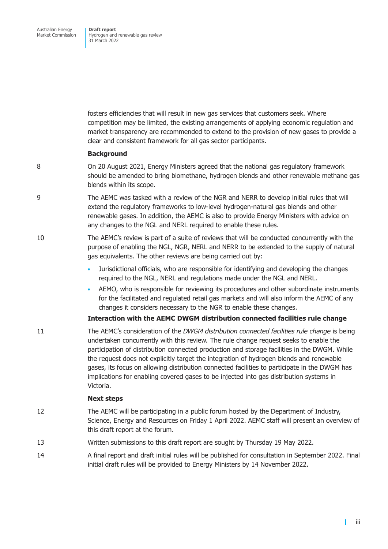fosters efficiencies that will result in new gas services that customers seek. Where competition may be limited, the existing arrangements of applying economic regulation and market transparency are recommended to extend to the provision of new gases to provide a clear and consistent framework for all gas sector participants.

### **Background**

- 8 On 20 August 2021, Energy Ministers agreed that the national gas regulatory framework should be amended to bring biomethane, hydrogen blends and other renewable methane gas blends within its scope.
- 9 The AEMC was tasked with a review of the NGR and NERR to develop initial rules that will extend the regulatory frameworks to low-level hydrogen-natural gas blends and other renewable gases. In addition, the AEMC is also to provide Energy Ministers with advice on any changes to the NGL and NERL required to enable these rules.
- 10 The AEMC's review is part of a suite of reviews that will be conducted concurrently with the purpose of enabling the NGL, NGR, NERL and NERR to be extended to the supply of natural gas equivalents. The other reviews are being carried out by:
	- Jurisdictional officials, who are responsible for identifying and developing the changes required to the NGL, NERL and regulations made under the NGL and NERL.
	- AEMO, who is responsible for reviewing its procedures and other subordinate instruments for the facilitated and regulated retail gas markets and will also inform the AEMC of any changes it considers necessary to the NGR to enable these changes.

#### **Interaction with the AEMC DWGM distribution connected facilities rule change**

11 The AEMC's consideration of the *DWGM distribution connected facilities rule change* is being undertaken concurrently with this review*.* The rule change request seeks to enable the participation of distribution connected production and storage facilities in the DWGM. While the request does not explicitly target the integration of hydrogen blends and renewable gases, its focus on allowing distribution connected facilities to participate in the DWGM has implications for enabling covered gases to be injected into gas distribution systems in Victoria.

#### **Next steps**

- 12 The AEMC will be participating in a public forum hosted by the Department of Industry, Science, Energy and Resources on Friday 1 April 2022. AEMC staff will present an overview of this draft report at the forum.
- 13 Written submissions to this draft report are sought by Thursday 19 May 2022.
- 14 A final report and draft initial rules will be published for consultation in September 2022. Final initial draft rules will be provided to Energy Ministers by 14 November 2022.

т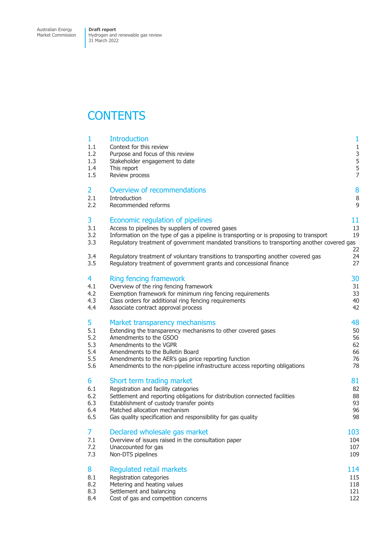Market Commission

Hydrogen and renewable gas review 31 March 2022

# **CONTENTS**

| 1<br>1.1<br>1.2<br>1.3<br>1.4<br>1.5 | <b>Introduction</b><br>Context for this review<br>Purpose and focus of this review<br>Stakeholder engagement to date<br>This report<br>Review process | 1<br>$\mathbf{1}$<br>3<br>5<br>$\frac{5}{7}$ |
|--------------------------------------|-------------------------------------------------------------------------------------------------------------------------------------------------------|----------------------------------------------|
| 2                                    | Overview of recommendations                                                                                                                           | 8                                            |
| 2.1                                  | Introduction                                                                                                                                          | $\, 8$                                       |
| 2.2                                  | Recommended reforms                                                                                                                                   | 9                                            |
| 3                                    | Economic regulation of pipelines                                                                                                                      | 11                                           |
| 3.1                                  | Access to pipelines by suppliers of covered gases                                                                                                     | 13                                           |
| 3.2                                  | Information on the type of gas a pipeline is transporting or is proposing to transport                                                                | 19                                           |
| 3.3                                  | Regulatory treatment of government mandated transitions to transporting another covered gas                                                           | 22                                           |
| 3.4                                  | Regulatory treatment of voluntary transitions to transporting another covered gas                                                                     | 24                                           |
| 3.5                                  | Regulatory treatment of government grants and concessional finance                                                                                    | 27                                           |
| 4                                    | <b>Ring fencing framework</b>                                                                                                                         | 30                                           |
| 4.1                                  | Overview of the ring fencing framework                                                                                                                | 31                                           |
| 4.2                                  | Exemption framework for minimum ring fencing requirements                                                                                             | 33                                           |
| 4.3                                  | Class orders for additional ring fencing requirements                                                                                                 | 40                                           |
| 4.4                                  | Associate contract approval process                                                                                                                   | 42                                           |
| 5                                    | Market transparency mechanisms                                                                                                                        | 48                                           |
| 5.1                                  | Extending the transparency mechanisms to other covered gases                                                                                          | 50                                           |
| 5.2                                  | Amendments to the GSOO                                                                                                                                | 56                                           |
| 5.3                                  | Amendments to the VGPR                                                                                                                                | 62                                           |
| 5.4                                  | Amendments to the Bulletin Board                                                                                                                      | 66                                           |
| 5.5                                  | Amendments to the AER's gas price reporting function                                                                                                  | 76                                           |
| 5.6                                  | Amendments to the non-pipeline infrastructure access reporting obligations                                                                            | 78                                           |
| 6                                    | Short term trading market                                                                                                                             | 81                                           |
| 6.1                                  | Registration and facility categories                                                                                                                  | 82                                           |
| 6.2                                  | Settlement and reporting obligations for distribution connected facilities                                                                            | 88                                           |
| 6.3                                  | Establishment of custody transfer points                                                                                                              | 93                                           |
| 6.4                                  | Matched allocation mechanism                                                                                                                          | 96                                           |
| 6.5                                  | Gas quality specification and responsibility for gas quality                                                                                          | 98                                           |
| 7                                    | Declared wholesale gas market                                                                                                                         | 103                                          |
| 7.1                                  | Overview of issues raised in the consultation paper                                                                                                   | 104                                          |
| 7.2                                  | Unaccounted for gas                                                                                                                                   | 107                                          |
| 7.3                                  | Non-DTS pipelines                                                                                                                                     | 109                                          |
| 8                                    | <b>Regulated retail markets</b>                                                                                                                       | 114                                          |
| 8.1                                  | Registration categories                                                                                                                               | 115                                          |
| 8.2                                  | Metering and heating values                                                                                                                           | 118                                          |
| 8.3                                  | Settlement and balancing                                                                                                                              | 121                                          |
| 8.4                                  | Cost of gas and competition concerns                                                                                                                  | 122                                          |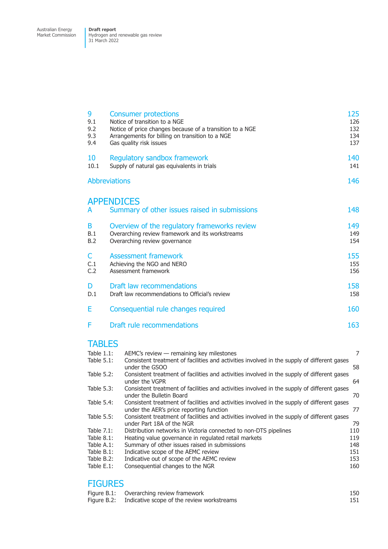Market Commission Hydrogen and renewable gas review 31 March 2022

| 9<br>9.1<br>9.2<br>9.3<br>9.4 | <b>Consumer protections</b><br>Notice of transition to a NGE<br>Notice of price changes because of a transition to a NGE<br>Arrangements for billing on transition to a NGE<br>Gas quality risk issues | 125<br>126<br>132<br>134<br>137 |
|-------------------------------|--------------------------------------------------------------------------------------------------------------------------------------------------------------------------------------------------------|---------------------------------|
| 10<br>10.1                    | Regulatory sandbox framework<br>Supply of natural gas equivalents in trials                                                                                                                            | 140<br>141                      |
| <b>Abbreviations</b>          |                                                                                                                                                                                                        | 146                             |
| <b>APPENDICES</b><br>A        | Summary of other issues raised in submissions                                                                                                                                                          | 148                             |
| B<br>B.1<br>B.2               | Overview of the regulatory frameworks review<br>Overarching review framework and its workstreams<br>Overarching review governance                                                                      | 149<br>149<br>154               |
| C<br>C.1<br>C.2               | <b>Assessment framework</b><br>Achieving the NGO and NERO<br>Assessment framework                                                                                                                      | 155<br>155<br>156               |
| D<br>D.1                      | Draft law recommendations<br>Draft law recommendations to Official's review                                                                                                                            | 158<br>158                      |
| Е                             | Consequential rule changes required                                                                                                                                                                    | 160                             |
| F                             | Draft rule recommendations                                                                                                                                                                             | 163                             |
| <b>TABLES</b>                 |                                                                                                                                                                                                        |                                 |
| Table 1.1:<br>Table 5.1:      | AEMC's review - remaining key milestones<br>Consistent treatment of facilities and activities involved in the supply of different gases<br>under the GSOO                                              | 7<br>58                         |
| Table 5.2:                    | Consistent treatment of facilities and activities involved in the supply of different gases<br>under the VGPR                                                                                          | 64                              |
| Table 5.3:                    | Consistent treatment of facilities and activities involved in the supply of different gases<br>under the Bulletin Board                                                                                | 70                              |
| Table 5.4:                    | Consistent treatment of facilities and activities involved in the supply of different gases<br>under the AER's price reporting function                                                                | 77                              |
| Table 5.5:                    | Consistent treatment of facilities and activities involved in the supply of different gases<br>$1.1.01$ $1.01$ $1.1.1$ $1.00$                                                                          | $\neg \wedge$                   |

|               | under the AER's price reporting function                                                    | 77  |
|---------------|---------------------------------------------------------------------------------------------|-----|
| Table 5.5:    | Consistent treatment of facilities and activities involved in the supply of different gases |     |
|               | under Part 18A of the NGR                                                                   | 79  |
| Table 7.1:    | Distribution networks in Victoria connected to non-DTS pipelines                            | 110 |
| Table $8.1$ : | Heating value governance in regulated retail markets                                        | 119 |
| Table A.1:    | Summary of other issues raised in submissions                                               | 148 |
| Table B.1:    | Indicative scope of the AEMC review                                                         | 151 |
| Table B.2:    | Indicative out of scope of the AEMC review                                                  | 153 |
| Table E.1:    | Consequential changes to the NGR                                                            | 160 |
|               |                                                                                             |     |

# [FIGURES](#page-157-0)

| Figure B.1: Overarching review framework               | 150 |
|--------------------------------------------------------|-----|
| Figure B.2: Indicative scope of the review workstreams | 151 |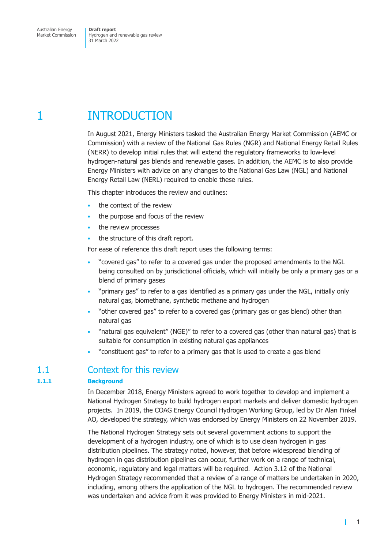# <span id="page-7-0"></span>1 INTRODUCTION

In August 2021, Energy Ministers tasked the Australian Energy Market Commission (AEMC or Commission) with a review of the National Gas Rules (NGR) and National Energy Retail Rules (NERR) to develop initial rules that will extend the regulatory frameworks to low-level hydrogen-natural gas blends and renewable gases. In addition, the AEMC is to also provide Energy Ministers with advice on any changes to the National Gas Law (NGL) and National Energy Retail Law (NERL) required to enable these rules.

This chapter introduces the review and outlines:

- the context of the review
- the purpose and focus of the review
- the review processes
- the structure of this draft report.

For ease of reference this draft report uses the following terms:

- "covered gas" to refer to a covered gas under the proposed amendments to the NGL being consulted on by jurisdictional officials, which will initially be only a primary gas or a blend of primary gases
- "primary gas" to refer to a gas identified as a primary gas under the NGL, initially only natural gas, biomethane, synthetic methane and hydrogen
- "other covered gas" to refer to a covered gas (primary gas or gas blend) other than natural gas
- "natural gas equivalent" (NGE)" to refer to a covered gas (other than natural gas) that is suitable for consumption in existing natural gas appliances
- "constituent gas" to refer to a primary gas that is used to create a gas blend

# 1.1 Context for this review

# **1.1.1 Background**

In December 2018, Energy Ministers agreed to work together to develop and implement a National Hydrogen Strategy to build hydrogen export markets and deliver domestic hydrogen projects. In 2019, the COAG Energy Council Hydrogen Working Group, led by Dr Alan Finkel AO, developed the strategy, which was endorsed by Energy Ministers on 22 November 2019.

The National Hydrogen Strategy sets out several government actions to support the development of a hydrogen industry, one of which is to use clean hydrogen in gas distribution pipelines. The strategy noted, however, that before widespread blending of hydrogen in gas distribution pipelines can occur, further work on a range of technical, economic, regulatory and legal matters will be required. Action 3.12 of the National Hydrogen Strategy recommended that a review of a range of matters be undertaken in 2020, including, among others the application of the NGL to hydrogen. The recommended review was undertaken and advice from it was provided to Energy Ministers in mid-2021.

1

 $\mathbf{I}$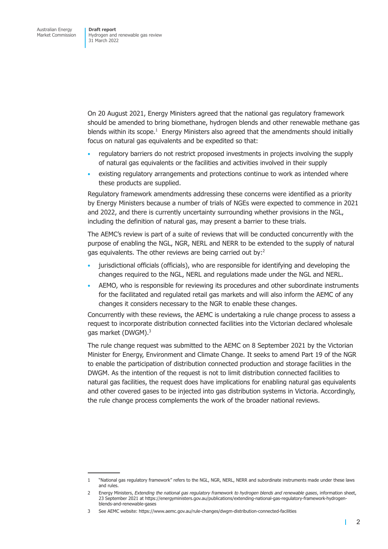On 20 August 2021, Energy Ministers agreed that the national gas regulatory framework should be amended to bring biomethane, hydrogen blends and other renewable methane gas blends within its scope. $<sup>1</sup>$  Energy Ministers also agreed that the amendments should initially</sup> focus on natural gas equivalents and be expedited so that:

- regulatory barriers do not restrict proposed investments in projects involving the supply of natural gas equivalents or the facilities and activities involved in their supply
- existing regulatory arrangements and protections continue to work as intended where these products are supplied.

Regulatory framework amendments addressing these concerns were identified as a priority by Energy Ministers because a number of trials of NGEs were expected to commence in 2021 and 2022, and there is currently uncertainty surrounding whether provisions in the NGL, including the definition of natural gas, may present a barrier to these trials.

The AEMC's review is part of a suite of reviews that will be conducted concurrently with the purpose of enabling the NGL, NGR, NERL and NERR to be extended to the supply of natural gas equivalents. The other reviews are being carried out by:<sup>2</sup>

- jurisdictional officials (officials), who are responsible for identifying and developing the changes required to the NGL, NERL and regulations made under the NGL and NERL.
- AEMO, who is responsible for reviewing its procedures and other subordinate instruments for the facilitated and regulated retail gas markets and will also inform the AEMC of any changes it considers necessary to the NGR to enable these changes.

Concurrently with these reviews, the AEMC is undertaking a rule change process to assess a request to incorporate distribution connected facilities into the Victorian declared wholesale gas market (DWGM).<sup>3</sup>

The rule change request was submitted to the AEMC on 8 September 2021 by the Victorian Minister for Energy, Environment and Climate Change. It seeks to amend Part 19 of the NGR to enable the participation of distribution connected production and storage facilities in the DWGM. As the intention of the request is not to limit distribution connected facilities to natural gas facilities, the request does have implications for enabling natural gas equivalents and other covered gases to be injected into gas distribution systems in Victoria. Accordingly, the rule change process complements the work of the broader national reviews.

т

<sup>1 &</sup>quot;National gas regulatory framework" refers to the NGL, NGR, NERL, NERR and subordinate instruments made under these laws and rules.

<sup>2</sup> Energy Ministers, *Extending the national gas regulatory framework to hydrogen blends and renewable gases*, information sheet, 23 September 2021 at https://energyministers.gov.au/publications/extending-national-gas-regulatory-framework-hydrogenblends-and-renewable-gases

<sup>3</sup> See AEMC website: https://www.aemc.gov.au/rule-changes/dwgm-distribution-connected-facilities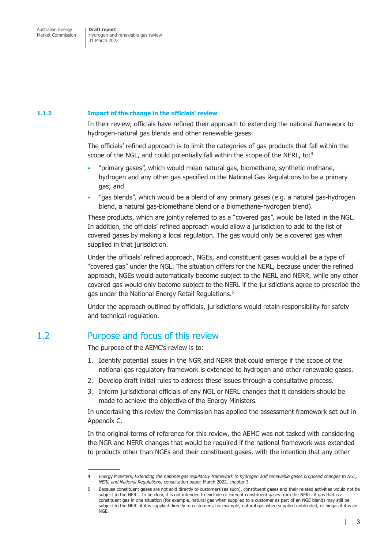### <span id="page-9-0"></span>**1.1.2 Impact of the change in the officials' review**

In their review, officials have refined their approach to extending the national framework to hydrogen-natural gas blends and other renewable gases.

The officials' refined approach is to limit the categories of gas products that fall within the scope of the NGL, and could potentially fall within the scope of the NERL, to:<sup>4</sup>

- "primary gases", which would mean natural gas, biomethane, synthetic methane, hydrogen and any other gas specified in the National Gas Regulations to be a primary gas; and
- "gas blends", which would be a blend of any primary gases (e.g. a natural gas-hydrogen blend, a natural gas-biomethane blend or a biomethane-hydrogen blend).

These products, which are jointly referred to as a "covered gas", would be listed in the NGL. In addition, the officials' refined approach would allow a jurisdiction to add to the list of covered gases by making a local regulation. The gas would only be a covered gas when supplied in that jurisdiction.

Under the officials' refined approach, NGEs, and constituent gases would all be a type of "covered gas" under the NGL. The situation differs for the NERL, because under the refined approach, NGEs would automatically become subject to the NERL and NERR, while any other covered gas would only become subject to the NERL if the jurisdictions agree to prescribe the gas under the National Energy Retail Regulations.<sup>5</sup>

Under the approach outlined by officials, jurisdictions would retain responsibility for safety and technical regulation.

# 1.2 Purpose and focus of this review

The purpose of the AEMC's review is to:

- 1. Identify potential issues in the NGR and NERR that could emerge if the scope of the national gas regulatory framework is extended to hydrogen and other renewable gases.
- 2. Develop draft initial rules to address these issues through a consultative process.
- 3. Inform jurisdictional officials of any NGL or NERL changes that it considers should be made to achieve the objective of the Energy Ministers.

In undertaking this review the Commission has applied the assessment framework set out in Appendix C.

In the original terms of reference for this review, the AEMC was not tasked with considering the NGR and NERR changes that would be required if the national framework was extended to products other than NGEs and their constituent gases, with the intention that any other

г

<sup>4</sup> Energy Ministers, *Extending the national gas regulatory framework to hydrogen and renewable gases proposed changes to NGL, NERL and National Regulations*, consultation paper, March 2022, chapter 3.

<sup>5</sup> Because constituent gases are not sold directly to customers (as such), constituent gases and their related activities would not be subject to the NERL. To be clear, it is not intended to exclude or exempt constituent gases from the NERL. A gas that is a constituent gas in one situation (for example, natural gas when supplied to a customer as part of an NGE blend) may still be subject to the NERL if it is supplied directly to customers, for example, natural gas when supplied unblended, or biogas if it is an NGE.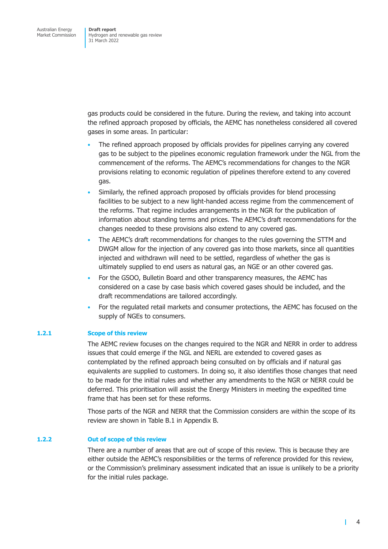gas products could be considered in the future. During the review, and taking into account the refined approach proposed by officials, the AEMC has nonetheless considered all covered gases in some areas. In particular:

- The refined approach proposed by officials provides for pipelines carrying any covered gas to be subject to the pipelines economic regulation framework under the NGL from the commencement of the reforms. The AEMC's recommendations for changes to the NGR provisions relating to economic regulation of pipelines therefore extend to any covered gas.
- Similarly, the refined approach proposed by officials provides for blend processing facilities to be subject to a new light-handed access regime from the commencement of the reforms. That regime includes arrangements in the NGR for the publication of information about standing terms and prices. The AEMC's draft recommendations for the changes needed to these provisions also extend to any covered gas.
- The AEMC's draft recommendations for changes to the rules governing the STTM and DWGM allow for the injection of any covered gas into those markets, since all quantities injected and withdrawn will need to be settled, regardless of whether the gas is ultimately supplied to end users as natural gas, an NGE or an other covered gas.
- For the GSOO, Bulletin Board and other transparency measures, the AEMC has considered on a case by case basis which covered gases should be included, and the draft recommendations are tailored accordingly.
- For the regulated retail markets and consumer protections, the AEMC has focused on the supply of NGEs to consumers.

## **1.2.1 Scope of this review**

The AEMC review focuses on the changes required to the NGR and NERR in order to address issues that could emerge if the NGL and NERL are extended to covered gases as contemplated by the refined approach being consulted on by officials and if natural gas equivalents are supplied to customers. In doing so, it also identifies those changes that need to be made for the initial rules and whether any amendments to the NGR or NERR could be deferred. This prioritisation will assist the Energy Ministers in meeting the expedited time frame that has been set for these reforms.

Those parts of the NGR and NERR that the Commission considers are within the scope of its review are shown in Table B.1 in Appendix B.

### **1.2.2 Out of scope of this review**

There are a number of areas that are out of scope of this review. This is because they are either outside the AEMC's responsibilities or the terms of reference provided for this review, or the Commission's preliminary assessment indicated that an issue is unlikely to be a priority for the initial rules package.

т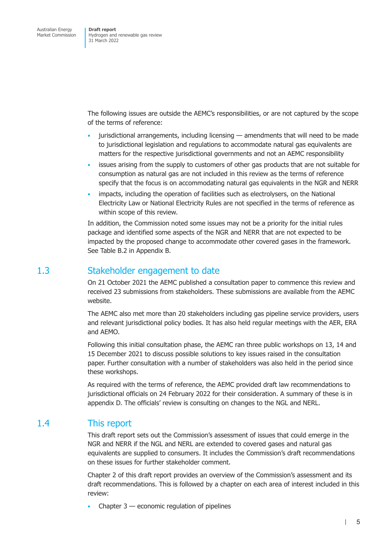<span id="page-11-0"></span>The following issues are outside the AEMC's responsibilities, or are not captured by the scope of the terms of reference:

- jurisdictional arrangements, including licensing amendments that will need to be made to jurisdictional legislation and regulations to accommodate natural gas equivalents are matters for the respective jurisdictional governments and not an AEMC responsibility
- issues arising from the supply to customers of other gas products that are not suitable for consumption as natural gas are not included in this review as the terms of reference specify that the focus is on accommodating natural gas equivalents in the NGR and NERR
- impacts, including the operation of facilities such as electrolysers, on the National Electricity Law or National Electricity Rules are not specified in the terms of reference as within scope of this review.

In addition, the Commission noted some issues may not be a priority for the initial rules package and identified some aspects of the NGR and NERR that are not expected to be impacted by the proposed change to accommodate other covered gases in the framework. See Table B.2 in Appendix B.

# 1.3 Stakeholder engagement to date

On 21 October 2021 the AEMC published a consultation paper to commence this review and received 23 submissions from stakeholders. These submissions are available from the AEMC website.

The AEMC also met more than 20 stakeholders including gas pipeline service providers, users and relevant jurisdictional policy bodies. It has also held regular meetings with the AER, ERA and AEMO.

Following this initial consultation phase, the AEMC ran three public workshops on 13, 14 and 15 December 2021 to discuss possible solutions to key issues raised in the consultation paper. Further consultation with a number of stakeholders was also held in the period since these workshops.

As required with the terms of reference, the AEMC provided draft law recommendations to jurisdictional officials on 24 February 2022 for their consideration. A summary of these is in appendix D. The officials' review is consulting on changes to the NGL and NERL.

# 1.4 This report

[This draft re](#page-164-1)port sets out the Commission's assessment of issues that could emerge in the NGR and NERR if the NGL and NERL are extended to covered gases and natural gas equivalents are supplied to consumers. It includes the Commission's draft recommendations on these issues for further stakeholder comment.

Chapter 2 of this draft report provides an overview of the Commission's assessment and its draft recommendations. This is followed by a chapter on each area of interest included in this review:

Chapter  $3$  — economic regulation of pipelines

 $\mathbf{I}$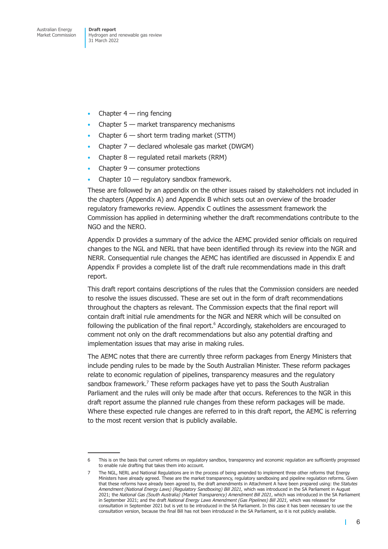- Chapter  $4 -$  ring fencing
- Chapter 5 market transparency mechanisms
- Chapter  $6 -$  short term trading market (STTM)
- Chapter  $7$  declared wholesale gas market (DWGM)
- Chapter  $8$  regulated retail markets (RRM)
- Chapter  $9$  consumer protections
- Chapter  $10$  regulatory sandbox framework.

These are followed by an appendix on the other issues raised by stakeholders not included in the chapters (Appendix A) and Appendix B which sets out an overview of the broader regulatory frameworks review. Appendix C outlines the assessment framework the Commission has applied in determining whether the draft recommendations contribute to the NGO and the NERO.

Appendix D provides a summary of the advice the AEMC provided senior officials on required changes to the NGL and NERL that have been identified through its review into the NGR and NERR. Consequential rule changes the AEMC has identified are discussed in Appendix E and Appendix F provides a complete list of the draft rule recommendations made in this draft report.

This draft report contains descriptions of the rules that the Commission considers are needed to resolve the issues discussed. These are set out in the form of draft recommendations throughout the chapters as relevant. The Commission expects that the final report will contain draft initial rule amendments for the NGR and NERR which will be consulted on following the publication of the final report.<sup>6</sup> Accordingly, stakeholders are encouraged to comment not only on the draft recommendations but also any potential drafting and implementation issues that may arise in making rules.

The AEMC notes that there are currently three reform packages from Energy Ministers that include pending rules to be made by the South Australian Minister. These reform packages relate to economic regulation of pipelines, transparency measures and the regulatory sandbox framework.<sup>7</sup> These reform packages have yet to pass the South Australian Parliament and the rules will only be made after that occurs. References to the NGR in this draft report assume the planned rule changes from these reform packages will be made. Where these expected rule changes are referred to in this draft report, the AEMC is referring to the most recent version that is publicly available.

T.

<sup>6</sup> This is on the basis that current reforms on regulatory sandbox, transparency and economic regulation are sufficiently progressed to enable rule drafting that takes them into account.

<sup>7</sup> The NGL, NERL and National Regulations are in the process of being amended to implement three other reforms that Energy Ministers have already agreed. These are the market transparency, regulatory sandboxing and pipeline regulation reforms. Given that these reforms have already been agreed to, the draft amendments in Attachment A have been prepared using: the *Statutes*  Amendment (National Energy Laws) (Regulatory Sandboxing) Bill 2021, which was introduced in the SA Parliament in August 2021; the *National Gas (South Australia) (Market Transparency) Amendment Bill 2021*, which was introduced in the SA Parliament in September 2021; and the draft *National Energy Laws Amendment (Gas Pipelines) Bill 2021*, which was released for consultation in September 2021 but is yet to be introduced in the SA Parliament. In this case it has been necessary to use the consultation version, because the final Bill has not been introduced in the SA Parliament, so it is not publicly available.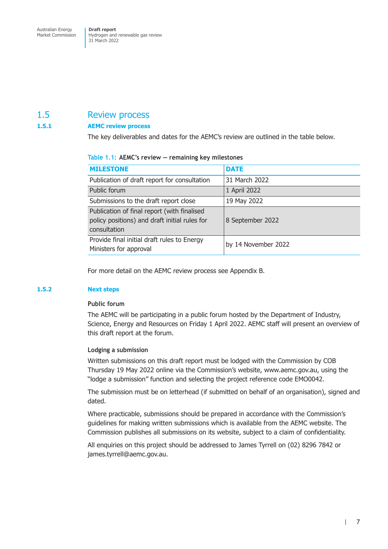# <span id="page-13-0"></span>1.5 Review process

# **1.5.1 AEMC review process**

The key deliverables and dates for the AEMC's review are outlined in the table below.

### **Table 1.1: AEMC's review — remaining key milestones**

| <b>MILESTONE</b>                                                                                             | <b>DATE</b>         |
|--------------------------------------------------------------------------------------------------------------|---------------------|
| Publication of draft report for consultation                                                                 | 31 March 2022       |
| Public forum                                                                                                 | 1 April 2022        |
| Submissions to the draft report close                                                                        | 19 May 2022         |
| Publication of final report (with finalised<br>policy positions) and draft initial rules for<br>consultation | 8 September 2022    |
| Provide final initial draft rules to Energy<br>Ministers for approval                                        | by 14 November 2022 |

For more detail on the AEMC review process see Appendix B.

## **1.5.2 Next steps**

## **Public forum**

The AEMC will be participating in a public forum hosted by the Department of Industry, Science, Energy and Resources on Friday 1 April 2022. AEMC staff will present an overview of this draft report at the forum.

## **Lodging a submission**

Written submissions on this draft report must be lodged with the Commission by COB Thursday 19 May 2022 online via the Commission's website, www.aemc.gov.au, using the "lodge a submission" function and selecting the project reference code EMO0042.

The submission must be on letterhead (if submitted on behalf of an organisation), signed and dated.

Where practicable, submissions should be prepared in accordance with the Commission's guidelines for making written submissions which is available from the AEMC website. The Commission publishes all submissions on its website, subject to a claim of confidentiality.

All enquiries on this project should be addressed to James Tyrrell on (02) 8296 7842 or james.tyrrell@aemc.gov.au.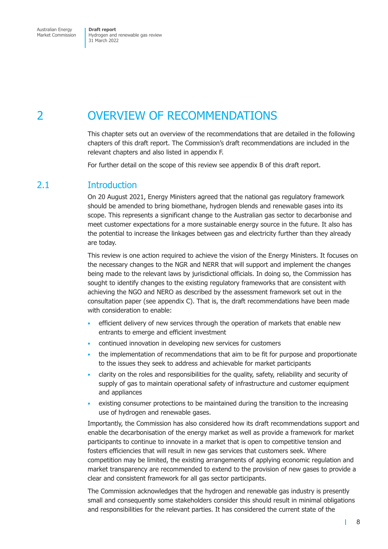<span id="page-14-0"></span>Market Commission

Hydrogen and renewable gas review 31 March 2022

# 2 OVERVIEW OF RECOMMENDATIONS

This chapter sets out an overview of the recommendations that are detailed in the following chapters of this draft report. The Commission's draft recommendations are included in the relevant chapters and also listed in appendix F.

For further detail on the scope of this review see appendix B of this draft report.

# 2.1 Introduction

On 20 August 2021, Energy Ministers agreed tha[t the nationa](#page-155-1)l gas regulatory framework should be amended to bring biomethane, hydrogen blends and renewable gases into its scope. This represents a significant change to the Australian gas sector to decarbonise and meet customer expectations for a more sustainable energy source in the future. It also has the potential to increase the linkages between gas and electricity further than they already are today.

This review is one action required to achieve the vision of the Energy Ministers. It focuses on the necessary changes to the NGR and NERR that will support and implement the changes being made to the relevant laws by jurisdictional officials. In doing so, the Commission has sought to identify changes to the existing regulatory frameworks that are consistent with achieving the NGO and NERO as described by the assessment framework set out in the consultation paper (see appendix C). That is, the draft recommendations have been made with consideration to enable:

- efficient delivery of new services through the operation of markets that enable new entrants to emerge [and efficient](#page-161-1) investment
- continued innovation in developing new services for customers
- the implementation of recommendations that aim to be fit for purpose and proportionate to the issues they seek to address and achievable for market participants
- clarity on the roles and responsibilities for the quality, safety, reliability and security of supply of gas to maintain operational safety of infrastructure and customer equipment and appliances
- existing consumer protections to be maintained during the transition to the increasing use of hydrogen and renewable gases.

Importantly, the Commission has also considered how its draft recommendations support and enable the decarbonisation of the energy market as well as provide a framework for market participants to continue to innovate in a market that is open to competitive tension and fosters efficiencies that will result in new gas services that customers seek. Where competition may be limited, the existing arrangements of applying economic regulation and market transparency are recommended to extend to the provision of new gases to provide a clear and consistent framework for all gas sector participants.

The Commission acknowledges that the hydrogen and renewable gas industry is presently small and consequently some stakeholders consider this should result in minimal obligations and responsibilities for the relevant parties. It has considered the current state of the

 $\mathbf{I}$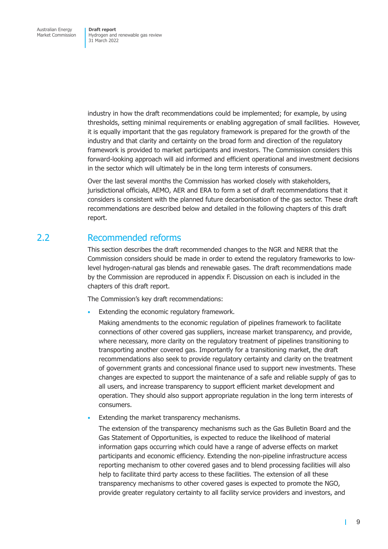<span id="page-15-0"></span>industry in how the draft recommendations could be implemented; for example, by using thresholds, setting minimal requirements or enabling aggregation of small facilities. However, it is equally important that the gas regulatory framework is prepared for the growth of the industry and that clarity and certainty on the broad form and direction of the regulatory framework is provided to market participants and investors. The Commission considers this forward-looking approach will aid informed and efficient operational and investment decisions in the sector which will ultimately be in the long term interests of consumers.

Over the last several months the Commission has worked closely with stakeholders, jurisdictional officials, AEMO, AER and ERA to form a set of draft recommendations that it considers is consistent with the planned future decarbonisation of the gas sector. These draft recommendations are described below and detailed in the following chapters of this draft report.

# 2.2 Recommended reforms

This section describes the draft recommended changes to the NGR and NERR that the Commission considers should be made in order to extend the regulatory frameworks to lowlevel hydrogen-natural gas blends and renewable gases. The draft recommendations made by the Commission are reproduced in appendix F. Discussion on each is included in the chapters of this draft report.

The Commission's key draft recommendations:

Extending the economic regulator[y framework](#page-169-1).

Making amendments to the economic regulation of pipelines framework to facilitate connections of other covered gas suppliers, increase market transparency, and provide, where necessary, more clarity on the regulatory treatment of pipelines transitioning to transporting another covered gas. Importantly for a transitioning market, the draft recommendations also seek to provide regulatory certainty and clarity on the treatment of government grants and concessional finance used to support new investments. These changes are expected to support the maintenance of a safe and reliable supply of gas to all users, and increase transparency to support efficient market development and operation. They should also support appropriate regulation in the long term interests of consumers.

Extending the market transparency mechanisms.

The extension of the transparency mechanisms such as the Gas Bulletin Board and the Gas Statement of Opportunities, is expected to reduce the likelihood of material information gaps occurring which could have a range of adverse effects on market participants and economic efficiency. Extending the non-pipeline infrastructure access reporting mechanism to other covered gases and to blend processing facilities will also help to facilitate third party access to these facilities. The extension of all these transparency mechanisms to other covered gases is expected to promote the NGO, provide greater regulatory certainty to all facility service providers and investors, and

П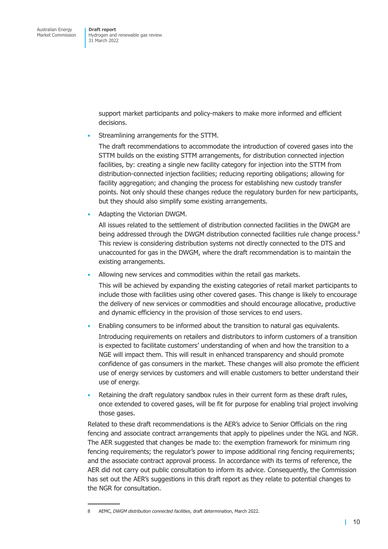> support market participants and policy-makers to make more informed and efficient decisions.

• Streamlining arrangements for the STTM.

The draft recommendations to accommodate the introduction of covered gases into the STTM builds on the existing STTM arrangements, for distribution connected injection facilities, by: creating a single new facility category for injection into the STTM from distribution-connected injection facilities; reducing reporting obligations; allowing for facility aggregation; and changing the process for establishing new custody transfer points. Not only should these changes reduce the regulatory burden for new participants, but they should also simplify some existing arrangements.

• Adapting the Victorian DWGM.

All issues related to the settlement of distribution connected facilities in the DWGM are being addressed through the DWGM distribution connected facilities rule change process.<sup>8</sup> This review is considering distribution systems not directly connected to the DTS and unaccounted for gas in the DWGM, where the draft recommendation is to maintain the existing arrangements.

Allowing new services and commodities within the retail gas markets.

This will be achieved by expanding the existing categories of retail market participants to include those with facilities using other covered gases. This change is likely to encourage the delivery of new services or commodities and should encourage allocative, productive and dynamic efficiency in the provision of those services to end users.

- Enabling consumers to be informed about the transition to natural gas equivalents. Introducing requirements on retailers and distributors to inform customers of a transition is expected to facilitate customers' understanding of when and how the transition to a NGE will impact them. This will result in enhanced transparency and should promote confidence of gas consumers in the market. These changes will also promote the efficient use of energy services by customers and will enable customers to better understand their use of energy.
- Retaining the draft regulatory sandbox rules in their current form as these draft rules, once extended to covered gases, will be fit for purpose for enabling trial project involving those gases.

Related to these draft recommendations is the AER's advice to Senior Officials on the ring fencing and associate contract arrangements that apply to pipelines under the NGL and NGR. The AER suggested that changes be made to: the exemption framework for minimum ring fencing requirements; the regulator's power to impose additional ring fencing requirements; and the associate contract approval process. In accordance with its terms of reference, the AER did not carry out public consultation to inform its advice. Consequently, the Commission has set out the AER's suggestions in this draft report as they relate to potential changes to the NGR for consultation.

<sup>8</sup> AEMC, *DWGM distribution connected facilities*, draft determination, March 2022.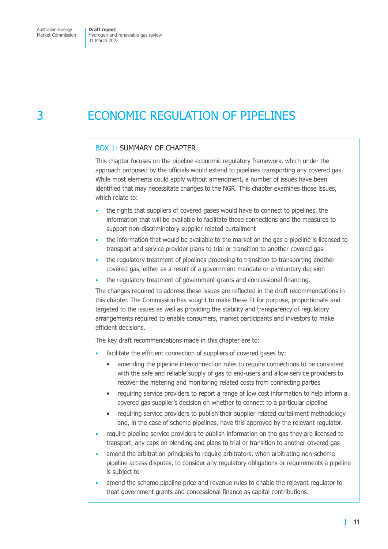# <span id="page-17-0"></span>3 ECONOMIC REGULATION OF PIPELINES

# BOX 1: SUMMARY OF CHAPTER

This chapter focuses on the pipeline economic regulatory framework, which under the approach proposed by the officials would extend to pipelines transporting any covered gas. While most elements could apply without amendment, a number of issues have been identified that may necessitate changes to the NGR. This chapter examines those issues, which relate to:

- the rights that suppliers of covered gases would have to connect to pipelines, the information that will be available to facilitate those connections and the measures to support non-discriminatory supplier related curtailment
- the information that would be available to the market on the gas a pipeline is licensed to transport and service provider plans to trial or transition to another covered gas
- the regulatory treatment of pipelines proposing to transition to transporting another covered gas, either as a result of a government mandate or a voluntary decision
- the regulatory treatment of government grants and concessional financing.

The changes required to address these issues are reflected in the draft recommendations in this chapter. The Commission has sought to make these fit for purpose, proportionate and targeted to the issues as well as providing the stability and transparency of regulatory arrangements required to enable consumers, market participants and investors to make efficient decisions.

The key draft recommendations made in this chapter are to:

- facilitate the efficient connection of suppliers of covered gases by:
	- amending the pipeline interconnection rules to require connections to be consistent with the safe and reliable supply of gas to end-users and allow service providers to recover the metering and monitoring related costs from connecting parties
	- requiring service providers to report a range of low cost information to help inform a covered gas supplier's decision on whether to connect to a particular pipeline
	- requiring service providers to publish their supplier related curtailment methodology and, in the case of scheme pipelines, have this approved by the relevant regulator.
- require pipeline service providers to publish information on the gas they are licensed to transport, any caps on blending and plans to trial or transition to another covered gas
- amend the arbitration principles to require arbitrators, when arbitrating non-scheme pipeline access disputes, to consider any regulatory obligations or requirements a pipeline is subject to
- amend the scheme pipeline price and revenue rules to enable the relevant regulator to treat government grants and concessional finance as capital contributions.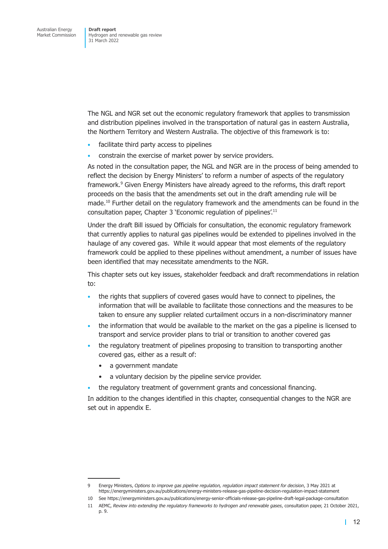The NGL and NGR set out the economic regulatory framework that applies to transmission and distribution pipelines involved in the transportation of natural gas in eastern Australia, the Northern Territory and Western Australia. The objective of this framework is to:

- facilitate third party access to pipelines
- constrain the exercise of market power by service providers.

As noted in the consultation paper, the NGL and NGR are in the process of being amended to reflect the decision by Energy Ministers' to reform a number of aspects of the regulatory framework.<sup>9</sup> Given Energy Ministers have already agreed to the reforms, this draft report proceeds on the basis that the amendments set out in the draft amending rule will be made.<sup>10</sup> Further detail on the regulatory framework and the amendments can be found in the consultation paper, Chapter 3 'Economic regulation of pipelines'.<sup>11</sup>

Under the draft Bill issued by Officials for consultation, the economic regulatory framework that currently applies to natural gas pipelines would be extended to pipelines involved in the haulage of any covered gas. While it would appear that most elements of the regulatory framework could be applied to these pipelines without amendment, a number of issues have been identified that may necessitate amendments to the NGR.

This chapter sets out key issues, stakeholder feedback and draft recommendations in relation to:

- the rights that suppliers of covered gases would have to connect to pipelines, the information that will be available to facilitate those connections and the measures to be taken to ensure any supplier related curtailment occurs in a non-discriminatory manner
- the information that would be available to the market on the gas a pipeline is licensed to transport and service provider plans to trial or transition to another covered gas
- the regulatory treatment of pipelines proposing to transition to transporting another covered gas, either as a result of:
	- a government mandate
	- a voluntary decision by the pipeline service provider.
- the regulatory treatment of government grants and concessional financing.

In addition to the changes identified in this chapter, consequential changes to the NGR are set out in appendix E.

<sup>9</sup> Energy Ministers, *Options to improve gas pipeline regulation, regulation impact statement for decision*, 3 May 2021 at https://energyministers.gov.au/publications/energy-ministers-release-gas-pipeline-decision-regulation-impact-statement

<sup>10</sup> See https://energyministers.gov.au/publications/energy-senior-officials-release-gas-pipeline-draft-legal-package-consultation

<sup>11</sup> AEMC, *Review into extending the regulatory frameworks to hydrogen and renewable gases*, consultation paper, 21 October 2021, p. 9.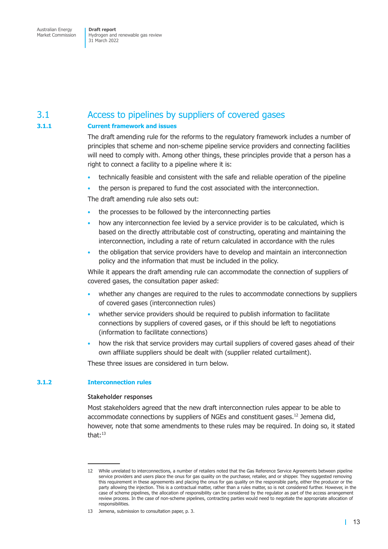# <span id="page-19-0"></span>3.1 Access to pipelines by suppliers of covered gases

# **3.1.1 Current framework and issues**

The draft amending rule for the reforms to the regulatory framework includes a number of principles that scheme and non-scheme pipeline service providers and connecting facilities will need to comply with. Among other things, these principles provide that a person has a right to connect a facility to a pipeline where it is:

- technically feasible and consistent with the safe and reliable operation of the pipeline
- the person is prepared to fund the cost associated with the interconnection.

The draft amending rule also sets out:

- the processes to be followed by the interconnecting parties
- how any interconnection fee levied by a service provider is to be calculated, which is based on the directly attributable cost of constructing, operating and maintaining the interconnection, including a rate of return calculated in accordance with the rules
- the obligation that service providers have to develop and maintain an interconnection policy and the information that must be included in the policy.

While it appears the draft amending rule can accommodate the connection of suppliers of covered gases, the consultation paper asked:

- whether any changes are required to the rules to accommodate connections by suppliers of covered gases (interconnection rules)
- whether service providers should be required to publish information to facilitate connections by suppliers of covered gases, or if this should be left to negotiations (information to facilitate connections)
- how the risk that service providers may curtail suppliers of covered gases ahead of their own affiliate suppliers should be dealt with (supplier related curtailment).

These three issues are considered in turn below.

# **3.1.2 Interconnection rules**

# **Stakeholder responses**

Most stakeholders agreed that the new draft interconnection rules appear to be able to accommodate connections by suppliers of NGEs and constituent gases.<sup>12</sup> Jemena did, however, note that some amendments to these rules may be required. In doing so, it stated that: $13$ 

<sup>12</sup> While unrelated to interconnections, a number of retailers noted that the Gas Reference Service Agreements between pipeline service providers and users place the onus for gas quality on the purchaser, retailer, and or shipper. They suggested removing this requirement in these agreements and placing the onus for gas quality on the responsible party, either the producer or the party allowing the injection. This is a contractual matter, rather than a rules matter, so is not considered further. However, in the case of scheme pipelines, the allocation of responsibility can be considered by the regulator as part of the access arrangement review process. In the case of non-scheme pipelines, contracting parties would need to negotiate the appropriate allocation of responsibilities.

<sup>13</sup> Jemena, submission to consultation paper, p. 3.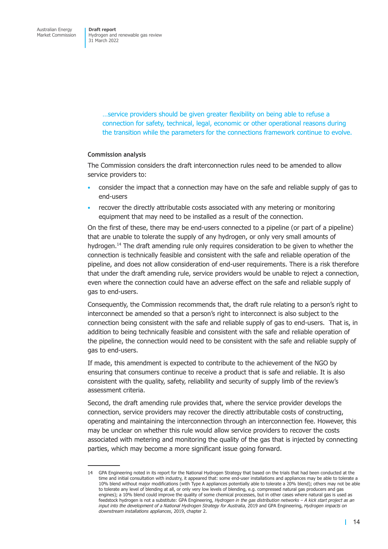> …service providers should be given greater flexibility on being able to refuse a connection for safety, technical, legal, economic or other operational reasons during the transition while the parameters for the connections framework continue to evolve.

#### **Commission analysis**

The Commission considers the draft interconnection rules need to be amended to allow service providers to:

- consider the impact that a connection may have on the safe and reliable supply of gas to end-users
- recover the directly attributable costs associated with any metering or monitoring equipment that may need to be installed as a result of the connection.

On the first of these, there may be end-users connected to a pipeline (or part of a pipeline) that are unable to tolerate the supply of any hydrogen, or only very small amounts of hydrogen.<sup>14</sup> The draft amending rule only requires consideration to be given to whether the connection is technically feasible and consistent with the safe and reliable operation of the pipeline, and does not allow consideration of end-user requirements. There is a risk therefore that under the draft amending rule, service providers would be unable to reject a connection, even where the connection could have an adverse effect on the safe and reliable supply of gas to end-users.

Consequently, the Commission recommends that, the draft rule relating to a person's right to interconnect be amended so that a person's right to interconnect is also subject to the connection being consistent with the safe and reliable supply of gas to end-users. That is, in addition to being technically feasible and consistent with the safe and reliable operation of the pipeline, the connection would need to be consistent with the safe and reliable supply of gas to end-users.

If made, this amendment is expected to contribute to the achievement of the NGO by ensuring that consumers continue to receive a product that is safe and reliable. It is also consistent with the quality, safety, reliability and security of supply limb of the review's assessment criteria.

Second, the draft amending rule provides that, where the service provider develops the connection, service providers may recover the directly attributable costs of constructing, operating and maintaining the interconnection through an interconnection fee. However, this may be unclear on whether this rule would allow service providers to recover the costs associated with metering and monitoring the quality of the gas that is injected by connecting parties, which may become a more significant issue going forward.

<sup>14</sup> GPA Engineering noted in its report for the National Hydrogen Strategy that based on the trials that had been conducted at the time and initial consultation with industry, it appeared that: some end-user installations and appliances may be able to tolerate a 10% blend without major modifications (with Type A appliances potentially able to tolerate a 20% blend); others may not be able to tolerate any level of blending at all, or only very low levels of blending, e.g. compressed natural gas producers and gas engines); a 10% blend could improve the quality of some chemical processes, but in other cases where natural gas is used as feedstock hydrogen is not a substitute: GPA Engineering, *Hydrogen in the gas distribution networks – A kick start project as an input into the development of a National Hydrogen Strategy for Australia*, 2019 and GPA Engineering, *Hydrogen impacts on downstream installations appliances*, 2019, chapter 2.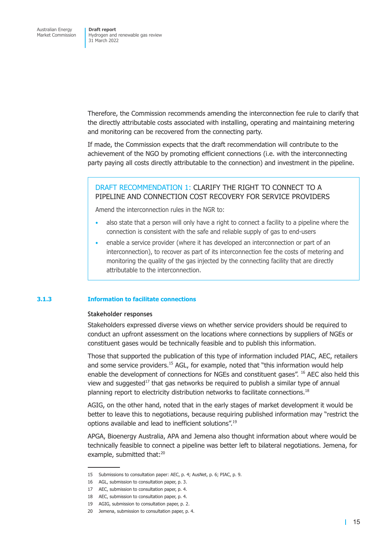Therefore, the Commission recommends amending the interconnection fee rule to clarify that the directly attributable costs associated with installing, operating and maintaining metering and monitoring can be recovered from the connecting party.

If made, the Commission expects that the draft recommendation will contribute to the achievement of the NGO by promoting efficient connections (i.e. with the interconnecting party paying all costs directly attributable to the connection) and investment in the pipeline.

# DRAFT RECOMMENDATION 1: CLARIFY THE RIGHT TO CONNECT TO A PIPELINE AND CONNECTION COST RECOVERY FOR SERVICE PROVIDERS

Amend the interconnection rules in the NGR to:

- also state that a person will only have a right to connect a facility to a pipeline where the connection is consistent with the safe and reliable supply of gas to end-users
- enable a service provider (where it has developed an interconnection or part of an interconnection), to recover as part of its interconnection fee the costs of metering and monitoring the quality of the gas injected by the connecting facility that are directly attributable to the interconnection.

#### **3.1.3 Information to facilitate connections**

#### **Stakeholder responses**

Stakeholders expressed diverse views on whether service providers should be required to conduct an upfront assessment on the locations where connections by suppliers of NGEs or constituent gases would be technically feasible and to publish this information.

Those that supported the publication of this type of information included PIAC, AEC, retailers and some service providers.<sup>15</sup> AGL, for example, noted that "this information would help enable the development of connections for NGEs and constituent gases". <sup>16</sup> AEC also held this view and suggested $17$  that gas networks be required to publish a similar type of annual planning report to electricity distribution networks to facilitate connections.<sup>18</sup>

AGIG, on the other hand, noted that in the early stages of market development it would be better to leave this to negotiations, because requiring published information may "restrict the options available and lead to inefficient solutions".19

APGA, Bioenergy Australia, APA and Jemena also thought information about where would be technically feasible to connect a pipeline was better left to bilateral negotiations. Jemena, for example, submitted that:<sup>20</sup>

<sup>15</sup> Submissions to consultation paper: AEC, p. 4; AusNet, p. 6; PIAC, p. 9.

<sup>16</sup> AGL, submission to consultation paper, p. 3.

<sup>17</sup> AEC, submission to consultation paper, p. 4.

<sup>18</sup> AEC, submission to consultation paper, p. 4.

<sup>19</sup> AGIG, submission to consultation paper, p. 2.

<sup>20</sup> Jemena, submission to consultation paper, p. 4.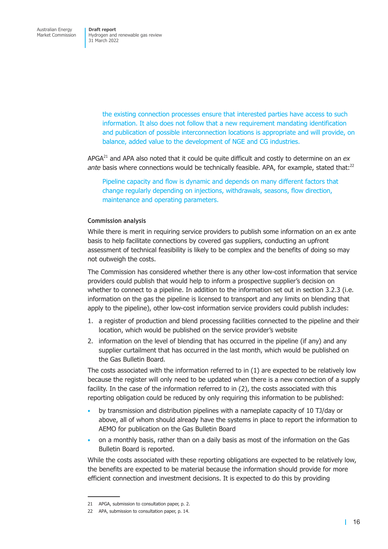the existing connection processes ensure that interested parties have access to such information. It also does not follow that a new requirement mandating identification and publication of possible interconnection locations is appropriate and will provide, on balance, added value to the development of NGE and CG industries.

APGA21 and APA also noted that it could be quite difficult and costly to determine on an *ex ante* basis where connections would be technically feasible. APA, for example, stated that:<sup>22</sup>

Pipeline capacity and flow is dynamic and depends on many different factors that change regularly depending on injections, withdrawals, seasons, flow direction, maintenance and operating parameters.

#### **Commission analysis**

While there is merit in requiring service providers to publish some information on an ex ante basis to help facilitate connections by covered gas suppliers, conducting an upfront assessment of technical feasibility is likely to be complex and the benefits of doing so may not outweigh the costs.

The Commission has considered whether there is any other low-cost information that service providers could publish that would help to inform a prospective supplier's decision on whether to connect to a pipeline. In addition to the information set out in section 3.2.3 (i.e. information on the gas the pipeline is licensed to transport and any limits on blending that apply to the pipeline), other low-cost information service providers could publish includes:

- 1. a register of production and blend processing facilities connected to t[he pipeline and](#page-26-0) their location, which would be published on the service provider's website
- 2. information on the level of blending that has occurred in the pipeline (if any) and any supplier curtailment that has occurred in the last month, which would be published on the Gas Bulletin Board.

The costs associated with the information referred to in (1) are expected to be relatively low because the register will only need to be updated when there is a new connection of a supply facility. In the case of the information referred to in (2), the costs associated with this reporting obligation could be reduced by only requiring this information to be published:

- by transmission and distribution pipelines with a nameplate capacity of 10 TJ/day or above, all of whom should already have the systems in place to report the information to AEMO for publication on the Gas Bulletin Board
- on a monthly basis, rather than on a daily basis as most of the information on the Gas Bulletin Board is reported.

While the costs associated with these reporting obligations are expected to be relatively low, the benefits are expected to be material because the information should provide for more efficient connection and investment decisions. It is expected to do this by providing

<sup>21</sup> APGA, submission to consultation paper, p. 2.

<sup>22</sup> APA, submission to consultation paper, p. 14.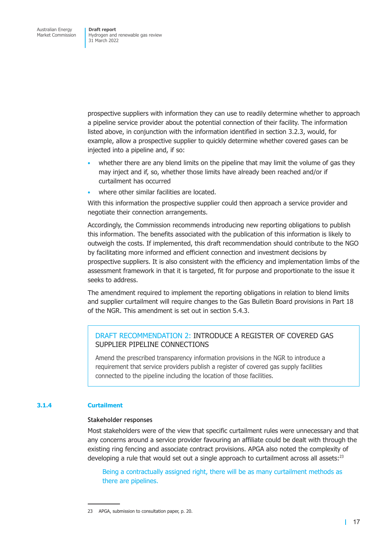prospective suppliers with information they can use to readily determine whether to approach a pipeline service provider about the potential connection of their facility. The information listed above, in conjunction with the information identified in section 3.2.3, would, for example, allow a prospective supplier to quickly determine whether covered gases can be injected into a pipeline and, if so:

- whether there are any blend limits on the pipeline that m[ay limit the vo](#page-26-0)lume of gas they may inject and if, so, whether those limits have already been reached and/or if curtailment has occurred
- where other similar facilities are located.

With this information the prospective supplier could then approach a service provider and negotiate their connection arrangements.

Accordingly, the Commission recommends introducing new reporting obligations to publish this information. The benefits associated with the publication of this information is likely to outweigh the costs. If implemented, this draft recommendation should contribute to the NGO by facilitating more informed and efficient connection and investment decisions by prospective suppliers. It is also consistent with the efficiency and implementation limbs of the assessment framework in that it is targeted, fit for purpose and proportionate to the issue it seeks to address.

The amendment required to implement the reporting obligations in relation to blend limits and supplier curtailment will require changes to the Gas Bulletin Board provisions in Part 18 of the NGR. This amendment is set out in section 5.4.3.

# DRAFT RECOMMENDATION 2: INTRODUCE A REGISTER OF COVERED GAS SUPPLIER PIPELINE CONNECTIONS

Amend the prescribed transparency information provisions in the NGR to introduce a requirement that service providers publish a register of covered gas supply facilities connected to the pipeline including the location of those facilities.

## **3.1.4 Curtailment**

#### **Stakeholder responses**

Most stakeholders were of the view that specific curtailment rules were unnecessary and that any concerns around a service provider favouring an affiliate could be dealt with through the existing ring fencing and associate contract provisions. APGA also noted the complexity of developing a rule that would set out a single approach to curtailment across all assets: $2<sup>3</sup>$ 

Being a contractually assigned right, there will be as many curtailment methods as there are pipelines.

<sup>23</sup> APGA, submission to consultation paper, p. 20.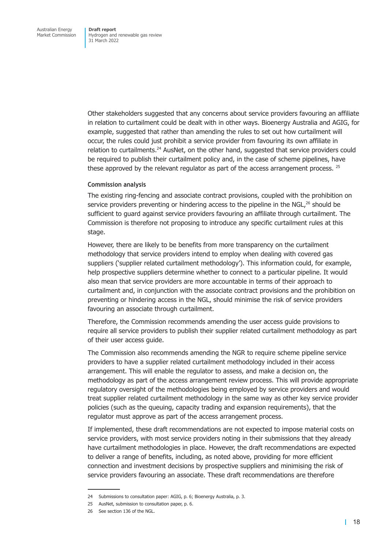Other stakeholders suggested that any concerns about service providers favouring an affiliate in relation to curtailment could be dealt with in other ways. Bioenergy Australia and AGIG, for example, suggested that rather than amending the rules to set out how curtailment will occur, the rules could just prohibit a service provider from favouring its own affiliate in relation to curtailments.<sup>24</sup> AusNet, on the other hand, suggested that service providers could be required to publish their curtailment policy and, in the case of scheme pipelines, have these approved by the relevant regulator as part of the access arrangement process. <sup>25</sup>

### **Commission analysis**

The existing ring-fencing and associate contract provisions, coupled with the prohibition on service providers preventing or hindering access to the pipeline in the  $NGL^{26}$  should be sufficient to guard against service providers favouring an affiliate through curtailment. The Commission is therefore not proposing to introduce any specific curtailment rules at this stage.

However, there are likely to be benefits from more transparency on the curtailment methodology that service providers intend to employ when dealing with covered gas suppliers ('supplier related curtailment methodology'). This information could, for example, help prospective suppliers determine whether to connect to a particular pipeline. It would also mean that service providers are more accountable in terms of their approach to curtailment and, in conjunction with the associate contract provisions and the prohibition on preventing or hindering access in the NGL, should minimise the risk of service providers favouring an associate through curtailment.

Therefore, the Commission recommends amending the user access guide provisions to require all service providers to publish their supplier related curtailment methodology as part of their user access guide.

The Commission also recommends amending the NGR to require scheme pipeline service providers to have a supplier related curtailment methodology included in their access arrangement. This will enable the regulator to assess, and make a decision on, the methodology as part of the access arrangement review process. This will provide appropriate regulatory oversight of the methodologies being employed by service providers and would treat supplier related curtailment methodology in the same way as other key service provider policies (such as the queuing, capacity trading and expansion requirements), that the regulator must approve as part of the access arrangement process.

If implemented, these draft recommendations are not expected to impose material costs on service providers, with most service providers noting in their submissions that they already have curtailment methodologies in place. However, the draft recommendations are expected to deliver a range of benefits, including, as noted above, providing for more efficient connection and investment decisions by prospective suppliers and minimising the risk of service providers favouring an associate. These draft recommendations are therefore

<sup>24</sup> Submissions to consultation paper: AGIG, p. 6; Bioenergy Australia, p. 3.

<sup>25</sup> AusNet, submission to consultation paper, p. 6.

<sup>26</sup> See section 136 of the NGL.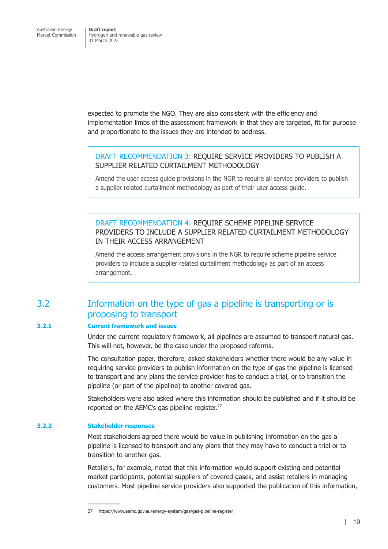<span id="page-25-0"></span>expected to promote the NGO. They are also consistent with the efficiency and implementation limbs of the assessment framework in that they are targeted, fit for purpose and proportionate to the issues they are intended to address.

# DRAFT RECOMMENDATION 3: REQUIRE SERVICE PROVIDERS TO PUBLISH A SUPPLIER RELATED CURTAILMENT METHODOLOGY

Amend the user access guide provisions in the NGR to require all service providers to publish a supplier related curtailment methodology as part of their user access guide.

DRAFT RECOMMENDATION 4: REQUIRE SCHEME PIPELINE SERVICE PROVIDERS TO INCLUDE A SUPPLIER RELATED CURTAILMENT METHODOLOGY IN THEIR ACCESS ARRANGEMENT

<span id="page-25-1"></span>Amend the access arrangement provisions in the NGR to require scheme pipeline service providers to include a supplier related curtailment methodology as part of an access arrangement.

# 3.2 Information on the type of gas a pipeline is transporting or is proposing to transport

# **3.2.1 Current framework and issues**

Under the current regulatory framework, all pipelines are assumed to transport natural gas. This will not, however, be the case under the proposed reforms.

The consultation paper, therefore, asked stakeholders whether there would be any value in requiring service providers to publish information on the type of gas the pipeline is licensed to transport and any plans the service provider has to conduct a trial, or to transition the pipeline (or part of the pipeline) to another covered gas.

Stakeholders were also asked where this information should be published and if it should be reported on the AEMC's gas pipeline register.<sup>27</sup>

## **3.2.2 Stakeholder responses**

Most stakeholders agreed there would be value in publishing information on the gas a pipeline is licensed to transport and any plans that they may have to conduct a trial or to transition to another gas.

Retailers, for example, noted that this information would support existing and potential market participants, potential suppliers of covered gases, and assist retailers in managing customers. Most pipeline service providers also supported the publication of this information,

<sup>27</sup> https://www.aemc.gov.au/energy-system/gas/gas-pipeline-register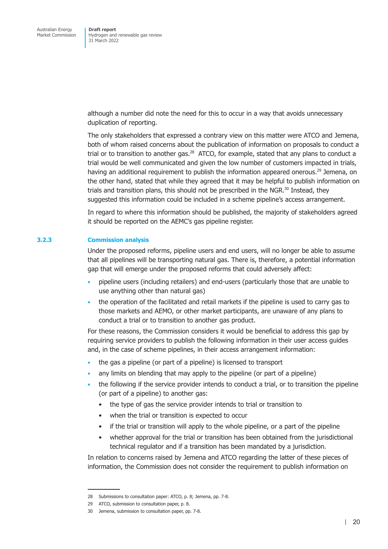although a number did note the need for this to occur in a way that avoids unnecessary duplication of reporting.

The only stakeholders that expressed a contrary view on this matter were ATCO and Jemena, both of whom raised concerns about the publication of information on proposals to conduct a trial or to transition to another gas.<sup>28</sup> ATCO, for example, stated that any plans to conduct a trial would be well communicated and given the low number of customers impacted in trials, having an additional requirement to publish the information appeared onerous.<sup>29</sup> Jemena, on the other hand, stated that while they agreed that it may be helpful to publish information on trials and transition plans, this should not be prescribed in the NGR. $30$  Instead, they suggested this information could be included in a scheme pipeline's access arrangement.

In regard to where this information should be published, the majority of stakeholders agreed it should be reported on the AEMC's gas pipeline register.

### **3.2.3 Commission analysis**

<span id="page-26-0"></span>Under the proposed reforms, pipeline users and end users, will no longer be able to assume that all pipelines will be transporting natural gas. There is, therefore, a potential information gap that will emerge under the proposed reforms that could adversely affect:

- pipeline users (including retailers) and end-users (particularly those that are unable to use anything other than natural gas)
- the operation of the facilitated and retail markets if the pipeline is used to carry gas to those markets and AEMO, or other market participants, are unaware of any plans to conduct a trial or to transition to another gas product.

For these reasons, the Commission considers it would be beneficial to address this gap by requiring service providers to publish the following information in their user access guides and, in the case of scheme pipelines, in their access arrangement information:

- the gas a pipeline (or part of a pipeline) is licensed to transport
- any limits on blending that may apply to the pipeline (or part of a pipeline)
- the following if the service provider intends to conduct a trial, or to transition the pipeline (or part of a pipeline) to another gas:
	- the type of gas the service provider intends to trial or transition to
	- when the trial or transition is expected to occur
	- if the trial or transition will apply to the whole pipeline, or a part of the pipeline
	- whether approval for the trial or transition has been obtained from the jurisdictional technical regulator and if a transition has been mandated by a jurisdiction.

In relation to concerns raised by Jemena and ATCO regarding the latter of these pieces of information, the Commission does not consider the requirement to publish information on

<sup>28</sup> Submissions to consultation paper: ATCO, p. 8; Jemena, pp. 7-8.

<sup>29</sup> ATCO, submission to consultation paper, p. 8.

<sup>30</sup> Jemena, submission to consultation paper, pp. 7-8.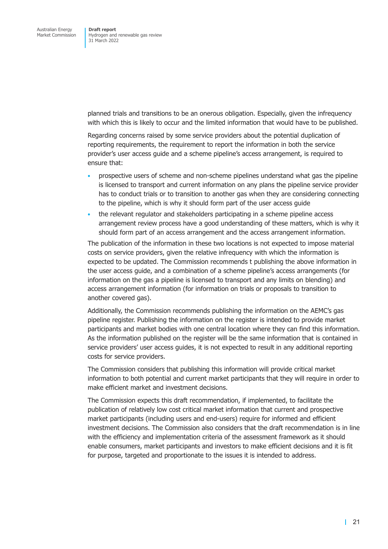planned trials and transitions to be an onerous obligation. Especially, given the infrequency with which this is likely to occur and the limited information that would have to be published.

Regarding concerns raised by some service providers about the potential duplication of reporting requirements, the requirement to report the information in both the service provider's user access guide and a scheme pipeline's access arrangement, is required to ensure that:

- prospective users of scheme and non-scheme pipelines understand what gas the pipeline is licensed to transport and current information on any plans the pipeline service provider has to conduct trials or to transition to another gas when they are considering connecting to the pipeline, which is why it should form part of the user access guide
- the relevant regulator and stakeholders participating in a scheme pipeline access arrangement review process have a good understanding of these matters, which is why it should form part of an access arrangement and the access arrangement information.

The publication of the information in these two locations is not expected to impose material costs on service providers, given the relative infrequency with which the information is expected to be updated. The Commission recommends t publishing the above information in the user access guide, and a combination of a scheme pipeline's access arrangements (for information on the gas a pipeline is licensed to transport and any limits on blending) and access arrangement information (for information on trials or proposals to transition to another covered gas).

Additionally, the Commission recommends publishing the information on the AEMC's gas pipeline register. Publishing the information on the register is intended to provide market participants and market bodies with one central location where they can find this information. As the information published on the register will be the same information that is contained in service providers' user access guides, it is not expected to result in any additional reporting costs for service providers.

The Commission considers that publishing this information will provide critical market information to both potential and current market participants that they will require in order to make efficient market and investment decisions.

The Commission expects this draft recommendation, if implemented, to facilitate the publication of relatively low cost critical market information that current and prospective market participants (including users and end-users) require for informed and efficient investment decisions. The Commission also considers that the draft recommendation is in line with the efficiency and implementation criteria of the assessment framework as it should enable consumers, market participants and investors to make efficient decisions and it is fit for purpose, targeted and proportionate to the issues it is intended to address.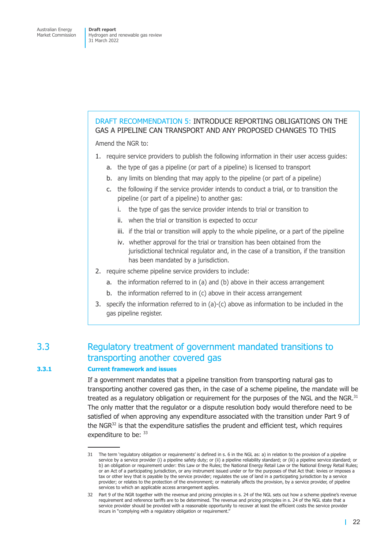# <span id="page-28-0"></span>DRAFT RECOMMENDATION 5: INTRODUCE REPORTING OBLIGATIONS ON THE GAS A PIPELINE CAN TRANSPORT AND ANY PROPOSED CHANGES TO THIS

Amend the NGR to:

- 1. require service providers to publish the following information in their user access guides:
	- a. the type of gas a pipeline (or part of a pipeline) is licensed to transport
	- b. any limits on blending that may apply to the pipeline (or part of a pipeline)
	- c. the following if the service provider intends to conduct a trial, or to transition the pipeline (or part of a pipeline) to another gas:
		- i. the type of gas the service provider intends to trial or transition to
		- ii. when the trial or transition is expected to occur
		- iii. if the trial or transition will apply to the whole pipeline, or a part of the pipeline
		- iv. whether approval for the trial or transition has been obtained from the jurisdictional technical regulator and, in the case of a transition, if the transition has been mandated by a jurisdiction.
- 2. require scheme pipeline service providers to include:
	- a. the information referred to in (a) and (b) above in their access arrangement
	- b. the information referred to in (c) above in their access arrangement
- 3. specify the information referred to in (a)-(c) above as information to be included in the gas pipeline register.

# 3.3 Regulatory treatment of government mandated transitions to transporting another covered gas

## **3.3.1 Current framework and issues**

If a government mandates that a pipeline transition from transporting natural gas to transporting another covered gas then, in the case of a scheme pipeline, the mandate will be treated as a regulatory obligation or requirement for the purposes of the NGL and the NGR. $31$ The only matter that the regulator or a dispute resolution body would therefore need to be satisfied of when approving any expenditure associated with the transition under Part 9 of the NGR $32$  is that the expenditure satisfies the prudent and efficient test, which requires expenditure to be: 33

<sup>31</sup> The term 'regulatory obligation or requirements' is defined in s. 6 in the NGL as: a) in relation to the provision of a pipeline service by a service provider (i) a pipeline safety duty; or (ii) a pipeline reliability standard; or (iii) a pipeline service standard; or b) an obligation or requirement under: this Law or the Rules; the National Energy Retail Law or the National Energy Retail Rules; or an Act of a participating jurisdiction, or any instrument issued under or for the purposes of that Act that: levies or imposes a tax or other levy that is payable by the service provider; regulates the use of land in a participating jurisdiction by a service provider; or relates to the protection of the environment; or materially affects the provision, by a service provider, of pipeline services to which an applicable access arrangement applies.

<sup>32</sup> Part 9 of the NGR together with the revenue and pricing principles in s. 24 of the NGL sets out how a scheme pipeline's revenue requirement and reference tariffs are to be determined. The revenue and pricing principles in s. 24 of the NGL state that a service provider should be provided with a reasonable opportunity to recover at least the efficient costs the service provider incurs in "complying with a regulatory obligation or requirement."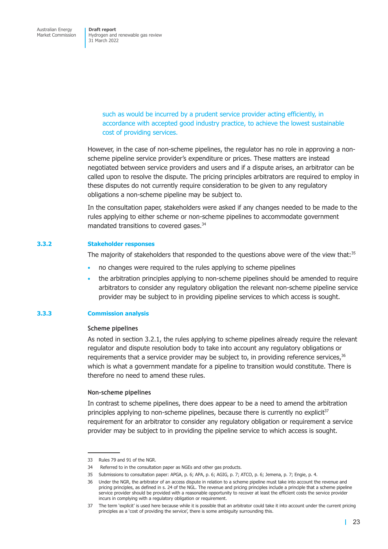Hydrogen and renewable gas review 31 March 2022

> such as would be incurred by a prudent service provider acting efficiently, in accordance with accepted good industry practice, to achieve the lowest sustainable cost of providing services.

However, in the case of non-scheme pipelines, the regulator has no role in approving a nonscheme pipeline service provider's expenditure or prices. These matters are instead negotiated between service providers and users and if a dispute arises, an arbitrator can be called upon to resolve the dispute. The pricing principles arbitrators are required to employ in these disputes do not currently require consideration to be given to any regulatory obligations a non-scheme pipeline may be subject to.

In the consultation paper, stakeholders were asked if any changes needed to be made to the rules applying to either scheme or non-scheme pipelines to accommodate government mandated transitions to covered gases.<sup>34</sup>

#### **3.3.2 Stakeholder responses**

The majority of stakeholders that responded to the questions above were of the view that: $35$ 

- no changes were required to the rules applying to scheme pipelines
- the arbitration principles applying to non-scheme pipelines should be amended to require arbitrators to consider any regulatory obligation the relevant non-scheme pipeline service provider may be subject to in providing pipeline services to which access is sought.

#### **3.3.3 Commission analysis**

#### **Scheme pipelines**

As noted in section 3.2.1, the rules applying to scheme pipelines already require the relevant regulator and dispute resolution body to take into account any regulatory obligations or requirements that a service provider may be subject to, in providing reference services,  $36$ which is what a government mandate for a pipeline to transition would constitute. There is therefore n[o need to ame](#page-25-1)nd these rules.

#### **Non-scheme pipelines**

In contrast to scheme pipelines, there does appear to be a need to amend the arbitration principles applying to non-scheme pipelines, because there is currently no explicit $37$ requirement for an arbitrator to consider any regulatory obligation or requirement a service provider may be subject to in providing the pipeline service to which access is sought.

<sup>33</sup> Rules 79 and 91 of the NGR.

<sup>34</sup> Referred to in the consultation paper as NGEs and other gas products.

<sup>35</sup> Submissions to consultation paper: APGA, p. 6; APA, p. 6; AGIG, p. 7; ATCO, p. 6; Jemena, p. 7; Engie, p. 4.

<sup>36</sup> Under the NGR, the arbitrator of an access dispute in relation to a scheme pipeline must take into account the revenue and pricing principles, as defined in s. 24 of the NGL. The revenue and pricing principles include a principle that a scheme pipeline service provider should be provided with a reasonable opportunity to recover at least the efficient costs the service provider incurs in complying with a regulatory obligation or requirement.

<sup>37</sup> The term 'explicit' is used here because while it is possible that an arbitrator could take it into account under the current pricing principles as a 'cost of providing the service', there is some ambiguity surrounding this.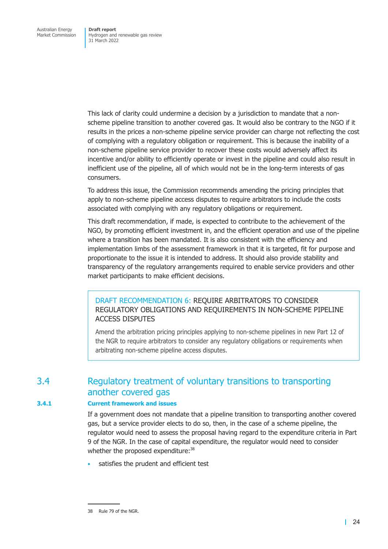<span id="page-30-0"></span>This lack of clarity could undermine a decision by a jurisdiction to mandate that a nonscheme pipeline transition to another covered gas. It would also be contrary to the NGO if it results in the prices a non-scheme pipeline service provider can charge not reflecting the cost of complying with a regulatory obligation or requirement. This is because the inability of a non-scheme pipeline service provider to recover these costs would adversely affect its incentive and/or ability to efficiently operate or invest in the pipeline and could also result in inefficient use of the pipeline, all of which would not be in the long-term interests of gas consumers.

To address this issue, the Commission recommends amending the pricing principles that apply to non-scheme pipeline access disputes to require arbitrators to include the costs associated with complying with any regulatory obligations or requirement.

This draft recommendation, if made, is expected to contribute to the achievement of the NGO, by promoting efficient investment in, and the efficient operation and use of the pipeline where a transition has been mandated. It is also consistent with the efficiency and implementation limbs of the assessment framework in that it is targeted, fit for purpose and proportionate to the issue it is intended to address. It should also provide stability and transparency of the regulatory arrangements required to enable service providers and other market participants to make efficient decisions.

DRAFT RECOMMENDATION 6: REQUIRE ARBITRATORS TO CONSIDER REGULATORY OBLIGATIONS AND REQUIREMENTS IN NON-SCHEME PIPELINE ACCESS DISPUTES

Amend the arbitration pricing principles applying to non-scheme pipelines in new Part 12 of the NGR to require arbitrators to consider any regulatory obligations or requirements when arbitrating non-scheme pipeline access disputes.

# 3.4 Regulatory treatment of voluntary transitions to transporting another covered gas

# **3.4.1 Current framework and issues**

If a government does not mandate that a pipeline transition to transporting another covered gas, but a service provider elects to do so, then, in the case of a scheme pipeline, the regulator would need to assess the proposal having regard to the expenditure criteria in Part 9 of the NGR. In the case of capital expenditure, the regulator would need to consider whether the proposed expenditure:<sup>38</sup>

satisfies the prudent and efficient test

<sup>38</sup> Rule 79 of the NGR.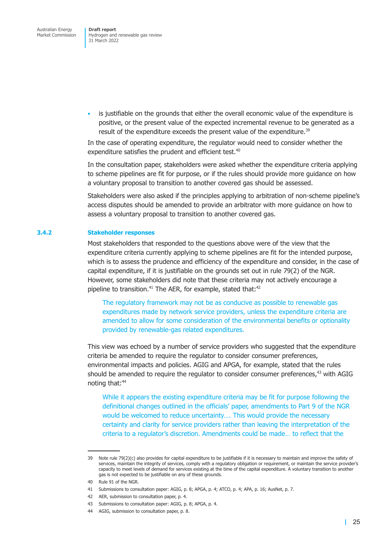is justifiable on the grounds that either the overall economic value of the expenditure is positive, or the present value of the expected incremental revenue to be generated as a result of the expenditure exceeds the present value of the expenditure.<sup>39</sup>

In the case of operating expenditure, the regulator would need to consider whether the expenditure satisfies the prudent and efficient test.<sup>40</sup>

In the consultation paper, stakeholders were asked whether the expenditure criteria applying to scheme pipelines are fit for purpose, or if the rules should provide more guidance on how a voluntary proposal to transition to another covered gas should be assessed.

Stakeholders were also asked if the principles applying to arbitration of non-scheme pipeline's access disputes should be amended to provide an arbitrator with more guidance on how to assess a voluntary proposal to transition to another covered gas.

#### **3.4.2 Stakeholder responses**

Most stakeholders that responded to the questions above were of the view that the expenditure criteria currently applying to scheme pipelines are fit for the intended purpose, which is to assess the prudence and efficiency of the expenditure and consider, in the case of capital expenditure, if it is justifiable on the grounds set out in rule 79(2) of the NGR. However, some stakeholders did note that these criteria may not actively encourage a pipeline to transition.<sup>41</sup> The AER, for example, stated that: $42$ 

The regulatory framework may not be as conducive as possible to renewable gas expenditures made by network service providers, unless the expenditure criteria are amended to allow for some consideration of the environmental benefits or optionality provided by renewable-gas related expenditures.

This view was echoed by a number of service providers who suggested that the expenditure criteria be amended to require the regulator to consider consumer preferences, environmental impacts and policies. AGIG and APGA, for example, stated that the rules should be amended to require the regulator to consider consumer preferences, $43$  with AGIG noting that:<sup>44</sup>

While it appears the existing expenditure criteria may be fit for purpose following the definitional changes outlined in the officials' paper, amendments to Part 9 of the NGR would be welcomed to reduce uncertainty…. This would provide the necessary certainty and clarity for service providers rather than leaving the interpretation of the criteria to a regulator's discretion. Amendments could be made… to reflect that the

<sup>39</sup> Note rule 79(2)(c) also provides for capital expenditure to be justifiable if it is necessary to maintain and improve the safety of services, maintain the integrity of services, comply with a regulatory obligation or requirement, or maintain the service provider's capacity to meet levels of demand for services existing at the time of the capital expenditure. A voluntary transition to another gas is not expected to be justifiable on any of these grounds.

<sup>40</sup> Rule 91 of the NGR.

<sup>41</sup> Submissions to consultation paper: AGIG, p. 8; APGA, p. 4; ATCO, p. 4; APA, p. 16; AusNet, p. 7.

<sup>42</sup> AER, submission to consultation paper, p. 4.

<sup>43</sup> Submissions to consultation paper: AGIG, p. 8; APGA, p. 4.

<sup>44</sup> AGIG, submission to consultation paper, p. 8.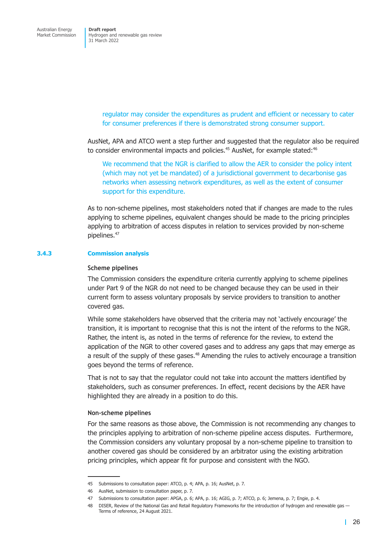> regulator may consider the expenditures as prudent and efficient or necessary to cater for consumer preferences if there is demonstrated strong consumer support.

AusNet, APA and ATCO went a step further and suggested that the regulator also be required to consider environmental impacts and policies.<sup>45</sup> AusNet, for example stated:<sup>46</sup>

We recommend that the NGR is clarified to allow the AER to consider the policy intent (which may not yet be mandated) of a jurisdictional government to decarbonise gas networks when assessing network expenditures, as well as the extent of consumer support for this expenditure.

As to non-scheme pipelines, most stakeholders noted that if changes are made to the rules applying to scheme pipelines, equivalent changes should be made to the pricing principles applying to arbitration of access disputes in relation to services provided by non-scheme pipelines.<sup>47</sup>

### **3.4.3 Commission analysis**

#### **Scheme pipelines**

The Commission considers the expenditure criteria currently applying to scheme pipelines under Part 9 of the NGR do not need to be changed because they can be used in their current form to assess voluntary proposals by service providers to transition to another covered gas.

While some stakeholders have observed that the criteria may not 'actively encourage' the transition, it is important to recognise that this is not the intent of the reforms to the NGR. Rather, the intent is, as noted in the terms of reference for the review, to extend the application of the NGR to other covered gases and to address any gaps that may emerge as a result of the supply of these gases.<sup>48</sup> Amending the rules to actively encourage a transition goes beyond the terms of reference.

That is not to say that the regulator could not take into account the matters identified by stakeholders, such as consumer preferences. In effect, recent decisions by the AER have highlighted they are already in a position to do this.

#### **Non-scheme pipelines**

For the same reasons as those above, the Commission is not recommending any changes to the principles applying to arbitration of non-scheme pipeline access disputes. Furthermore, the Commission considers any voluntary proposal by a non-scheme pipeline to transition to another covered gas should be considered by an arbitrator using the existing arbitration pricing principles, which appear fit for purpose and consistent with the NGO.

<sup>45</sup> Submissions to consultation paper: ATCO, p. 4; APA, p. 16; AusNet, p. 7.

<sup>46</sup> AusNet, submission to consultation paper, p. 7.

<sup>47</sup> Submissions to consultation paper: APGA, p. 6; APA, p. 16; AGIG, p. 7; ATCO, p. 6; Jemena, p. 7; Engie, p. 4.

<sup>48</sup> DISER, Review of the National Gas and Retail Regulatory Frameworks for the introduction of hydrogen and renewable gas — Terms of reference, 24 August 2021.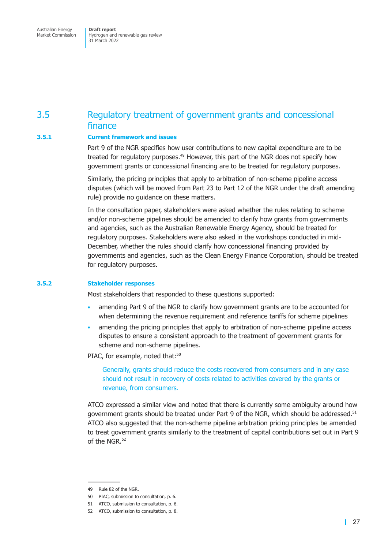<span id="page-33-0"></span>Australian Energy Market Commission

**Draft report**  Hydrogen and renewable gas review 31 March 2022

# 3.5 Regulatory treatment of government grants and concessional finance

### **3.5.1 Current framework and issues**

Part 9 of the NGR specifies how user contributions to new capital expenditure are to be treated for regulatory purposes.<sup>49</sup> However, this part of the NGR does not specify how government grants or concessional financing are to be treated for regulatory purposes.

Similarly, the pricing principles that apply to arbitration of non-scheme pipeline access disputes (which will be moved from Part 23 to Part 12 of the NGR under the draft amending rule) provide no guidance on these matters.

In the consultation paper, stakeholders were asked whether the rules relating to scheme and/or non-scheme pipelines should be amended to clarify how grants from governments and agencies, such as the Australian Renewable Energy Agency, should be treated for regulatory purposes. Stakeholders were also asked in the workshops conducted in mid-December, whether the rules should clarify how concessional financing provided by governments and agencies, such as the Clean Energy Finance Corporation, should be treated for regulatory purposes.

#### **3.5.2 Stakeholder responses**

Most stakeholders that responded to these questions supported:

- amending Part 9 of the NGR to clarify how government grants are to be accounted for when determining the revenue requirement and reference tariffs for scheme pipelines
- amending the pricing principles that apply to arbitration of non-scheme pipeline access disputes to ensure a consistent approach to the treatment of government grants for scheme and non-scheme pipelines.

PIAC, for example, noted that:<sup>50</sup>

Generally, grants should reduce the costs recovered from consumers and in any case should not result in recovery of costs related to activities covered by the grants or revenue, from consumers.

ATCO expressed a similar view and noted that there is currently some ambiguity around how government grants should be treated under Part 9 of the NGR, which should be addressed.<sup>51</sup> ATCO also suggested that the non-scheme pipeline arbitration pricing principles be amended to treat government grants similarly to the treatment of capital contributions set out in Part 9 of the NGR $52$ 

<sup>49</sup> Rule 82 of the NGR.

<sup>50</sup> PIAC, submission to consultation, p. 6.

<sup>51</sup> ATCO, submission to consultation, p. 6.

<sup>52</sup> ATCO, submission to consultation, p. 8.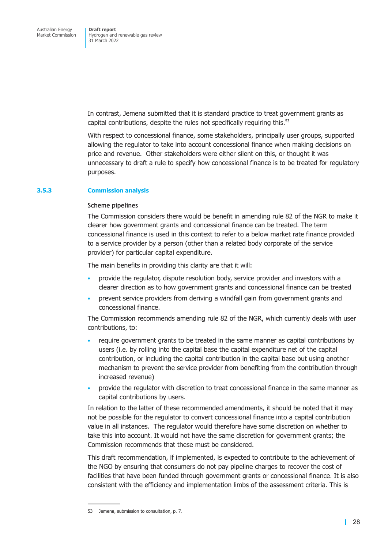In contrast, Jemena submitted that it is standard practice to treat government grants as capital contributions, despite the rules not specifically requiring this.<sup>53</sup>

With respect to concessional finance, some stakeholders, principally user groups, supported allowing the regulator to take into account concessional finance when making decisions on price and revenue. Other stakeholders were either silent on this, or thought it was unnecessary to draft a rule to specify how concessional finance is to be treated for regulatory purposes.

### **3.5.3 Commission analysis**

#### **Scheme pipelines**

The Commission considers there would be benefit in amending rule 82 of the NGR to make it clearer how government grants and concessional finance can be treated. The term concessional finance is used in this context to refer to a below market rate finance provided to a service provider by a person (other than a related body corporate of the service provider) for particular capital expenditure.

The main benefits in providing this clarity are that it will:

- provide the regulator, dispute resolution body, service provider and investors with a clearer direction as to how government grants and concessional finance can be treated
- prevent service providers from deriving a windfall gain from government grants and concessional finance.

The Commission recommends amending rule 82 of the NGR, which currently deals with user contributions, to:

- require government grants to be treated in the same manner as capital contributions by users (i.e. by rolling into the capital base the capital expenditure net of the capital contribution, or including the capital contribution in the capital base but using another mechanism to prevent the service provider from benefiting from the contribution through increased revenue)
- provide the regulator with discretion to treat concessional finance in the same manner as capital contributions by users.

In relation to the latter of these recommended amendments, it should be noted that it may not be possible for the regulator to convert concessional finance into a capital contribution value in all instances. The regulator would therefore have some discretion on whether to take this into account. It would not have the same discretion for government grants; the Commission recommends that these must be considered.

This draft recommendation, if implemented, is expected to contribute to the achievement of the NGO by ensuring that consumers do not pay pipeline charges to recover the cost of facilities that have been funded through government grants or concessional finance. It is also consistent with the efficiency and implementation limbs of the assessment criteria. This is

<sup>53</sup> Jemena, submission to consultation, p. 7.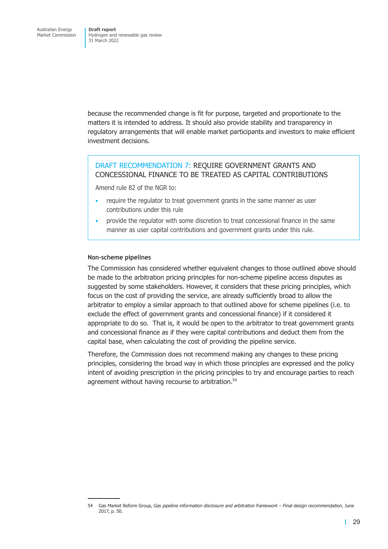because the recommended change is fit for purpose, targeted and proportionate to the matters it is intended to address. It should also provide stability and transparency in regulatory arrangements that will enable market participants and investors to make efficient investment decisions.

# DRAFT RECOMMENDATION 7: REQUIRE GOVERNMENT GRANTS AND CONCESSIONAL FINANCE TO BE TREATED AS CAPITAL CONTRIBUTIONS

Amend rule 82 of the NGR to:

- require the regulator to treat government grants in the same manner as user contributions under this rule
- provide the regulator with some discretion to treat concessional finance in the same manner as user capital contributions and government grants under this rule.

#### **Non-scheme pipelines**

The Commission has considered whether equivalent changes to those outlined above should be made to the arbitration pricing principles for non-scheme pipeline access disputes as suggested by some stakeholders. However, it considers that these pricing principles, which focus on the cost of providing the service, are already sufficiently broad to allow the arbitrator to employ a similar approach to that outlined above for scheme pipelines (i.e. to exclude the effect of government grants and concessional finance) if it considered it appropriate to do so. That is, it would be open to the arbitrator to treat government grants and concessional finance as if they were capital contributions and deduct them from the capital base, when calculating the cost of providing the pipeline service.

Therefore, the Commission does not recommend making any changes to these pricing principles, considering the broad way in which those principles are expressed and the policy intent of avoiding prescription in the pricing principles to try and encourage parties to reach agreement without having recourse to arbitration.<sup>54</sup>

<sup>54</sup> Gas Market Reform Group, *Gas pipeline information disclosure and arbitration framework – Final design recommendation*, June 2017, p. 50.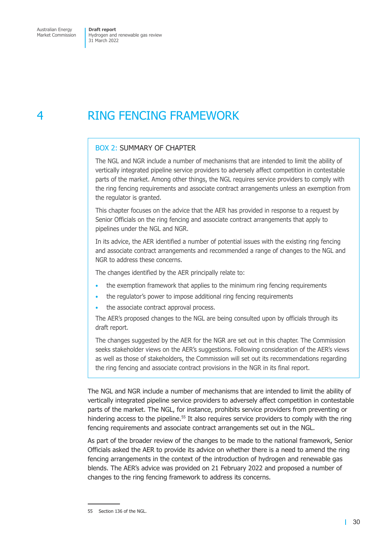# 4 RING FENCING FRAMEWORK

### BOX 2: SUMMARY OF CHAPTER

The NGL and NGR include a number of mechanisms that are intended to limit the ability of vertically integrated pipeline service providers to adversely affect competition in contestable parts of the market. Among other things, the NGL requires service providers to comply with the ring fencing requirements and associate contract arrangements unless an exemption from the regulator is granted.

This chapter focuses on the advice that the AER has provided in response to a request by Senior Officials on the ring fencing and associate contract arrangements that apply to pipelines under the NGL and NGR.

In its advice, the AER identified a number of potential issues with the existing ring fencing and associate contract arrangements and recommended a range of changes to the NGL and NGR to address these concerns.

The changes identified by the AER principally relate to:

- the exemption framework that applies to the minimum ring fencing requirements
- the regulator's power to impose additional ring fencing requirements
- the associate contract approval process.

The AER's proposed changes to the NGL are being consulted upon by officials through its draft report.

The changes suggested by the AER for the NGR are set out in this chapter. The Commission seeks stakeholder views on the AER's suggestions. Following consideration of the AER's views as well as those of stakeholders, the Commission will set out its recommendations regarding the ring fencing and associate contract provisions in the NGR in its final report.

The NGL and NGR include a number of mechanisms that are intended to limit the ability of vertically integrated pipeline service providers to adversely affect competition in contestable parts of the market. The NGL, for instance, prohibits service providers from preventing or hindering access to the pipeline.<sup>55</sup> It also requires service providers to comply with the ring fencing requirements and associate contract arrangements set out in the NGL.

As part of the broader review of the changes to be made to the national framework, Senior Officials asked the AER to provide its advice on whether there is a need to amend the ring fencing arrangements in the context of the introduction of hydrogen and renewable gas blends. The AER's advice was provided on 21 February 2022 and proposed a number of changes to the ring fencing framework to address its concerns.

<sup>55</sup> Section 136 of the NGL.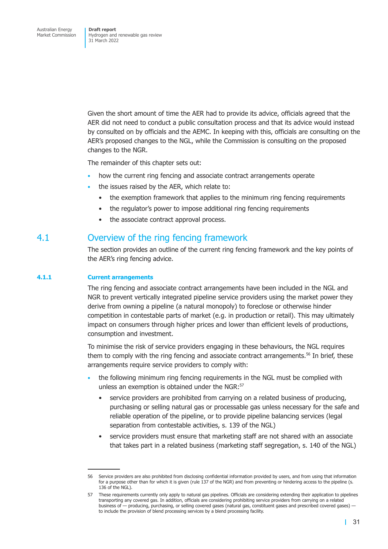Given the short amount of time the AER had to provide its advice, officials agreed that the AER did not need to conduct a public consultation process and that its advice would instead by consulted on by officials and the AEMC. In keeping with this, officials are consulting on the AER's proposed changes to the NGL, while the Commission is consulting on the proposed changes to the NGR.

The remainder of this chapter sets out:

- how the current ring fencing and associate contract arrangements operate
- the issues raised by the AER, which relate to:
	- the exemption framework that applies to the minimum ring fencing requirements
	- the regulator's power to impose additional ring fencing requirements
	- the associate contract approval process.

### 4.1 Overview of the ring fencing framework

The section provides an outline of the current ring fencing framework and the key points of the AER's ring fencing advice.

### **4.1.1 Current arrangements**

The ring fencing and associate contract arrangements have been included in the NGL and NGR to prevent vertically integrated pipeline service providers using the market power they derive from owning a pipeline (a natural monopoly) to foreclose or otherwise hinder competition in contestable parts of market (e.g. in production or retail). This may ultimately impact on consumers through higher prices and lower than efficient levels of productions, consumption and investment.

To minimise the risk of service providers engaging in these behaviours, the NGL requires them to comply with the ring fencing and associate contract arrangements.<sup>56</sup> In brief, these arrangements require service providers to comply with:

- the following minimum ring fencing requirements in the NGL must be complied with unless an exemption is obtained under the NGR:<sup>57</sup>
	- service providers are prohibited from carrying on a related business of producing, purchasing or selling natural gas or processable gas unless necessary for the safe and reliable operation of the pipeline, or to provide pipeline balancing services (legal separation from contestable activities, s. 139 of the NGL)
	- service providers must ensure that marketing staff are not shared with an associate that takes part in a related business (marketing staff segregation, s. 140 of the NGL)

<sup>56</sup> Service providers are also prohibited from disclosing confidential information provided by users, and from using that information for a purpose other than for which it is given (rule 137 of the NGR) and from preventing or hindering access to the pipeline (s. 136 of the NGL).

<sup>57</sup> These requirements currently only apply to natural gas pipelines. Officials are considering extending their application to pipelines transporting any covered gas. In addition, officials are considering prohibiting service providers from carrying on a related business of — producing, purchasing, or selling covered gases (natural gas, constituent gases and prescribed covered gases) to include the provision of blend processing services by a blend processing facility.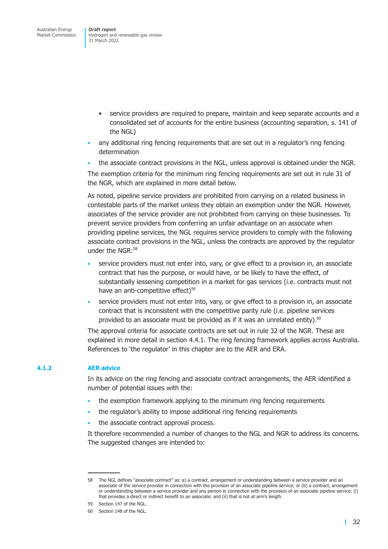- service providers are required to prepare, maintain and keep separate accounts and a consolidated set of accounts for the entire business (accounting separation, s. 141 of the NGL)
- any additional ring fencing requirements that are set out in a regulator's ring fencing determination
- the associate contract provisions in the NGL, unless approval is obtained under the NGR.

The exemption criteria for the minimum ring fencing requirements are set out in rule 31 of the NGR, which are explained in more detail below.

As noted, pipeline service providers are prohibited from carrying on a related business in contestable parts of the market unless they obtain an exemption under the NGR. However, associates of the service provider are not prohibited from carrying on these businesses. To prevent service providers from conferring an unfair advantage on an associate when providing pipeline services, the NGL requires service providers to comply with the following associate contract provisions in the NGL, unless the contracts are approved by the regulator under the NGR:58

- service providers must not enter into, vary, or give effect to a provision in, an associate contract that has the purpose, or would have, or be likely to have the effect, of substantially lessening competition in a market for gas services (i.e. contracts must not have an anti-competitive effect)<sup>59</sup>
- service providers must not enter into, vary, or give effect to a provision in, an associate contract that is inconsistent with the competitive parity rule (i.e. pipeline services provided to an associate must be provided as if it was an unrelated entity). $60$

The approval criteria for associate contracts are set out in rule 32 of the NGR. These are explained in more detail in section 4.4.1. The ring fencing framework applies across Australia. References to 'the regulator' in this chapter are to the AER and ERA.

### **4.1.2 AER advice**

In its advice on the ring fencing and associate contract arrangements, the AER identified a number of potential issues with the:

- the exemption framework applying to the minimum ring fencing requirements
- the regulator's ability to impose additional ring fencing requirements
- the associate contract approval process.

It therefore recommended a number of changes to the NGL and NGR to address its concerns. The suggested changes are intended to:

<sup>58</sup> The NGL defines "associate contract" as: a) a contract, arrangement or understanding between a service provider and an associate of the service provider in connection with the provision of an associate pipeline service; or (b) a contract, arrangement or understanding between a service provider and any person in connection with the provision of an associate pipeline service: (i) that provides a direct or indirect benefit to an associate; and (ii) that is not at arm's length.

<sup>59</sup> Section 147 of the NGL.

<sup>60</sup> Section 148 of the NGL.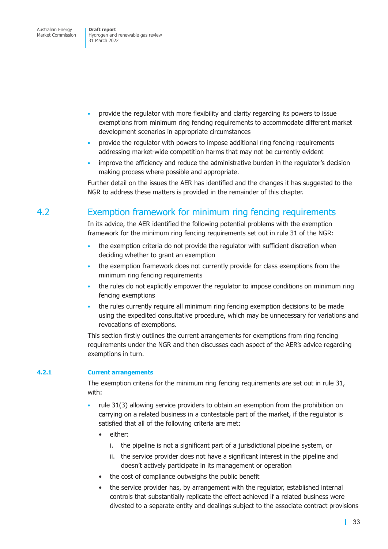Australian Energy Market Commission

**Draft report**  Hydrogen and renewable gas review 31 March 2022

- provide the regulator with more flexibility and clarity regarding its powers to issue exemptions from minimum ring fencing requirements to accommodate different market development scenarios in appropriate circumstances
- provide the regulator with powers to impose additional ring fencing requirements addressing market-wide competition harms that may not be currently evident
- improve the efficiency and reduce the administrative burden in the regulator's decision making process where possible and appropriate.

Further detail on the issues the AER has identified and the changes it has suggested to the NGR to address these matters is provided in the remainder of this chapter.

# 4.2 Exemption framework for minimum ring fencing requirements

In its advice, the AER identified the following potential problems with the exemption framework for the minimum ring fencing requirements set out in rule 31 of the NGR:

- the exemption criteria do not provide the regulator with sufficient discretion when deciding whether to grant an exemption
- the exemption framework does not currently provide for class exemptions from the minimum ring fencing requirements
- the rules do not explicitly empower the regulator to impose conditions on minimum ring fencing exemptions
- the rules currently require all minimum ring fencing exemption decisions to be made using the expedited consultative procedure, which may be unnecessary for variations and revocations of exemptions.

This section firstly outlines the current arrangements for exemptions from ring fencing requirements under the NGR and then discusses each aspect of the AER's advice regarding exemptions in turn.

### **4.2.1 Current arrangements**

The exemption criteria for the minimum ring fencing requirements are set out in rule 31, with:

- rule 31(3) allowing service providers to obtain an exemption from the prohibition on carrying on a related business in a contestable part of the market, if the regulator is satisfied that all of the following criteria are met:
	- either:
		- i. the pipeline is not a significant part of a jurisdictional pipeline system, or
		- ii. the service provider does not have a significant interest in the pipeline and doesn't actively participate in its management or operation
	- the cost of compliance outweighs the public benefit
	- the service provider has, by arrangement with the regulator, established internal controls that substantially replicate the effect achieved if a related business were divested to a separate entity and dealings subject to the associate contract provisions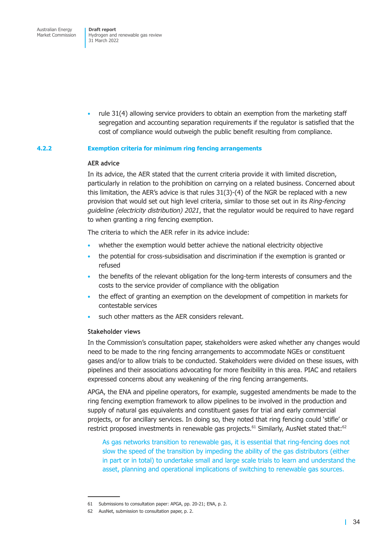Australian Energy Market Commission

**Draft report**  Hydrogen and renewable gas review 31 March 2022

• rule 31(4) allowing service providers to obtain an exemption from the marketing staff segregation and accounting separation requirements if the regulator is satisfied that the cost of compliance would outweigh the public benefit resulting from compliance.

### **4.2.2 Exemption criteria for minimum ring fencing arrangements**

### **AER advice**

In its advice, the AER stated that the current criteria provide it with limited discretion, particularly in relation to the prohibition on carrying on a related business. Concerned about this limitation, the AER's advice is that rules 31(3)-(4) of the NGR be replaced with a new provision that would set out high level criteria, similar to those set out in its *Ring-fencing guideline (electricity distribution) 2021*, that the regulator would be required to have regard to when granting a ring fencing exemption.

The criteria to which the AER refer in its advice include:

- whether the exemption would better achieve the national electricity objective
- the potential for cross-subsidisation and discrimination if the exemption is granted or refused
- the benefits of the relevant obligation for the long-term interests of consumers and the costs to the service provider of compliance with the obligation
- the effect of granting an exemption on the development of competition in markets for contestable services
- such other matters as the AER considers relevant.

### **Stakeholder views**

In the Commission's consultation paper, stakeholders were asked whether any changes would need to be made to the ring fencing arrangements to accommodate NGEs or constituent gases and/or to allow trials to be conducted. Stakeholders were divided on these issues, with pipelines and their associations advocating for more flexibility in this area. PIAC and retailers expressed concerns about any weakening of the ring fencing arrangements.

APGA, the ENA and pipeline operators, for example, suggested amendments be made to the ring fencing exemption framework to allow pipelines to be involved in the production and supply of natural gas equivalents and constituent gases for trial and early commercial projects, or for ancillary services. In doing so, they noted that ring fencing could 'stifle' or restrict proposed investments in renewable gas projects.<sup>61</sup> Similarly, AusNet stated that:<sup>62</sup>

As gas networks transition to renewable gas, it is essential that ring-fencing does not slow the speed of the transition by impeding the ability of the gas distributors (either in part or in total) to undertake small and large scale trials to learn and understand the asset, planning and operational implications of switching to renewable gas sources.

<sup>61</sup> Submissions to consultation paper: APGA, pp. 20-21; ENA, p. 2.

<sup>62</sup> AusNet, submission to consultation paper, p. 2.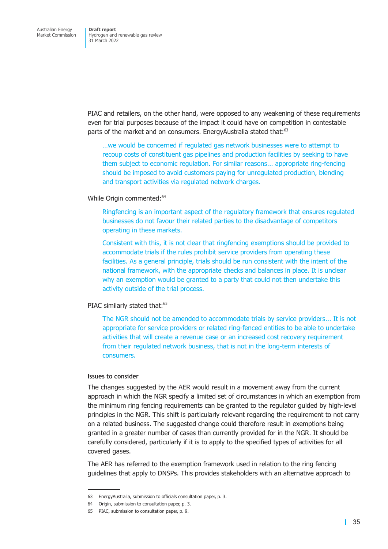PIAC and retailers, on the other hand, were opposed to any weakening of these requirements even for trial purposes because of the impact it could have on competition in contestable parts of the market and on consumers. EnergyAustralia stated that:<sup>63</sup>

…we would be concerned if regulated gas network businesses were to attempt to recoup costs of constituent gas pipelines and production facilities by seeking to have them subject to economic regulation. For similar reasons... appropriate ring-fencing should be imposed to avoid customers paying for unregulated production, blending and transport activities via regulated network charges.

### While Origin commented:<sup>64</sup>

Ringfencing is an important aspect of the regulatory framework that ensures regulated businesses do not favour their related parties to the disadvantage of competitors operating in these markets.

Consistent with this, it is not clear that ringfencing exemptions should be provided to accommodate trials if the rules prohibit service providers from operating these facilities. As a general principle, trials should be run consistent with the intent of the national framework, with the appropriate checks and balances in place. It is unclear why an exemption would be granted to a party that could not then undertake this activity outside of the trial process.

### PIAC similarly stated that:<sup>65</sup>

The NGR should not be amended to accommodate trials by service providers... It is not appropriate for service providers or related ring-fenced entities to be able to undertake activities that will create a revenue case or an increased cost recovery requirement from their regulated network business, that is not in the long-term interests of consumers.

### **Issues to consider**

The changes suggested by the AER would result in a movement away from the current approach in which the NGR specify a limited set of circumstances in which an exemption from the minimum ring fencing requirements can be granted to the regulator guided by high-level principles in the NGR. This shift is particularly relevant regarding the requirement to not carry on a related business. The suggested change could therefore result in exemptions being granted in a greater number of cases than currently provided for in the NGR. It should be carefully considered, particularly if it is to apply to the specified types of activities for all covered gases.

The AER has referred to the exemption framework used in relation to the ring fencing guidelines that apply to DNSPs. This provides stakeholders with an alternative approach to

<sup>63</sup> EnergyAustralia, submission to officials consultation paper, p. 3.

<sup>64</sup> Origin, submission to consultation paper, p. 3.

<sup>65</sup> PIAC, submission to consultation paper, p. 9.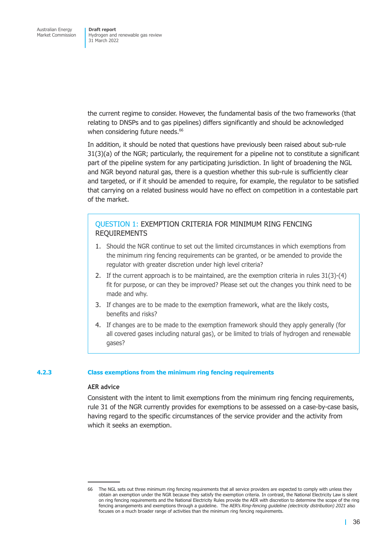the current regime to consider. However, the fundamental basis of the two frameworks (that relating to DNSPs and to gas pipelines) differs significantly and should be acknowledged when considering future needs.<sup>66</sup>

In addition, it should be noted that questions have previously been raised about sub-rule 31(3)(a) of the NGR; particularly, the requirement for a pipeline not to constitute a significant part of the pipeline system for any participating jurisdiction. In light of broadening the NGL and NGR beyond natural gas, there is a question whether this sub-rule is sufficiently clear and targeted, or if it should be amended to require, for example, the regulator to be satisfied that carrying on a related business would have no effect on competition in a contestable part of the market.

### QUESTION 1: EXEMPTION CRITERIA FOR MINIMUM RING FENCING REQUIREMENTS

- 1. Should the NGR continue to set out the limited circumstances in which exemptions from the minimum ring fencing requirements can be granted, or be amended to provide the regulator with greater discretion under high level criteria?
- 2. If the current approach is to be maintained, are the exemption criteria in rules 31(3)-(4) fit for purpose, or can they be improved? Please set out the changes you think need to be made and why.
- 3. If changes are to be made to the exemption framework, what are the likely costs, benefits and risks?
- 4. If changes are to be made to the exemption framework should they apply generally (for all covered gases including natural gas), or be limited to trials of hydrogen and renewable gases?

### **4.2.3 Class exemptions from the minimum ring fencing requirements**

### **AER advice**

Consistent with the intent to limit exemptions from the minimum ring fencing requirements, rule 31 of the NGR currently provides for exemptions to be assessed on a case-by-case basis, having regard to the specific circumstances of the service provider and the activity from which it seeks an exemption.

<sup>66</sup> The NGL sets out three minimum ring fencing requirements that all service providers are expected to comply with unless they obtain an exemption under the NGR because they satisfy the exemption criteria. In contrast, the National Electricity Law is silent on ring fencing requirements and the National Electricity Rules provide the AER with discretion to determine the scope of the ring fencing arrangements and exemptions through a guideline. The AER's *Ring-fencing guideline (electricity distribution) 2021* also focuses on a much broader range of activities than the minimum ring fencing requirements.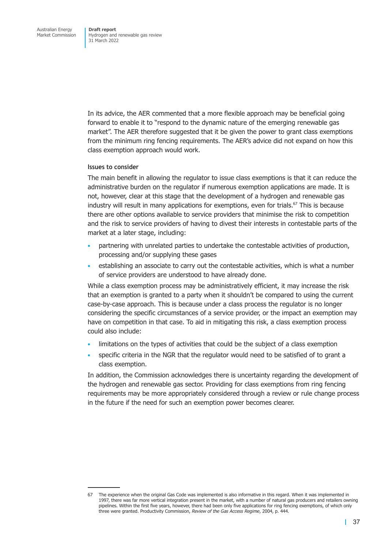In its advice, the AER commented that a more flexible approach may be beneficial going forward to enable it to "respond to the dynamic nature of the emerging renewable gas market". The AER therefore suggested that it be given the power to grant class exemptions from the minimum ring fencing requirements. The AER's advice did not expand on how this class exemption approach would work.

### **Issues to consider**

The main benefit in allowing the regulator to issue class exemptions is that it can reduce the administrative burden on the regulator if numerous exemption applications are made. It is not, however, clear at this stage that the development of a hydrogen and renewable gas industry will result in many applications for exemptions, even for trials.<sup>67</sup> This is because there are other options available to service providers that minimise the risk to competition and the risk to service providers of having to divest their interests in contestable parts of the market at a later stage, including:

- partnering with unrelated parties to undertake the contestable activities of production, processing and/or supplying these gases
- establishing an associate to carry out the contestable activities, which is what a number of service providers are understood to have already done.

While a class exemption process may be administratively efficient, it may increase the risk that an exemption is granted to a party when it shouldn't be compared to using the current case-by-case approach. This is because under a class process the regulator is no longer considering the specific circumstances of a service provider, or the impact an exemption may have on competition in that case. To aid in mitigating this risk, a class exemption process could also include:

- limitations on the types of activities that could be the subject of a class exemption
- specific criteria in the NGR that the regulator would need to be satisfied of to grant a class exemption.

In addition, the Commission acknowledges there is uncertainty regarding the development of the hydrogen and renewable gas sector. Providing for class exemptions from ring fencing requirements may be more appropriately considered through a review or rule change process in the future if the need for such an exemption power becomes clearer.

<sup>67</sup> The experience when the original Gas Code was implemented is also informative in this regard. When it was implemented in 1997, there was far more vertical integration present in the market, with a number of natural gas producers and retailers owning pipelines. Within the first five years, however, there had been only five applications for ring fencing exemptions, of which only three were granted. Productivity Commission, *Review of the Gas Access Regime*, 2004, p. 444.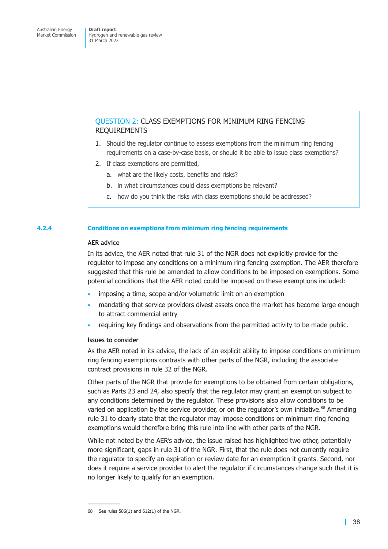### QUESTION 2: CLASS EXEMPTIONS FOR MINIMUM RING FENCING REQUIREMENTS

- 1. Should the regulator continue to assess exemptions from the minimum ring fencing requirements on a case-by-case basis, or should it be able to issue class exemptions?
- 2. If class exemptions are permitted,
	- a. what are the likely costs, benefits and risks?
	- b. in what circumstances could class exemptions be relevant?
	- c. how do you think the risks with class exemptions should be addressed?

### **4.2.4 Conditions on exemptions from minimum ring fencing requirements**

### **AER advice**

In its advice, the AER noted that rule 31 of the NGR does not explicitly provide for the regulator to impose any conditions on a minimum ring fencing exemption. The AER therefore suggested that this rule be amended to allow conditions to be imposed on exemptions. Some potential conditions that the AER noted could be imposed on these exemptions included:

- imposing a time, scope and/or volumetric limit on an exemption
- mandating that service providers divest assets once the market has become large enough to attract commercial entry
- requiring key findings and observations from the permitted activity to be made public.

### **Issues to consider**

As the AER noted in its advice, the lack of an explicit ability to impose conditions on minimum ring fencing exemptions contrasts with other parts of the NGR, including the associate contract provisions in rule 32 of the NGR.

Other parts of the NGR that provide for exemptions to be obtained from certain obligations, such as Parts 23 and 24, also specify that the regulator may grant an exemption subject to any conditions determined by the regulator. These provisions also allow conditions to be varied on application by the service provider, or on the regulator's own initiative.<sup>68</sup> Amending rule 31 to clearly state that the regulator may impose conditions on minimum ring fencing exemptions would therefore bring this rule into line with other parts of the NGR.

While not noted by the AER's advice, the issue raised has highlighted two other, potentially more significant, gaps in rule 31 of the NGR. First, that the rule does not currently require the regulator to specify an expiration or review date for an exemption it grants. Second, nor does it require a service provider to alert the regulator if circumstances change such that it is no longer likely to qualify for an exemption.

<sup>68</sup> See rules 586(1) and 612(1) of the NGR.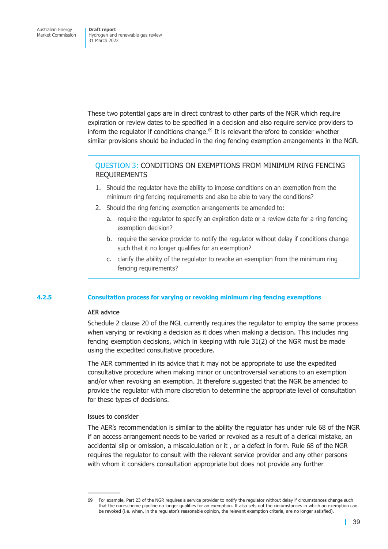These two potential gaps are in direct contrast to other parts of the NGR which require expiration or review dates to be specified in a decision and also require service providers to inform the regulator if conditions change.<sup>69</sup> It is relevant therefore to consider whether similar provisions should be included in the ring fencing exemption arrangements in the NGR.

### QUESTION 3: CONDITIONS ON EXEMPTIONS FROM MINIMUM RING FENCING REQUIREMENTS

- 1. Should the regulator have the ability to impose conditions on an exemption from the minimum ring fencing requirements and also be able to vary the conditions?
- 2. Should the ring fencing exemption arrangements be amended to:
	- a. require the regulator to specify an expiration date or a review date for a ring fencing exemption decision?
	- b. require the service provider to notify the regulator without delay if conditions change such that it no longer qualifies for an exemption?
	- c. clarify the ability of the regulator to revoke an exemption from the minimum ring fencing requirements?

### **4.2.5 Consultation process for varying or revoking minimum ring fencing exemptions**

### **AER advice**

Schedule 2 clause 20 of the NGL currently requires the regulator to employ the same process when varying or revoking a decision as it does when making a decision. This includes ring fencing exemption decisions, which in keeping with rule 31(2) of the NGR must be made using the expedited consultative procedure.

The AER commented in its advice that it may not be appropriate to use the expedited consultative procedure when making minor or uncontroversial variations to an exemption and/or when revoking an exemption. It therefore suggested that the NGR be amended to provide the regulator with more discretion to determine the appropriate level of consultation for these types of decisions.

### **Issues to consider**

The AER's recommendation is similar to the ability the regulator has under rule 68 of the NGR if an access arrangement needs to be varied or revoked as a result of a clerical mistake, an accidental slip or omission, a miscalculation or it , or a defect in form. Rule 68 of the NGR requires the regulator to consult with the relevant service provider and any other persons with whom it considers consultation appropriate but does not provide any further

<sup>69</sup> For example, Part 23 of the NGR requires a service provider to notify the regulator without delay if circumstances change such that the non-scheme pipeline no longer qualifies for an exemption. It also sets out the circumstances in which an exemption can be revoked (i.e. when, in the regulator's reasonable opinion, the relevant exemption criteria, are no longer satisfied).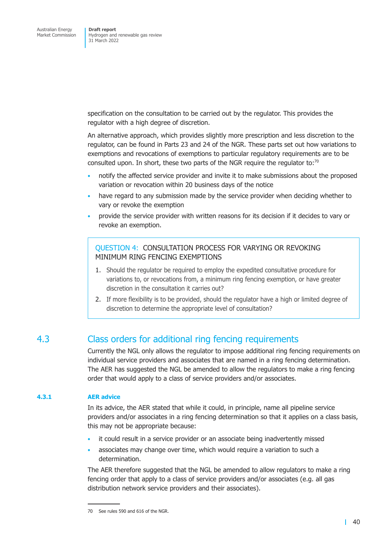specification on the consultation to be carried out by the regulator. This provides the regulator with a high degree of discretion.

An alternative approach, which provides slightly more prescription and less discretion to the regulator, can be found in Parts 23 and 24 of the NGR. These parts set out how variations to exemptions and revocations of exemptions to particular regulatory requirements are to be consulted upon. In short, these two parts of the NGR require the regulator to: $\frac{70}{10}$ 

- notify the affected service provider and invite it to make submissions about the proposed variation or revocation within 20 business days of the notice
- have regard to any submission made by the service provider when deciding whether to vary or revoke the exemption
- provide the service provider with written reasons for its decision if it decides to vary or revoke an exemption.

QUESTION 4: CONSULTATION PROCESS FOR VARYING OR REVOKING MINIMUM RING FENCING EXEMPTIONS

- 1. Should the regulator be required to employ the expedited consultative procedure for variations to, or revocations from, a minimum ring fencing exemption, or have greater discretion in the consultation it carries out?
- 2. If more flexibility is to be provided, should the regulator have a high or limited degree of discretion to determine the appropriate level of consultation?

# 4.3 Class orders for additional ring fencing requirements

Currently the NGL only allows the regulator to impose additional ring fencing requirements on individual service providers and associates that are named in a ring fencing determination. The AER has suggested the NGL be amended to allow the regulators to make a ring fencing order that would apply to a class of service providers and/or associates.

### **4.3.1 AER advice**

In its advice, the AER stated that while it could, in principle, name all pipeline service providers and/or associates in a ring fencing determination so that it applies on a class basis, this may not be appropriate because:

- it could result in a service provider or an associate being inadvertently missed
- associates may change over time, which would require a variation to such a determination.

The AER therefore suggested that the NGL be amended to allow regulators to make a ring fencing order that apply to a class of service providers and/or associates (e.g. all gas distribution network service providers and their associates).

<sup>70</sup> See rules 590 and 616 of the NGR.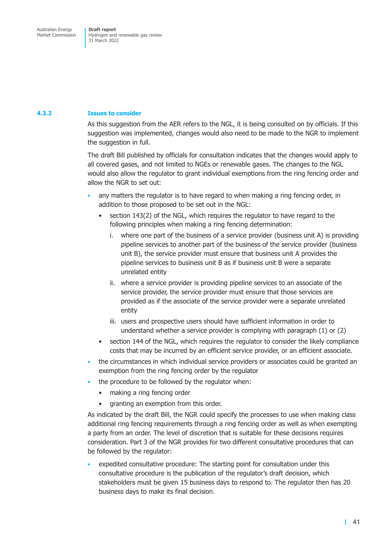### **4.3.2 Issues to consider**

As this suggestion from the AER refers to the NGL, it is being consulted on by officials. If this suggestion was implemented, changes would also need to be made to the NGR to implement the suggestion in full.

The draft Bill published by officials for consultation indicates that the changes would apply to all covered gases, and not limited to NGEs or renewable gases. The changes to the NGL would also allow the regulator to grant individual exemptions from the ring fencing order and allow the NGR to set out:

- any matters the regulator is to have regard to when making a ring fencing order, in addition to those proposed to be set out in the NGL:
	- section 143(2) of the NGL, which requires the regulator to have regard to the following principles when making a ring fencing determination:
		- i. where one part of the business of a service provider (business unit A) is providing pipeline services to another part of the business of the service provider (business unit B), the service provider must ensure that business unit A provides the pipeline services to business unit B as if business unit B were a separate unrelated entity
		- ii. where a service provider is providing pipeline services to an associate of the service provider, the service provider must ensure that those services are provided as if the associate of the service provider were a separate unrelated entity
		- iii. users and prospective users should have sufficient information in order to understand whether a service provider is complying with paragraph (1) or (2)
	- section 144 of the NGL, which requires the regulator to consider the likely compliance costs that may be incurred by an efficient service provider, or an efficient associate.
- the circumstances in which individual service providers or associates could be granted an exemption from the ring fencing order by the regulator
- the procedure to be followed by the regulator when:
	- making a ring fencing order
	- granting an exemption from this order.

As indicated by the draft Bill, the NGR could specify the processes to use when making class additional ring fencing requirements through a ring fencing order as well as when exempting a party from an order. The level of discretion that is suitable for these decisions requires consideration. Part 3 of the NGR provides for two different consultative procedures that can be followed by the regulator:

• expedited consultative procedure: The starting point for consultation under this consultative procedure is the publication of the regulator's draft decision, which stakeholders must be given 15 business days to respond to. The regulator then has 20 business days to make its final decision.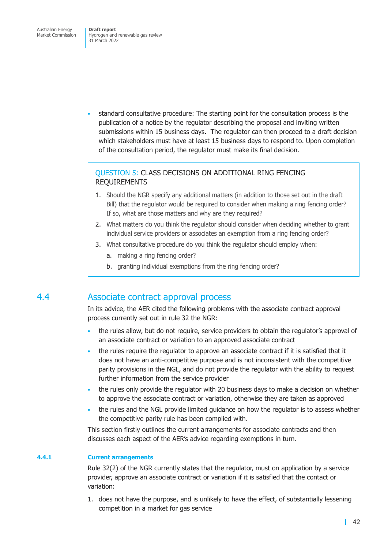• standard consultative procedure: The starting point for the consultation process is the publication of a notice by the regulator describing the proposal and inviting written submissions within 15 business days. The regulator can then proceed to a draft decision which stakeholders must have at least 15 business days to respond to. Upon completion of the consultation period, the regulator must make its final decision.

### QUESTION 5: CLASS DECISIONS ON ADDITIONAL RING FENCING REQUIREMENTS

- 1. Should the NGR specify any additional matters (in addition to those set out in the draft Bill) that the regulator would be required to consider when making a ring fencing order? If so, what are those matters and why are they required?
- 2. What matters do you think the regulator should consider when deciding whether to grant individual service providers or associates an exemption from a ring fencing order?
- 3. What consultative procedure do you think the regulator should employ when:
	- a. making a ring fencing order?
	- b. granting individual exemptions from the ring fencing order?

## 4.4 Associate contract approval process

In its advice, the AER cited the following problems with the associate contract approval process currently set out in rule 32 the NGR:

- the rules allow, but do not require, service providers to obtain the regulator's approval of an associate contract or variation to an approved associate contract
- the rules require the regulator to approve an associate contract if it is satisfied that it does not have an anti-competitive purpose and is not inconsistent with the competitive parity provisions in the NGL, and do not provide the regulator with the ability to request further information from the service provider
- the rules only provide the regulator with 20 business days to make a decision on whether to approve the associate contract or variation, otherwise they are taken as approved
- the rules and the NGL provide limited guidance on how the regulator is to assess whether the competitive parity rule has been complied with.

This section firstly outlines the current arrangements for associate contracts and then discusses each aspect of the AER's advice regarding exemptions in turn.

### **4.4.1 Current arrangements**

Rule 32(2) of the NGR currently states that the regulator, must on application by a service provider, approve an associate contract or variation if it is satisfied that the contact or variation:

1. does not have the purpose, and is unlikely to have the effect, of substantially lessening competition in a market for gas service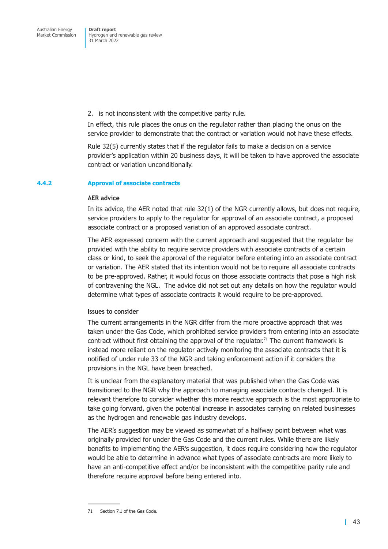2. is not inconsistent with the competitive parity rule.

In effect, this rule places the onus on the regulator rather than placing the onus on the service provider to demonstrate that the contract or variation would not have these effects.

Rule 32(5) currently states that if the regulator fails to make a decision on a service provider's application within 20 business days, it will be taken to have approved the associate contract or variation unconditionally.

#### **4.4.2 Approval of associate contracts**

#### **AER advice**

In its advice, the AER noted that rule 32(1) of the NGR currently allows, but does not require, service providers to apply to the regulator for approval of an associate contract, a proposed associate contract or a proposed variation of an approved associate contract.

The AER expressed concern with the current approach and suggested that the regulator be provided with the ability to require service providers with associate contracts of a certain class or kind, to seek the approval of the regulator before entering into an associate contract or variation. The AER stated that its intention would not be to require all associate contracts to be pre-approved. Rather, it would focus on those associate contracts that pose a high risk of contravening the NGL. The advice did not set out any details on how the regulator would determine what types of associate contracts it would require to be pre-approved.

#### **Issues to consider**

The current arrangements in the NGR differ from the more proactive approach that was taken under the Gas Code, which prohibited service providers from entering into an associate contract without first obtaining the approval of the regulator.<sup>71</sup> The current framework is instead more reliant on the regulator actively monitoring the associate contracts that it is notified of under rule 33 of the NGR and taking enforcement action if it considers the provisions in the NGL have been breached.

It is unclear from the explanatory material that was published when the Gas Code was transitioned to the NGR why the approach to managing associate contracts changed. It is relevant therefore to consider whether this more reactive approach is the most appropriate to take going forward, given the potential increase in associates carrying on related businesses as the hydrogen and renewable gas industry develops.

The AER's suggestion may be viewed as somewhat of a halfway point between what was originally provided for under the Gas Code and the current rules. While there are likely benefits to implementing the AER's suggestion, it does require considering how the regulator would be able to determine in advance what types of associate contracts are more likely to have an anti-competitive effect and/or be inconsistent with the competitive parity rule and therefore require approval before being entered into.

<sup>71</sup> Section 7.1 of the Gas Code.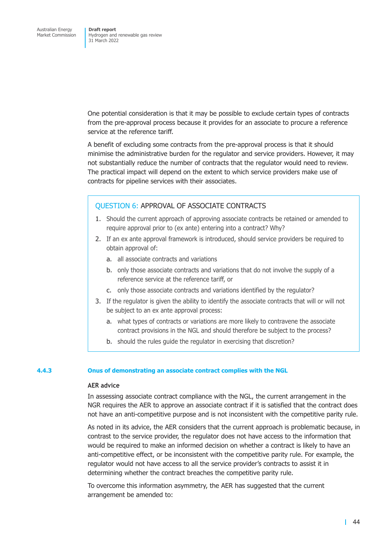One potential consideration is that it may be possible to exclude certain types of contracts from the pre-approval process because it provides for an associate to procure a reference service at the reference tariff.

A benefit of excluding some contracts from the pre-approval process is that it should minimise the administrative burden for the regulator and service providers. However, it may not substantially reduce the number of contracts that the regulator would need to review. The practical impact will depend on the extent to which service providers make use of contracts for pipeline services with their associates.

### QUESTION 6: APPROVAL OF ASSOCIATE CONTRACTS

- 1. Should the current approach of approving associate contracts be retained or amended to require approval prior to (ex ante) entering into a contract? Why?
- 2. If an ex ante approval framework is introduced, should service providers be required to obtain approval of:
	- a. all associate contracts and variations
	- b. only those associate contracts and variations that do not involve the supply of a reference service at the reference tariff, or
	- c. only those associate contracts and variations identified by the regulator?
- 3. If the regulator is given the ability to identify the associate contracts that will or will not be subject to an ex ante approval process:
	- a. what types of contracts or variations are more likely to contravene the associate contract provisions in the NGL and should therefore be subject to the process?
	- b. should the rules guide the regulator in exercising that discretion?

### **4.4.3 Onus of demonstrating an associate contract complies with the NGL**

### **AER advice**

In assessing associate contract compliance with the NGL, the current arrangement in the NGR requires the AER to approve an associate contract if it is satisfied that the contract does not have an anti-competitive purpose and is not inconsistent with the competitive parity rule.

As noted in its advice, the AER considers that the current approach is problematic because, in contrast to the service provider, the regulator does not have access to the information that would be required to make an informed decision on whether a contract is likely to have an anti-competitive effect, or be inconsistent with the competitive parity rule. For example, the regulator would not have access to all the service provider's contracts to assist it in determining whether the contract breaches the competitive parity rule.

To overcome this information asymmetry, the AER has suggested that the current arrangement be amended to: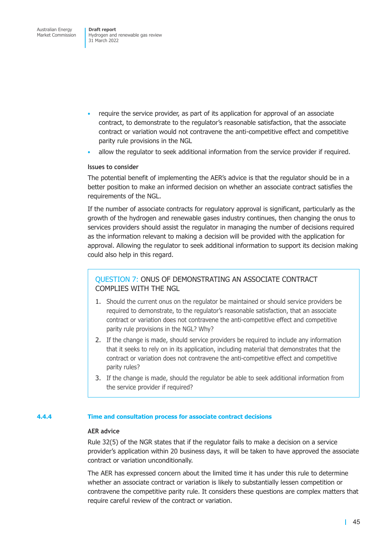- require the service provider, as part of its application for approval of an associate contract, to demonstrate to the regulator's reasonable satisfaction, that the associate contract or variation would not contravene the anti-competitive effect and competitive parity rule provisions in the NGL
- allow the regulator to seek additional information from the service provider if required.

### **Issues to consider**

The potential benefit of implementing the AER's advice is that the regulator should be in a better position to make an informed decision on whether an associate contract satisfies the requirements of the NGL.

If the number of associate contracts for regulatory approval is significant, particularly as the growth of the hydrogen and renewable gases industry continues, then changing the onus to services providers should assist the regulator in managing the number of decisions required as the information relevant to making a decision will be provided with the application for approval. Allowing the regulator to seek additional information to support its decision making could also help in this regard.

### QUESTION 7: ONUS OF DEMONSTRATING AN ASSOCIATE CONTRACT COMPLIES WITH THE NGL

- 1. Should the current onus on the regulator be maintained or should service providers be required to demonstrate, to the regulator's reasonable satisfaction, that an associate contract or variation does not contravene the anti-competitive effect and competitive parity rule provisions in the NGL? Why?
- 2. If the change is made, should service providers be required to include any information that it seeks to rely on in its application, including material that demonstrates that the contract or variation does not contravene the anti-competitive effect and competitive parity rules?
- 3. If the change is made, should the regulator be able to seek additional information from the service provider if required?

### **4.4.4 Time and consultation process for associate contract decisions**

### **AER advice**

Rule 32(5) of the NGR states that if the regulator fails to make a decision on a service provider's application within 20 business days, it will be taken to have approved the associate contract or variation unconditionally.

The AER has expressed concern about the limited time it has under this rule to determine whether an associate contract or variation is likely to substantially lessen competition or contravene the competitive parity rule. It considers these questions are complex matters that require careful review of the contract or variation.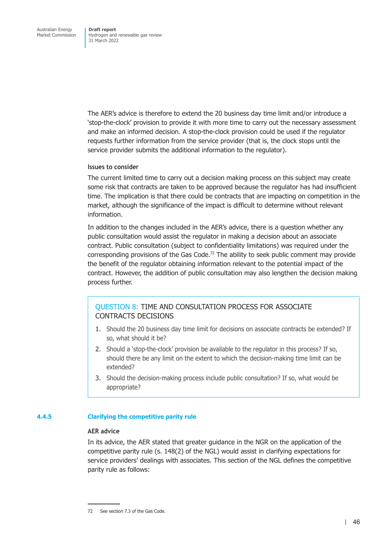The AER's advice is therefore to extend the 20 business day time limit and/or introduce a 'stop-the-clock' provision to provide it with more time to carry out the necessary assessment and make an informed decision. A stop-the-clock provision could be used if the regulator requests further information from the service provider (that is, the clock stops until the service provider submits the additional information to the regulator).

### **Issues to consider**

The current limited time to carry out a decision making process on this subject may create some risk that contracts are taken to be approved because the regulator has had insufficient time. The implication is that there could be contracts that are impacting on competition in the market, although the significance of the impact is difficult to determine without relevant information.

In addition to the changes included in the AER's advice, there is a question whether any public consultation would assist the regulator in making a decision about an associate contract. Public consultation (subject to confidentiality limitations) was required under the corresponding provisions of the Gas Code.<sup>72</sup> The ability to seek public comment may provide the benefit of the regulator obtaining information relevant to the potential impact of the contract. However, the addition of public consultation may also lengthen the decision making process further.

### QUESTION 8: TIME AND CONSULTATION PROCESS FOR ASSOCIATE CONTRACTS DECISIONS

- 1. Should the 20 business day time limit for decisions on associate contracts be extended? If so, what should it be?
- 2. Should a 'stop-the-clock' provision be available to the regulator in this process? If so, should there be any limit on the extent to which the decision-making time limit can be extended?
- 3. Should the decision-making process include public consultation? If so, what would be appropriate?

### **4.4.5 Clarifying the competitive parity rule**

### **AER advice**

In its advice, the AER stated that greater guidance in the NGR on the application of the competitive parity rule (s. 148(2) of the NGL) would assist in clarifying expectations for service providers' dealings with associates. This section of the NGL defines the competitive parity rule as follows:

<sup>72</sup> See section 7.3 of the Gas Code.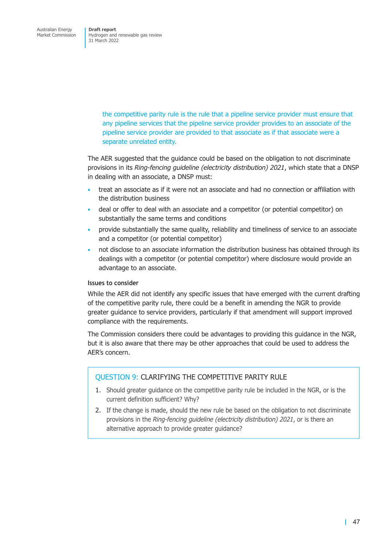> the competitive parity rule is the rule that a pipeline service provider must ensure that any pipeline services that the pipeline service provider provides to an associate of the pipeline service provider are provided to that associate as if that associate were a separate unrelated entity.

The AER suggested that the guidance could be based on the obligation to not discriminate provisions in its *Ring-fencing guideline (electricity distribution) 2021*, which state that a DNSP in dealing with an associate, a DNSP must:

- treat an associate as if it were not an associate and had no connection or affiliation with the distribution business
- deal or offer to deal with an associate and a competitor (or potential competitor) on substantially the same terms and conditions
- provide substantially the same quality, reliability and timeliness of service to an associate and a competitor (or potential competitor)
- not disclose to an associate information the distribution business has obtained through its dealings with a competitor (or potential competitor) where disclosure would provide an advantage to an associate.

### **Issues to consider**

While the AER did not identify any specific issues that have emerged with the current drafting of the competitive parity rule, there could be a benefit in amending the NGR to provide greater guidance to service providers, particularly if that amendment will support improved compliance with the requirements.

The Commission considers there could be advantages to providing this guidance in the NGR, but it is also aware that there may be other approaches that could be used to address the AER's concern.

### QUESTION 9: CLARIFYING THE COMPETITIVE PARITY RULE

- 1. Should greater guidance on the competitive parity rule be included in the NGR, or is the current definition sufficient? Why?
- 2. If the change is made, should the new rule be based on the obligation to not discriminate provisions in the *Ring-fencing guideline (electricity distribution) 2021*, or is there an alternative approach to provide greater guidance?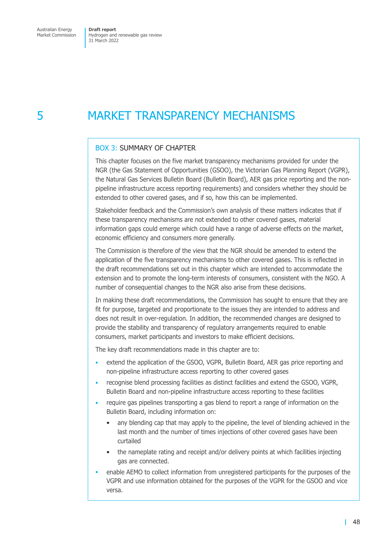# 5 MARKET TRANSPARENCY MECHANISMS

### BOX 3: SUMMARY OF CHAPTER

This chapter focuses on the five market transparency mechanisms provided for under the NGR (the Gas Statement of Opportunities (GSOO), the Victorian Gas Planning Report (VGPR), the Natural Gas Services Bulletin Board (Bulletin Board), AER gas price reporting and the nonpipeline infrastructure access reporting requirements) and considers whether they should be extended to other covered gases, and if so, how this can be implemented.

Stakeholder feedback and the Commission's own analysis of these matters indicates that if these transparency mechanisms are not extended to other covered gases, material information gaps could emerge which could have a range of adverse effects on the market, economic efficiency and consumers more generally.

The Commission is therefore of the view that the NGR should be amended to extend the application of the five transparency mechanisms to other covered gases. This is reflected in the draft recommendations set out in this chapter which are intended to accommodate the extension and to promote the long-term interests of consumers, consistent with the NGO. A number of consequential changes to the NGR also arise from these decisions.

In making these draft recommendations, the Commission has sought to ensure that they are fit for purpose, targeted and proportionate to the issues they are intended to address and does not result in over-regulation. In addition, the recommended changes are designed to provide the stability and transparency of regulatory arrangements required to enable consumers, market participants and investors to make efficient decisions.

The key draft recommendations made in this chapter are to:

- extend the application of the GSOO, VGPR, Bulletin Board, AER gas price reporting and non-pipeline infrastructure access reporting to other covered gases
- recognise blend processing facilities as distinct facilities and extend the GSOO, VGPR, Bulletin Board and non-pipeline infrastructure access reporting to these facilities
- require gas pipelines transporting a gas blend to report a range of information on the Bulletin Board, including information on:
	- any blending cap that may apply to the pipeline, the level of blending achieved in the last month and the number of times injections of other covered gases have been curtailed
	- the nameplate rating and receipt and/or delivery points at which facilities injecting gas are connected.
- enable AEMO to collect information from unregistered participants for the purposes of the VGPR and use information obtained for the purposes of the VGPR for the GSOO and vice versa.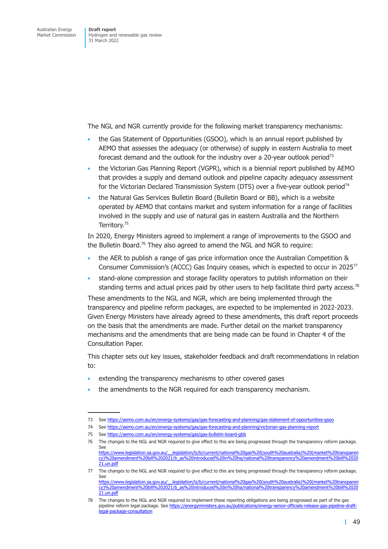The NGL and NGR currently provide for the following market transparency mechanisms:

- the Gas Statement of Opportunities (GSOO), which is an annual report published by AEMO that assesses the adequacy (or otherwise) of supply in eastern Australia to meet forecast demand and the outlook for the industry over a 20-year outlook period<sup>73</sup>
- the Victorian Gas Planning Report (VGPR), which is a biennial report published by AEMO that provides a supply and demand outlook and pipeline capacity adequacy assessment for the Victorian Declared Transmission System (DTS) over a five-year outlook period $74$
- the Natural Gas Services Bulletin Board (Bulletin Board or BB), which is a website operated by AEMO that contains market and system information for a range of facilities involved in the supply and use of natural gas in eastern Australia and the Northern Territory.75

In 2020, Energy Ministers agreed to implement a range of improvements to the GSOO and the Bulletin Board.<sup>76</sup> They also agreed to amend the NGL and NGR to require:

- the AER to publish a range of gas price information once the Australian Competition & Consumer Commission's (ACCC) Gas Inquiry ceases, which is expected to occur in 202577
- stand-alone compression and storage facility operators to publish information on their standing terms and actual prices paid by other users to help facilitate third party access.<sup>78</sup>

These amendments to the NGL and NGR, which are being implemented through the transparency and pipeline reform packages, are expected to be implemented in 2022-2023. Given Energy Ministers have already agreed to these amendments, this draft report proceeds on the basis that the amendments are made. Further detail on the market transparency mechanisms and the amendments that are being made can be found in Chapter 4 of the Consultation Paper.

This chapter sets out key issues, stakeholder feedback and draft recommendations in relation to:

- extending the transparency mechanisms to other covered gases
- the amendments to the NGR required for each transparency mechanism.

<sup>73</sup> See https://aemo.com.au/en/energy-systems/gas/gas-forecasting-and-planning/gas-statement-of-opportunities-gsoo

<sup>74</sup> See https://aemo.com.au/en/energy-systems/gas/gas-forecasting-and-planning/victorian-gas-planning-report

<sup>75</sup> See https://aemo.com.au/en/energy-systems/gas/gas-bulletin-board-gbb

<sup>76</sup> The changes to the NGL and NGR required to give effect to this are being progressed through the transparency reform package. See htt[ps://www.legislation.sa.gov.au/\\_\\_legislation/lz/b/current/national%20gas%20\(south%20australia\)%20\(market%2](https://aemo.com.au/en/energy-systems/gas/gas-forecasting-and-planning/gas-statement-of-opportunities-gsoo)0transparen

cy)[%20amendment%20bill%202021/b\\_as%20introduced%20in%20ha/national%20transparency%20amendm](https://aemo.com.au/en/energy-systems/gas/gas-forecasting-and-planning/victorian-gas-planning-report)ent%20bill%2020 21.un.pdf 77 The [changes to the NGL and NGR required to give effect to this are being](https://aemo.com.au/en/energy-systems/gas/gas-bulletin-board-gbb) progressed through the transparency reform package.

See https://www.legislation.sa.gov.au/\_\_legislation/lz/b/current/national%20gas%20(south%20australia)%20(market%20transparen [cy\)%20amendment%20bill%202021/b\\_as%20introduced%20in%20ha/national%20transparency%20amendment%20bill%2020](https://www.legislation.sa.gov.au/__legislation/lz/b/current/national%20gas%20(south%20australia)%20(market%20transparency)%20amendment%20bill%202021/b_as%20introduced%20in%20ha/national%20transparency%20amendment%20bill%202021.un.pdf) [21.un.pdf](https://www.legislation.sa.gov.au/__legislation/lz/b/current/national%20gas%20(south%20australia)%20(market%20transparency)%20amendment%20bill%202021/b_as%20introduced%20in%20ha/national%20transparency%20amendment%20bill%202021.un.pdf)

<sup>78</sup> The changes to the NGL and NGR required to implement these reporting obligations are being progressed as part of the gas pipeline reform legal package. See https://energyministers.gov.au/publications/energy-senior-officials-release-gas-pipeline-draftlegal-package-consultation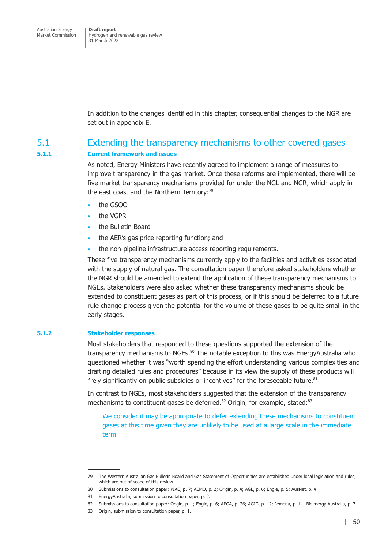Hydrogen and renewable gas review 31 March 2022

In addition to the changes identified in this chapter, consequential changes to the NGR are set out in appendix E.

### 5.1 Extending the transparency mechanisms to other covered gases

#### **5.1.1 Current f[ramework an](#page-166-0)d issues**

As noted, Energy Ministers have recently agreed to implement a range of measures to improve transparency in the gas market. Once these reforms are implemented, there will be five market transparency mechanisms provided for under the NGL and NGR, which apply in the east coast and the Northern Territory: $79$ 

- the GSOO
- the VGPR
- the Bulletin Board
- the AER's gas price reporting function; and
- the non-pipeline infrastructure access reporting requirements.

These five transparency mechanisms currently apply to the facilities and activities associated with the supply of natural gas. The consultation paper therefore asked stakeholders whether the NGR should be amended to extend the application of these transparency mechanisms to NGEs. Stakeholders were also asked whether these transparency mechanisms should be extended to constituent gases as part of this process, or if this should be deferred to a future rule change process given the potential for the volume of these gases to be quite small in the early stages.

#### **5.1.2 Stakeholder responses**

Most stakeholders that responded to these questions supported the extension of the transparency mechanisms to NGEs.<sup>80</sup> The notable exception to this was EnergyAustralia who questioned whether it was "worth spending the effort understanding various complexities and drafting detailed rules and procedures" because in its view the supply of these products will "rely significantly on public subsidies or incentives" for the foreseeable future.<sup>81</sup>

In contrast to NGEs, most stakeholders suggested that the extension of the transparency mechanisms to constituent gases be deferred.<sup>82</sup> Origin, for example, stated:<sup>83</sup>

We consider it may be appropriate to defer extending these mechanisms to constituent gases at this time given they are unlikely to be used at a large scale in the immediate term.

<sup>79</sup> The Western Australian Gas Bulletin Board and Gas Statement of Opportunities are established under local legislation and rules, which are out of scope of this review.

<sup>80</sup> Submissions to consultation paper: PIAC, p. 7; AEMO, p. 2; Origin, p. 4; AGL, p. 6; Engie, p. 5; AusNet, p. 4.

<sup>81</sup> EnergyAustralia, submission to consultation paper, p. 2.

<sup>82</sup> Submissions to consultation paper: Origin, p. 1; Engie, p. 6; APGA, p. 26; AGIG, p. 12; Jemena, p. 11; Bioenergy Australia, p. 7.

<sup>83</sup> Origin, submission to consultation paper, p. 1.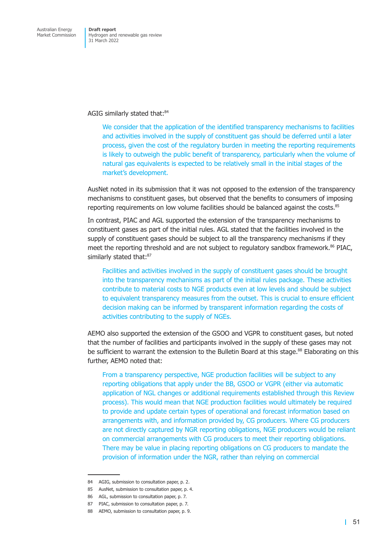#### AGIG similarly stated that:<sup>84</sup>

We consider that the application of the identified transparency mechanisms to facilities and activities involved in the supply of constituent gas should be deferred until a later process, given the cost of the regulatory burden in meeting the reporting requirements is likely to outweigh the public benefit of transparency, particularly when the volume of natural gas equivalents is expected to be relatively small in the initial stages of the market's development.

AusNet noted in its submission that it was not opposed to the extension of the transparency mechanisms to constituent gases, but observed that the benefits to consumers of imposing reporting requirements on low volume facilities should be balanced against the costs.<sup>85</sup>

In contrast, PIAC and AGL supported the extension of the transparency mechanisms to constituent gases as part of the initial rules. AGL stated that the facilities involved in the supply of constituent gases should be subject to all the transparency mechanisms if they meet the reporting threshold and are not subject to regulatory sandbox framework.<sup>86</sup> PIAC, similarly stated that:87

Facilities and activities involved in the supply of constituent gases should be brought into the transparency mechanisms as part of the initial rules package. These activities contribute to material costs to NGE products even at low levels and should be subject to equivalent transparency measures from the outset. This is crucial to ensure efficient decision making can be informed by transparent information regarding the costs of activities contributing to the supply of NGEs.

AEMO also supported the extension of the GSOO and VGPR to constituent gases, but noted that the number of facilities and participants involved in the supply of these gases may not be sufficient to warrant the extension to the Bulletin Board at this stage.<sup>88</sup> Elaborating on this further, AEMO noted that:

From a transparency perspective, NGE production facilities will be subject to any reporting obligations that apply under the BB, GSOO or VGPR (either via automatic application of NGL changes or additional requirements established through this Review process). This would mean that NGE production facilities would ultimately be required to provide and update certain types of operational and forecast information based on arrangements with, and information provided by, CG producers. Where CG producers are not directly captured by NGR reporting obligations, NGE producers would be reliant on commercial arrangements with CG producers to meet their reporting obligations. There may be value in placing reporting obligations on CG producers to mandate the provision of information under the NGR, rather than relying on commercial

<sup>84</sup> AGIG, submission to consultation paper, p. 2.

<sup>85</sup> AusNet, submission to consultation paper, p. 4.

<sup>86</sup> AGL, submission to consultation paper, p. 7.

<sup>87</sup> PIAC, submission to consultation paper, p. 7.

<sup>88</sup> AEMO, submission to consultation paper, p. 9.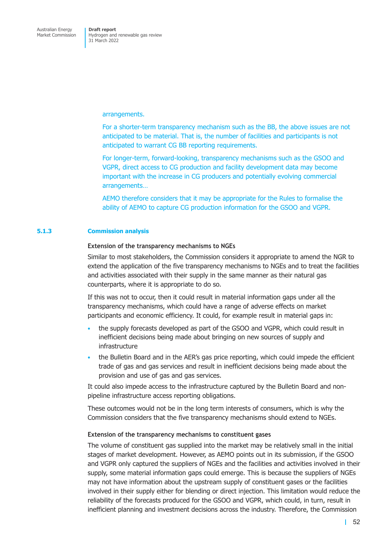arrangements.

For a shorter-term transparency mechanism such as the BB, the above issues are not anticipated to be material. That is, the number of facilities and participants is not anticipated to warrant CG BB reporting requirements.

For longer-term, forward-looking, transparency mechanisms such as the GSOO and VGPR, direct access to CG production and facility development data may become important with the increase in CG producers and potentially evolving commercial arrangements…

AEMO therefore considers that it may be appropriate for the Rules to formalise the ability of AEMO to capture CG production information for the GSOO and VGPR.

### **5.1.3 Commission analysis**

#### **Extension of the transparency mechanisms to NGEs**

Similar to most stakeholders, the Commission considers it appropriate to amend the NGR to extend the application of the five transparency mechanisms to NGEs and to treat the facilities and activities associated with their supply in the same manner as their natural gas counterparts, where it is appropriate to do so.

If this was not to occur, then it could result in material information gaps under all the transparency mechanisms, which could have a range of adverse effects on market participants and economic efficiency. It could, for example result in material gaps in:

- the supply forecasts developed as part of the GSOO and VGPR, which could result in inefficient decisions being made about bringing on new sources of supply and infrastructure
- the Bulletin Board and in the AER's gas price reporting, which could impede the efficient trade of gas and gas services and result in inefficient decisions being made about the provision and use of gas and gas services.

It could also impede access to the infrastructure captured by the Bulletin Board and nonpipeline infrastructure access reporting obligations.

These outcomes would not be in the long term interests of consumers, which is why the Commission considers that the five transparency mechanisms should extend to NGEs.

### **Extension of the transparency mechanisms to constituent gases**

The volume of constituent gas supplied into the market may be relatively small in the initial stages of market development. However, as AEMO points out in its submission, if the GSOO and VGPR only captured the suppliers of NGEs and the facilities and activities involved in their supply, some material information gaps could emerge. This is because the suppliers of NGEs may not have information about the upstream supply of constituent gases or the facilities involved in their supply either for blending or direct injection. This limitation would reduce the reliability of the forecasts produced for the GSOO and VGPR, which could, in turn, result in inefficient planning and investment decisions across the industry. Therefore, the Commission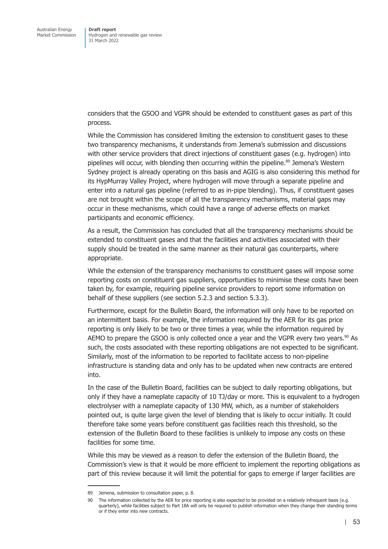considers that the GSOO and VGPR should be extended to constituent gases as part of this process.

While the Commission has considered limiting the extension to constituent gases to these two transparency mechanisms, it understands from Jemena's submission and discussions with other service providers that direct injections of constituent gases (e.g. hydrogen) into pipelines will occur, with blending then occurring within the pipeline.<sup>89</sup> Jemena's Western Sydney project is already operating on this basis and AGIG is also considering this method for its HypMurray Valley Project, where hydrogen will move through a separate pipeline and enter into a natural gas pipeline (referred to as in-pipe blending). Thus, if constituent gases are not brought within the scope of all the transparency mechanisms, material gaps may occur in these mechanisms, which could have a range of adverse effects on market participants and economic efficiency.

As a result, the Commission has concluded that all the transparency mechanisms should be extended to constituent gases and that the facilities and activities associated with their supply should be treated in the same manner as their natural gas counterparts, where appropriate.

While the extension of the transparency mechanisms to constituent gases will impose some reporting costs on constituent gas suppliers, opportunities to minimise these costs have been taken by, for example, requiring pipeline service providers to report some information on behalf of these suppliers (see section 5.2.3 and section 5.3.3).

Furthermore, except for the Bulletin Board, the information will only have to be reported on an intermittent basis. For example, the information required by the AER for its gas price reporting is only likely to be t[wo or three tim](#page-63-0)es [a year, while t](#page-69-0)he information required by AEMO to prepare the GSOO is only collected once a year and the VGPR every two years. $90$  As such, the costs associated with these reporting obligations are not expected to be significant. Similarly, most of the information to be reported to facilitate access to non-pipeline infrastructure is standing data and only has to be updated when new contracts are entered into.

In the case of the Bulletin Board, facilities can be subject to daily reporting obligations, but only if they have a nameplate capacity of 10 TJ/day or more. This is equivalent to a hydrogen electrolyser with a nameplate capacity of 130 MW, which, as a number of stakeholders pointed out, is quite large given the level of blending that is likely to occur initially. It could therefore take some years before constituent gas facilities reach this threshold, so the extension of the Bulletin Board to these facilities is unlikely to impose any costs on these facilities for some time.

While this may be viewed as a reason to defer the extension of the Bulletin Board, the Commission's view is that it would be more efficient to implement the reporting obligations as part of this review because it will limit the potential for gaps to emerge if larger facilities are

<sup>89</sup> Jemena, submission to consultation paper, p. 8.

<sup>90</sup> The information collected by the AER for price reporting is also expected to be provided on a relatively infrequent basis (e.g. quarterly), while facilities subject to Part 18A will only be required to publish information when they change their standing terms or if they enter into new contracts.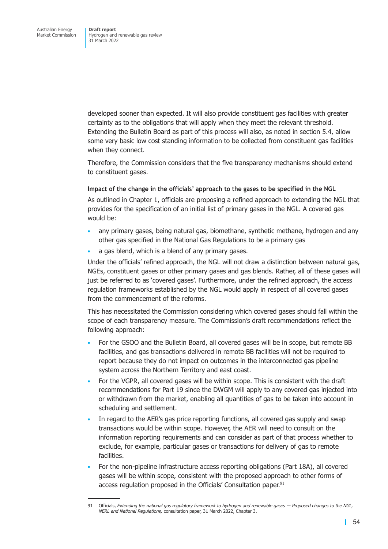developed sooner than expected. It will also provide constituent gas facilities with greater certainty as to the obligations that will apply when they meet the relevant threshold. Extending the Bulletin Board as part of this process will also, as noted in section 5.4, allow some very basic low cost standing information to be collected from constituent gas facilities when they connect.

Therefore, the Commission considers that the five transparency mechani[sms should](#page-72-0) extend to constituent gases.

**Impact of the change in the officials' approach to the gases to be specified in the NGL**  As outlined in Chapter 1, officials are proposing a refined approach to extending the NGL that provides for the specification of an initial list of primary gases in the NGL. A covered gas would be:

- any primary gases, being natural gas, biomethane, synthetic methane, hydrogen and any other gas specified in the National Gas Regulations to be a primary gas
- a gas blend, which is a blend of any primary gases.

Under the officials' refined approach, the NGL will not draw a distinction between natural gas, NGEs, constituent gases or other primary gases and gas blends. Rather, all of these gases will just be referred to as 'covered gases'. Furthermore, under the refined approach, the access regulation frameworks established by the NGL would apply in respect of all covered gases from the commencement of the reforms.

This has necessitated the Commission considering which covered gases should fall within the scope of each transparency measure. The Commission's draft recommendations reflect the following approach:

- For the GSOO and the Bulletin Board, all covered gases will be in scope, but remote BB facilities, and gas transactions delivered in remote BB facilities will not be required to report because they do not impact on outcomes in the interconnected gas pipeline system across the Northern Territory and east coast.
- For the VGPR, all covered gases will be within scope. This is consistent with the draft recommendations for Part 19 since the DWGM will apply to any covered gas injected into or withdrawn from the market, enabling all quantities of gas to be taken into account in scheduling and settlement.
- In regard to the AER's gas price reporting functions, all covered gas supply and swap transactions would be within scope. However, the AER will need to consult on the information reporting requirements and can consider as part of that process whether to exclude, for example, particular gases or transactions for delivery of gas to remote facilities.
- For the non-pipeline infrastructure access reporting obligations (Part 18A), all covered gases will be within scope, consistent with the proposed approach to other forms of access regulation proposed in the Officials' Consultation paper.<sup>91</sup>

<sup>91</sup> Officials, *Extending the national gas regulatory framework to hydrogen and renewable gases — Proposed changes to the NGL, NERL and National Regulations,* consultation paper, 31 March 2022, Chapter 3.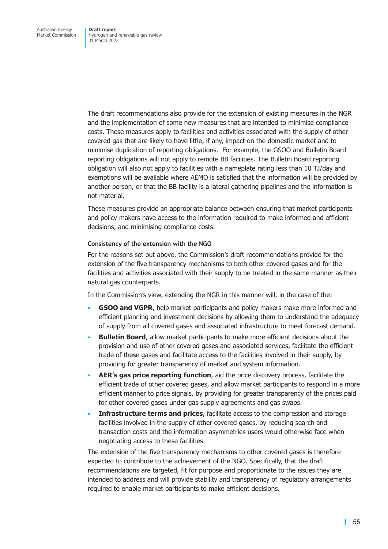The draft recommendations also provide for the extension of existing measures in the NGR and the implementation of some new measures that are intended to minimise compliance costs. These measures apply to facilities and activities associated with the supply of other covered gas that are likely to have little, if any, impact on the domestic market and to minimise duplication of reporting obligations. For example, the GSOO and Bulletin Board reporting obligations will not apply to remote BB facilities. The Bulletin Board reporting obligation will also not apply to facilities with a nameplate rating less than 10 TJ/day and exemptions will be available where AEMO is satisfied that the information will be provided by another person, or that the BB facility is a lateral gathering pipelines and the information is not material.

These measures provide an appropriate balance between ensuring that market participants and policy makers have access to the information required to make informed and efficient decisions, and minimising compliance costs.

### **Consistency of the extension with the NGO**

For the reasons set out above, the Commission's draft recommendations provide for the extension of the five transparency mechanisms to both other covered gases and for the facilities and activities associated with their supply to be treated in the same manner as their natural gas counterparts.

In the Commission's view, extending the NGR in this manner will, in the case of the:

- **GSOO and VGPR**, help market participants and policy makers make more informed and efficient planning and investment decisions by allowing them to understand the adequacy of supply from all covered gases and associated infrastructure to meet forecast demand.
- **Bulletin Board**, allow market participants to make more efficient decisions about the provision and use of other covered gases and associated services, facilitate the efficient trade of these gases and facilitate access to the facilities involved in their supply, by providing for greater transparency of market and system information.
- **AER's gas price reporting function**, aid the price discovery process, facilitate the efficient trade of other covered gases, and allow market participants to respond in a more efficient manner to price signals, by providing for greater transparency of the prices paid for other covered gases under gas supply agreements and gas swaps.
- **Infrastructure terms and prices**, facilitate access to the compression and storage facilities involved in the supply of other covered gases, by reducing search and transaction costs and the information asymmetries users would otherwise face when negotiating access to these facilities.

The extension of the five transparency mechanisms to other covered gases is therefore expected to contribute to the achievement of the NGO. Specifically, that the draft recommendations are targeted, fit for purpose and proportionate to the issues they are intended to address and will provide stability and transparency of regulatory arrangements required to enable market participants to make efficient decisions.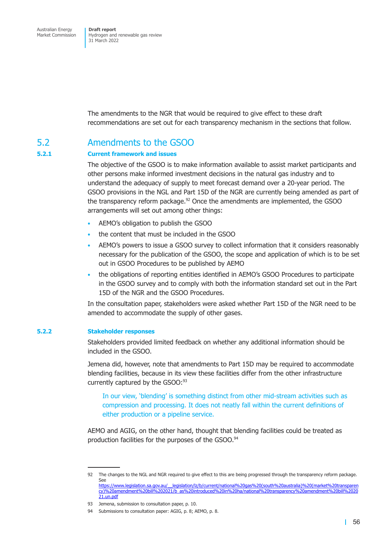Hydrogen and renewable gas review 31 March 2022

The amendments to the NGR that would be required to give effect to these draft recommendations are set out for each transparency mechanism in the sections that follow.

### 5.2 Amendments to the GSOO

#### **5.2.1 Current framework and issues**

The objective of the GSOO is to make information available to assist market participants and other persons make informed investment decisions in the natural gas industry and to understand the adequacy of supply to meet forecast demand over a 20-year period. The GSOO provisions in the NGL and Part 15D of the NGR are currently being amended as part of the transparency reform package. $92$  Once the amendments are implemented, the GSOO arrangements will set out among other things:

- AEMO's obligation to publish the GSOO
- the content that must be included in the GSOO
- AEMO's powers to issue a GSOO survey to collect information that it considers reasonably necessary for the publication of the GSOO, the scope and application of which is to be set out in GSOO Procedures to be published by AEMO
- the obligations of reporting entities identified in AEMO's GSOO Procedures to participate in the GSOO survey and to comply with both the information standard set out in the Part 15D of the NGR and the GSOO Procedures.

In the consultation paper, stakeholders were asked whether Part 15D of the NGR need to be amended to accommodate the supply of other gases.

#### **5.2.2 Stakeholder responses**

Stakeholders provided limited feedback on whether any additional information should be included in the GSOO.

Jemena did, however, note that amendments to Part 15D may be required to accommodate blending facilities, because in its view these facilities differ from the other infrastructure currently captured by the GSOO:<sup>93</sup>

In our view, 'blending' is something distinct from other mid-stream activities such as compression and processing. It does not neatly fall within the current definitions of either production or a pipeline service.

AEMO and AGIG, on the other hand, thought that blending facilities could be treated as production facilities for the purposes of the GSOO.<sup>94</sup>

<sup>92</sup> The changes to the NGL and NGR required to give effect to this are being progressed through the transparency reform package. See https://www.legislation.sa.gov.au/\_\_legislation/lz/b/current/national%20gas%20(south%20australia)%20(market%20transparen cy)%20amendment%20bill%202021/b\_as%20introduced%20in%20ha/national%20transparency%20amendment%20bill%2020 21.un.pdf

<sup>93</sup> Jemena, submission to consultation paper, p. 10.

<sup>94</sup> Submissions to consultation paper: AGIG, p. 8; AEMO, p. 8.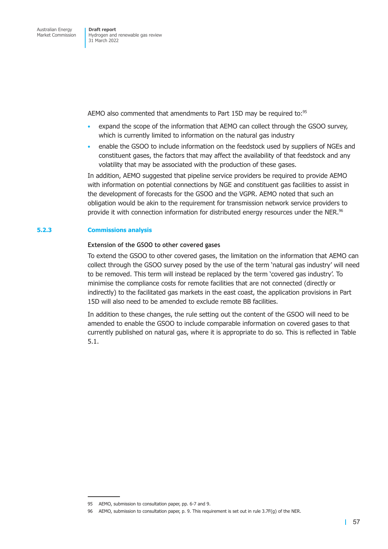AEMO also commented that amendments to Part 15D may be required to:<sup>95</sup>

- expand the scope of the information that AEMO can collect through the GSOO survey, which is currently limited to information on the natural gas industry
- enable the GSOO to include information on the feedstock used by suppliers of NGEs and constituent gases, the factors that may affect the availability of that feedstock and any volatility that may be associated with the production of these gases.

In addition, AEMO suggested that pipeline service providers be required to provide AEMO with information on potential connections by NGE and constituent gas facilities to assist in the development of forecasts for the GSOO and the VGPR. AEMO noted that such an obligation would be akin to the requirement for transmission network service providers to provide it with connection information for distributed energy resources under the NER.<sup>96</sup>

### **5.2.3 Commissions analysis**

### **Extension of the GSOO to other covered gases**

<span id="page-63-0"></span>To extend the GSOO to other covered gases, the limitation on the information that AEMO can collect through the GSOO survey posed by the use of the term 'natural gas industry' will need to be removed. This term will instead be replaced by the term 'covered gas industry'. To minimise the compliance costs for remote facilities that are not connected (directly or indirectly) to the facilitated gas markets in the east coast, the application provisions in Part 15D will also need to be amended to exclude remote BB facilities.

In addition to these changes, the rule setting out the content of the GSOO will need to be amended to enable the GSOO to include comparable information on covered gases to that currently published on natural gas, where it is appropriate to do so. This is reflected in Table 5.1.

<sup>95</sup> AEMO, submission to consultation paper, pp. 6-7 and 9.

<sup>96</sup> AEMO, submission to consultation paper, p. 9. This requirement is set out in rule 3.7F(g) of the NER.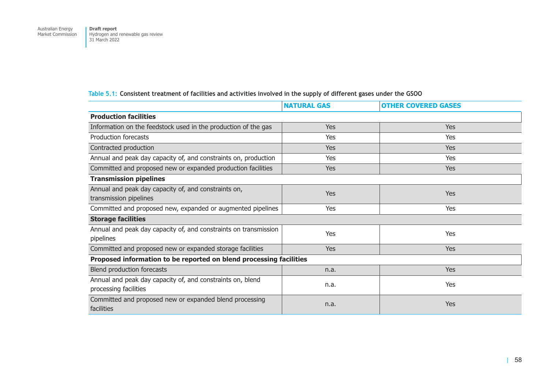| Table 5.1: Consistent treatment of facilities and activities involved in the supply of different gases under the GSOO |  |
|-----------------------------------------------------------------------------------------------------------------------|--|
|-----------------------------------------------------------------------------------------------------------------------|--|

|                                                                                     | <b>NATURAL GAS</b> | <b>OTHER COVERED GASES</b> |  |  |  |
|-------------------------------------------------------------------------------------|--------------------|----------------------------|--|--|--|
| <b>Production facilities</b>                                                        |                    |                            |  |  |  |
| Information on the feedstock used in the production of the gas                      | <b>Yes</b>         | Yes                        |  |  |  |
| Production forecasts                                                                | Yes                | Yes                        |  |  |  |
| Contracted production                                                               | <b>Yes</b>         | Yes                        |  |  |  |
| Annual and peak day capacity of, and constraints on, production                     | Yes                | Yes                        |  |  |  |
| Committed and proposed new or expanded production facilities                        | Yes                | Yes                        |  |  |  |
| <b>Transmission pipelines</b>                                                       |                    |                            |  |  |  |
| Annual and peak day capacity of, and constraints on,<br>transmission pipelines      | Yes                | <b>Yes</b>                 |  |  |  |
| Committed and proposed new, expanded or augmented pipelines                         | Yes                | <b>Yes</b>                 |  |  |  |
| <b>Storage facilities</b>                                                           |                    |                            |  |  |  |
| Annual and peak day capacity of, and constraints on transmission<br>pipelines       | Yes                | Yes                        |  |  |  |
| Committed and proposed new or expanded storage facilities                           | <b>Yes</b>         | <b>Yes</b>                 |  |  |  |
| Proposed information to be reported on blend processing facilities                  |                    |                            |  |  |  |
| Blend production forecasts                                                          | n.a.               | Yes                        |  |  |  |
| Annual and peak day capacity of, and constraints on, blend<br>processing facilities | n.a.               | Yes                        |  |  |  |
| Committed and proposed new or expanded blend processing<br>facilities               | n.a.               | <b>Yes</b>                 |  |  |  |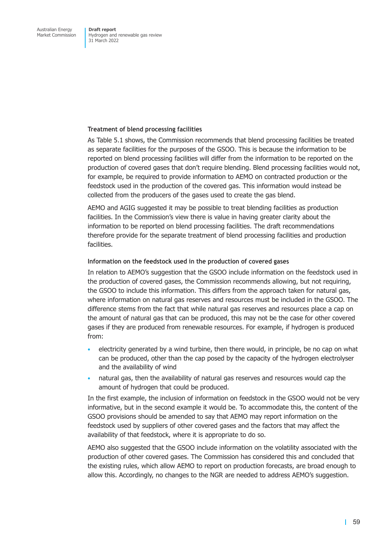### **Treatment of blend processing facilities**

As Table 5.1 shows, the Commission recommends that blend processing facilities be treated as separate facilities for the purposes of the GSOO. This is because the information to be reported on blend processing facilities will differ from the information to be reported on the production of covered gases that don't require blending. Blend processing facilities would not, for example, be required to provide information to AEMO on contracted production or the feedstock used in the production of the covered gas. This information would instead be collected from the producers of the gases used to create the gas blend.

AEMO and AGIG suggested it may be possible to treat blending facilities as production facilities. In the Commission's view there is value in having greater clarity about the information to be reported on blend processing facilities. The draft recommendations therefore provide for the separate treatment of blend processing facilities and production facilities.

### **Information on the feedstock used in the production of covered gases**

In relation to AEMO's suggestion that the GSOO include information on the feedstock used in the production of covered gases, the Commission recommends allowing, but not requiring, the GSOO to include this information. This differs from the approach taken for natural gas, where information on natural gas reserves and resources must be included in the GSOO. The difference stems from the fact that while natural gas reserves and resources place a cap on the amount of natural gas that can be produced, this may not be the case for other covered gases if they are produced from renewable resources. For example, if hydrogen is produced from:

- electricity generated by a wind turbine, then there would, in principle, be no cap on what can be produced, other than the cap posed by the capacity of the hydrogen electrolyser and the availability of wind
- natural gas, then the availability of natural gas reserves and resources would cap the amount of hydrogen that could be produced.

In the first example, the inclusion of information on feedstock in the GSOO would not be very informative, but in the second example it would be. To accommodate this, the content of the GSOO provisions should be amended to say that AEMO may report information on the feedstock used by suppliers of other covered gases and the factors that may affect the availability of that feedstock, where it is appropriate to do so.

AEMO also suggested that the GSOO include information on the volatility associated with the production of other covered gases. The Commission has considered this and concluded that the existing rules, which allow AEMO to report on production forecasts, are broad enough to allow this. Accordingly, no changes to the NGR are needed to address AEMO's suggestion.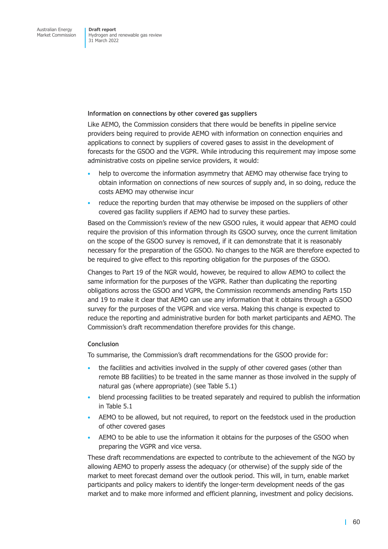### **Information on connections by other covered gas suppliers**

Like AEMO, the Commission considers that there would be benefits in pipeline service providers being required to provide AEMO with information on connection enquiries and applications to connect by suppliers of covered gases to assist in the development of forecasts for the GSOO and the VGPR. While introducing this requirement may impose some administrative costs on pipeline service providers, it would:

- help to overcome the information asymmetry that AEMO may otherwise face trying to obtain information on connections of new sources of supply and, in so doing, reduce the costs AEMO may otherwise incur
- reduce the reporting burden that may otherwise be imposed on the suppliers of other covered gas facility suppliers if AEMO had to survey these parties.

Based on the Commission's review of the new GSOO rules, it would appear that AEMO could require the provision of this information through its GSOO survey, once the current limitation on the scope of the GSOO survey is removed, if it can demonstrate that it is reasonably necessary for the preparation of the GSOO. No changes to the NGR are therefore expected to be required to give effect to this reporting obligation for the purposes of the GSOO.

Changes to Part 19 of the NGR would, however, be required to allow AEMO to collect the same information for the purposes of the VGPR. Rather than duplicating the reporting obligations across the GSOO and VGPR, the Commission recommends amending Parts 15D and 19 to make it clear that AEMO can use any information that it obtains through a GSOO survey for the purposes of the VGPR and vice versa. Making this change is expected to reduce the reporting and administrative burden for both market participants and AEMO. The Commission's draft recommendation therefore provides for this change.

### **Conclusion**

To summarise, the Commission's draft recommendations for the GSOO provide for:

- the facilities and activities involved in the supply of other covered gases (other than remote BB facilities) to be treated in the same manner as those involved in the supply of natural gas (where appropriate) (see Table 5.1)
- blend processing facilities to be treated separately and required to publish the information in Table 5.1
- AEMO to be allowed, but not required, to report on the feedstock used in the production of other covered gases
- AEMO to be able to use the information it obtains for the purposes of the GSOO when preparing the VGPR and vice versa.

These draft recommendations are expected to contribute to the achievement of the NGO by allowing AEMO to properly assess the adequacy (or otherwise) of the supply side of the market to meet forecast demand over the outlook period. This will, in turn, enable market participants and policy makers to identify the longer-term development needs of the gas market and to make more informed and efficient planning, investment and policy decisions.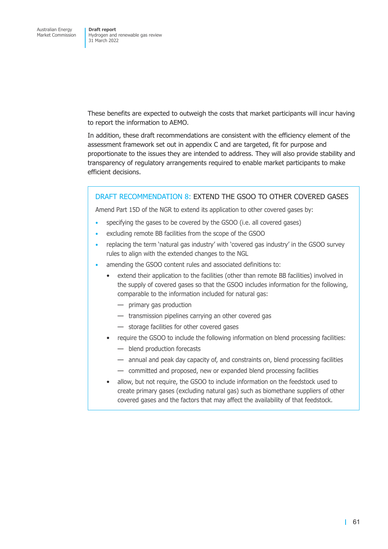These benefits are expected to outweigh the costs that market participants will incur having to report the information to AEMO.

In addition, these draft recommendations are consistent with the efficiency element of the assessment framework set out in appendix C and are targeted, fit for purpose and proportionate to the issues they are intended to address. They will also provide stability and transparency of regulatory arrangements required to enable market participants to make efficient decisions.

### DRAFT RECOMMENDATION 8: EXTEND THE GSOO TO OTHER COVERED GASES

Amend Part 15D of the NGR to extend its application to other covered gases by:

- specifying the gases to be covered by the GSOO (i.e. all covered gases)
- excluding remote BB facilities from the scope of the GSOO
- replacing the term 'natural gas industry' with 'covered gas industry' in the GSOO survey rules to align with the extended changes to the NGL
- amending the GSOO content rules and associated definitions to:
	- extend their application to the facilities (other than remote BB facilities) involved in the supply of covered gases so that the GSOO includes information for the following, comparable to the information included for natural gas:
		- primary gas production
		- transmission pipelines carrying an other covered gas
		- storage facilities for other covered gases
	- require the GSOO to include the following information on blend processing facilities:
		- blend production forecasts
		- annual and peak day capacity of, and constraints on, blend processing facilities
		- committed and proposed, new or expanded blend processing facilities
	- allow, but not require, the GSOO to include information on the feedstock used to create primary gases (excluding natural gas) such as biomethane suppliers of other covered gases and the factors that may affect the availability of that feedstock.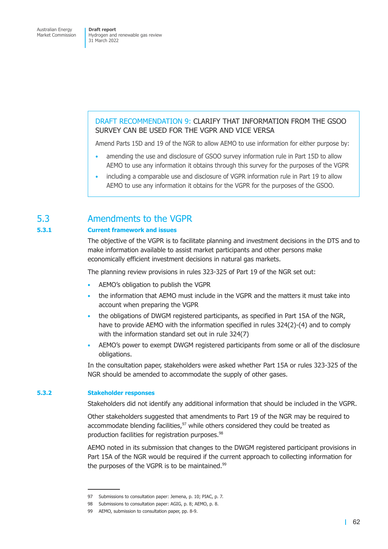### DRAFT RECOMMENDATION 9: CLARIFY THAT INFORMATION FROM THE GSOO SURVEY CAN BE USED FOR THE VGPR AND VICE VERSA

Amend Parts 15D and 19 of the NGR to allow AEMO to use information for either purpose by:

- amending the use and disclosure of GSOO survey information rule in Part 15D to allow AEMO to use any information it obtains through this survey for the purposes of the VGPR
- including a comparable use and disclosure of VGPR information rule in Part 19 to allow AEMO to use any information it obtains for the VGPR for the purposes of the GSOO.

## 5.3 Amendments to the VGPR

### **5.3.1 Current framework and issues**

The objective of the VGPR is to facilitate planning and investment decisions in the DTS and to make information available to assist market participants and other persons make economically efficient investment decisions in natural gas markets.

The planning review provisions in rules 323-325 of Part 19 of the NGR set out:

- AEMO's obligation to publish the VGPR
- the information that AEMO must include in the VGPR and the matters it must take into account when preparing the VGPR
- the obligations of DWGM registered participants, as specified in Part 15A of the NGR, have to provide AEMO with the information specified in rules 324(2)-(4) and to comply with the information standard set out in rule 324(7)
- AEMO's power to exempt DWGM registered participants from some or all of the disclosure obligations.

In the consultation paper, stakeholders were asked whether Part 15A or rules 323-325 of the NGR should be amended to accommodate the supply of other gases.

### **5.3.2 Stakeholder responses**

Stakeholders did not identify any additional information that should be included in the VGPR.

Other stakeholders suggested that amendments to Part 19 of the NGR may be required to accommodate blending facilities, $97$  while others considered they could be treated as production facilities for registration purposes.<sup>98</sup>

AEMO noted in its submission that changes to the DWGM registered participant provisions in Part 15A of the NGR would be required if the current approach to collecting information for the purposes of the VGPR is to be maintained.<sup>99</sup>

<sup>97</sup> Submissions to consultation paper: Jemena, p. 10; PIAC, p. 7.

<sup>98</sup> Submissions to consultation paper: AGIG, p. 8; AEMO, p. 8.

<sup>99</sup> AEMO, submission to consultation paper, pp. 8-9.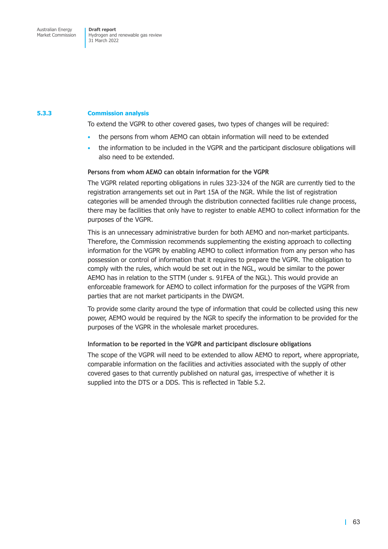### **5.3.3 Commission analysis**

<span id="page-69-0"></span>To extend the VGPR to other covered gases, two types of changes will be required:

- the persons from whom AEMO can obtain information will need to be extended
- the information to be included in the VGPR and the participant disclosure obligations will also need to be extended.

### **Persons from whom AEMO can obtain information for the VGPR**

The VGPR related reporting obligations in rules 323-324 of the NGR are currently tied to the registration arrangements set out in Part 15A of the NGR. While the list of registration categories will be amended through the distribution connected facilities rule change process, there may be facilities that only have to register to enable AEMO to collect information for the purposes of the VGPR.

This is an unnecessary administrative burden for both AEMO and non-market participants. Therefore, the Commission recommends supplementing the existing approach to collecting information for the VGPR by enabling AEMO to collect information from any person who has possession or control of information that it requires to prepare the VGPR. The obligation to comply with the rules, which would be set out in the NGL, would be similar to the power AEMO has in relation to the STTM (under s. 91FEA of the NGL). This would provide an enforceable framework for AEMO to collect information for the purposes of the VGPR from parties that are not market participants in the DWGM.

To provide some clarity around the type of information that could be collected using this new power, AEMO would be required by the NGR to specify the information to be provided for the purposes of the VGPR in the wholesale market procedures.

#### **Information to be reported in the VGPR and participant disclosure obligations**

The scope of the VGPR will need to be extended to allow AEMO to report, where appropriate, comparable information on the facilities and activities associated with the supply of other covered gases to that currently published on natural gas, irrespective of whether it is supplied into the DTS or a DDS. This is reflected in Table 5.2.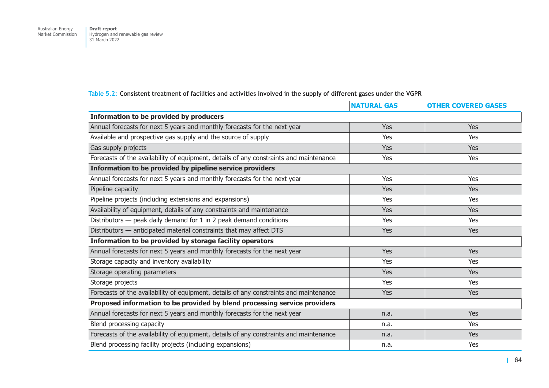### **Table 5.2: Consistent treatment of facilities and activities involved in the supply of different gases under the VGPR**

|                                                                                        | <b>NATURAL GAS</b> | <b>OTHER COVERED GASES</b> |  |  |
|----------------------------------------------------------------------------------------|--------------------|----------------------------|--|--|
| <b>Information to be provided by producers</b>                                         |                    |                            |  |  |
| Annual forecasts for next 5 years and monthly forecasts for the next year              | Yes                | Yes                        |  |  |
| Available and prospective gas supply and the source of supply                          | Yes                | Yes                        |  |  |
| Gas supply projects                                                                    | Yes                | Yes                        |  |  |
| Forecasts of the availability of equipment, details of any constraints and maintenance | Yes                | Yes                        |  |  |
| Information to be provided by pipeline service providers                               |                    |                            |  |  |
| Annual forecasts for next 5 years and monthly forecasts for the next year              | <b>Yes</b>         | <b>Yes</b>                 |  |  |
| Pipeline capacity                                                                      | <b>Yes</b>         | <b>Yes</b>                 |  |  |
| Pipeline projects (including extensions and expansions)                                | Yes                | Yes                        |  |  |
| Availability of equipment, details of any constraints and maintenance                  | <b>Yes</b>         | <b>Yes</b>                 |  |  |
| Distributors - peak daily demand for 1 in 2 peak demand conditions                     | Yes                | Yes                        |  |  |
| Distributors - anticipated material constraints that may affect DTS                    | Yes                | Yes                        |  |  |
| Information to be provided by storage facility operators                               |                    |                            |  |  |
| Annual forecasts for next 5 years and monthly forecasts for the next year              | Yes                | Yes                        |  |  |
| Storage capacity and inventory availability                                            | Yes                | Yes                        |  |  |
| Storage operating parameters                                                           | <b>Yes</b>         | Yes                        |  |  |
| Storage projects                                                                       | Yes                | Yes                        |  |  |
| Forecasts of the availability of equipment, details of any constraints and maintenance | Yes                | Yes                        |  |  |
| Proposed information to be provided by blend processing service providers              |                    |                            |  |  |
| Annual forecasts for next 5 years and monthly forecasts for the next year              | n.a.               | Yes                        |  |  |
| Blend processing capacity                                                              | n.a.               | Yes                        |  |  |
| Forecasts of the availability of equipment, details of any constraints and maintenance | n.a.               | Yes                        |  |  |
| Blend processing facility projects (including expansions)                              | n.a.               | Yes                        |  |  |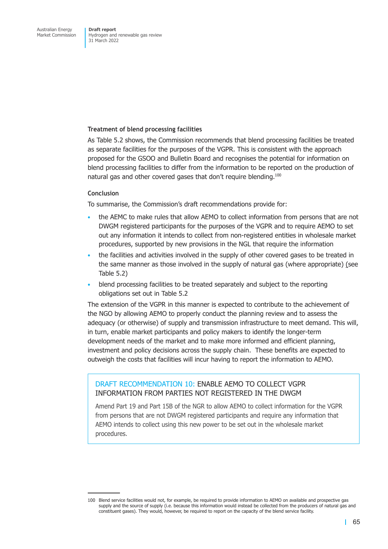### **Treatment of blend processing facilities**

As Table 5.2 shows, the Commission recommends that blend processing facilities be treated as separate facilities for the purposes of the VGPR. This is consistent with the approach proposed for the GSOO and Bulletin Board and recognises the potential for information on blend processing facilities to differ from the information to be reported on the production of natural gas and other covered gases that don't require blending.<sup>100</sup>

### **Conclusion**

To summarise, the Commission's draft recommendations provide for:

- the AEMC to make rules that allow AEMO to collect information from persons that are not DWGM registered participants for the purposes of the VGPR and to require AEMO to set out any information it intends to collect from non-registered entities in wholesale market procedures, supported by new provisions in the NGL that require the information
- the facilities and activities involved in the supply of other covered gases to be treated in the same manner as those involved in the supply of natural gas (where appropriate) (see Table 5.2)
- blend processing facilities to be treated separately and subject to the reporting obligations set out in Table 5.2

The extension of the VGPR in this manner is expected to contribute to the achievement of the NGO by allowing AEMO to properly conduct the planning review and to assess the adequacy (or otherwise) of supply and transmission infrastructure to meet demand. This will, in turn, enable market participants and policy makers to identify the longer-term development needs of the market and to make more informed and efficient planning, investment and policy decisions across the supply chain. These benefits are expected to outweigh the costs that facilities will incur having to report the information to AEMO.

### DRAFT RECOMMENDATION 10: ENABLE AEMO TO COLLECT VGPR INFORMATION FROM PARTIES NOT REGISTERED IN THE DWGM

Amend Part 19 and Part 15B of the NGR to allow AEMO to collect information for the VGPR from persons that are not DWGM registered participants and require any information that AEMO intends to collect using this new power to be set out in the wholesale market procedures.

<sup>100</sup> Blend service facilities would not, for example, be required to provide information to AEMO on available and prospective gas supply and the source of supply (i.e. because this information would instead be collected from the producers of natural gas and constituent gases). They would, however, be required to report on the capacity of the blend service facility.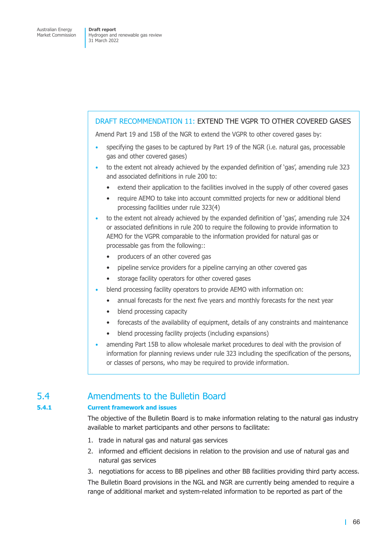#### DRAFT RECOMMENDATION 11: EXTEND THE VGPR TO OTHER COVERED GASES

Amend Part 19 and 15B of the NGR to extend the VGPR to other covered gases by:

- specifying the gases to be captured by Part 19 of the NGR (i.e. natural gas, processable gas and other covered gases)
- to the extent not already achieved by the expanded definition of 'gas', amending rule 323 and associated definitions in rule 200 to:
	- extend their application to the facilities involved in the supply of other covered gases
	- require AEMO to take into account committed projects for new or additional blend processing facilities under rule 323(4)
- to the extent not already achieved by the expanded definition of 'gas', amending rule 324 or associated definitions in rule 200 to require the following to provide information to AEMO for the VGPR comparable to the information provided for natural gas or processable gas from the following::
	- producers of an other covered gas
	- pipeline service providers for a pipeline carrying an other covered gas
	- storage facility operators for other covered gases
- blend processing facility operators to provide AEMO with information on:
	- annual forecasts for the next five years and monthly forecasts for the next year
	- blend processing capacity
	- forecasts of the availability of equipment, details of any constraints and maintenance
	- blend processing facility projects (including expansions)
- amending Part 15B to allow wholesale market procedures to deal with the provision of information for planning reviews under rule 323 including the specification of the persons, or classes of persons, who may be required to provide information.

## 5.4 Amendments to the Bulletin Board

#### **5.4.1 Current framework and issues**

The objective of the Bulletin Board is to make information relating to the natural gas industry available to market participants and other persons to facilitate:

- 1. trade in natural gas and natural gas services
- 2. informed and efficient decisions in relation to the provision and use of natural gas and natural gas services
- 3. negotiations for access to BB pipelines and other BB facilities providing third party access.

The Bulletin Board provisions in the NGL and NGR are currently being amended to require a range of additional market and system-related information to be reported as part of the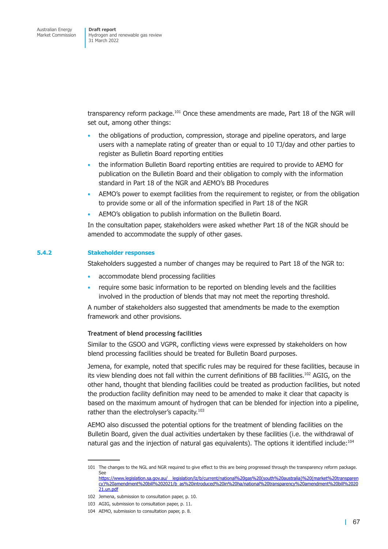transparency reform package.101 Once these amendments are made, Part 18 of the NGR will set out, among other things:

- the obligations of production, compression, storage and pipeline operators, and large users with a nameplate rating of greater than or equal to 10 TJ/day and other parties to register as Bulletin Board reporting entities
- the information Bulletin Board reporting entities are required to provide to AEMO for publication on the Bulletin Board and their obligation to comply with the information standard in Part 18 of the NGR and AEMO's BB Procedures
- AEMO's power to exempt facilities from the requirement to register, or from the obligation to provide some or all of the information specified in Part 18 of the NGR
- AEMO's obligation to publish information on the Bulletin Board.

In the consultation paper, stakeholders were asked whether Part 18 of the NGR should be amended to accommodate the supply of other gases.

#### **5.4.2 Stakeholder responses**

Stakeholders suggested a number of changes may be required to Part 18 of the NGR to:

- accommodate blend processing facilities
- require some basic information to be reported on blending levels and the facilities involved in the production of blends that may not meet the reporting threshold.

A number of stakeholders also suggested that amendments be made to the exemption framework and other provisions.

#### **Treatment of blend processing facilities**

Similar to the GSOO and VGPR, conflicting views were expressed by stakeholders on how blend processing facilities should be treated for Bulletin Board purposes.

Jemena, for example, noted that specific rules may be required for these facilities, because in its view blending does not fall within the current definitions of BB facilities.102 AGIG, on the other hand, thought that blending facilities could be treated as production facilities, but noted the production facility definition may need to be amended to make it clear that capacity is based on the maximum amount of hydrogen that can be blended for injection into a pipeline, rather than the electrolyser's capacity.<sup>103</sup>

AEMO also discussed the potential options for the treatment of blending facilities on the Bulletin Board, given the dual activities undertaken by these facilities (i.e. the withdrawal of natural gas and the injection of natural gas equivalents). The options it identified include:<sup>104</sup>

<sup>101</sup> The changes to the NGL and NGR required to give effect to this are being progressed through the transparency reform package. See https://www.legislation.sa.gov.au/\_\_legislation/lz/b/current/national%20gas%20(south%20australia)%20(market%20transparen cy)%20amendment%20bill%202021/b\_as%20introduced%20in%20ha/national%20transparency%20amendment%20bill%2020 21.un.pdf

<sup>102</sup> Jemena, submission to consultation paper, p. 10.

<sup>103</sup> AGIG, submission to consultation paper, p. 11.

<sup>104</sup> [AEMO, submission to consultation paper, p. 8.](https://www.legislation.sa.gov.au/__legislation/lz/b/current/national%20gas%20(south%20australia)%20(market%20transparency)%20amendment%20bill%202021/b_as%20introduced%20in%20ha/national%20transparency%20amendment%20bill%202021.un.pdf)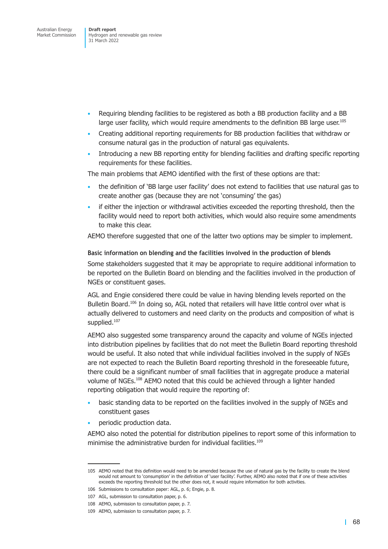- Requiring blending facilities to be registered as both a BB production facility and a BB large user facility, which would require amendments to the definition BB large user.<sup>105</sup>
- Creating additional reporting requirements for BB production facilities that withdraw or consume natural gas in the production of natural gas equivalents.
- Introducing a new BB reporting entity for blending facilities and drafting specific reporting requirements for these facilities.

The main problems that AEMO identified with the first of these options are that:

- the definition of 'BB large user facility' does not extend to facilities that use natural gas to create another gas (because they are not 'consuming' the gas)
- if either the injection or withdrawal activities exceeded the reporting threshold, then the facility would need to report both activities, which would also require some amendments to make this clear.

AEMO therefore suggested that one of the latter two options may be simpler to implement.

#### **Basic information on blending and the facilities involved in the production of blends**

Some stakeholders suggested that it may be appropriate to require additional information to be reported on the Bulletin Board on blending and the facilities involved in the production of NGEs or constituent gases.

AGL and Engie considered there could be value in having blending levels reported on the Bulletin Board.<sup>106</sup> In doing so, AGL noted that retailers will have little control over what is actually delivered to customers and need clarity on the products and composition of what is supplied.<sup>107</sup>

AEMO also suggested some transparency around the capacity and volume of NGEs injected into distribution pipelines by facilities that do not meet the Bulletin Board reporting threshold would be useful. It also noted that while individual facilities involved in the supply of NGEs are not expected to reach the Bulletin Board reporting threshold in the foreseeable future, there could be a significant number of small facilities that in aggregate produce a material volume of NGEs.<sup>108</sup> AEMO noted that this could be achieved through a lighter handed reporting obligation that would require the reporting of:

- basic standing data to be reported on the facilities involved in the supply of NGEs and constituent gases
- periodic production data.

AEMO also noted the potential for distribution pipelines to report some of this information to minimise the administrative burden for individual facilities.<sup>109</sup>

<sup>105</sup> AEMO noted that this definition would need to be amended because the use of natural gas by the facility to create the blend would not amount to 'consumption' in the definition of 'user facility'. Further, AEMO also noted that if one of these activities exceeds the reporting threshold but the other does not, it would require information for both activities.

<sup>106</sup> Submissions to consultation paper: AGL, p. 6; Engie, p. 8.

<sup>107</sup> AGL, submission to consultation paper, p. 6.

<sup>108</sup> AEMO, submission to consultation paper, p. 7.

<sup>109</sup> AEMO, submission to consultation paper, p. 7.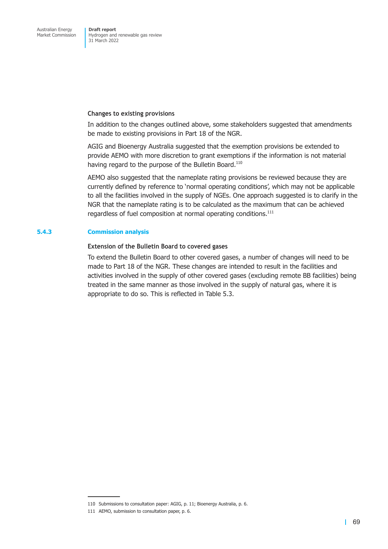#### **Changes to existing provisions**

In addition to the changes outlined above, some stakeholders suggested that amendments be made to existing provisions in Part 18 of the NGR.

AGIG and Bioenergy Australia suggested that the exemption provisions be extended to provide AEMO with more discretion to grant exemptions if the information is not material having regard to the purpose of the Bulletin Board.<sup>110</sup>

AEMO also suggested that the nameplate rating provisions be reviewed because they are currently defined by reference to 'normal operating conditions', which may not be applicable to all the facilities involved in the supply of NGEs. One approach suggested is to clarify in the NGR that the nameplate rating is to be calculated as the maximum that can be achieved regardless of fuel composition at normal operating conditions.<sup>111</sup>

#### **5.4.3 Commission analysis**

#### **Extension of the Bulletin Board to covered gases**

To extend the Bulletin Board to other covered gases, a number of changes will need to be made to Part 18 of the NGR. These changes are intended to result in the facilities and activities involved in the supply of other covered gases (excluding remote BB facilities) being treated in the same manner as those involved in the supply of natural gas, where it is appropriate to do so. This is reflected in Table 5.3.

<sup>110</sup> Submissions to consultation paper: AGIG, p. 11; Bioenergy Australia, p. 6.

<sup>111</sup> AEMO, submission to consultation paper, p. 6.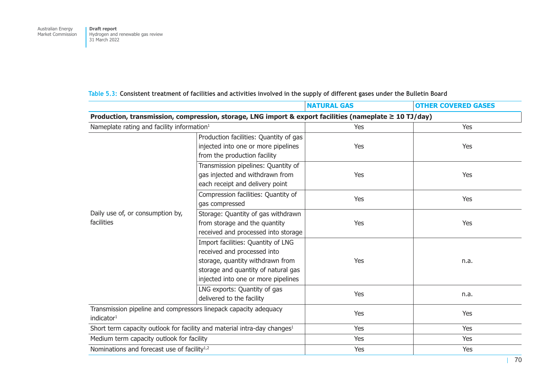|                                                                                                             |                                                                                                                                                                                     | <b>NATURAL GAS</b> | <b>OTHER COVERED GASES</b> |  |  |
|-------------------------------------------------------------------------------------------------------------|-------------------------------------------------------------------------------------------------------------------------------------------------------------------------------------|--------------------|----------------------------|--|--|
| Production, transmission, compression, storage, LNG import & export facilities (nameplate $\geq 10$ TJ/day) |                                                                                                                                                                                     |                    |                            |  |  |
| Nameplate rating and facility information <sup>1</sup>                                                      |                                                                                                                                                                                     | Yes                | Yes                        |  |  |
| Daily use of, or consumption by,<br>facilities                                                              | Production facilities: Quantity of gas<br>injected into one or more pipelines<br>from the production facility                                                                       | Yes                | Yes                        |  |  |
|                                                                                                             | Transmission pipelines: Quantity of<br>gas injected and withdrawn from<br>each receipt and delivery point                                                                           | Yes                | Yes                        |  |  |
|                                                                                                             | Compression facilities: Quantity of<br>gas compressed                                                                                                                               | Yes                | Yes                        |  |  |
|                                                                                                             | Storage: Quantity of gas withdrawn<br>from storage and the quantity<br>received and processed into storage                                                                          | Yes                | Yes                        |  |  |
|                                                                                                             | Import facilities: Quantity of LNG<br>received and processed into<br>storage, quantity withdrawn from<br>storage and quantity of natural gas<br>injected into one or more pipelines | Yes                | n.a.                       |  |  |
|                                                                                                             | LNG exports: Quantity of gas<br>delivered to the facility                                                                                                                           | Yes                | n.a.                       |  |  |
| Transmission pipeline and compressors linepack capacity adequacy<br>indicator <sup>1</sup>                  |                                                                                                                                                                                     | Yes                | Yes                        |  |  |
| Short term capacity outlook for facility and material intra-day changes <sup>1</sup>                        |                                                                                                                                                                                     | Yes                | <b>Yes</b>                 |  |  |
| Medium term capacity outlook for facility                                                                   |                                                                                                                                                                                     | Yes                | Yes                        |  |  |
| Nominations and forecast use of facility <sup>1,2</sup>                                                     |                                                                                                                                                                                     | Yes                | Yes                        |  |  |

### **Table 5.3: Consistent treatment of facilities and activities involved in the supply of different gases under the Bulletin Board**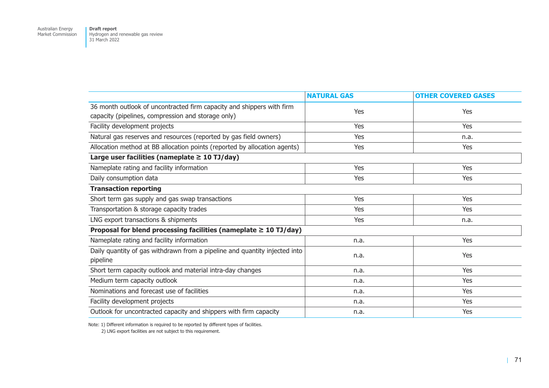Australian Energy Market Commission

**Draft report**  Hydrogen and renewable gas review 31 March 2022

|                                                                                                                             | <b>NATURAL GAS</b> | <b>OTHER COVERED GASES</b> |  |  |
|-----------------------------------------------------------------------------------------------------------------------------|--------------------|----------------------------|--|--|
| 36 month outlook of uncontracted firm capacity and shippers with firm<br>capacity (pipelines, compression and storage only) | Yes                | Yes                        |  |  |
| Facility development projects                                                                                               | <b>Yes</b>         | Yes                        |  |  |
| Natural gas reserves and resources (reported by gas field owners)                                                           | Yes                | n.a.                       |  |  |
| Allocation method at BB allocation points (reported by allocation agents)                                                   | <b>Yes</b>         | Yes                        |  |  |
| Large user facilities (nameplate $\geq 10$ TJ/day)                                                                          |                    |                            |  |  |
| Nameplate rating and facility information                                                                                   | Yes                | Yes                        |  |  |
| Daily consumption data                                                                                                      | Yes                | Yes                        |  |  |
| <b>Transaction reporting</b>                                                                                                |                    |                            |  |  |
| Short term gas supply and gas swap transactions                                                                             | Yes                | Yes                        |  |  |
| Transportation & storage capacity trades                                                                                    | Yes                | Yes                        |  |  |
| LNG export transactions & shipments                                                                                         | <b>Yes</b>         | n.a.                       |  |  |
| Proposal for blend processing facilities (nameplate $\geq 10$ TJ/day)                                                       |                    |                            |  |  |
| Nameplate rating and facility information                                                                                   | n.a.               | Yes                        |  |  |
| Daily quantity of gas withdrawn from a pipeline and quantity injected into<br>pipeline                                      | n.a.               | Yes                        |  |  |
| Short term capacity outlook and material intra-day changes                                                                  | n.a.               | Yes                        |  |  |
| Medium term capacity outlook                                                                                                | n.a.               | Yes                        |  |  |
| Nominations and forecast use of facilities                                                                                  | n.a.               | Yes                        |  |  |
| Facility development projects                                                                                               | n.a.               | Yes                        |  |  |
| Outlook for uncontracted capacity and shippers with firm capacity                                                           | n.a.               | Yes                        |  |  |

Note: 1) Different information is required to be reported by different types of facilities.

2) LNG export facilities are not subject to this requirement.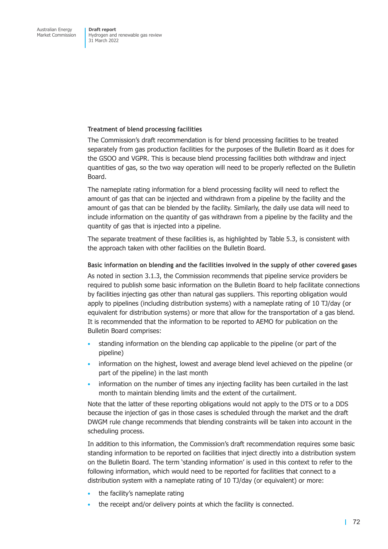#### **Treatment of blend processing facilities**

The Commission's draft recommendation is for blend processing facilities to be treated separately from gas production facilities for the purposes of the Bulletin Board as it does for the GSOO and VGPR. This is because blend processing facilities both withdraw and inject quantities of gas, so the two way operation will need to be properly reflected on the Bulletin Board.

The nameplate rating information for a blend processing facility will need to reflect the amount of gas that can be injected and withdrawn from a pipeline by the facility and the amount of gas that can be blended by the facility. Similarly, the daily use data will need to include information on the quantity of gas withdrawn from a pipeline by the facility and the quantity of gas that is injected into a pipeline.

The separate treatment of these facilities is, as highlighted by Table 5.3, is consistent with the approach taken with other facilities on the Bulletin Board.

#### **Basic information on blending and the facilities involved in the supply of other covered gases**

As noted in section 3.1.3, the Commission recommends that pipeline service providers be required to publish some basic information on the Bulletin Board to help facilitate connections by facilities injecting gas other than natural gas suppliers. This reporting obligation would apply to pipelines (including distribution systems) with a nameplate rating of 10 TJ/day (or equivalent f[or distribution](#page-21-0) systems) or more that allow for the transportation of a gas blend. It is recommended that the information to be reported to AEMO for publication on the Bulletin Board comprises:

- standing information on the blending cap applicable to the pipeline (or part of the pipeline)
- information on the highest, lowest and average blend level achieved on the pipeline (or part of the pipeline) in the last month
- information on the number of times any injecting facility has been curtailed in the last month to maintain blending limits and the extent of the curtailment.

Note that the latter of these reporting obligations would not apply to the DTS or to a DDS because the injection of gas in those cases is scheduled through the market and the draft DWGM rule change recommends that blending constraints will be taken into account in the scheduling process.

In addition to this information, the Commission's draft recommendation requires some basic standing information to be reported on facilities that inject directly into a distribution system on the Bulletin Board. The term 'standing information' is used in this context to refer to the following information, which would need to be reported for facilities that connect to a distribution system with a nameplate rating of 10 TJ/day (or equivalent) or more:

- the facility's nameplate rating
- the receipt and/or delivery points at which the facility is connected.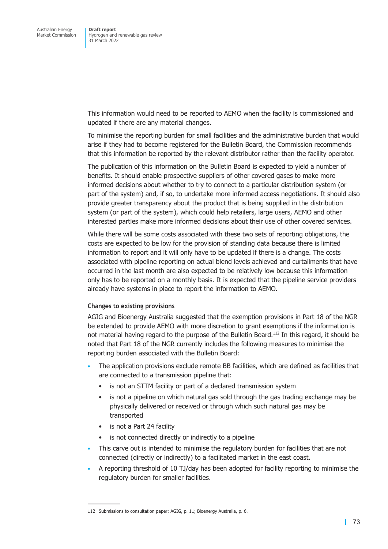This information would need to be reported to AEMO when the facility is commissioned and updated if there are any material changes.

To minimise the reporting burden for small facilities and the administrative burden that would arise if they had to become registered for the Bulletin Board, the Commission recommends that this information be reported by the relevant distributor rather than the facility operator.

The publication of this information on the Bulletin Board is expected to yield a number of benefits. It should enable prospective suppliers of other covered gases to make more informed decisions about whether to try to connect to a particular distribution system (or part of the system) and, if so, to undertake more informed access negotiations. It should also provide greater transparency about the product that is being supplied in the distribution system (or part of the system), which could help retailers, large users, AEMO and other interested parties make more informed decisions about their use of other covered services.

While there will be some costs associated with these two sets of reporting obligations, the costs are expected to be low for the provision of standing data because there is limited information to report and it will only have to be updated if there is a change. The costs associated with pipeline reporting on actual blend levels achieved and curtailments that have occurred in the last month are also expected to be relatively low because this information only has to be reported on a monthly basis. It is expected that the pipeline service providers already have systems in place to report the information to AEMO.

#### **Changes to existing provisions**

AGIG and Bioenergy Australia suggested that the exemption provisions in Part 18 of the NGR be extended to provide AEMO with more discretion to grant exemptions if the information is not material having regard to the purpose of the Bulletin Board.<sup>112</sup> In this regard, it should be noted that Part 18 of the NGR currently includes the following measures to minimise the reporting burden associated with the Bulletin Board:

- The application provisions exclude remote BB facilities, which are defined as facilities that are connected to a transmission pipeline that:
	- is not an STTM facility or part of a declared transmission system
	- is not a pipeline on which natural gas sold through the gas trading exchange may be physically delivered or received or through which such natural gas may be transported
	- is not a Part 24 facility
	- is not connected directly or indirectly to a pipeline
- This carve out is intended to minimise the regulatory burden for facilities that are not connected (directly or indirectly) to a facilitated market in the east coast.
- A reporting threshold of 10 TJ/day has been adopted for facility reporting to minimise the regulatory burden for smaller facilities.

<sup>112</sup> Submissions to consultation paper: AGIG, p. 11; Bioenergy Australia, p. 6.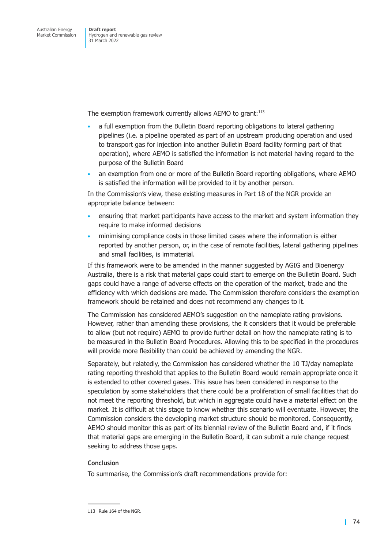The exemption framework currently allows AEMO to grant:<sup>113</sup>

- a full exemption from the Bulletin Board reporting obligations to lateral gathering pipelines (i.e. a pipeline operated as part of an upstream producing operation and used to transport gas for injection into another Bulletin Board facility forming part of that operation), where AEMO is satisfied the information is not material having regard to the purpose of the Bulletin Board
- an exemption from one or more of the Bulletin Board reporting obligations, where AEMO is satisfied the information will be provided to it by another person.

In the Commission's view, these existing measures in Part 18 of the NGR provide an appropriate balance between:

- ensuring that market participants have access to the market and system information they require to make informed decisions
- minimising compliance costs in those limited cases where the information is either reported by another person, or, in the case of remote facilities, lateral gathering pipelines and small facilities, is immaterial.

If this framework were to be amended in the manner suggested by AGIG and Bioenergy Australia, there is a risk that material gaps could start to emerge on the Bulletin Board. Such gaps could have a range of adverse effects on the operation of the market, trade and the efficiency with which decisions are made. The Commission therefore considers the exemption framework should be retained and does not recommend any changes to it.

The Commission has considered AEMO's suggestion on the nameplate rating provisions. However, rather than amending these provisions, the it considers that it would be preferable to allow (but not require) AEMO to provide further detail on how the nameplate rating is to be measured in the Bulletin Board Procedures. Allowing this to be specified in the procedures will provide more flexibility than could be achieved by amending the NGR.

Separately, but relatedly, the Commission has considered whether the 10 TJ/day nameplate rating reporting threshold that applies to the Bulletin Board would remain appropriate once it is extended to other covered gases. This issue has been considered in response to the speculation by some stakeholders that there could be a proliferation of small facilities that do not meet the reporting threshold, but which in aggregate could have a material effect on the market. It is difficult at this stage to know whether this scenario will eventuate. However, the Commission considers the developing market structure should be monitored. Consequently, AEMO should monitor this as part of its biennial review of the Bulletin Board and, if it finds that material gaps are emerging in the Bulletin Board, it can submit a rule change request seeking to address those gaps.

#### **Conclusion**

To summarise, the Commission's draft recommendations provide for:

<sup>113</sup> Rule 164 of the NGR.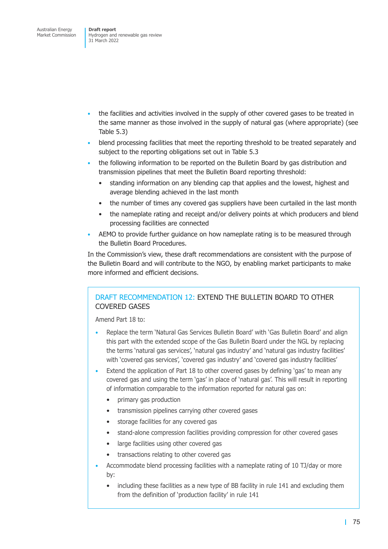- the facilities and activities involved in the supply of other covered gases to be treated in the same manner as those involved in the supply of natural gas (where appropriate) (see Table 5.3)
- blend processing facilities that meet the reporting threshold to be treated separately and subject to the reporting obligations set out in Table 5.3
- the following information to be reported on the Bulletin Board by gas distribution and transmission pipelines that meet the Bulletin Board reporting threshold:
	- standing information on any blending cap that applies and the lowest, highest and average blending achieved in the last month
	- the number of times any covered gas suppliers have been curtailed in the last month
	- the nameplate rating and receipt and/or delivery points at which producers and blend processing facilities are connected
- AEMO to provide further guidance on how nameplate rating is to be measured through the Bulletin Board Procedures.

In the Commission's view, these draft recommendations are consistent with the purpose of the Bulletin Board and will contribute to the NGO, by enabling market participants to make more informed and efficient decisions.

### DRAFT RECOMMENDATION 12: EXTEND THE BULLETIN BOARD TO OTHER COVERED GASES

Amend Part 18 to:

- Replace the term 'Natural Gas Services Bulletin Board' with 'Gas Bulletin Board' and align this part with the extended scope of the Gas Bulletin Board under the NGL by replacing the terms 'natural gas services', 'natural gas industry' and 'natural gas industry facilities' with 'covered gas services', 'covered gas industry' and 'covered gas industry facilities'
- Extend the application of Part 18 to other covered gases by defining 'gas' to mean any covered gas and using the term 'gas' in place of 'natural gas'. This will result in reporting of information comparable to the information reported for natural gas on:
	- primary gas production
	- transmission pipelines carrying other covered gases
	- storage facilities for any covered gas
	- stand-alone compression facilities providing compression for other covered gases
	- large facilities using other covered gas
	- transactions relating to other covered gas
- Accommodate blend processing facilities with a nameplate rating of 10 TJ/day or more by:
	- including these facilities as a new type of BB facility in rule 141 and excluding them from the definition of 'production facility' in rule 141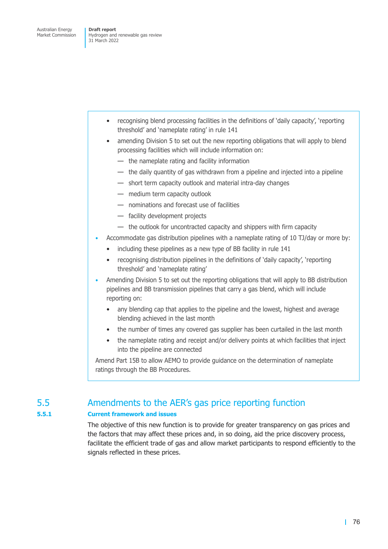- recognising blend processing facilities in the definitions of 'daily capacity', 'reporting threshold' and 'nameplate rating' in rule 141
- amending Division 5 to set out the new reporting obligations that will apply to blend processing facilities which will include information on:
	- the nameplate rating and facility information
	- the daily quantity of gas withdrawn from a pipeline and injected into a pipeline
	- short term capacity outlook and material intra-day changes
	- medium term capacity outlook
	- nominations and forecast use of facilities
	- facility development projects
	- the outlook for uncontracted capacity and shippers with firm capacity
- Accommodate gas distribution pipelines with a nameplate rating of 10 TJ/day or more by:
	- including these pipelines as a new type of BB facility in rule 141
	- recognising distribution pipelines in the definitions of 'daily capacity', 'reporting threshold' and 'nameplate rating'
- Amending Division 5 to set out the reporting obligations that will apply to BB distribution pipelines and BB transmission pipelines that carry a gas blend, which will include reporting on:
	- any blending cap that applies to the pipeline and the lowest, highest and average blending achieved in the last month
	- the number of times any covered gas supplier has been curtailed in the last month
	- the nameplate rating and receipt and/or delivery points at which facilities that inject into the pipeline are connected

Amend Part 15B to allow AEMO to provide guidance on the determination of nameplate ratings through the BB Procedures.

## 5.5 Amendments to the AER's gas price reporting function

### **5.5.1 Current framework and issues**

The objective of this new function is to provide for greater transparency on gas prices and the factors that may affect these prices and, in so doing, aid the price discovery process, facilitate the efficient trade of gas and allow market participants to respond efficiently to the signals reflected in these prices.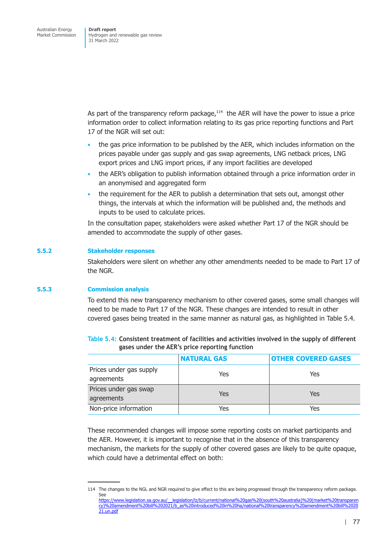As part of the transparency reform package, $114$  the AER will have the power to issue a price information order to collect information relating to its gas price reporting functions and Part 17 of the NGR will set out:

- the gas price information to be published by the AER, which includes information on the prices payable under gas supply and gas swap agreements, LNG netback prices, LNG export prices and LNG import prices, if any import facilities are developed
- the AER's obligation to publish information obtained through a price information order in an anonymised and aggregated form
- the requirement for the AER to publish a determination that sets out, amongst other things, the intervals at which the information will be published and, the methods and inputs to be used to calculate prices.

In the consultation paper, stakeholders were asked whether Part 17 of the NGR should be amended to accommodate the supply of other gases.

#### **5.5.2 Stakeholder responses**

Stakeholders were silent on whether any other amendments needed to be made to Part 17 of the NGR.

#### **5.5.3 Commission analysis**

21.un.pdf

To extend this new transparency mechanism to other covered gases, some small changes will need to be made to Part 17 of the NGR. These changes are intended to result in other covered gases being treated in the same manner as natural gas, as highlighted in Table 5.4.

|                                       | <b>NATURAL GAS</b> | <b>OTHER COVERED GASES</b> |
|---------------------------------------|--------------------|----------------------------|
| Prices under gas supply<br>agreements | Yes                | Yes                        |
| Prices under gas swap<br>agreements   | Yes                | Yes                        |
| Non-price information                 | Yes                | Yes                        |

| Table 5.4: Consistent treatment of facilities and activities involved in the supply of different |
|--------------------------------------------------------------------------------------------------|
| gases under the AER's price reporting function                                                   |

These recommended changes will impose some reporting costs on market participants and the AER. However, it is important to recognise that in the absence of this transparency mechanism, the markets for the supply of other covered gases are likely to be quite opaque, which could have a detrimental effect on both:

<sup>114</sup> The changes to the NGL and NGR required to give effect to this are being progressed through the transparency reform package. See https://www.legislation.sa.gov.au/\_\_legislation/lz/b/current/national%20gas%20(south%20australia)%20(market%20transparen cy)%20amendment%20bill%202021/b\_as%20introduced%20in%20ha/national%20transparency%20amendment%20bill%2020

<sup>| 77</sup>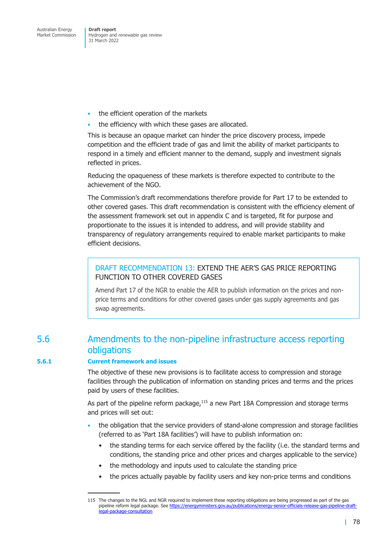Hydrogen and renewable gas review 31 March 2022

- the efficient operation of the markets
- the efficiency with which these gases are allocated.

This is because an opaque market can hinder the price discovery process, impede competition and the efficient trade of gas and limit the ability of market participants to respond in a timely and efficient manner to the demand, supply and investment signals reflected in prices.

Reducing the opaqueness of these markets is therefore expected to contribute to the achievement of the NGO.

The Commission's draft recommendations therefore provide for Part 17 to be extended to other covered gases. This draft recommendation is consistent with the efficiency element of the assessment framework set out in appendix C and is targeted, fit for purpose and proportionate to the issues it is intended to address, and will provide stability and transparency of regulatory arrangements required to enable market participants to make efficient decisions.

### DRAFT RECOMMENDATION 13: EXTEND THE AER'S GAS PRICE REPORTING FUNCTION TO OTHER COVERED GASES

Amend Part 17 of the NGR to enable the AER to publish information on the prices and nonprice terms and conditions for other covered gases under gas supply agreements and gas swap agreements.

## 5.6 Amendments to the non-pipeline infrastructure access reporting obligations

#### **5.6.1 Current framework and issues**

The objective of these new provisions is to facilitate access to compression and storage facilities through the publication of information on standing prices and terms and the prices paid by users of these facilities.

As part of the pipeline reform package,<sup>115</sup> a new Part 18A Compression and storage terms and prices will set out:

- the obligation that the service providers of stand-alone compression and storage facilities (referred to as 'Part 18A facilities') will have to publish information on:
	- the standing terms for each service offered by the facility (i.e. the standard terms and conditions, the standing price and other prices and charges applicable to the service)
	- the methodology and inputs used to calculate the standing price
	- the prices actually payable by facility users and key non-price terms and conditions

<sup>115</sup> The changes to the NGL and NGR required to implement these reporting obligations are being progressed as part of the gas pipeline reform legal package. See https://energyministers.gov.au/publications/energy-senior-officials-release-gas-pipeline-draftlegal-package-consultation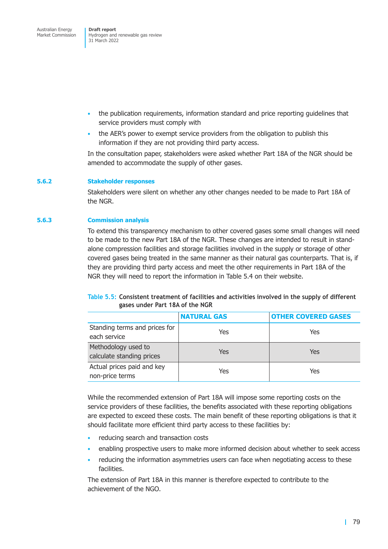- the publication requirements, information standard and price reporting guidelines that service providers must comply with
- the AER's power to exempt service providers from the obligation to publish this information if they are not providing third party access.

In the consultation paper, stakeholders were asked whether Part 18A of the NGR should be amended to accommodate the supply of other gases.

#### **5.6.2 Stakeholder responses**

Stakeholders were silent on whether any other changes needed to be made to Part 18A of the NGR.

#### **5.6.3 Commission analysis**

To extend this transparency mechanism to other covered gases some small changes will need to be made to the new Part 18A of the NGR. These changes are intended to result in standalone compression facilities and storage facilities involved in the supply or storage of other covered gases being treated in the same manner as their natural gas counterparts. That is, if they are providing third party access and meet the other requirements in Part 18A of the NGR they will need to report the information in Table 5.4 on their website.

|                                 | Table 5.5: Consistent treatment of facilities and activities involved in the supply of different |
|---------------------------------|--------------------------------------------------------------------------------------------------|
| gases under Part 18A of the NGR |                                                                                                  |

|                                                  | <b>NATURAL GAS</b> | <b>OTHER COVERED GASES</b> |
|--------------------------------------------------|--------------------|----------------------------|
| Standing terms and prices for<br>each service    | Yes                | Yes                        |
| Methodology used to<br>calculate standing prices | Yes                | Yes                        |
| Actual prices paid and key<br>non-price terms    | Yes                | Yes                        |

While the recommended extension of Part 18A will impose some reporting costs on the service providers of these facilities, the benefits associated with these reporting obligations are expected to exceed these costs. The main benefit of these reporting obligations is that it should facilitate more efficient third party access to these facilities by:

- reducing search and transaction costs
- enabling prospective users to make more informed decision about whether to seek access
- reducing the information asymmetries users can face when negotiating access to these facilities.

The extension of Part 18A in this manner is therefore expected to contribute to the achievement of the NGO.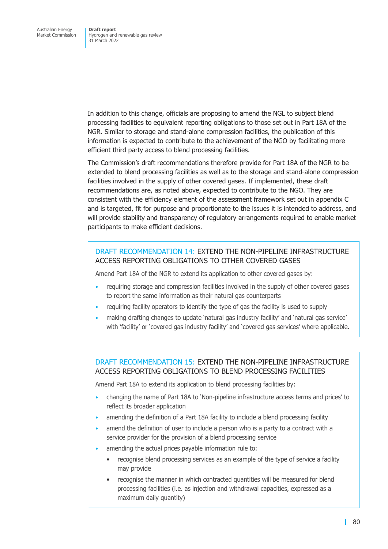In addition to this change, officials are proposing to amend the NGL to subject blend processing facilities to equivalent reporting obligations to those set out in Part 18A of the NGR. Similar to storage and stand-alone compression facilities, the publication of this information is expected to contribute to the achievement of the NGO by facilitating more efficient third party access to blend processing facilities.

The Commission's draft recommendations therefore provide for Part 18A of the NGR to be extended to blend processing facilities as well as to the storage and stand-alone compression facilities involved in the supply of other covered gases. If implemented, these draft recommendations are, as noted above, expected to contribute to the NGO. They are consistent with the efficiency element of the assessment framework set out in appendix C and is targeted, fit for purpose and proportionate to the issues it is intended to address, and will provide stability and transparency of regulatory arrangements required to enable market participants to make efficient decisions.

### DRAFT RECOMMENDATION 14: EXTEND THE NON-PIPELINE INFRASTRUCTURE ACCESS REPORTING OBLIGATIONS TO OTHER COVERED GASES

Amend Part 18A of the NGR to extend its application to other covered gases by:

- requiring storage and compression facilities involved in the supply of other covered gases to report the same information as their natural gas counterparts
- requiring facility operators to identify the type of gas the facility is used to supply
- making drafting changes to update 'natural gas industry facility' and 'natural gas service' with 'facility' or 'covered gas industry facility' and 'covered gas services' where applicable.

## DRAFT RECOMMENDATION 15: EXTEND THE NON-PIPELINE INFRASTRUCTURE ACCESS REPORTING OBLIGATIONS TO BLEND PROCESSING FACILITIES

Amend Part 18A to extend its application to blend processing facilities by:

- changing the name of Part 18A to 'Non-pipeline infrastructure access terms and prices' to reflect its broader application
- amending the definition of a Part 18A facility to include a blend processing facility
- amend the definition of user to include a person who is a party to a contract with a service provider for the provision of a blend processing service
- amending the actual prices payable information rule to:
	- recognise blend processing services as an example of the type of service a facility may provide
	- recognise the manner in which contracted quantities will be measured for blend processing facilities (i.e. as injection and withdrawal capacities, expressed as a maximum daily quantity)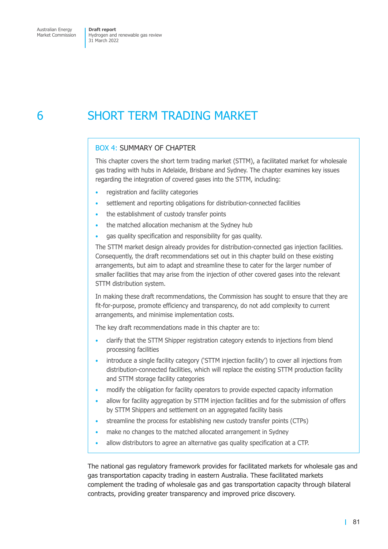# 6 SHORT TERM TRADING MARKET

## BOX 4: SUMMARY OF CHAPTER

This chapter covers the short term trading market (STTM), a facilitated market for wholesale gas trading with hubs in Adelaide, Brisbane and Sydney. The chapter examines key issues regarding the integration of covered gases into the STTM, including:

- registration and facility categories
- settlement and reporting obligations for distribution-connected facilities
- the establishment of custody transfer points
- the matched allocation mechanism at the Sydney hub
- gas quality specification and responsibility for gas quality.

The STTM market design already provides for distribution-connected gas injection facilities. Consequently, the draft recommendations set out in this chapter build on these existing arrangements, but aim to adapt and streamline these to cater for the larger number of smaller facilities that may arise from the injection of other covered gases into the relevant STTM distribution system.

In making these draft recommendations, the Commission has sought to ensure that they are fit-for-purpose, promote efficiency and transparency, do not add complexity to current arrangements, and minimise implementation costs.

The key draft recommendations made in this chapter are to:

- clarify that the STTM Shipper registration category extends to injections from blend processing facilities
- introduce a single facility category ('STTM injection facility') to cover all injections from distribution-connected facilities, which will replace the existing STTM production facility and STTM storage facility categories
- modify the obligation for facility operators to provide expected capacity information
- allow for facility aggregation by STTM injection facilities and for the submission of offers by STTM Shippers and settlement on an aggregated facility basis
- streamline the process for establishing new custody transfer points (CTPs)
- make no changes to the matched allocated arrangement in Sydney
- allow distributors to agree an alternative gas quality specification at a CTP.

The national gas regulatory framework provides for facilitated markets for wholesale gas and gas transportation capacity trading in eastern Australia. These facilitated markets complement the trading of wholesale gas and gas transportation capacity through bilateral contracts, providing greater transparency and improved price discovery.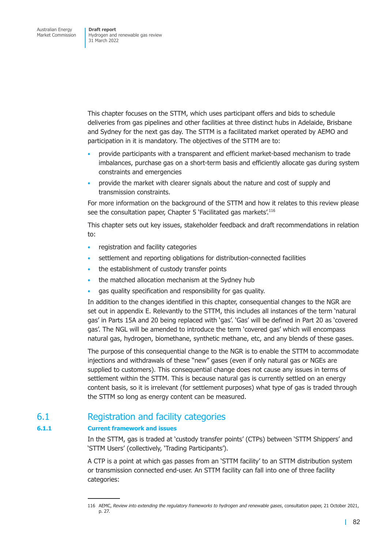This chapter focuses on the STTM, which uses participant offers and bids to schedule deliveries from gas pipelines and other facilities at three distinct hubs in Adelaide, Brisbane and Sydney for the next gas day. The STTM is a facilitated market operated by AEMO and participation in it is mandatory. The objectives of the STTM are to:

- provide participants with a transparent and efficient market-based mechanism to trade imbalances, purchase gas on a short-term basis and efficiently allocate gas during system constraints and emergencies
- provide the market with clearer signals about the nature and cost of supply and transmission constraints.

For more information on the background of the STTM and how it relates to this review please see the consultation paper, Chapter 5 'Facilitated gas markets'.<sup>116</sup>

This chapter sets out key issues, stakeholder feedback and draft recommendations in relation to:

- registration and facility categories
- settlement and reporting obligations for distribution-connected facilities
- the establishment of custody transfer points
- the matched allocation mechanism at the Sydney hub
- gas quality specification and responsibility for gas quality.

In addition to the changes identified in this chapter, consequential changes to the NGR are set out in appendix E. Relevantly to the STTM, this includes all instances of the term 'natural gas' in Parts 15A and 20 being replaced with 'gas'. 'Gas' will be defined in Part 20 as 'covered gas'. The NGL will be amended to introduce the term 'covered gas' which will encompass natural g[as, hydrogen](#page-166-0), biomethane, synthetic methane, etc, and any blends of these gases.

The purpose of this consequential change to the NGR is to enable the STTM to accommodate injections and withdrawals of these "new" gases (even if only natural gas or NGEs are supplied to customers). This consequential change does not cause any issues in terms of settlement within the STTM. This is because natural gas is currently settled on an energy content basis, so it is irrelevant (for settlement purposes) what type of gas is traded through the STTM so long as energy content can be measured.

## 6.1 Registration and facility categories

#### **6.1.1 Current framework and issues**

In the STTM, gas is traded at 'custody transfer points' (CTPs) between 'STTM Shippers' and 'STTM Users' (collectively, 'Trading Participants').

<span id="page-88-0"></span>A CTP is a point at which gas passes from an 'STTM facility' to an STTM distribution system or transmission connected end-user. An STTM facility can fall into one of three facility categories:

<sup>116</sup> AEMC, *Review into extending the regulatory frameworks to hydrogen and renewable gases*, consultation paper, 21 October 2021, p. 27.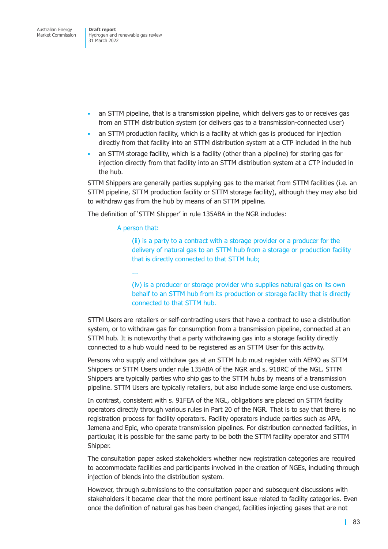- an STTM pipeline, that is a transmission pipeline, which delivers gas to or receives gas from an STTM distribution system (or delivers gas to a transmission-connected user)
- an STTM production facility, which is a facility at which gas is produced for injection directly from that facility into an STTM distribution system at a CTP included in the hub
- an STTM storage facility, which is a facility (other than a pipeline) for storing gas for injection directly from that facility into an STTM distribution system at a CTP included in the hub.

STTM Shippers are generally parties supplying gas to the market from STTM facilities (i.e. an STTM pipeline, STTM production facility or STTM storage facility), although they may also bid to withdraw gas from the hub by means of an STTM pipeline.

The definition of 'STTM Shipper' in rule 135ABA in the NGR includes:

A person that:

...

(ii) is a party to a contract with a storage provider or a producer for the delivery of natural gas to an STTM hub from a storage or production facility that is directly connected to that STTM hub;

(iv) is a producer or storage provider who supplies natural gas on its own behalf to an STTM hub from its production or storage facility that is directly connected to that STTM hub.

STTM Users are retailers or self-contracting users that have a contract to use a distribution system, or to withdraw gas for consumption from a transmission pipeline, connected at an STTM hub. It is noteworthy that a party withdrawing gas into a storage facility directly connected to a hub would need to be registered as an STTM User for this activity.

Persons who supply and withdraw gas at an STTM hub must register with AEMO as STTM Shippers or STTM Users under rule 135ABA of the NGR and s. 91BRC of the NGL. STTM Shippers are typically parties who ship gas to the STTM hubs by means of a transmission pipeline. STTM Users are typically retailers, but also include some large end use customers.

In contrast, consistent with s. 91FEA of the NGL, obligations are placed on STTM facility operators directly through various rules in Part 20 of the NGR. That is to say that there is no registration process for facility operators. Facility operators include parties such as APA, Jemena and Epic, who operate transmission pipelines. For distribution connected facilities, in particular, it is possible for the same party to be both the STTM facility operator and STTM Shipper.

The consultation paper asked stakeholders whether new registration categories are required to accommodate facilities and participants involved in the creation of NGEs, including through injection of blends into the distribution system.

However, through submissions to the consultation paper and subsequent discussions with stakeholders it became clear that the more pertinent issue related to facility categories. Even once the definition of natural gas has been changed, facilities injecting gases that are not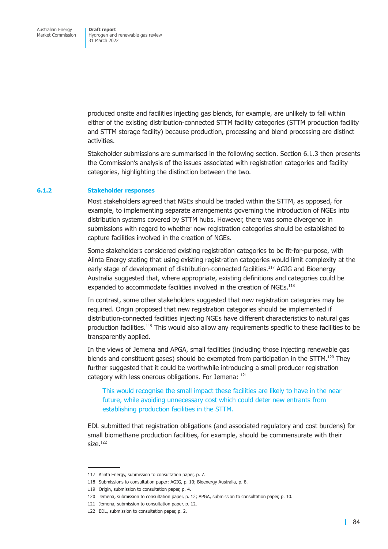produced onsite and facilities injecting gas blends, for example, are unlikely to fall within either of the existing distribution-connected STTM facility categories (STTM production facility and STTM storage facility) because production, processing and blend processing are distinct activities.

Stakeholder submissions are summarised in the following section. Section 6.1.3 then presents the Commission's analysis of the issues associated with registration categories and facility categories, highlighting the distinction between the two.

#### **6.1.2 Stakeholder responses**

Most stakeholders agreed that NGEs should be traded within the STTM, as opposed, for example, to implementing separate arrangements governing the introduction of NGEs into distribution systems covered by STTM hubs. However, there was some divergence in submissions with regard to whether new registration categories should be established to capture facilities involved in the creation of NGEs.

Some stakeholders considered existing registration categories to be fit-for-purpose, with Alinta Energy stating that using existing registration categories would limit complexity at the early stage of development of distribution-connected facilities.<sup>117</sup> AGIG and Bioenergy Australia suggested that, where appropriate, existing definitions and categories could be expanded to accommodate facilities involved in the creation of NGEs.<sup>118</sup>

In contrast, some other stakeholders suggested that new registration categories may be required. Origin proposed that new registration categories should be implemented if distribution-connected facilities injecting NGEs have different characteristics to natural gas production facilities.<sup>119</sup> This would also allow any requirements specific to these facilities to be transparently applied.

In the views of Jemena and APGA, small facilities (including those injecting renewable gas blends and constituent gases) should be exempted from participation in the STTM.<sup>120</sup> They further suggested that it could be worthwhile introducing a small producer registration category with less onerous obligations. For Jemena: 121

This would recognise the small impact these facilities are likely to have in the near future, while avoiding unnecessary cost which could deter new entrants from establishing production facilities in the STTM.

EDL submitted that registration obligations (and associated regulatory and cost burdens) for small biomethane production facilities, for example, should be commensurate with their  $size$ <sup>122</sup>

<sup>117</sup> Alinta Energy, submission to consultation paper, p. 7.

<sup>118</sup> Submissions to consultation paper: AGIG, p. 10; Bioenergy Australia, p. 8.

<sup>119</sup> Origin, submission to consultation paper, p. 4.

<sup>120</sup> Jemena, submission to consultation paper, p. 12; APGA, submission to consultation paper, p. 10.

<sup>121</sup> Jemena, submission to consultation paper, p. 12.

<sup>122</sup> EDL, submission to consultation paper, p. 2.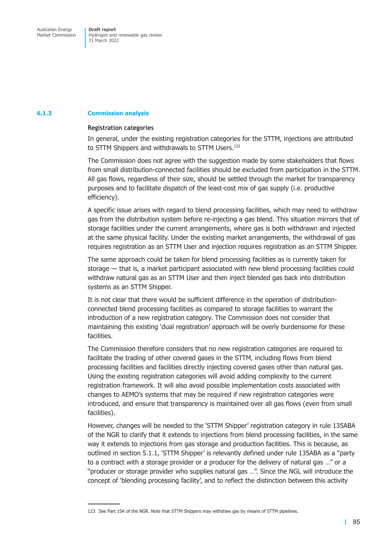#### **6.1.3 Commission analysis**

#### **Registration categories**

In general, under the existing registration categories for the STTM, injections are attributed to STTM Shippers and withdrawals to STTM Users.<sup>123</sup>

The Commission does not agree with the suggestion made by some stakeholders that flows from small distribution-connected facilities should be excluded from participation in the STTM. All gas flows, regardless of their size, should be settled through the market for transparency purposes and to facilitate dispatch of the least-cost mix of gas supply (i.e. productive efficiency).

A specific issue arises with regard to blend processing facilities, which may need to withdraw gas from the distribution system before re-injecting a gas blend. This situation mirrors that of storage facilities under the current arrangements, where gas is both withdrawn and injected at the same physical facility. Under the existing market arrangements, the withdrawal of gas requires registration as an STTM User and injection requires registration as an STTM Shipper.

The same approach could be taken for blend processing facilities as is currently taken for storage — that is, a market participant associated with new blend processing facilities could withdraw natural gas as an STTM User and then inject blended gas back into distribution systems as an STTM Shipper.

It is not clear that there would be sufficient difference in the operation of distributionconnected blend processing facilities as compared to storage facilities to warrant the introduction of a new registration category. The Commission does not consider that maintaining this existing 'dual registration' approach will be overly burdensome for these facilities.

The Commission therefore considers that no new registration categories are required to facilitate the trading of other covered gases in the STTM, including flows from blend processing facilities and facilities directly injecting covered gases other than natural gas. Using the existing registration categories will avoid adding complexity to the current registration framework. It will also avoid possible implementation costs associated with changes to AEMO's systems that may be required if new registration categories were introduced, and ensure that transparency is maintained over all gas flows (even from small facilities).

However, changes will be needed to the 'STTM Shipper' registration category in rule 135ABA of the NGR to clarify that it extends to injections from blend processing facilities, in the same way it extends to injections from gas storage and production facilities. This is because, as outlined in section 5.1.1, 'STTM Shipper' is relevantly defined under rule 135ABA as a "party to a contract with a storage provider or a producer for the delivery of natural gas ..." or a "producer or storage provider who supplies natural gas …". Since the NGL will introduce the concept of 'blending processing facility', and to reflect the distinction between this activity

<sup>123</sup> See Part 15A of the NGR. Note that STTM Shippers may withdraw gas by means of STTM pipelines.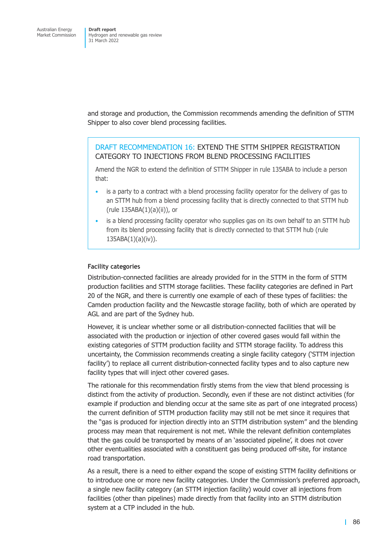and storage and production, the Commission recommends amending the definition of STTM Shipper to also cover blend processing facilities.

### DRAFT RECOMMENDATION 16: EXTEND THE STTM SHIPPER REGISTRATION CATEGORY TO INJECTIONS FROM BLEND PROCESSING FACILITIES

Amend the NGR to extend the definition of STTM Shipper in rule 135ABA to include a person that:

- is a party to a contract with a blend processing facility operator for the delivery of gas to an STTM hub from a blend processing facility that is directly connected to that STTM hub (rule 135ABA(1)(a)(ii)), or
- is a blend processing facility operator who supplies gas on its own behalf to an STTM hub from its blend processing facility that is directly connected to that STTM hub (rule  $135ABA(1)(a)(iv)$ ).

#### **Facility categories**

Distribution-connected facilities are already provided for in the STTM in the form of STTM production facilities and STTM storage facilities. These facility categories are defined in Part 20 of the NGR, and there is currently one example of each of these types of facilities: the Camden production facility and the Newcastle storage facility, both of which are operated by AGL and are part of the Sydney hub.

However, it is unclear whether some or all distribution-connected facilities that will be associated with the production or injection of other covered gases would fall within the existing categories of STTM production facility and STTM storage facility. To address this uncertainty, the Commission recommends creating a single facility category ('STTM injection facility') to replace all current distribution-connected facility types and to also capture new facility types that will inject other covered gases.

The rationale for this recommendation firstly stems from the view that blend processing is distinct from the activity of production. Secondly, even if these are not distinct activities (for example if production and blending occur at the same site as part of one integrated process) the current definition of STTM production facility may still not be met since it requires that the "gas is produced for injection directly into an STTM distribution system" and the blending process may mean that requirement is not met. While the relevant definition contemplates that the gas could be transported by means of an 'associated pipeline', it does not cover other eventualities associated with a constituent gas being produced off-site, for instance road transportation.

As a result, there is a need to either expand the scope of existing STTM facility definitions or to introduce one or more new facility categories. Under the Commission's preferred approach, a single new facility category (an STTM injection facility) would cover all injections from facilities (other than pipelines) made directly from that facility into an STTM distribution system at a CTP included in the hub.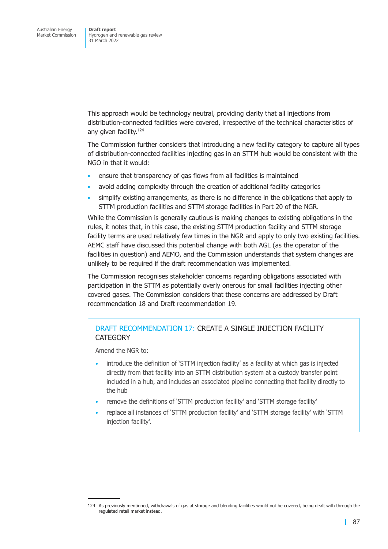This approach would be technology neutral, providing clarity that all injections from distribution-connected facilities were covered, irrespective of the technical characteristics of any given facility.<sup>124</sup>

The Commission further considers that introducing a new facility category to capture all types of distribution-connected facilities injecting gas in an STTM hub would be consistent with the NGO in that it would:

- ensure that transparency of gas flows from all facilities is maintained
- avoid adding complexity through the creation of additional facility categories
- simplify existing arrangements, as there is no difference in the obligations that apply to STTM production facilities and STTM storage facilities in Part 20 of the NGR.

While the Commission is generally cautious is making changes to existing obligations in the rules, it notes that, in this case, the existing STTM production facility and STTM storage facility terms are used relatively few times in the NGR and apply to only two existing facilities. AEMC staff have discussed this potential change with both AGL (as the operator of the facilities in question) and AEMO, and the Commission understands that system changes are unlikely to be required if the draft recommendation was implemented.

The Commission recognises stakeholder concerns regarding obligations associated with participation in the STTM as potentially overly onerous for small facilities injecting other covered gases. The Commission considers that these concerns are addressed by Draft recommendation 18 and Draft recommendation 19.

## DRAFT RECOMMENDATION 17: CREATE A SINGLE INJECTION FACILIT[Y](#page-97-0)  **CATEGORY**

Amend the NGR to:

- introduce the definition of 'STTM injection facility' as a facility at which gas is injected directly from that facility into an STTM distribution system at a custody transfer point included in a hub, and includes an associated pipeline connecting that facility directly to the hub
- remove the definitions of 'STTM production facility' and 'STTM storage facility'
- replace all instances of 'STTM production facility' and 'STTM storage facility' with 'STTM injection facility'.

<sup>124</sup> As previously mentioned, withdrawals of gas at storage and blending facilities would not be covered, being dealt with through the regulated retail market instead.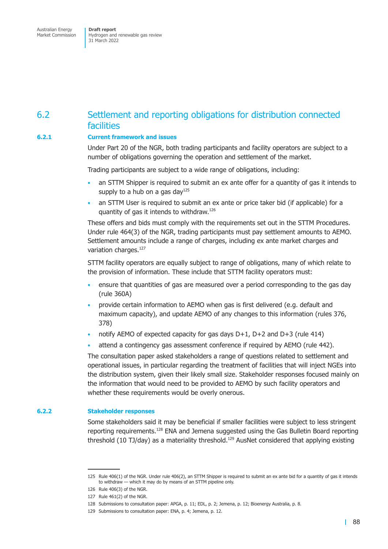Australian Energy Market Commission

**Draft report**  Hydrogen and renewable gas review 31 March 2022

## 6.2 Settlement and reporting obligations for distribution connected facilities

#### **6.2.1 Current framework and issues**

Under Part 20 of the NGR, both trading participants and facility operators are subject to a number of obligations governing the operation and settlement of the market.

Trading participants are subject to a wide range of obligations, including:

- an STTM Shipper is required to submit an ex ante offer for a quantity of gas it intends to supply to a hub on a gas day<sup>125</sup>
- an STTM User is required to submit an ex ante or price taker bid (if applicable) for a quantity of gas it intends to withdraw.126

These offers and bids must comply with the requirements set out in the STTM Procedures. Under rule 464(3) of the NGR, trading participants must pay settlement amounts to AEMO. Settlement amounts include a range of charges, including ex ante market charges and variation charges.<sup>127</sup>

STTM facility operators are equally subject to range of obligations, many of which relate to the provision of information. These include that STTM facility operators must:

- ensure that quantities of gas are measured over a period corresponding to the gas day (rule 360A)
- provide certain information to AEMO when gas is first delivered (e.g. default and maximum capacity), and update AEMO of any changes to this information (rules 376, 378)
- notify AEMO of expected capacity for gas days  $D+1$ ,  $D+2$  and  $D+3$  (rule 414)
- attend a contingency gas assessment conference if required by AEMO (rule 442).

The consultation paper asked stakeholders a range of questions related to settlement and operational issues, in particular regarding the treatment of facilities that will inject NGEs into the distribution system, given their likely small size. Stakeholder responses focused mainly on the information that would need to be provided to AEMO by such facility operators and whether these requirements would be overly onerous.

#### **6.2.2 Stakeholder responses**

Some stakeholders said it may be beneficial if smaller facilities were subject to less stringent reporting requirements.<sup>128</sup> ENA and Jemena suggested using the Gas Bulletin Board reporting threshold (10 TJ/day) as a materiality threshold.<sup>129</sup> AusNet considered that applying existing

<sup>125</sup> Rule 406(1) of the NGR. Under rule 406(2), an STTM Shipper is required to submit an ex ante bid for a quantity of gas it intends to withdraw — which it may do by means of an STTM pipeline only.

<sup>126</sup> Rule 406(3) of the NGR.

<sup>127</sup> Rule 461(2) of the NGR.

<sup>128</sup> Submissions to consultation paper: APGA, p. 11; EDL, p. 2; Jemena, p. 12; Bioenergy Australia, p. 8.

<sup>129</sup> Submissions to consultation paper: ENA, p. 4; Jemena, p. 12.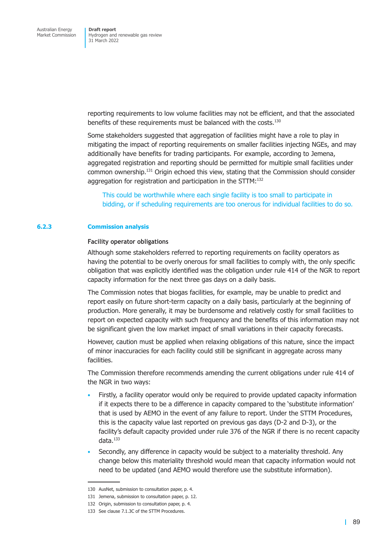reporting requirements to low volume facilities may not be efficient, and that the associated benefits of these requirements must be balanced with the costs.<sup>130</sup>

Some stakeholders suggested that aggregation of facilities might have a role to play in mitigating the impact of reporting requirements on smaller facilities injecting NGEs, and may additionally have benefits for trading participants. For example, according to Jemena, aggregated registration and reporting should be permitted for multiple small facilities under common ownership.131 Origin echoed this view, stating that the Commission should consider aggregation for registration and participation in the STTM:<sup>132</sup>

This could be worthwhile where each single facility is too small to participate in bidding, or if scheduling requirements are too onerous for individual facilities to do so.

#### **6.2.3 Commission analysis**

#### **Facility operator obligations**

Although some stakeholders referred to reporting requirements on facility operators as having the potential to be overly onerous for small facilities to comply with, the only specific obligation that was explicitly identified was the obligation under rule 414 of the NGR to report capacity information for the next three gas days on a daily basis.

The Commission notes that biogas facilities, for example, may be unable to predict and report easily on future short-term capacity on a daily basis, particularly at the beginning of production. More generally, it may be burdensome and relatively costly for small facilities to report on expected capacity with such frequency and the benefits of this information may not be significant given the low market impact of small variations in their capacity forecasts.

However, caution must be applied when relaxing obligations of this nature, since the impact of minor inaccuracies for each facility could still be significant in aggregate across many facilities.

The Commission therefore recommends amending the current obligations under rule 414 of the NGR in two ways:

- Firstly, a facility operator would only be required to provide updated capacity information if it expects there to be a difference in capacity compared to the 'substitute information' that is used by AEMO in the event of any failure to report. Under the STTM Procedures, this is the capacity value last reported on previous gas days (D-2 and D-3), or the facility's default capacity provided under rule 376 of the NGR if there is no recent capacity data.133
- Secondly, any difference in capacity would be subject to a materiality threshold. Any change below this materiality threshold would mean that capacity information would not need to be updated (and AEMO would therefore use the substitute information).

<sup>130</sup> AusNet, submission to consultation paper, p. 4.

<sup>131</sup> Jemena, submission to consultation paper, p. 12.

<sup>132</sup> Origin, submission to consultation paper, p. 4.

<sup>133</sup> See clause 7.1.3C of the STTM Procedures.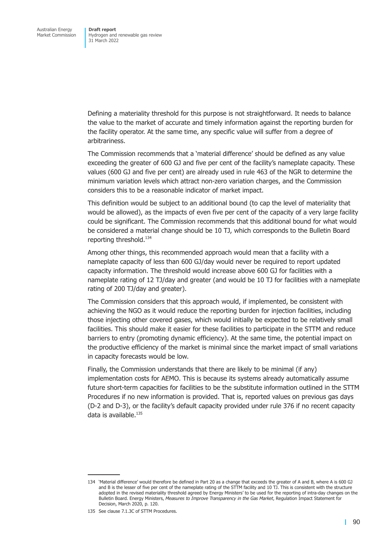Defining a materiality threshold for this purpose is not straightforward. It needs to balance the value to the market of accurate and timely information against the reporting burden for the facility operator. At the same time, any specific value will suffer from a degree of arbitrariness.

The Commission recommends that a 'material difference' should be defined as any value exceeding the greater of 600 GJ and five per cent of the facility's nameplate capacity. These values (600 GJ and five per cent) are already used in rule 463 of the NGR to determine the minimum variation levels which attract non-zero variation charges, and the Commission considers this to be a reasonable indicator of market impact.

This definition would be subject to an additional bound (to cap the level of materiality that would be allowed), as the impacts of even five per cent of the capacity of a very large facility could be significant. The Commission recommends that this additional bound for what would be considered a material change should be 10 TJ, which corresponds to the Bulletin Board reporting threshold.<sup>134</sup>

Among other things, this recommended approach would mean that a facility with a nameplate capacity of less than 600 GJ/day would never be required to report updated capacity information. The threshold would increase above 600 GJ for facilities with a nameplate rating of 12 TJ/day and greater (and would be 10 TJ for facilities with a nameplate rating of 200 TJ/day and greater).

The Commission considers that this approach would, if implemented, be consistent with achieving the NGO as it would reduce the reporting burden for injection facilities, including those injecting other covered gases, which would initially be expected to be relatively small facilities. This should make it easier for these facilities to participate in the STTM and reduce barriers to entry (promoting dynamic efficiency). At the same time, the potential impact on the productive efficiency of the market is minimal since the market impact of small variations in capacity forecasts would be low.

Finally, the Commission understands that there are likely to be minimal (if any) implementation costs for AEMO. This is because its systems already automatically assume future short-term capacities for facilities to be the substitute information outlined in the STTM Procedures if no new information is provided. That is, reported values on previous gas days (D-2 and D-3), or the facility's default capacity provided under rule 376 if no recent capacity data is available.135

<sup>134 &#</sup>x27;Material difference' would therefore be defined in Part 20 as a change that exceeds the greater of A and B, where A is 600 GJ and B is the lesser of five per cent of the nameplate rating of the STTM facility and 10 TJ. This is consistent with the structure adopted in the revised materiality threshold agreed by Energy Ministers' to be used for the reporting of intra-day changes on the Bulletin Board. Energy Ministers, *Measures to Improve Transparency in the Gas Market*, Regulation Impact Statement for Decision, March 2020, p. 120.

<sup>135</sup> See clause 7.1.3C of STTM Procedures.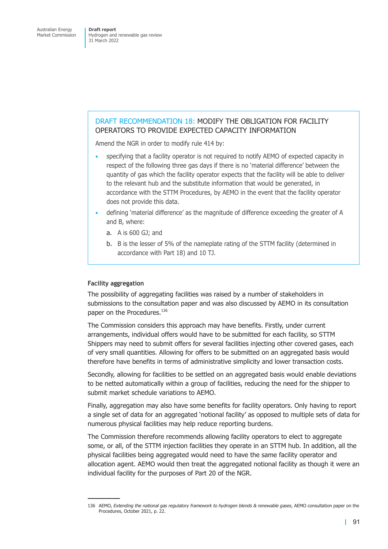## DRAFT RECOMMENDATION 18: MODIFY THE OBLIGATION FOR FACILITY OPERATORS TO PROVIDE EXPECTED CAPACITY INFORMATION

Amend the NGR in order to modify rule 414 by:

- <span id="page-97-0"></span>• specifying that a facility operator is not required to notify AEMO of expected capacity in respect of the following three gas days if there is no 'material difference' between the quantity of gas which the facility operator expects that the facility will be able to deliver to the relevant hub and the substitute information that would be generated, in accordance with the STTM Procedures, by AEMO in the event that the facility operator does not provide this data.
- defining 'material difference' as the magnitude of difference exceeding the greater of A and B, where:
	- a. A is 600 GJ; and
	- b. B is the lesser of 5% of the nameplate rating of the STTM facility (determined in accordance with Part 18) and 10 TJ.

#### **Facility aggregation**

The possibility of aggregating facilities was raised by a number of stakeholders in submissions to the consultation paper and was also discussed by AEMO in its consultation paper on the Procedures.<sup>136</sup>

The Commission considers this approach may have benefits. Firstly, under current arrangements, individual offers would have to be submitted for each facility, so STTM Shippers may need to submit offers for several facilities injecting other covered gases, each of very small quantities. Allowing for offers to be submitted on an aggregated basis would therefore have benefits in terms of administrative simplicity and lower transaction costs.

Secondly, allowing for facilities to be settled on an aggregated basis would enable deviations to be netted automatically within a group of facilities, reducing the need for the shipper to submit market schedule variations to AEMO.

Finally, aggregation may also have some benefits for facility operators. Only having to report a single set of data for an aggregated 'notional facility' as opposed to multiple sets of data for numerous physical facilities may help reduce reporting burdens.

The Commission therefore recommends allowing facility operators to elect to aggregate some, or all, of the STTM injection facilities they operate in an STTM hub. In addition, all the physical facilities being aggregated would need to have the same facility operator and allocation agent. AEMO would then treat the aggregated notional facility as though it were an individual facility for the purposes of Part 20 of the NGR.

<sup>136</sup> AEMO, *Extending the national gas regulatory framework to hydrogen blends & renewable gases*, AEMO consultation paper on the Procedures, October 2021, p. 22.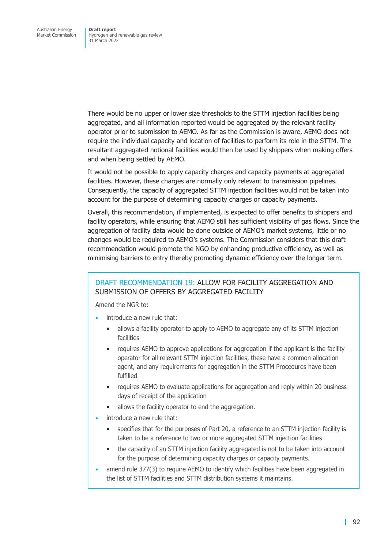There would be no upper or lower size thresholds to the STTM injection facilities being aggregated, and all information reported would be aggregated by the relevant facility operator prior to submission to AEMO. As far as the Commission is aware, AEMO does not require the individual capacity and location of facilities to perform its role in the STTM. The resultant aggregated notional facilities would then be used by shippers when making offers and when being settled by AEMO.

It would not be possible to apply capacity charges and capacity payments at aggregated facilities. However, these charges are normally only relevant to transmission pipelines. Consequently, the capacity of aggregated STTM injection facilities would not be taken into account for the purpose of determining capacity charges or capacity payments.

Overall, this recommendation, if implemented, is expected to offer benefits to shippers and facility operators, while ensuring that AEMO still has sufficient visibility of gas flows. Since the aggregation of facility data would be done outside of AEMO's market systems, little or no changes would be required to AEMO's systems. The Commission considers that this draft recommendation would promote the NGO by enhancing productive efficiency, as well as minimising barriers to entry thereby promoting dynamic efficiency over the longer term.

## DRAFT RECOMMENDATION 19: ALLOW FOR FACILITY AGGREGATION AND SUBMISSION OF OFFERS BY AGGREGATED FACILITY

Amend the NGR to:

- introduce a new rule that:
	- allows a facility operator to apply to AEMO to aggregate any of its STTM injection facilities
	- requires AEMO to approve applications for aggregation if the applicant is the facility operator for all relevant STTM injection facilities, these have a common allocation agent, and any requirements for aggregation in the STTM Procedures have been fulfilled
	- requires AEMO to evaluate applications for aggregation and reply within 20 business days of receipt of the application
	- allows the facility operator to end the aggregation.
- introduce a new rule that:
	- specifies that for the purposes of Part 20, a reference to an STTM injection facility is taken to be a reference to two or more aggregated STTM injection facilities
	- the capacity of an STTM injection facility aggregated is not to be taken into account for the purpose of determining capacity charges or capacity payments.
- amend rule 377(3) to require AEMO to identify which facilities have been aggregated in the list of STTM facilities and STTM distribution systems it maintains.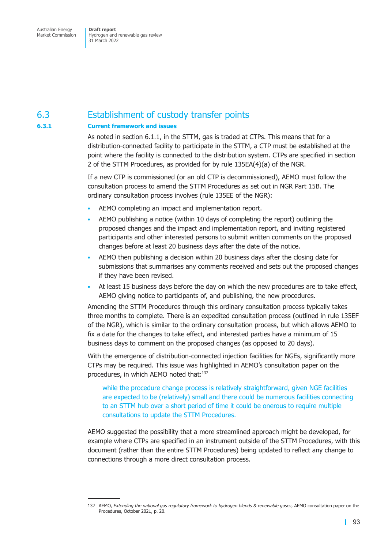Market Commission

Hydrogen and renewable gas review 31 March 2022

## 6.3 Establishment of custody transfer points

#### **6.3.1 Current framework and issues**

As noted in section 6.1.1, in the STTM, gas is traded at CTPs. This means that for a distribution-connected facility to participate in the STTM, a CTP must be established at the point where the facility is connected to the distribution system. CTPs are specified in section 2 of the ST[TM Procedures](#page-88-0), as provided for by rule 135EA(4)(a) of the NGR.

If a new CTP is commissioned (or an old CTP is decommissioned), AEMO must follow the consultation process to amend the STTM Procedures as set out in NGR Part 15B. The ordinary consultation process involves (rule 135EE of the NGR):

- AEMO completing an impact and implementation report.
- AEMO publishing a notice (within 10 days of completing the report) outlining the proposed changes and the impact and implementation report, and inviting registered participants and other interested persons to submit written comments on the proposed changes before at least 20 business days after the date of the notice.
- AEMO then publishing a decision within 20 business days after the closing date for submissions that summarises any comments received and sets out the proposed changes if they have been revised.
- At least 15 business days before the day on which the new procedures are to take effect, AEMO giving notice to participants of, and publishing, the new procedures.

Amending the STTM Procedures through this ordinary consultation process typically takes three months to complete. There is an expedited consultation process (outlined in rule 135EF of the NGR), which is similar to the ordinary consultation process, but which allows AEMO to fix a date for the changes to take effect, and interested parties have a minimum of 15 business days to comment on the proposed changes (as opposed to 20 days).

With the emergence of distribution-connected injection facilities for NGEs, significantly more CTPs may be required. This issue was highlighted in AEMO's consultation paper on the procedures, in which AEMO noted that:<sup>137</sup>

while the procedure change process is relatively straightforward, given NGE facilities are expected to be (relatively) small and there could be numerous facilities connecting to an STTM hub over a short period of time it could be onerous to require multiple consultations to update the STTM Procedures.

AEMO suggested the possibility that a more streamlined approach might be developed, for example where CTPs are specified in an instrument outside of the STTM Procedures, with this document (rather than the entire STTM Procedures) being updated to reflect any change to connections through a more direct consultation process.

<sup>137</sup> AEMO, *Extending the national gas regulatory framework to hydrogen blends & renewable gases*, AEMO consultation paper on the Procedures, October 2021, p. 20.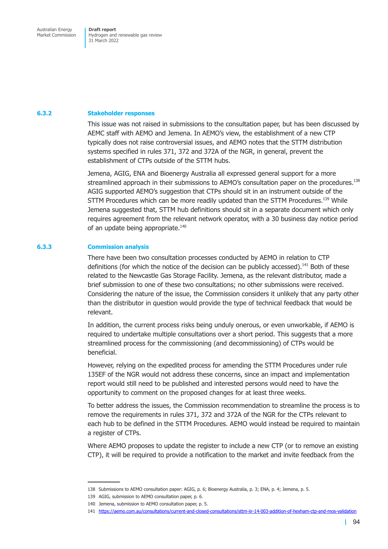Market Commission

Hydrogen and renewable gas review 31 March 2022

#### **6.3.2 Stakeholder responses**

This issue was not raised in submissions to the consultation paper, but has been discussed by AEMC staff with AEMO and Jemena. In AEMO's view, the establishment of a new CTP typically does not raise controversial issues, and AEMO notes that the STTM distribution systems specified in rules 371, 372 and 372A of the NGR, in general, prevent the establishment of CTPs outside of the STTM hubs.

Jemena, AGIG, ENA and Bioenergy Australia all expressed general support for a more streamlined approach in their submissions to AEMO's consultation paper on the procedures.<sup>138</sup> AGIG supported AEMO's suggestion that CTPs should sit in an instrument outside of the STTM Procedures which can be more readily updated than the STTM Procedures.<sup>139</sup> While Jemena suggested that, STTM hub definitions should sit in a separate document which only requires agreement from the relevant network operator, with a 30 business day notice period of an update being appropriate.<sup>140</sup>

#### **6.3.3 Commission analysis**

There have been two consultation processes conducted by AEMO in relation to CTP definitions (for which the notice of the decision can be publicly accessed).<sup>141</sup> Both of these related to the Newcastle Gas Storage Facility. Jemena, as the relevant distributor, made a brief submission to one of these two consultations; no other submissions were received. Considering the nature of the issue, the Commission considers it unlikely that any party other than the distributor in question would provide the type of technical feedback that would be relevant.

In addition, the current process risks being unduly onerous, or even unworkable, if AEMO is required to undertake multiple consultations over a short period. This suggests that a more streamlined process for the commissioning (and decommissioning) of CTPs would be beneficial.

However, relying on the expedited process for amending the STTM Procedures under rule 135EF of the NGR would not address these concerns, since an impact and implementation report would still need to be published and interested persons would need to have the opportunity to comment on the proposed changes for at least three weeks.

To better address the issues, the Commission recommendation to streamline the process is to remove the requirements in rules 371, 372 and 372A of the NGR for the CTPs relevant to each hub to be defined in the STTM Procedures. AEMO would instead be required to maintain a register of CTPs.

Where AEMO proposes to update the register to include a new CTP (or to remove an existing CTP), it will be required to provide a notification to the market and invite feedback from the

<sup>138</sup> Submissions to AEMO consultation paper: AGIG, p. 6; Bioenergy Australia, p. 3; ENA, p. 4; Jemena, p. 5.

<sup>139</sup> AGIG, submission to AEMO consultation paper, p. 6.

<sup>140</sup> Jemena, submission to AEMO consultation paper, p. 5.

<sup>141</sup> https://aemo.com.au/consultations/current-and-closed-consultations/sttm-iir-14-003-addition-of-hexham-ctp-and-mos-validation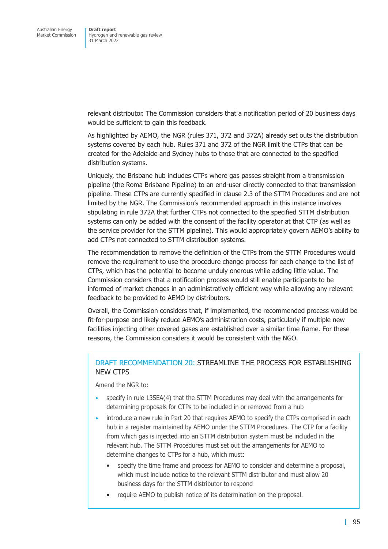relevant distributor. The Commission considers that a notification period of 20 business days would be sufficient to gain this feedback.

As highlighted by AEMO, the NGR (rules 371, 372 and 372A) already set outs the distribution systems covered by each hub. Rules 371 and 372 of the NGR limit the CTPs that can be created for the Adelaide and Sydney hubs to those that are connected to the specified distribution systems.

Uniquely, the Brisbane hub includes CTPs where gas passes straight from a transmission pipeline (the Roma Brisbane Pipeline) to an end-user directly connected to that transmission pipeline. These CTPs are currently specified in clause 2.3 of the STTM Procedures and are not limited by the NGR. The Commission's recommended approach in this instance involves stipulating in rule 372A that further CTPs not connected to the specified STTM distribution systems can only be added with the consent of the facility operator at that CTP (as well as the service provider for the STTM pipeline). This would appropriately govern AEMO's ability to add CTPs not connected to STTM distribution systems.

The recommendation to remove the definition of the CTPs from the STTM Procedures would remove the requirement to use the procedure change process for each change to the list of CTPs, which has the potential to become unduly onerous while adding little value. The Commission considers that a notification process would still enable participants to be informed of market changes in an administratively efficient way while allowing any relevant feedback to be provided to AEMO by distributors.

Overall, the Commission considers that, if implemented, the recommended process would be fit-for-purpose and likely reduce AEMO's administration costs, particularly if multiple new facilities injecting other covered gases are established over a similar time frame. For these reasons, the Commission considers it would be consistent with the NGO.

## DRAFT RECOMMENDATION 20: STREAMLINE THE PROCESS FOR ESTABLISHING NEW CTPS

Amend the NGR to:

- specify in rule 135EA(4) that the STTM Procedures may deal with the arrangements for determining proposals for CTPs to be included in or removed from a hub
- introduce a new rule in Part 20 that requires AEMO to specify the CTPs comprised in each hub in a register maintained by AEMO under the STTM Procedures. The CTP for a facility from which gas is injected into an STTM distribution system must be included in the relevant hub. The STTM Procedures must set out the arrangements for AEMO to determine changes to CTPs for a hub, which must:
	- specify the time frame and process for AEMO to consider and determine a proposal, which must include notice to the relevant STTM distributor and must allow 20 business days for the STTM distributor to respond
	- require AEMO to publish notice of its determination on the proposal.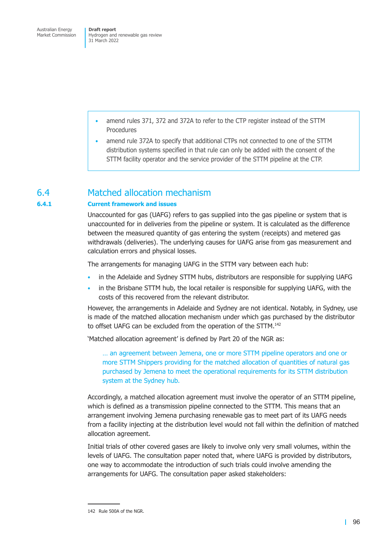- amend rules 371, 372 and 372A to refer to the CTP register instead of the STTM Procedures
- amend rule 372A to specify that additional CTPs not connected to one of the STTM distribution systems specified in that rule can only be added with the consent of the STTM facility operator and the service provider of the STTM pipeline at the CTP.

## 6.4 Matched allocation mechanism

#### **6.4.1 Current framework and issues**

Unaccounted for gas (UAFG) refers to gas supplied into the gas pipeline or system that is unaccounted for in deliveries from the pipeline or system. It is calculated as the difference between the measured quantity of gas entering the system (receipts) and metered gas withdrawals (deliveries). The underlying causes for UAFG arise from gas measurement and calculation errors and physical losses.

The arrangements for managing UAFG in the STTM vary between each hub:

- in the Adelaide and Sydney STTM hubs, distributors are responsible for supplying UAFG
- in the Brisbane STTM hub, the local retailer is responsible for supplying UAFG, with the costs of this recovered from the relevant distributor.

However, the arrangements in Adelaide and Sydney are not identical. Notably, in Sydney, use is made of the matched allocation mechanism under which gas purchased by the distributor to offset UAFG can be excluded from the operation of the STTM.<sup>142</sup>

'Matched allocation agreement' is defined by Part 20 of the NGR as:

… an agreement between Jemena, one or more STTM pipeline operators and one or more STTM Shippers providing for the matched allocation of quantities of natural gas purchased by Jemena to meet the operational requirements for its STTM distribution system at the Sydney hub.

Accordingly, a matched allocation agreement must involve the operator of an STTM pipeline, which is defined as a transmission pipeline connected to the STTM. This means that an arrangement involving Jemena purchasing renewable gas to meet part of its UAFG needs from a facility injecting at the distribution level would not fall within the definition of matched allocation agreement.

Initial trials of other covered gases are likely to involve only very small volumes, within the levels of UAFG. The consultation paper noted that, where UAFG is provided by distributors, one way to accommodate the introduction of such trials could involve amending the arrangements for UAFG. The consultation paper asked stakeholders:

<sup>142</sup> Rule 500A of the NGR.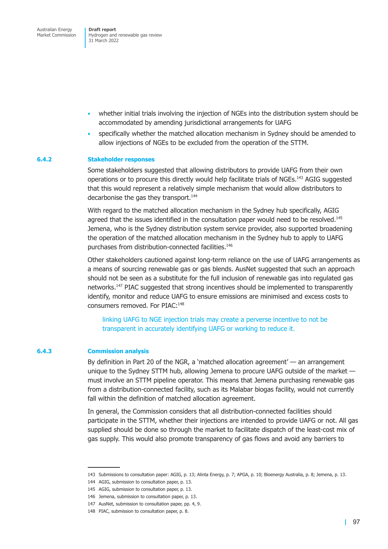Australian Energy Market Commission

**Draft report**  Hydrogen and renewable gas review 31 March 2022

- whether initial trials involving the injection of NGEs into the distribution system should be accommodated by amending jurisdictional arrangements for UAFG
- specifically whether the matched allocation mechanism in Sydney should be amended to allow injections of NGEs to be excluded from the operation of the STTM.

#### **6.4.2 Stakeholder responses**

Some stakeholders suggested that allowing distributors to provide UAFG from their own operations or to procure this directly would help facilitate trials of NGEs.143 AGIG suggested that this would represent a relatively simple mechanism that would allow distributors to decarbonise the gas they transport.<sup>144</sup>

With regard to the matched allocation mechanism in the Sydney hub specifically, AGIG agreed that the issues identified in the consultation paper would need to be resolved.<sup>145</sup> Jemena, who is the Sydney distribution system service provider, also supported broadening the operation of the matched allocation mechanism in the Sydney hub to apply to UAFG purchases from distribution-connected facilities.146

Other stakeholders cautioned against long-term reliance on the use of UAFG arrangements as a means of sourcing renewable gas or gas blends. AusNet suggested that such an approach should not be seen as a substitute for the full inclusion of renewable gas into regulated gas networks.147 PIAC suggested that strong incentives should be implemented to transparently identify, monitor and reduce UAFG to ensure emissions are minimised and excess costs to consumers removed. For PIAC:<sup>148</sup>

linking UAFG to NGE injection trials may create a perverse incentive to not be transparent in accurately identifying UAFG or working to reduce it.

#### **6.4.3 Commission analysis**

By definition in Part 20 of the NGR, a 'matched allocation agreement' — an arrangement unique to the Sydney STTM hub, allowing Jemena to procure UAFG outside of the market must involve an STTM pipeline operator. This means that Jemena purchasing renewable gas from a distribution-connected facility, such as its Malabar biogas facility, would not currently fall within the definition of matched allocation agreement.

In general, the Commission considers that all distribution-connected facilities should participate in the STTM, whether their injections are intended to provide UAFG or not. All gas supplied should be done so through the market to facilitate dispatch of the least-cost mix of gas supply. This would also promote transparency of gas flows and avoid any barriers to

<sup>143</sup> Submissions to consultation paper: AGIG, p. 13; Alinta Energy, p. 7; APGA, p. 10; Bioenergy Australia, p. 8; Jemena, p. 13.

<sup>144</sup> AGIG, submission to consultation paper, p. 13.

<sup>145</sup> AGIG, submission to consultation paper, p. 13.

<sup>146</sup> Jemena, submission to consultation paper, p. 13.

<sup>147</sup> AusNet, submission to consultation paper, pp. 4, 9.

<sup>148</sup> PIAC, submission to consultation paper, p. 8.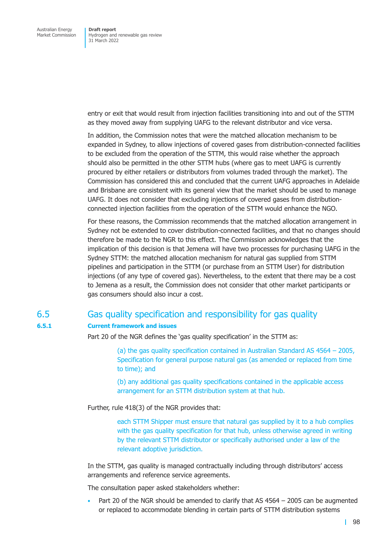entry or exit that would result from injection facilities transitioning into and out of the STTM as they moved away from supplying UAFG to the relevant distributor and vice versa.

In addition, the Commission notes that were the matched allocation mechanism to be expanded in Sydney, to allow injections of covered gases from distribution-connected facilities to be excluded from the operation of the STTM, this would raise whether the approach should also be permitted in the other STTM hubs (where gas to meet UAFG is currently procured by either retailers or distributors from volumes traded through the market). The Commission has considered this and concluded that the current UAFG approaches in Adelaide and Brisbane are consistent with its general view that the market should be used to manage UAFG. It does not consider that excluding injections of covered gases from distributionconnected injection facilities from the operation of the STTM would enhance the NGO.

For these reasons, the Commission recommends that the matched allocation arrangement in Sydney not be extended to cover distribution-connected facilities, and that no changes should therefore be made to the NGR to this effect. The Commission acknowledges that the implication of this decision is that Jemena will have two processes for purchasing UAFG in the Sydney STTM: the matched allocation mechanism for natural gas supplied from STTM pipelines and participation in the STTM (or purchase from an STTM User) for distribution injections (of any type of covered gas). Nevertheless, to the extent that there may be a cost to Jemena as a result, the Commission does not consider that other market participants or gas consumers should also incur a cost.

## 6.5 Gas quality specification and responsibility for gas quality

#### **6.5.1 Current framework and issues**

Part 20 of the NGR defines the 'gas quality specification' in the STTM as:

(a) the gas quality specification contained in Australian Standard AS 4564 – 2005, Specification for general purpose natural gas (as amended or replaced from time to time); and

(b) any additional gas quality specifications contained in the applicable access arrangement for an STTM distribution system at that hub.

Further, rule 418(3) of the NGR provides that:

each STTM Shipper must ensure that natural gas supplied by it to a hub complies with the gas quality specification for that hub, unless otherwise agreed in writing by the relevant STTM distributor or specifically authorised under a law of the relevant adoptive jurisdiction.

In the STTM, gas quality is managed contractually including through distributors' access arrangements and reference service agreements.

The consultation paper asked stakeholders whether:

Part 20 of the NGR should be amended to clarify that AS 4564 – 2005 can be augmented or replaced to accommodate blending in certain parts of STTM distribution systems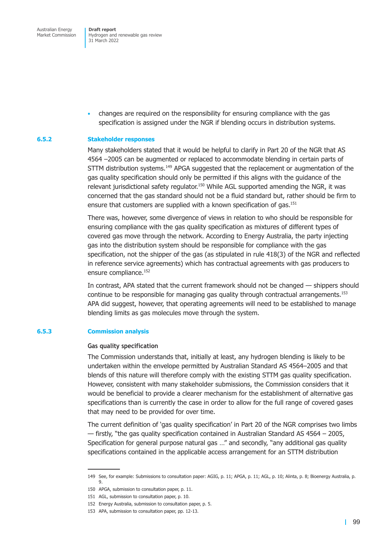Australian Energy Market Commission

**Draft report**  Hydrogen and renewable gas review 31 March 2022

• changes are required on the responsibility for ensuring compliance with the gas specification is assigned under the NGR if blending occurs in distribution systems.

#### **6.5.2 Stakeholder responses**

Many stakeholders stated that it would be helpful to clarify in Part 20 of the NGR that AS 4564 –2005 can be augmented or replaced to accommodate blending in certain parts of STTM distribution systems.<sup>149</sup> APGA suggested that the replacement or augmentation of the gas quality specification should only be permitted if this aligns with the guidance of the relevant jurisdictional safety regulator.<sup>150</sup> While AGL supported amending the NGR, it was concerned that the gas standard should not be a fluid standard but, rather should be firm to ensure that customers are supplied with a known specification of gas.<sup>151</sup>

There was, however, some divergence of views in relation to who should be responsible for ensuring compliance with the gas quality specification as mixtures of different types of covered gas move through the network. According to Energy Australia, the party injecting gas into the distribution system should be responsible for compliance with the gas specification, not the shipper of the gas (as stipulated in rule 418(3) of the NGR and reflected in reference service agreements) which has contractual agreements with gas producers to ensure compliance.<sup>152</sup>

In contrast, APA stated that the current framework should not be changed — shippers should continue to be responsible for managing gas quality through contractual arrangements.<sup>153</sup> APA did suggest, however, that operating agreements will need to be established to manage blending limits as gas molecules move through the system.

#### **6.5.3 Commission analysis**

#### **Gas quality specification**

The Commission understands that, initially at least, any hydrogen blending is likely to be undertaken within the envelope permitted by Australian Standard AS 4564–2005 and that blends of this nature will therefore comply with the existing STTM gas quality specification. However, consistent with many stakeholder submissions, the Commission considers that it would be beneficial to provide a clearer mechanism for the establishment of alternative gas specifications than is currently the case in order to allow for the full range of covered gases that may need to be provided for over time.

The current definition of 'gas quality specification' in Part 20 of the NGR comprises two limbs — firstly, "the gas quality specification contained in Australian Standard AS 4564 – 2005, Specification for general purpose natural gas …" and secondly, "any additional gas quality specifications contained in the applicable access arrangement for an STTM distribution

<sup>149</sup> See, for example: Submissions to consultation paper: AGIG, p. 11; APGA, p. 11; AGL, p. 10; Alinta, p. 8; Bioenergy Australia, p. 9.

<sup>150</sup> APGA, submission to consultation paper, p. 11.

<sup>151</sup> AGL, submission to consultation paper, p. 10.

<sup>152</sup> Energy Australia, submission to consultation paper, p. 5.

<sup>153</sup> APA, submission to consultation paper, pp. 12-13.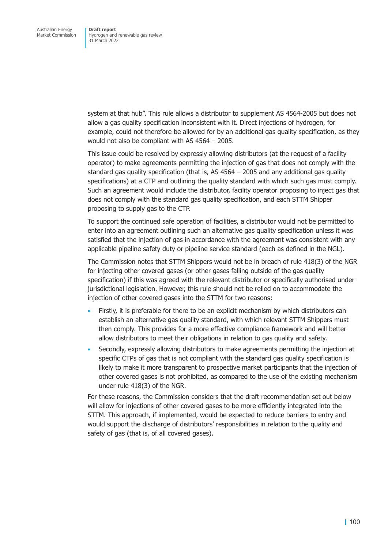system at that hub". This rule allows a distributor to supplement AS 4564-2005 but does not allow a gas quality specification inconsistent with it. Direct injections of hydrogen, for example, could not therefore be allowed for by an additional gas quality specification, as they would not also be compliant with AS 4564 – 2005.

This issue could be resolved by expressly allowing distributors (at the request of a facility operator) to make agreements permitting the injection of gas that does not comply with the standard gas quality specification (that is, AS 4564 – 2005 and any additional gas quality specifications) at a CTP and outlining the quality standard with which such gas must comply. Such an agreement would include the distributor, facility operator proposing to inject gas that does not comply with the standard gas quality specification, and each STTM Shipper proposing to supply gas to the CTP.

To support the continued safe operation of facilities, a distributor would not be permitted to enter into an agreement outlining such an alternative gas quality specification unless it was satisfied that the injection of gas in accordance with the agreement was consistent with any applicable pipeline safety duty or pipeline service standard (each as defined in the NGL).

The Commission notes that STTM Shippers would not be in breach of rule 418(3) of the NGR for injecting other covered gases (or other gases falling outside of the gas quality specification) if this was agreed with the relevant distributor or specifically authorised under jurisdictional legislation. However, this rule should not be relied on to accommodate the injection of other covered gases into the STTM for two reasons:

- Firstly, it is preferable for there to be an explicit mechanism by which distributors can establish an alternative gas quality standard, with which relevant STTM Shippers must then comply. This provides for a more effective compliance framework and will better allow distributors to meet their obligations in relation to gas quality and safety.
- Secondly, expressly allowing distributors to make agreements permitting the injection at specific CTPs of gas that is not compliant with the standard gas quality specification is likely to make it more transparent to prospective market participants that the injection of other covered gases is not prohibited, as compared to the use of the existing mechanism under rule 418(3) of the NGR.

For these reasons, the Commission considers that the draft recommendation set out below will allow for injections of other covered gases to be more efficiently integrated into the STTM. This approach, if implemented, would be expected to reduce barriers to entry and would support the discharge of distributors' responsibilities in relation to the quality and safety of gas (that is, of all covered gases).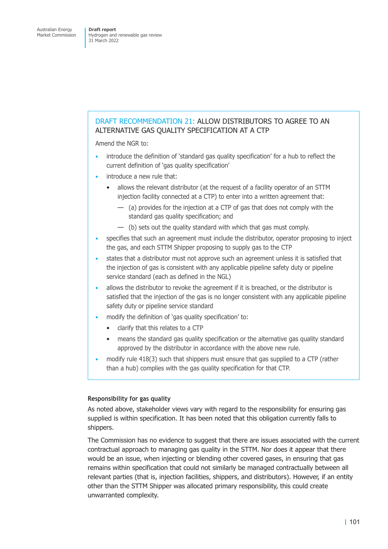## DRAFT RECOMMENDATION 21: ALLOW DISTRIBUTORS TO AGREE TO AN ALTERNATIVE GAS QUALITY SPECIFICATION AT A CTP

Amend the NGR to:

- introduce the definition of 'standard gas quality specification' for a hub to reflect the current definition of 'gas quality specification'
- introduce a new rule that:
	- allows the relevant distributor (at the request of a facility operator of an STTM injection facility connected at a CTP) to enter into a written agreement that:
		- (a) provides for the injection at a CTP of gas that does not comply with the standard gas quality specification; and
		- (b) sets out the quality standard with which that gas must comply.
- specifies that such an agreement must include the distributor, operator proposing to inject the gas, and each STTM Shipper proposing to supply gas to the CTP
- states that a distributor must not approve such an agreement unless it is satisfied that the injection of gas is consistent with any applicable pipeline safety duty or pipeline service standard (each as defined in the NGL)
- allows the distributor to revoke the agreement if it is breached, or the distributor is satisfied that the injection of the gas is no longer consistent with any applicable pipeline safety duty or pipeline service standard
- modify the definition of 'gas quality specification' to:
	- clarify that this relates to a CTP
	- means the standard gas quality specification or the alternative gas quality standard approved by the distributor in accordance with the above new rule.
- modify rule 418(3) such that shippers must ensure that gas supplied to a CTP (rather than a hub) complies with the gas quality specification for that CTP.

#### **Responsibility for gas quality**

As noted above, stakeholder views vary with regard to the responsibility for ensuring gas supplied is within specification. It has been noted that this obligation currently falls to shippers.

The Commission has no evidence to suggest that there are issues associated with the current contractual approach to managing gas quality in the STTM. Nor does it appear that there would be an issue, when injecting or blending other covered gases, in ensuring that gas remains within specification that could not similarly be managed contractually between all relevant parties (that is, injection facilities, shippers, and distributors). However, if an entity other than the STTM Shipper was allocated primary responsibility, this could create unwarranted complexity.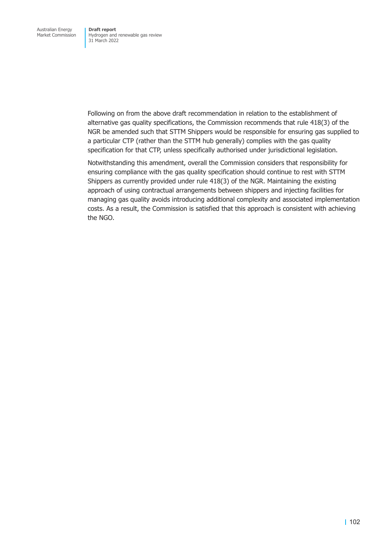Following on from the above draft recommendation in relation to the establishment of alternative gas quality specifications, the Commission recommends that rule 418(3) of the NGR be amended such that STTM Shippers would be responsible for ensuring gas supplied to a particular CTP (rather than the STTM hub generally) complies with the gas quality specification for that CTP, unless specifically authorised under jurisdictional legislation.

Notwithstanding this amendment, overall the Commission considers that responsibility for ensuring compliance with the gas quality specification should continue to rest with STTM Shippers as currently provided under rule 418(3) of the NGR. Maintaining the existing approach of using contractual arrangements between shippers and injecting facilities for managing gas quality avoids introducing additional complexity and associated implementation costs. As a result, the Commission is satisfied that this approach is consistent with achieving the NGO.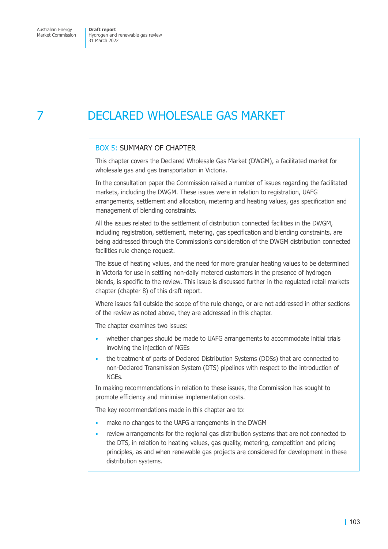Market Commission

Hydrogen and renewable gas review 31 March 2022

# 7 DECLARED WHOLESALE GAS MARKET

### BOX 5: SUMMARY OF CHAPTER

This chapter covers the Declared Wholesale Gas Market (DWGM), a facilitated market for wholesale gas and gas transportation in Victoria.

In the consultation paper the Commission raised a number of issues regarding the facilitated markets, including the DWGM. These issues were in relation to registration, UAFG arrangements, settlement and allocation, metering and heating values, gas specification and management of blending constraints.

All the issues related to the settlement of distribution connected facilities in the DWGM, including registration, settlement, metering, gas specification and blending constraints, are being addressed through the Commission's consideration of the DWGM distribution connected facilities rule change request.

The issue of heating values, and the need for more granular heating values to be determined in Victoria for use in settling non-daily metered customers in the presence of hydrogen blends, is specific to the review. This issue is discussed further in the regulated retail markets chapter (chapter 8) of this draft report.

Where issues fall outside the scope of the rule change, or are not addressed in other sections of the review as noted above, they are addressed in this chapter.

The cha[pter examin](#page-120-0)es two issues:

- whether changes should be made to UAFG arrangements to accommodate initial trials involving the injection of NGEs
- the treatment of parts of Declared Distribution Systems (DDSs) that are connected to non-Declared Transmission System (DTS) pipelines with respect to the introduction of NGEs.

In making recommendations in relation to these issues, the Commission has sought to promote efficiency and minimise implementation costs.

The key recommendations made in this chapter are to:

- make no changes to the UAFG arrangements in the DWGM
- review arrangements for the regional gas distribution systems that are not connected to the DTS, in relation to heating values, gas quality, metering, competition and pricing principles, as and when renewable gas projects are considered for development in these distribution systems.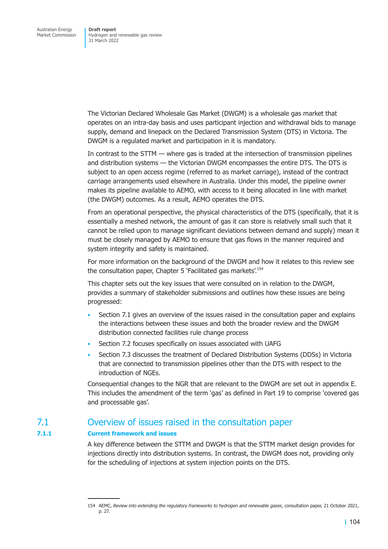The Victorian Declared Wholesale Gas Market (DWGM) is a wholesale gas market that operates on an intra-day basis and uses participant injection and withdrawal bids to manage supply, demand and linepack on the Declared Transmission System (DTS) in Victoria. The DWGM is a regulated market and participation in it is mandatory.

In contrast to the STTM — where gas is traded at the intersection of transmission pipelines and distribution systems — the Victorian DWGM encompasses the entire DTS. The DTS is subject to an open access regime (referred to as market carriage), instead of the contract carriage arrangements used elsewhere in Australia. Under this model, the pipeline owner makes its pipeline available to AEMO, with access to it being allocated in line with market (the DWGM) outcomes. As a result, AEMO operates the DTS.

From an operational perspective, the physical characteristics of the DTS (specifically, that it is essentially a meshed network, the amount of gas it can store is relatively small such that it cannot be relied upon to manage significant deviations between demand and supply) mean it must be closely managed by AEMO to ensure that gas flows in the manner required and system integrity and safety is maintained.

For more information on the background of the DWGM and how it relates to this review see the consultation paper, Chapter 5 'Facilitated gas markets'.<sup>154</sup>

This chapter sets out the key issues that were consulted on in relation to the DWGM, provides a summary of stakeholder submissions and outlines how these issues are being progressed:

- Section 7.1 gives an overview of the issues raised in the consultation paper and explains the interactions between these issues and both the broader review and the DWGM distribution connected facilities rule change process
- [Section 7.2](#page-110-0) focuses specifically on issues associated with UAFG
- Section 7.3 discusses the treatment of Declared Distribution Systems (DDSs) in Victoria that are connected to transmission pipelines other than the DTS with respect to the [introduction](#page-113-0) of NGEs.

Co[nsequential c](#page-115-0)hanges to the NGR that are relevant to the DWGM are set out in appendix E. This includes the amendment of the term 'gas' as defined in Part 19 to comprise 'covered gas and processable gas'.

# 7.1 Overview of issues raised in the consultation paper

#### **7.1.1 Current framework and issues**

<span id="page-110-0"></span>A key difference between the STTM and DWGM is that the STTM market design provides for injections directly into distribution systems. In contrast, the DWGM does not, providing only for the scheduling of injections at system injection points on the DTS.

<sup>154</sup> AEMC, *Review into extending the regulatory frameworks to hydrogen and renewable gases*, consultation paper, 21 October 2021, p. 27.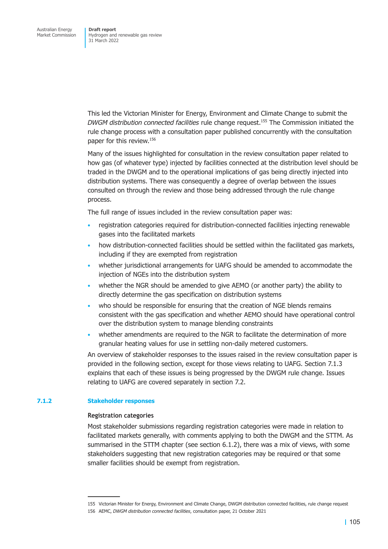This led the Victorian Minister for Energy, Environment and Climate Change to submit the *DWGM distribution connected facilities* rule change request.155 The Commission initiated the rule change process with a consultation paper published concurrently with the consultation paper for this review.156

Many of the issues highlighted for consultation in the review consultation paper related to how gas (of whatever type) injected by facilities connected at the distribution level should be traded in the DWGM and to the operational implications of gas being directly injected into distribution systems. There was consequently a degree of overlap between the issues consulted on through the review and those being addressed through the rule change process.

The full range of issues included in the review consultation paper was:

- registration categories required for distribution-connected facilities injecting renewable gases into the facilitated markets
- how distribution-connected facilities should be settled within the facilitated gas markets, including if they are exempted from registration
- whether jurisdictional arrangements for UAFG should be amended to accommodate the injection of NGEs into the distribution system
- whether the NGR should be amended to give AEMO (or another party) the ability to directly determine the gas specification on distribution systems
- who should be responsible for ensuring that the creation of NGE blends remains consistent with the gas specification and whether AEMO should have operational control over the distribution system to manage blending constraints
- whether amendments are required to the NGR to facilitate the determination of more granular heating values for use in settling non-daily metered customers.

An overview of stakeholder responses to the issues raised in the review consultation paper is provided in the following section, except for those views relating to UAFG. Section 7.1.3 explains that each of these issues is being progressed by the DWGM rule change. Issues relating to UAFG are covered separately in section 7.2.

#### **7.1.2 Stakeholder responses**

#### **Registration categories**

Most stakeholder submissions regarding registration categories were made in relation to facilitated markets generally, with comments applying to both the DWGM and the STTM. As summarised in the STTM chapter (see section 6.1.2), there was a mix of views, with some stakeholders suggesting that new registration categories may be required or that some smaller facilities should be exempt from registration.

<sup>155</sup> Victorian Minister for Energy, Environment and Climate Change, DWGM distribution connected facilities, rule change request

<sup>156</sup> AEMC, *DWGM distribution connected facilities*, consultation paper, 21 October 2021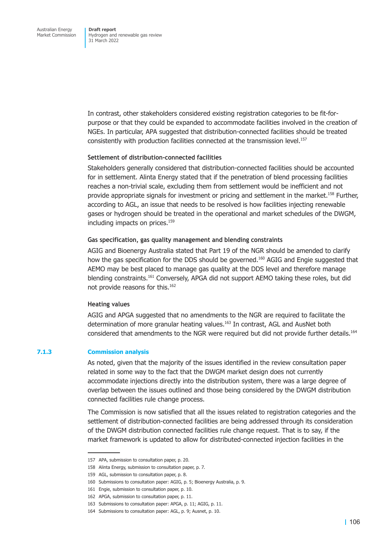In contrast, other stakeholders considered existing registration categories to be fit-forpurpose or that they could be expanded to accommodate facilities involved in the creation of NGEs. In particular, APA suggested that distribution-connected facilities should be treated consistently with production facilities connected at the transmission level.<sup>157</sup>

#### **Settlement of distribution-connected facilities**

Stakeholders generally considered that distribution-connected facilities should be accounted for in settlement. Alinta Energy stated that if the penetration of blend processing facilities reaches a non-trivial scale, excluding them from settlement would be inefficient and not provide appropriate signals for investment or pricing and settlement in the market.<sup>158</sup> Further, according to AGL, an issue that needs to be resolved is how facilities injecting renewable gases or hydrogen should be treated in the operational and market schedules of the DWGM, including impacts on prices.<sup>159</sup>

#### **Gas specification, gas quality management and blending constraints**

AGIG and Bioenergy Australia stated that Part 19 of the NGR should be amended to clarify how the gas specification for the DDS should be governed.<sup>160</sup> AGIG and Engie suggested that AEMO may be best placed to manage gas quality at the DDS level and therefore manage blending constraints.161 Conversely, APGA did not support AEMO taking these roles, but did not provide reasons for this.<sup>162</sup>

### **Heating values**

AGIG and APGA suggested that no amendments to the NGR are required to facilitate the determination of more granular heating values.<sup>163</sup> In contrast, AGL and AusNet both considered that amendments to the NGR were required but did not provide further details.<sup>164</sup>

#### **7.1.3 Commission analysis**

As noted, given that the majority of the issues identified in the review consultation paper related in some way to the fact that the DWGM market design does not currently accommodate injections directly into the distribution system, there was a large degree of overlap between the issues outlined and those being considered by the DWGM distribution connected facilities rule change process.

The Commission is now satisfied that all the issues related to registration categories and the settlement of distribution-connected facilities are being addressed through its consideration of the DWGM distribution connected facilities rule change request. That is to say, if the market framework is updated to allow for distributed-connected injection facilities in the

<sup>157</sup> APA, submission to consultation paper, p. 20.

<sup>158</sup> Alinta Energy, submission to consultation paper, p. 7.

<sup>159</sup> AGL, submission to consultation paper, p. 8.

<sup>160</sup> Submissions to consultation paper: AGIG, p. 5; Bioenergy Australia, p. 9.

<sup>161</sup> Engie, submission to consultation paper, p. 10.

<sup>162</sup> APGA, submission to consultation paper, p. 11.

<sup>163</sup> Submissions to consultation paper: APGA, p. 11; AGIG, p. 11.

<sup>164</sup> Submissions to consultation paper: AGL, p. 9; Ausnet, p. 10.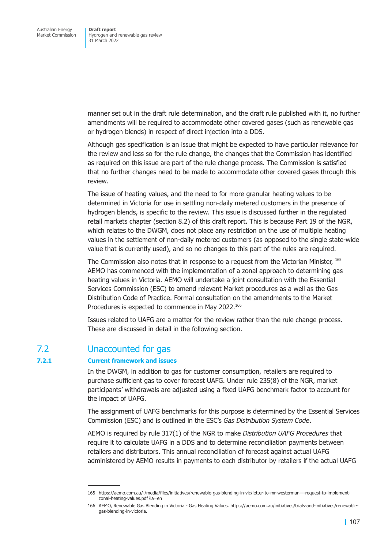manner set out in the draft rule determination, and the draft rule published with it, no further amendments will be required to accommodate other covered gases (such as renewable gas or hydrogen blends) in respect of direct injection into a DDS.

Although gas specification is an issue that might be expected to have particular relevance for the review and less so for the rule change, the changes that the Commission has identified as required on this issue are part of the rule change process. The Commission is satisfied that no further changes need to be made to accommodate other covered gases through this review.

The issue of heating values, and the need to for more granular heating values to be determined in Victoria for use in settling non-daily metered customers in the presence of hydrogen blends, is specific to the review. This issue is discussed further in the regulated retail markets chapter (section 8.2) of this draft report. This is because Part 19 of the NGR, which relates to the DWGM, does not place any restriction on the use of multiple heating values in the settlement of non-daily metered customers (as opposed to the single state-wide value that is currently [used\), and s](#page-124-0)o no changes to this part of the rules are required.

The Commission also notes that in response to a request from the Victorian Minister, 165 AEMO has commenced with the implementation of a zonal approach to determining gas heating values in Victoria. AEMO will undertake a joint consultation with the Essential Services Commission (ESC) to amend relevant Market procedures as a well as the Gas Distribution Code of Practice. Formal consultation on the amendments to the Market Procedures is expected to commence in May 2022.<sup>166</sup>

Issues related to UAFG are a matter for the review rather than the rule change process. These are discussed in detail in the following section.

# 7.2 Unaccounted for gas

### **7.2.1 Current framework and issues**

<span id="page-113-0"></span>In the DWGM, in addition to gas for customer consumption, retailers are required to purchase sufficient gas to cover forecast UAFG. Under rule 235(8) of the NGR, market participants' withdrawals are adjusted using a fixed UAFG benchmark factor to account for the impact of UAFG.

The assignment of UAFG benchmarks for this purpose is determined by the Essential Services Commission (ESC) and is outlined in the ESC's *Gas Distribution System Code*.

AEMO is required by rule 317(1) of the NGR to make *Distribution UAFG Procedures* that require it to calculate UAFG in a DDS and to determine reconciliation payments between retailers and distributors. This annual reconciliation of forecast against actual UAFG administered by AEMO results in payments to each distributor by retailers if the actual UAFG

<sup>165</sup> https://aemo.com.au/-/media/files/initiatives/renewable-gas-blending-in-vic/letter-to-mr-westerman—-request-to-implementzonal-heating-values.pdf?la=en

<sup>166</sup> AEMO, Renewable Gas Blending in Victoria - Gas Heating Values. https://aemo.com.au/initiatives/trials-and-initiatives/renewablegas-blending-in-victoria.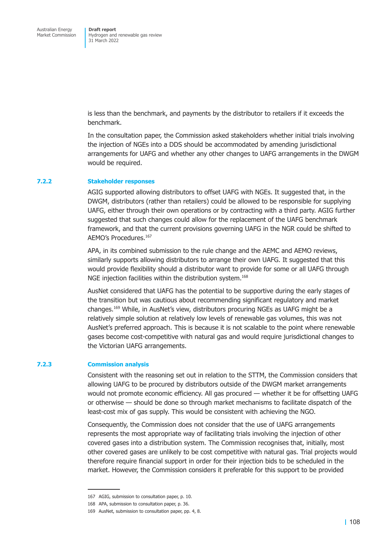is less than the benchmark, and payments by the distributor to retailers if it exceeds the benchmark.

In the consultation paper, the Commission asked stakeholders whether initial trials involving the injection of NGEs into a DDS should be accommodated by amending jurisdictional arrangements for UAFG and whether any other changes to UAFG arrangements in the DWGM would be required.

#### **7.2.2 Stakeholder responses**

AGIG supported allowing distributors to offset UAFG with NGEs. It suggested that, in the DWGM, distributors (rather than retailers) could be allowed to be responsible for supplying UAFG, either through their own operations or by contracting with a third party. AGIG further suggested that such changes could allow for the replacement of the UAFG benchmark framework, and that the current provisions governing UAFG in the NGR could be shifted to AEMO's Procedures.<sup>167</sup>

APA, in its combined submission to the rule change and the AEMC and AEMO reviews, similarly supports allowing distributors to arrange their own UAFG. It suggested that this would provide flexibility should a distributor want to provide for some or all UAFG through NGE injection facilities within the distribution system.<sup>168</sup>

AusNet considered that UAFG has the potential to be supportive during the early stages of the transition but was cautious about recommending significant regulatory and market changes.169 While, in AusNet's view, distributors procuring NGEs as UAFG might be a relatively simple solution at relatively low levels of renewable gas volumes, this was not AusNet's preferred approach. This is because it is not scalable to the point where renewable gases become cost-competitive with natural gas and would require jurisdictional changes to the Victorian UAFG arrangements.

#### **7.2.3 Commission analysis**

Consistent with the reasoning set out in relation to the STTM, the Commission considers that allowing UAFG to be procured by distributors outside of the DWGM market arrangements would not promote economic efficiency. All gas procured — whether it be for offsetting UAFG or otherwise — should be done so through market mechanisms to facilitate dispatch of the least-cost mix of gas supply. This would be consistent with achieving the NGO.

Consequently, the Commission does not consider that the use of UAFG arrangements represents the most appropriate way of facilitating trials involving the injection of other covered gases into a distribution system. The Commission recognises that, initially, most other covered gases are unlikely to be cost competitive with natural gas. Trial projects would therefore require financial support in order for their injection bids to be scheduled in the market. However, the Commission considers it preferable for this support to be provided

<sup>167</sup> AGIG, submission to consultation paper, p. 10.

<sup>168</sup> APA, submission to consultation paper, p. 36.

<sup>169</sup> AusNet, submission to consultation paper, pp. 4, 8.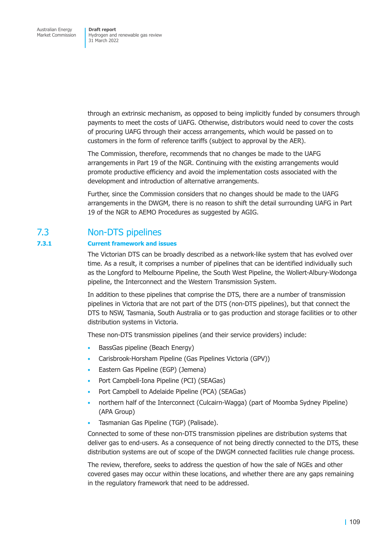through an extrinsic mechanism, as opposed to being implicitly funded by consumers through payments to meet the costs of UAFG. Otherwise, distributors would need to cover the costs of procuring UAFG through their access arrangements, which would be passed on to customers in the form of reference tariffs (subject to approval by the AER).

The Commission, therefore, recommends that no changes be made to the UAFG arrangements in Part 19 of the NGR. Continuing with the existing arrangements would promote productive efficiency and avoid the implementation costs associated with the development and introduction of alternative arrangements.

Further, since the Commission considers that no changes should be made to the UAFG arrangements in the DWGM, there is no reason to shift the detail surrounding UAFG in Part 19 of the NGR to AEMO Procedures as suggested by AGIG.

# 7.3 Non-DTS pipelines

# **7.3.1 Current framework and issues**

<span id="page-115-0"></span>The Victorian DTS can be broadly described as a network-like system that has evolved over time. As a result, it comprises a number of pipelines that can be identified individually such as the Longford to Melbourne Pipeline, the South West Pipeline, the Wollert-Albury-Wodonga pipeline, the Interconnect and the Western Transmission System.

In addition to these pipelines that comprise the DTS, there are a number of transmission pipelines in Victoria that are not part of the DTS (non-DTS pipelines), but that connect the DTS to NSW, Tasmania, South Australia or to gas production and storage facilities or to other distribution systems in Victoria.

These non-DTS transmission pipelines (and their service providers) include:

- BassGas pipeline (Beach Energy)
- Carisbrook-Horsham Pipeline (Gas Pipelines Victoria (GPV))
- Eastern Gas Pipeline (EGP) (Jemena)
- Port Campbell-Iona Pipeline (PCI) (SEAGas)
- Port Campbell to Adelaide Pipeline (PCA) (SEAGas)
- northern half of the Interconnect (Culcairn-Wagga) (part of Moomba Sydney Pipeline) (APA Group)
- Tasmanian Gas Pipeline (TGP) (Palisade).

Connected to some of these non-DTS transmission pipelines are distribution systems that deliver gas to end-users. As a consequence of not being directly connected to the DTS, these distribution systems are out of scope of the DWGM connected facilities rule change process.

The review, therefore, seeks to address the question of how the sale of NGEs and other covered gases may occur within these locations, and whether there are any gaps remaining in the regulatory framework that need to be addressed.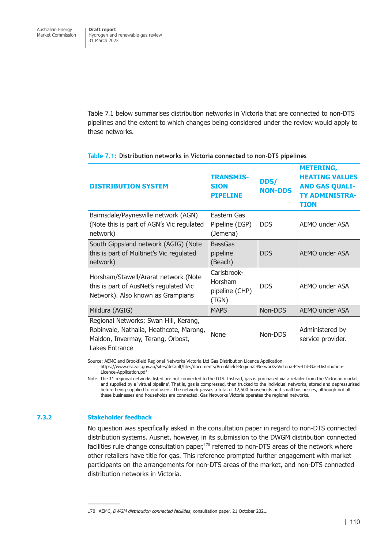Table 7.1 below summarises distribution networks in Victoria that are connected to non-DTS pipelines and the extent to which changes being considered under the review would apply to these networks.

| <b>DISTRIBUTION SYSTEM</b>                                                                                                              | <b>TRANSMIS-</b><br><b>SION</b><br><b>PIPELINE</b> | <b>DDS/</b><br><b>NON-DDS</b> | <b>METERING,</b><br><b>HEATING VALUES</b><br><b>AND GAS QUALI-</b><br><b>TY ADMINISTRA-</b><br>TION |
|-----------------------------------------------------------------------------------------------------------------------------------------|----------------------------------------------------|-------------------------------|-----------------------------------------------------------------------------------------------------|
| Bairnsdale/Paynesville network (AGN)<br>(Note this is part of AGN's Vic regulated<br>network)                                           | Eastern Gas<br>Pipeline (EGP)<br>(Jemena)          | <b>DDS</b>                    | AEMO under ASA                                                                                      |
| South Gippsland network (AGIG) (Note<br>this is part of Multinet's Vic regulated<br>network)                                            | <b>BassGas</b><br>pipeline<br>(Beach)              | <b>DDS</b>                    | AEMO under ASA                                                                                      |
| Horsham/Stawell/Ararat network (Note<br>this is part of AusNet's regulated Vic<br>Network). Also known as Grampians                     | Carisbrook-<br>Horsham<br>pipeline (CHP)<br>(TGN)  | <b>DDS</b>                    | AEMO under ASA                                                                                      |
| Mildura (AGIG)                                                                                                                          | <b>MAPS</b>                                        | Non-DDS                       | <b>AEMO under ASA</b>                                                                               |
| Regional Networks: Swan Hill, Kerang,<br>Robinvale, Nathalia, Heathcote, Marong,<br>Maldon, Invermay, Terang, Orbost,<br>Lakes Entrance | None                                               | Non-DDS                       | Administered by<br>service provider.                                                                |

**Table 7.1: Distribution networks in Victoria connected to non-DTS pipelines** 

Source: AEMC and Brookfield Regional Networks Victoria Ltd Gas Distribution Licence Application.

https://www.esc.vic.gov.au/sites/default/files/documents/Brookfield-Regional-Networks-Victoria-Pty-Ltd-Gas-Distribution-Licence-Application.pdf

Note: The 11 regional networks listed are not connected to the DTS. Instead, gas is purchased via a retailer from the Victorian market and supplied by a 'virtual pipeline'. That is, gas is compressed, then trucked to the individual networks, stored and depressurised before being supplied to end users. The network passes a total of 12,500 households and small businesses, although not all these businesses and households are connected. Gas Networks Victoria operates the regional networks.

### **7.3.2 Stakeholder feedback**

No question was specifically asked in the consultation paper in regard to non-DTS connected distribution systems. Ausnet, however, in its submission to the DWGM distribution connected facilities rule change consultation paper, $170$  referred to non-DTS areas of the network where other retailers have title for gas. This reference prompted further engagement with market participants on the arrangements for non-DTS areas of the market, and non-DTS connected distribution networks in Victoria.

<sup>170</sup> AEMC, *DWGM distribution connected facilities*, consultation paper, 21 October 2021.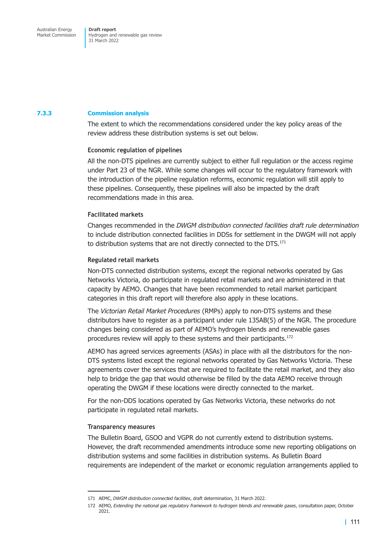# **7.3.3 Commission analysis**

The extent to which the recommendations considered under the key policy areas of the review address these distribution systems is set out below.

#### **Economic regulation of pipelines**

All the non-DTS pipelines are currently subject to either full regulation or the access regime under Part 23 of the NGR. While some changes will occur to the regulatory framework with the introduction of the pipeline regulation reforms, economic regulation will still apply to these pipelines. Consequently, these pipelines will also be impacted by the draft recommendations made in this area.

#### **Facilitated markets**

Changes recommended in the *DWGM distribution connected facilities draft rule determination* to include distribution connected facilities in DDSs for settlement in the DWGM will not apply to distribution systems that are not directly connected to the DTS.<sup>171</sup>

#### **Regulated retail markets**

Non-DTS connected distribution systems, except the regional networks operated by Gas Networks Victoria, do participate in regulated retail markets and are administered in that capacity by AEMO. Changes that have been recommended to retail market participant categories in this draft report will therefore also apply in these locations.

The *Victorian Retail Market Procedures* (RMPs) apply to non-DTS systems and these distributors have to register as a participant under rule 135AB(5) of the NGR. The procedure changes being considered as part of AEMO's hydrogen blends and renewable gases procedures review will apply to these systems and their participants.<sup>172</sup>

AEMO has agreed services agreements (ASAs) in place with all the distributors for the non-DTS systems listed except the regional networks operated by Gas Networks Victoria. These agreements cover the services that are required to facilitate the retail market, and they also help to bridge the gap that would otherwise be filled by the data AEMO receive through operating the DWGM if these locations were directly connected to the market.

For the non-DDS locations operated by Gas Networks Victoria, these networks do not participate in regulated retail markets.

# **Transparency measures**

The Bulletin Board, GSOO and VGPR do not currently extend to distribution systems. However, the draft recommended amendments introduce some new reporting obligations on distribution systems and some facilities in distribution systems. As Bulletin Board requirements are independent of the market or economic regulation arrangements applied to

<sup>171</sup> AEMC, *DWGM distribution connected facilities*, draft determination, 31 March 2022.

<sup>172</sup> AEMO, *Extending the national gas regulatory framework to hydrogen blends and renewable gases*, consultation paper, October 2021.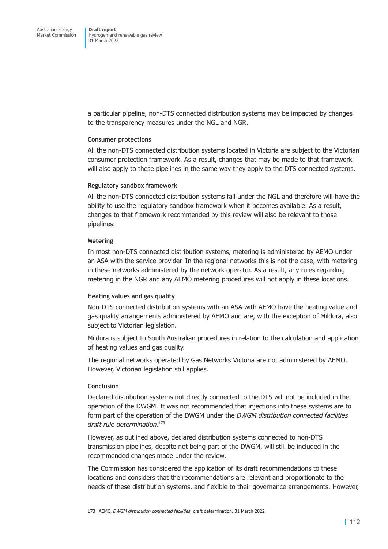a particular pipeline, non-DTS connected distribution systems may be impacted by changes to the transparency measures under the NGL and NGR.

# **Consumer protections**

All the non-DTS connected distribution systems located in Victoria are subject to the Victorian consumer protection framework. As a result, changes that may be made to that framework will also apply to these pipelines in the same way they apply to the DTS connected systems.

# **Regulatory sandbox framework**

All the non-DTS connected distribution systems fall under the NGL and therefore will have the ability to use the regulatory sandbox framework when it becomes available. As a result, changes to that framework recommended by this review will also be relevant to those pipelines.

# **Metering**

In most non-DTS connected distribution systems, metering is administered by AEMO under an ASA with the service provider. In the regional networks this is not the case, with metering in these networks administered by the network operator. As a result, any rules regarding metering in the NGR and any AEMO metering procedures will not apply in these locations.

# **Heating values and gas quality**

Non-DTS connected distribution systems with an ASA with AEMO have the heating value and gas quality arrangements administered by AEMO and are, with the exception of Mildura, also subject to Victorian legislation.

Mildura is subject to South Australian procedures in relation to the calculation and application of heating values and gas quality.

The regional networks operated by Gas Networks Victoria are not administered by AEMO. However, Victorian legislation still applies.

# **Conclusion**

Declared distribution systems not directly connected to the DTS will not be included in the operation of the DWGM. It was not recommended that injections into these systems are to form part of the operation of the DWGM under the *DWGM distribution connected facilities draft rule determination*. 173

However, as outlined above, declared distribution systems connected to non-DTS transmission pipelines, despite not being part of the DWGM, will still be included in the recommended changes made under the review.

The Commission has considered the application of its draft recommendations to these locations and considers that the recommendations are relevant and proportionate to the needs of these distribution systems, and flexible to their governance arrangements. However,

<sup>173</sup> AEMC, *DWGM distribution connected facilities*, draft determination, 31 March 2022.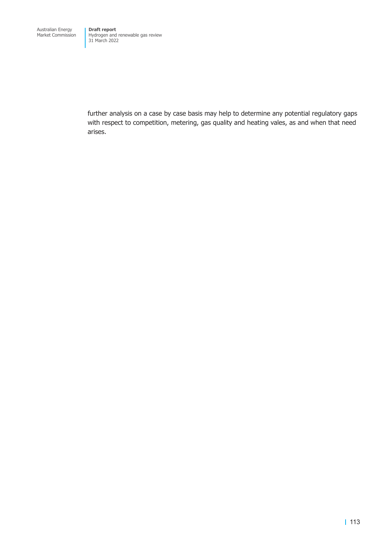further analysis on a case by case basis may help to determine any potential regulatory gaps with respect to competition, metering, gas quality and heating vales, as and when that need arises.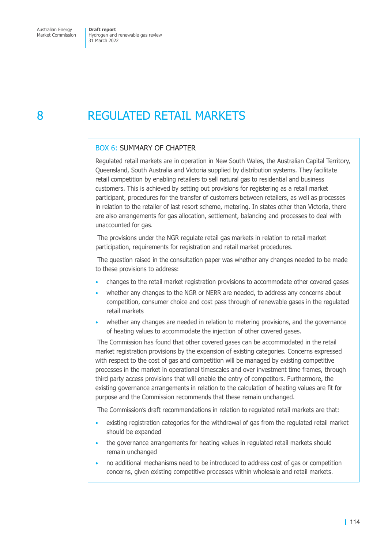# 8 REGULATED RETAIL MARKETS

# <span id="page-120-0"></span>BOX 6: SUMMARY OF CHAPTER

Regulated retail markets are in operation in New South Wales, the Australian Capital Territory, Queensland, South Australia and Victoria supplied by distribution systems. They facilitate retail competition by enabling retailers to sell natural gas to residential and business customers. This is achieved by setting out provisions for registering as a retail market participant, procedures for the transfer of customers between retailers, as well as processes in relation to the retailer of last resort scheme, metering. In states other than Victoria, there are also arrangements for gas allocation, settlement, balancing and processes to deal with unaccounted for gas.

 The provisions under the NGR regulate retail gas markets in relation to retail market participation, requirements for registration and retail market procedures.

 The question raised in the consultation paper was whether any changes needed to be made to these provisions to address:

- changes to the retail market registration provisions to accommodate other covered gases
- whether any changes to the NGR or NERR are needed, to address any concerns about competition, consumer choice and cost pass through of renewable gases in the regulated retail markets
- whether any changes are needed in relation to metering provisions, and the governance of heating values to accommodate the injection of other covered gases.

 The Commission has found that other covered gases can be accommodated in the retail market registration provisions by the expansion of existing categories. Concerns expressed with respect to the cost of gas and competition will be managed by existing competitive processes in the market in operational timescales and over investment time frames, through third party access provisions that will enable the entry of competitors. Furthermore, the existing governance arrangements in relation to the calculation of heating values are fit for purpose and the Commission recommends that these remain unchanged.

The Commission's draft recommendations in relation to regulated retail markets are that:

- existing registration categories for the withdrawal of gas from the regulated retail market should be expanded
- the governance arrangements for heating values in regulated retail markets should remain unchanged
- no additional mechanisms need to be introduced to address cost of gas or competition concerns, given existing competitive processes within wholesale and retail markets.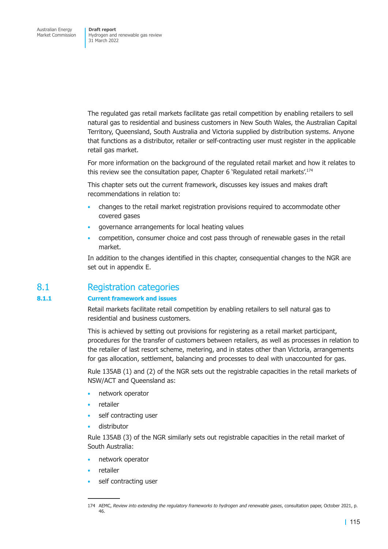The regulated gas retail markets facilitate gas retail competition by enabling retailers to sell natural gas to residential and business customers in New South Wales, the Australian Capital Territory, Queensland, South Australia and Victoria supplied by distribution systems. Anyone that functions as a distributor, retailer or self-contracting user must register in the applicable retail gas market.

For more information on the background of the regulated retail market and how it relates to this review see the consultation paper, Chapter 6 'Regulated retail markets'.<sup>174</sup>

This chapter sets out the current framework, discusses key issues and makes draft recommendations in relation to:

- changes to the retail market registration provisions required to accommodate other covered gases
- governance arrangements for local heating values
- competition, consumer choice and cost pass through of renewable gases in the retail market.

In addition to the changes identified in this chapter, consequential changes to the NGR are set out in appendix E.

# 8.1 Registration categories

# **8.1.1 Current f[ramework an](#page-166-0)d issues**

Retail markets facilitate retail competition by enabling retailers to sell natural gas to residential and business customers.

This is achieved by setting out provisions for registering as a retail market participant, procedures for the transfer of customers between retailers, as well as processes in relation to the retailer of last resort scheme, metering, and in states other than Victoria, arrangements for gas allocation, settlement, balancing and processes to deal with unaccounted for gas.

Rule 135AB (1) and (2) of the NGR sets out the registrable capacities in the retail markets of NSW/ACT and Queensland as:

- network operator
- retailer
- self contracting user
- distributor

Rule 135AB (3) of the NGR similarly sets out registrable capacities in the retail market of South Australia:

- network operator
- retailer
- self contracting user

<sup>174</sup> AEMC, *Review into extending the regulatory frameworks to hydrogen and renewable gases*, consultation paper, October 2021, p. 46.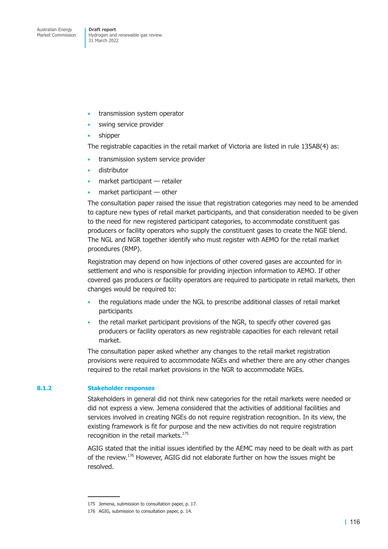- transmission system operator
- swing service provider
- shipper

The registrable capacities in the retail market of Victoria are listed in rule 135AB(4) as:

- transmission system service provider
- distributor
- market participant retailer
- $m$ arket participant  $-$  other

The consultation paper raised the issue that registration categories may need to be amended to capture new types of retail market participants, and that consideration needed to be given to the need for new registered participant categories, to accommodate constituent gas producers or facility operators who supply the constituent gases to create the NGE blend. The NGL and NGR together identify who must register with AEMO for the retail market procedures (RMP).

Registration may depend on how injections of other covered gases are accounted for in settlement and who is responsible for providing injection information to AEMO. If other covered gas producers or facility operators are required to participate in retail markets, then changes would be required to:

- the regulations made under the NGL to prescribe additional classes of retail market participants
- the retail market participant provisions of the NGR, to specify other covered gas producers or facility operators as new registrable capacities for each relevant retail market.

The consultation paper asked whether any changes to the retail market registration provisions were required to accommodate NGEs and whether there are any other changes required to the retail market provisions in the NGR to accommodate NGEs.

### **8.1.2 Stakeholder responses**

Stakeholders in general did not think new categories for the retail markets were needed or did not express a view. Jemena considered that the activities of additional facilities and services involved in creating NGEs do not require registration recognition. In its view, the existing framework is fit for purpose and the new activities do not require registration recognition in the retail markets.<sup>175</sup>

AGIG stated that the initial issues identified by the AEMC may need to be dealt with as part of the review.176 However, AGIG did not elaborate further on how the issues might be resolved.

<sup>175</sup> Jemena, submission to consultation paper, p. 17.

<sup>176</sup> AGIG, submission to consultation paper, p. 14.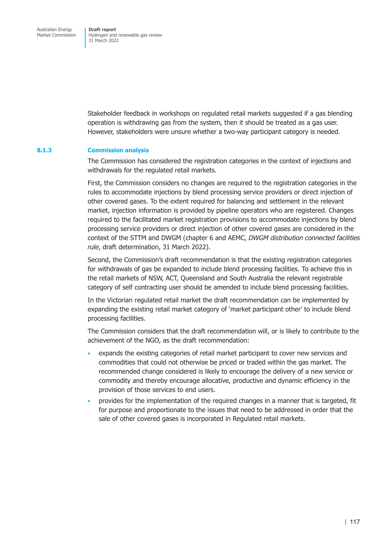Stakeholder feedback in workshops on regulated retail markets suggested if a gas blending operation is withdrawing gas from the system, then it should be treated as a gas user. However, stakeholders were unsure whether a two-way participant category is needed.

#### **8.1.3 Commission analysis**

The Commission has considered the registration categories in the context of injections and withdrawals for the regulated retail markets.

First, the Commission considers no changes are required to the registration categories in the rules to accommodate injections by blend processing service providers or direct injection of other covered gases. To the extent required for balancing and settlement in the relevant market, injection information is provided by pipeline operators who are registered. Changes required to the facilitated market registration provisions to accommodate injections by blend processing service providers or direct injection of other covered gases are considered in the context of the STTM and DWGM (chapter 6 and AEMC, *DWGM distribution connected facilities rule*, draft determination, 31 March 2022).

Second, the Commission's draft recommendation is that the existing registration categories for withdrawals of gas be expand[ed to inclu](#page-87-0)de blend processing facilities. To achieve this in the retail markets of NSW, ACT, Queensland and South Australia the relevant registrable category of self contracting user should be amended to include blend processing facilities.

In the Victorian regulated retail market the draft recommendation can be implemented by expanding the existing retail market category of 'market participant other' to include blend processing facilities.

The Commission considers that the draft recommendation will, or is likely to contribute to the achievement of the NGO, as the draft recommendation:

- expands the existing categories of retail market participant to cover new services and commodities that could not otherwise be priced or traded within the gas market. The recommended change considered is likely to encourage the delivery of a new service or commodity and thereby encourage allocative, productive and dynamic efficiency in the provision of those services to end users.
- provides for the implementation of the required changes in a manner that is targeted, fit for purpose and proportionate to the issues that need to be addressed in order that the sale of other covered gases is incorporated in Regulated retail markets.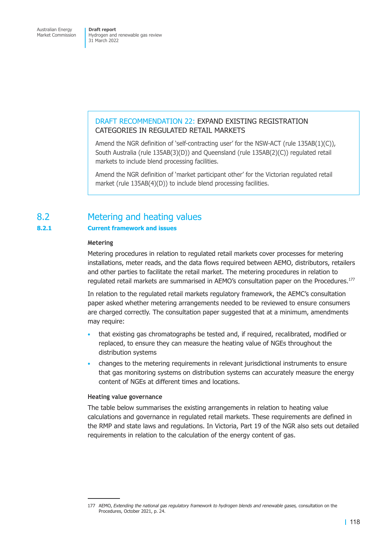# DRAFT RECOMMENDATION 22: EXPAND EXISTING REGISTRATION CATEGORIES IN REGULATED RETAIL MARKETS

Amend the NGR definition of 'self-contracting user' for the NSW-ACT (rule 135AB(1)(C)), South Australia (rule 135AB(3)(D)) and Queensland (rule 135AB(2)(C)) regulated retail markets to include blend processing facilities.

<span id="page-124-0"></span>Amend the NGR definition of 'market participant other' for the Victorian regulated retail market (rule 135AB(4)(D)) to include blend processing facilities.

# 8.2 Metering and heating values

# **8.2.1 Current framework and issues**

#### **Metering**

Metering procedures in relation to regulated retail markets cover processes for metering installations, meter reads, and the data flows required between AEMO, distributors, retailers and other parties to facilitate the retail market. The metering procedures in relation to regulated retail markets are summarised in AEMO's consultation paper on the Procedures.177

In relation to the regulated retail markets regulatory framework, the AEMC's consultation paper asked whether metering arrangements needed to be reviewed to ensure consumers are charged correctly. The consultation paper suggested that at a minimum, amendments may require:

- that existing gas chromatographs be tested and, if required, recalibrated, modified or replaced, to ensure they can measure the heating value of NGEs throughout the distribution systems
- changes to the metering requirements in relevant jurisdictional instruments to ensure that gas monitoring systems on distribution systems can accurately measure the energy content of NGEs at different times and locations.

# **Heating value governance**

The table below summarises the existing arrangements in relation to heating value calculations and governance in regulated retail markets. These requirements are defined in the RMP and state laws and regulations. In Victoria, Part 19 of the NGR also sets out detailed requirements in relation to the calculation of the energy content of gas.

<sup>177</sup> AEMO, *Extending the national gas regulatory framework to hydrogen blends and renewable gases,* consultation on the Procedures, October 2021, p. 24.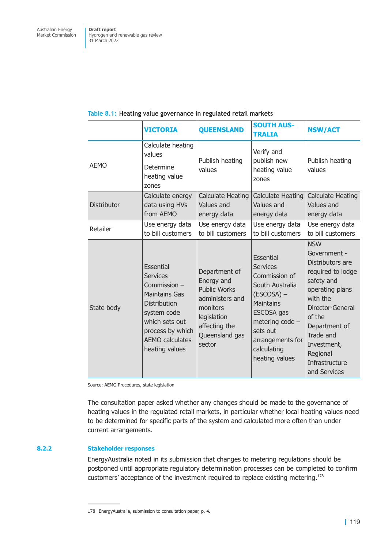|             | <b>VICTORIA</b>                                                                                                                                                                              | <b>QUEENSLAND</b>                                                                                                                             | <b>SOUTH AUS-</b><br><b>TRALIA</b>                                                                                                                                                                     | <b>NSW/ACT</b>                                                                                                                                                                                                                            |
|-------------|----------------------------------------------------------------------------------------------------------------------------------------------------------------------------------------------|-----------------------------------------------------------------------------------------------------------------------------------------------|--------------------------------------------------------------------------------------------------------------------------------------------------------------------------------------------------------|-------------------------------------------------------------------------------------------------------------------------------------------------------------------------------------------------------------------------------------------|
| <b>AEMO</b> | Calculate heating<br>values<br>Determine<br>heating value<br>zones                                                                                                                           | Publish heating<br>values                                                                                                                     | Verify and<br>publish new<br>heating value<br>zones                                                                                                                                                    | Publish heating<br>values                                                                                                                                                                                                                 |
| Distributor | Calculate energy<br>data using HVs<br>from AEMO                                                                                                                                              | <b>Calculate Heating</b><br>Values and<br>energy data                                                                                         | <b>Calculate Heating</b><br>Values and<br>energy data                                                                                                                                                  | Calculate Heating<br>Values and<br>energy data                                                                                                                                                                                            |
| Retailer    | Use energy data<br>to bill customers                                                                                                                                                         | Use energy data<br>to bill customers                                                                                                          | Use energy data<br>to bill customers                                                                                                                                                                   | Use energy data<br>to bill customers                                                                                                                                                                                                      |
| State body  | Essential<br><b>Services</b><br>Commission -<br><b>Maintains Gas</b><br><b>Distribution</b><br>system code<br>which sets out<br>process by which<br><b>AEMO calculates</b><br>heating values | Department of<br>Energy and<br><b>Public Works</b><br>administers and<br>monitors<br>legislation<br>affecting the<br>Queensland gas<br>sector | Essential<br><b>Services</b><br>Commission of<br>South Australia<br>$(ESCOSA)$ –<br><b>Maintains</b><br>ESCOSA gas<br>metering code -<br>sets out<br>arrangements for<br>calculating<br>heating values | <b>NSW</b><br>Government -<br>Distributors are<br>required to lodge<br>safety and<br>operating plans<br>with the<br>Director-General<br>of the<br>Department of<br>Trade and<br>Investment,<br>Regional<br>Infrastructure<br>and Services |

# **Table 8.1: Heating value governance in regulated retail markets**

Source: AEMO Procedures, state legislation

The consultation paper asked whether any changes should be made to the governance of heating values in the regulated retail markets, in particular whether local heating values need to be determined for specific parts of the system and calculated more often than under current arrangements.

# **8.2.2 Stakeholder responses**

EnergyAustralia noted in its submission that changes to metering regulations should be postponed until appropriate regulatory determination processes can be completed to confirm customers' acceptance of the investment required to replace existing metering.<sup>178</sup>

<sup>178</sup> EnergyAustralia, submission to consultation paper, p. 4.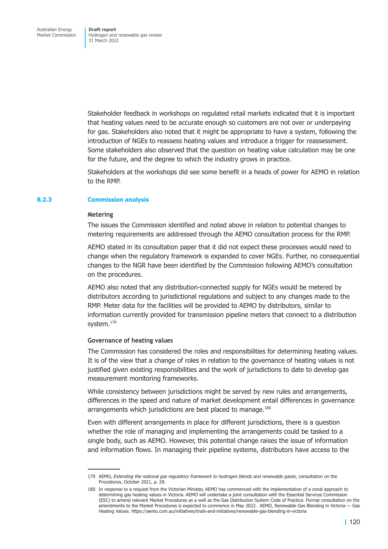Stakeholder feedback in workshops on regulated retail markets indicated that it is important that heating values need to be accurate enough so customers are not over or underpaying for gas. Stakeholders also noted that it might be appropriate to have a system, following the introduction of NGEs to reassess heating values and introduce a trigger for reassessment. Some stakeholders also observed that the question on heating value calculation may be one for the future, and the degree to which the industry grows in practice.

Stakeholders at the workshops did see some benefit in a heads of power for AEMO in relation to the RMP.

#### **8.2.3 Commission analysis**

#### **Metering**

The issues the Commission identified and noted above in relation to potential changes to metering requirements are addressed through the AEMO consultation process for the RMP.

AEMO stated in its consultation paper that it did not expect these processes would need to change when the regulatory framework is expanded to cover NGEs. Further, no consequential changes to the NGR have been identified by the Commission following AEMO's consultation on the procedures.

AEMO also noted that any distribution-connected supply for NGEs would be metered by distributors according to jurisdictional regulations and subject to any changes made to the RMP. Meter data for the facilities will be provided to AEMO by distributors, similar to information currently provided for transmission pipeline meters that connect to a distribution system.<sup>179</sup>

#### **Governance of heating values**

The Commission has considered the roles and responsibilities for determining heating values. It is of the view that a change of roles in relation to the governance of heating values is not justified given existing responsibilities and the work of jurisdictions to date to develop gas measurement monitoring frameworks.

While consistency between jurisdictions might be served by new rules and arrangements, differences in the speed and nature of market development entail differences in governance arrangements which jurisdictions are best placed to manage.<sup>180</sup>

Even with different arrangements in place for different jurisdictions, there is a question whether the role of managing and implementing the arrangements could be tasked to a single body, such as AEMO. However, this potential change raises the issue of information and information flows. In managing their pipeline systems, distributors have access to the

<sup>179</sup> AEMO, *Extending the national gas regulatory framework to hydrogen blends and renewable gases*, consultation on the Procedures, October 2021, p. 28.

<sup>180</sup> In response to a request from the Victorian Minister, AEMO has commenced with the implementation of a zonal approach to determining gas heating values in Victoria. AEMO will undertake a joint consultation with the Essential Services Commission (ESC) to amend relevant Market Procedures as a well as the Gas Distribution System Code of Practice. Formal consultation on the amendments to the Market Procedures is expected to commence in May 2022. AEMO, Renewable Gas Blending in Victoria — Gas Heating Values. https://aemo.com.au/initiatives/trials-and-initiatives/renewable-gas-blending-in-victoria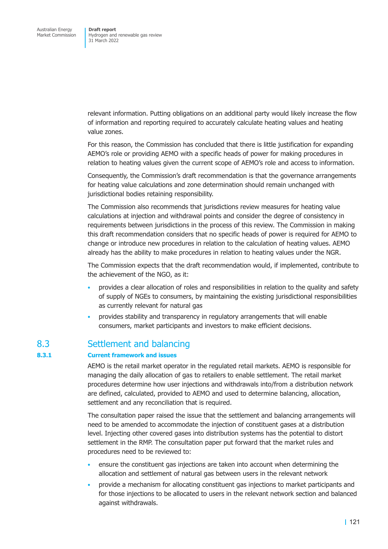relevant information. Putting obligations on an additional party would likely increase the flow of information and reporting required to accurately calculate heating values and heating value zones.

For this reason, the Commission has concluded that there is little justification for expanding AEMO's role or providing AEMO with a specific heads of power for making procedures in relation to heating values given the current scope of AEMO's role and access to information.

Consequently, the Commission's draft recommendation is that the governance arrangements for heating value calculations and zone determination should remain unchanged with jurisdictional bodies retaining responsibility.

The Commission also recommends that jurisdictions review measures for heating value calculations at injection and withdrawal points and consider the degree of consistency in requirements between jurisdictions in the process of this review. The Commission in making this draft recommendation considers that no specific heads of power is required for AEMO to change or introduce new procedures in relation to the calculation of heating values. AEMO already has the ability to make procedures in relation to heating values under the NGR.

The Commission expects that the draft recommendation would, if implemented, contribute to the achievement of the NGO, as it:

- provides a clear allocation of roles and responsibilities in relation to the quality and safety of supply of NGEs to consumers, by maintaining the existing jurisdictional responsibilities as currently relevant for natural gas
- provides stability and transparency in regulatory arrangements that will enable consumers, market participants and investors to make efficient decisions.

# 8.3 Settlement and balancing

# **8.3.1 Current framework and issues**

AEMO is the retail market operator in the regulated retail markets. AEMO is responsible for managing the daily allocation of gas to retailers to enable settlement. The retail market procedures determine how user injections and withdrawals into/from a distribution network are defined, calculated, provided to AEMO and used to determine balancing, allocation, settlement and any reconciliation that is required.

The consultation paper raised the issue that the settlement and balancing arrangements will need to be amended to accommodate the injection of constituent gases at a distribution level. Injecting other covered gases into distribution systems has the potential to distort settlement in the RMP. The consultation paper put forward that the market rules and procedures need to be reviewed to:

- ensure the constituent gas injections are taken into account when determining the allocation and settlement of natural gas between users in the relevant network
- provide a mechanism for allocating constituent gas injections to market participants and for those injections to be allocated to users in the relevant network section and balanced against withdrawals.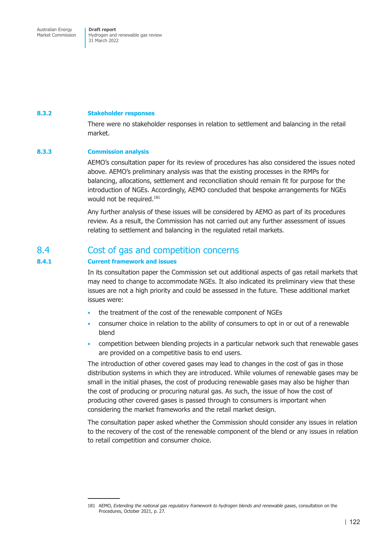Australian Energy Market Commission

**Draft report**  Hydrogen and renewable gas review 31 March 2022

#### **8.3.2 Stakeholder responses**

There were no stakeholder responses in relation to settlement and balancing in the retail market.

#### **8.3.3 Commission analysis**

AEMO's consultation paper for its review of procedures has also considered the issues noted above. AEMO's preliminary analysis was that the existing processes in the RMPs for balancing, allocations, settlement and reconciliation should remain fit for purpose for the introduction of NGEs. Accordingly, AEMO concluded that bespoke arrangements for NGEs would not be required.<sup>181</sup>

Any further analysis of these issues will be considered by AEMO as part of its procedures review. As a result, the Commission has not carried out any further assessment of issues relating to settlement and balancing in the regulated retail markets.

# 8.4 Cost of gas and competition concerns

# **8.4.1 Current framework and issues**

In its consultation paper the Commission set out additional aspects of gas retail markets that may need to change to accommodate NGEs. It also indicated its preliminary view that these issues are not a high priority and could be assessed in the future. These additional market issues were:

- the treatment of the cost of the renewable component of NGEs
- consumer choice in relation to the ability of consumers to opt in or out of a renewable blend
- competition between blending projects in a particular network such that renewable gases are provided on a competitive basis to end users.

The introduction of other covered gases may lead to changes in the cost of gas in those distribution systems in which they are introduced. While volumes of renewable gases may be small in the initial phases, the cost of producing renewable gases may also be higher than the cost of producing or procuring natural gas. As such, the issue of how the cost of producing other covered gases is passed through to consumers is important when considering the market frameworks and the retail market design.

The consultation paper asked whether the Commission should consider any issues in relation to the recovery of the cost of the renewable component of the blend or any issues in relation to retail competition and consumer choice.

<sup>181</sup> AEMO, *Extending the national gas regulatory framework to hydrogen blends and renewable gases*, consultation on the Procedures, October 2021, p. 27.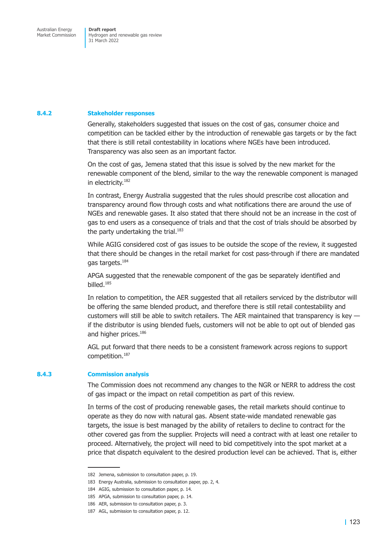#### **8.4.2 Stakeholder responses**

Generally, stakeholders suggested that issues on the cost of gas, consumer choice and competition can be tackled either by the introduction of renewable gas targets or by the fact that there is still retail contestability in locations where NGEs have been introduced. Transparency was also seen as an important factor.

On the cost of gas, Jemena stated that this issue is solved by the new market for the renewable component of the blend, similar to the way the renewable component is managed in electricity.182

In contrast, Energy Australia suggested that the rules should prescribe cost allocation and transparency around flow through costs and what notifications there are around the use of NGEs and renewable gases. It also stated that there should not be an increase in the cost of gas to end users as a consequence of trials and that the cost of trials should be absorbed by the party undertaking the trial.<sup>183</sup>

While AGIG considered cost of gas issues to be outside the scope of the review, it suggested that there should be changes in the retail market for cost pass-through if there are mandated gas targets.<sup>184</sup>

APGA suggested that the renewable component of the gas be separately identified and billed.185

In relation to competition, the AER suggested that all retailers serviced by the distributor will be offering the same blended product, and therefore there is still retail contestability and customers will still be able to switch retailers. The AER maintained that transparency is key if the distributor is using blended fuels, customers will not be able to opt out of blended gas and higher prices.<sup>186</sup>

AGL put forward that there needs to be a consistent framework across regions to support competition.187

#### **8.4.3 Commission analysis**

The Commission does not recommend any changes to the NGR or NERR to address the cost of gas impact or the impact on retail competition as part of this review.

In terms of the cost of producing renewable gases, the retail markets should continue to operate as they do now with natural gas. Absent state-wide mandated renewable gas targets, the issue is best managed by the ability of retailers to decline to contract for the other covered gas from the supplier. Projects will need a contract with at least one retailer to proceed. Alternatively, the project will need to bid competitively into the spot market at a price that dispatch equivalent to the desired production level can be achieved. That is, either

<sup>182</sup> Jemena, submission to consultation paper, p. 19.

<sup>183</sup> Energy Australia, submission to consultation paper, pp. 2, 4.

<sup>184</sup> AGIG, submission to consultation paper, p. 14.

<sup>185</sup> APGA, submission to consultation paper, p. 14.

<sup>186</sup> AER, submission to consultation paper, p. 3.

<sup>187</sup> AGL, submission to consultation paper, p. 12.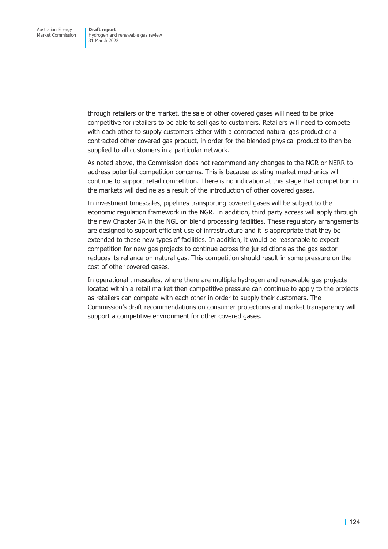through retailers or the market, the sale of other covered gases will need to be price competitive for retailers to be able to sell gas to customers. Retailers will need to compete with each other to supply customers either with a contracted natural gas product or a contracted other covered gas product, in order for the blended physical product to then be supplied to all customers in a particular network.

As noted above, the Commission does not recommend any changes to the NGR or NERR to address potential competition concerns. This is because existing market mechanics will continue to support retail competition. There is no indication at this stage that competition in the markets will decline as a result of the introduction of other covered gases.

In investment timescales, pipelines transporting covered gases will be subject to the economic regulation framework in the NGR. In addition, third party access will apply through the new Chapter 5A in the NGL on blend processing facilities. These regulatory arrangements are designed to support efficient use of infrastructure and it is appropriate that they be extended to these new types of facilities. In addition, it would be reasonable to expect competition for new gas projects to continue across the jurisdictions as the gas sector reduces its reliance on natural gas. This competition should result in some pressure on the cost of other covered gases.

In operational timescales, where there are multiple hydrogen and renewable gas projects located within a retail market then competitive pressure can continue to apply to the projects as retailers can compete with each other in order to supply their customers. The Commission's draft recommendations on consumer protections and market transparency will support a competitive environment for other covered gases.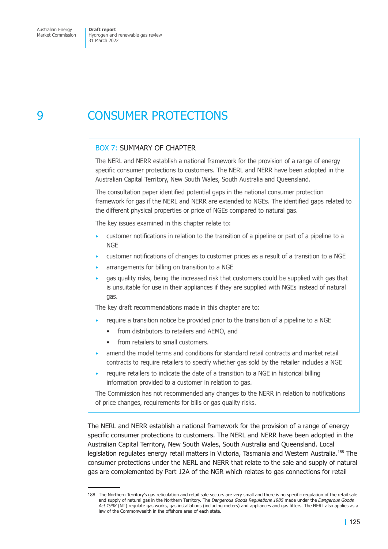# 9 CONSUMER PROTECTIONS

# BOX 7: SUMMARY OF CHAPTER

The NERL and NERR establish a national framework for the provision of a range of energy specific consumer protections to customers. The NERL and NERR have been adopted in the Australian Capital Territory, New South Wales, South Australia and Queensland.

The consultation paper identified potential gaps in the national consumer protection framework for gas if the NERL and NERR are extended to NGEs. The identified gaps related to the different physical properties or price of NGEs compared to natural gas.

The key issues examined in this chapter relate to:

- customer notifications in relation to the transition of a pipeline or part of a pipeline to a **NGE**
- customer notifications of changes to customer prices as a result of a transition to a NGE
- arrangements for billing on transition to a NGE
- gas quality risks, being the increased risk that customers could be supplied with gas that is unsuitable for use in their appliances if they are supplied with NGEs instead of natural gas.

The key draft recommendations made in this chapter are to:

- require a transition notice be provided prior to the transition of a pipeline to a NGE
	- from distributors to retailers and AEMO, and
	- from retailers to small customers.
- amend the model terms and conditions for standard retail contracts and market retail contracts to require retailers to specify whether gas sold by the retailer includes a NGE
- require retailers to indicate the date of a transition to a NGE in historical billing information provided to a customer in relation to gas.

The Commission has not recommended any changes to the NERR in relation to notifications of price changes, requirements for bills or gas quality risks.

The NERL and NERR establish a national framework for the provision of a range of energy specific consumer protections to customers. The NERL and NERR have been adopted in the Australian Capital Territory, New South Wales, South Australia and Queensland. Local legislation regulates energy retail matters in Victoria, Tasmania and Western Australia.<sup>188</sup> The consumer protections under the NERL and NERR that relate to the sale and supply of natural gas are complemented by Part 12A of the NGR which relates to gas connections for retail

<sup>188</sup> The Northern Territory's gas reticulation and retail sale sectors are very small and there is no specific regulation of the retail sale and supply of natural gas in the Northern Territory. The *Dangerous Goods Regulations 1985* made under the *Dangerous Goods Act 1998* (NT) regulate gas works, gas installations (including meters) and appliances and gas fitters. The NERL also applies as a law of the Commonwealth in the offshore area of each state.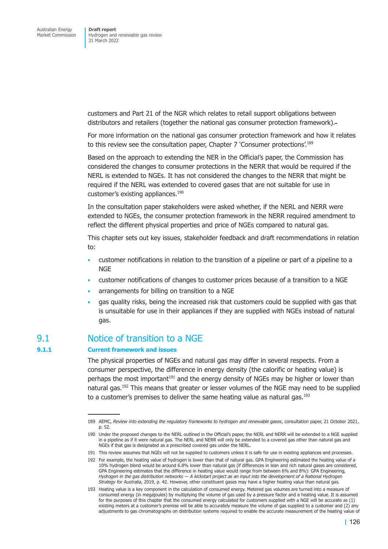customers and Part 21 of the NGR which relates to retail support obligations between distributors and retailers (together the national gas consumer protection framework).

For more information on the national gas consumer protection framework and how it relates to this review see the consultation paper, Chapter 7 'Consumer protections'.189

Based on the approach to extending the NER in the Official's paper, the Commission has considered the changes to consumer protections in the NERR that would be required if the NERL is extended to NGEs. It has not considered the changes to the NERR that might be required if the NERL was extended to covered gases that are not suitable for use in customer's existing appliances.<sup>190</sup>

In the consultation paper stakeholders were asked whether, if the NERL and NERR were extended to NGEs, the consumer protection framework in the NERR required amendment to reflect the different physical properties and price of NGEs compared to natural gas.

This chapter sets out key issues, stakeholder feedback and draft recommendations in relation to:

- customer notifications in relation to the transition of a pipeline or part of a pipeline to a **NGF**
- customer notifications of changes to customer prices because of a transition to a NGE
- arrangements for billing on transition to a NGE
- gas quality risks, being the increased risk that customers could be supplied with gas that is unsuitable for use in their appliances if they are supplied with NGEs instead of natural gas.

# 9.1 Notice of transition to a NGE

# **9.1.1 Current framework and issues**

The physical properties of NGEs and natural gas may differ in several respects. From a consumer perspective, the difference in energy density (the calorific or heating value) is perhaps the most important<sup>191</sup> and the energy density of NGEs may be higher or lower than natural gas.<sup>192</sup> This means that greater or lesser volumes of the NGE may need to be supplied to a customer's premises to deliver the same heating value as natural gas. $^{193}$ 

<sup>189</sup> AEMC, *Review into extending the regulatory frameworks to hydrogen and renewable gases*, consultation paper, 21 October 2021, p. 52.

<sup>190</sup> Under the proposed changes to the NERL outlined in the Official's paper, the NERL and NERR will be extended to a NGE supplied in a pipeline as if it were natural gas. The NERL and NERR will only be extended to a covered gas other than natural gas and NGEs if that gas is designated as a prescribed covered gas under the NERL.

<sup>191</sup> This review assumes that NGEs will not be supplied to customers unless it is safe for use in existing appliances and processes.

<sup>192</sup> For example, the heating value of hydrogen is lower than that of natural gas. GPA Engineering estimated the heating value of a 10% hydrogen blend would be around 6.8% lower than natural gas (if differences in lean and rich natural gases are considered, GPA Engineering estimates that the difference in heating value would range from between 6% and 8%): GPA Engineering, *Hydrogen in the gas distribution networks — A kickstart project as an input into the development of a National Hydrogen Strategy for Australia*, 2019, p. 42. However, other constituent gases may have a higher heating value than natural gas.

<sup>193</sup> Heating value is a key component in the calculation of consumed energy. Metered gas volumes are turned into a measure of consumed energy (in megajoules) by multiplying the volume of gas used by a pressure factor and a heating value. It is assumed for the purposes of this chapter that the consumed energy calculated for customers supplied with a NGE will be accurate as (1) existing meters at a customer's premise will be able to accurately measure the volume of gas supplied to a customer and (2) any adjustments to gas chromatographs on distribution systems required to enable the accurate measurement of the heating value of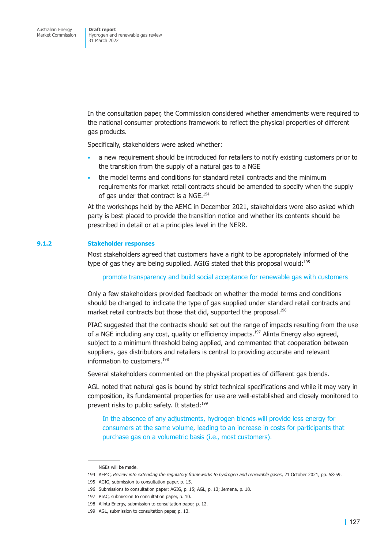In the consultation paper, the Commission considered whether amendments were required to the national consumer protections framework to reflect the physical properties of different gas products.

Specifically, stakeholders were asked whether:

- a new requirement should be introduced for retailers to notify existing customers prior to the transition from the supply of a natural gas to a NGE
- the model terms and conditions for standard retail contracts and the minimum requirements for market retail contracts should be amended to specify when the supply of gas under that contract is a NGE.<sup>194</sup>

At the workshops held by the AEMC in December 2021, stakeholders were also asked which party is best placed to provide the transition notice and whether its contents should be prescribed in detail or at a principles level in the NERR.

#### **9.1.2 Stakeholder responses**

Most stakeholders agreed that customers have a right to be appropriately informed of the type of gas they are being supplied. AGIG stated that this proposal would:<sup>195</sup>

promote transparency and build social acceptance for renewable gas with customers

Only a few stakeholders provided feedback on whether the model terms and conditions should be changed to indicate the type of gas supplied under standard retail contracts and market retail contracts but those that did, supported the proposal.<sup>196</sup>

PIAC suggested that the contracts should set out the range of impacts resulting from the use of a NGE including any cost, quality or efficiency impacts.<sup>197</sup> Alinta Energy also agreed, subject to a minimum threshold being applied, and commented that cooperation between suppliers, gas distributors and retailers is central to providing accurate and relevant information to customers.<sup>198</sup>

Several stakeholders commented on the physical properties of different gas blends.

AGL noted that natural gas is bound by strict technical specifications and while it may vary in composition, its fundamental properties for use are well-established and closely monitored to prevent risks to public safety. It stated:<sup>199</sup>

In the absence of any adjustments, hydrogen blends will provide less energy for consumers at the same volume, leading to an increase in costs for participants that purchase gas on a volumetric basis (i.e., most customers).

NGEs will be made.

<sup>194</sup> AEMC, *Review into extending the regulatory frameworks to hydrogen and renewable gases*, 21 October 2021, pp. 58-59.

<sup>195</sup> AGIG, submission to consultation paper, p. 15.

<sup>196</sup> Submissions to consultation paper: AGIG, p. 15; AGL, p. 13; Jemena, p. 18.

<sup>197</sup> PIAC, submission to consultation paper, p. 10.

<sup>198</sup> Alinta Energy, submission to consultation paper, p. 12.

<sup>199</sup> AGL, submission to consultation paper, p. 13.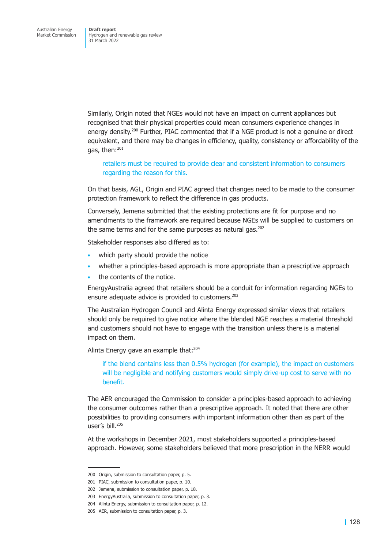Similarly, Origin noted that NGEs would not have an impact on current appliances but recognised that their physical properties could mean consumers experience changes in energy density.<sup>200</sup> Further, PIAC commented that if a NGE product is not a genuine or direct equivalent, and there may be changes in efficiency, quality, consistency or affordability of the gas, then:<sup>201</sup>

retailers must be required to provide clear and consistent information to consumers regarding the reason for this.

On that basis, AGL, Origin and PIAC agreed that changes need to be made to the consumer protection framework to reflect the difference in gas products.

Conversely, Jemena submitted that the existing protections are fit for purpose and no amendments to the framework are required because NGEs will be supplied to customers on the same terms and for the same purposes as natural gas.<sup>202</sup>

Stakeholder responses also differed as to:

- which party should provide the notice
- whether a principles-based approach is more appropriate than a prescriptive approach
- the contents of the notice.

EnergyAustralia agreed that retailers should be a conduit for information regarding NGEs to ensure adequate advice is provided to customers.<sup>203</sup>

The Australian Hydrogen Council and Alinta Energy expressed similar views that retailers should only be required to give notice where the blended NGE reaches a material threshold and customers should not have to engage with the transition unless there is a material impact on them.

Alinta Energy gave an example that:<sup>204</sup>

if the blend contains less than 0.5% hydrogen (for example), the impact on customers will be negligible and notifying customers would simply drive-up cost to serve with no benefit.

The AER encouraged the Commission to consider a principles-based approach to achieving the consumer outcomes rather than a prescriptive approach. It noted that there are other possibilities to providing consumers with important information other than as part of the user's bill.<sup>205</sup>

At the workshops in December 2021, most stakeholders supported a principles-based approach. However, some stakeholders believed that more prescription in the NERR would

<sup>200</sup> Origin, submission to consultation paper, p. 5.

<sup>201</sup> PIAC, submission to consultation paper, p. 10.

<sup>202</sup> Jemena, submission to consultation paper, p. 18.

<sup>203</sup> EnergyAustralia, submission to consultation paper, p. 3.

<sup>204</sup> Alinta Energy, submission to consultation paper, p. 12.

<sup>205</sup> AER, submission to consultation paper, p. 3.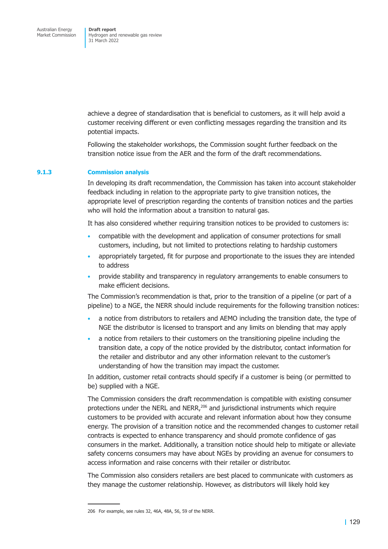achieve a degree of standardisation that is beneficial to customers, as it will help avoid a customer receiving different or even conflicting messages regarding the transition and its potential impacts.

Following the stakeholder workshops, the Commission sought further feedback on the transition notice issue from the AER and the form of the draft recommendations.

#### **9.1.3 Commission analysis**

In developing its draft recommendation, the Commission has taken into account stakeholder feedback including in relation to the appropriate party to give transition notices, the appropriate level of prescription regarding the contents of transition notices and the parties who will hold the information about a transition to natural gas.

It has also considered whether requiring transition notices to be provided to customers is:

- compatible with the development and application of consumer protections for small customers, including, but not limited to protections relating to hardship customers
- appropriately targeted, fit for purpose and proportionate to the issues they are intended to address
- provide stability and transparency in regulatory arrangements to enable consumers to make efficient decisions.

The Commission's recommendation is that, prior to the transition of a pipeline (or part of a pipeline) to a NGE, the NERR should include requirements for the following transition notices:

- a notice from distributors to retailers and AEMO including the transition date, the type of NGE the distributor is licensed to transport and any limits on blending that may apply
- a notice from retailers to their customers on the transitioning pipeline including the transition date, a copy of the notice provided by the distributor, contact information for the retailer and distributor and any other information relevant to the customer's understanding of how the transition may impact the customer.

In addition, customer retail contracts should specify if a customer is being (or permitted to be) supplied with a NGE.

The Commission considers the draft recommendation is compatible with existing consumer protections under the NERL and NERR,206 and jurisdictional instruments which require customers to be provided with accurate and relevant information about how they consume energy. The provision of a transition notice and the recommended changes to customer retail contracts is expected to enhance transparency and should promote confidence of gas consumers in the market. Additionally, a transition notice should help to mitigate or alleviate safety concerns consumers may have about NGEs by providing an avenue for consumers to access information and raise concerns with their retailer or distributor.

The Commission also considers retailers are best placed to communicate with customers as they manage the customer relationship. However, as distributors will likely hold key

<sup>206</sup> For example, see rules 32, 46A, 48A, 56, 59 of the NERR.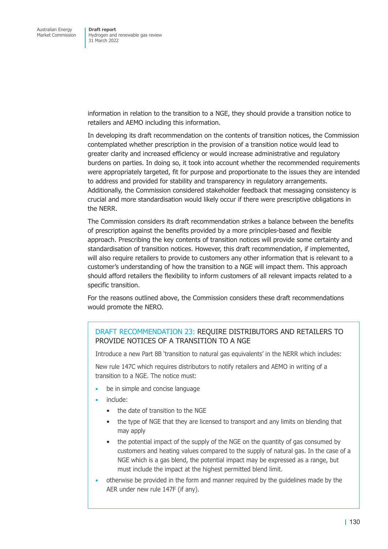information in relation to the transition to a NGE, they should provide a transition notice to retailers and AEMO including this information.

In developing its draft recommendation on the contents of transition notices, the Commission contemplated whether prescription in the provision of a transition notice would lead to greater clarity and increased efficiency or would increase administrative and regulatory burdens on parties. In doing so, it took into account whether the recommended requirements were appropriately targeted, fit for purpose and proportionate to the issues they are intended to address and provided for stability and transparency in regulatory arrangements. Additionally, the Commission considered stakeholder feedback that messaging consistency is crucial and more standardisation would likely occur if there were prescriptive obligations in the NERR.

The Commission considers its draft recommendation strikes a balance between the benefits of prescription against the benefits provided by a more principles-based and flexible approach. Prescribing the key contents of transition notices will provide some certainty and standardisation of transition notices. However, this draft recommendation, if implemented, will also require retailers to provide to customers any other information that is relevant to a customer's understanding of how the transition to a NGE will impact them. This approach should afford retailers the flexibility to inform customers of all relevant impacts related to a specific transition.

For the reasons outlined above, the Commission considers these draft recommendations would promote the NERO.

# DRAFT RECOMMENDATION 23: REQUIRE DISTRIBUTORS AND RETAILERS TO PROVIDE NOTICES OF A TRANSITION TO A NGE

Introduce a new Part 8B 'transition to natural gas equivalents' in the NERR which includes:

New rule 147C which requires distributors to notify retailers and AEMO in writing of a transition to a NGE. The notice must:

- be in simple and concise language
- include:
	- the date of transition to the NGE
	- the type of NGE that they are licensed to transport and any limits on blending that may apply
	- the potential impact of the supply of the NGE on the quantity of gas consumed by customers and heating values compared to the supply of natural gas. In the case of a NGE which is a gas blend, the potential impact may be expressed as a range, but must include the impact at the highest permitted blend limit.
- otherwise be provided in the form and manner required by the guidelines made by the AER under new rule 147F (if any).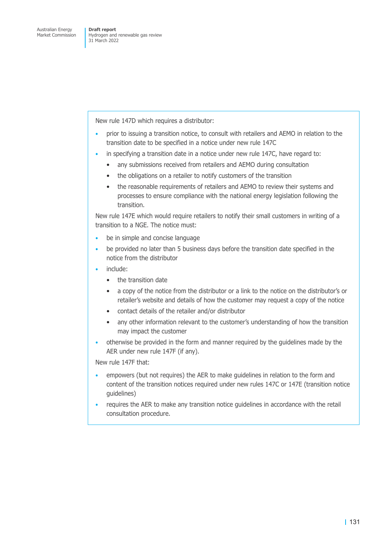New rule 147D which requires a distributor:

- prior to issuing a transition notice, to consult with retailers and AEMO in relation to the transition date to be specified in a notice under new rule 147C
- in specifying a transition date in a notice under new rule 147C, have regard to:
	- any submissions received from retailers and AEMO during consultation
	- the obligations on a retailer to notify customers of the transition
	- the reasonable requirements of retailers and AEMO to review their systems and processes to ensure compliance with the national energy legislation following the transition.

New rule 147E which would require retailers to notify their small customers in writing of a transition to a NGE. The notice must:

- be in simple and concise language
- be provided no later than 5 business days before the transition date specified in the notice from the distributor
- include:
	- the transition date
	- a copy of the notice from the distributor or a link to the notice on the distributor's or retailer's website and details of how the customer may request a copy of the notice
	- contact details of the retailer and/or distributor
	- any other information relevant to the customer's understanding of how the transition may impact the customer
- otherwise be provided in the form and manner required by the guidelines made by the AER under new rule 147F (if any).

New rule 147F that:

- empowers (but not requires) the AER to make guidelines in relation to the form and content of the transition notices required under new rules 147C or 147E (transition notice guidelines)
- requires the AER to make any transition notice guidelines in accordance with the retail consultation procedure.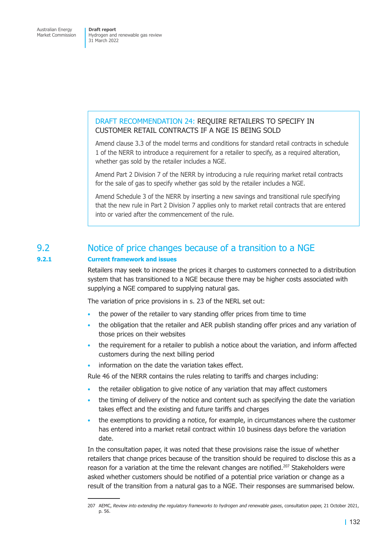# DRAFT RECOMMENDATION 24: REQUIRE RETAILERS TO SPECIFY IN CUSTOMER RETAIL CONTRACTS IF A NGE IS BEING SOLD

Amend clause 3.3 of the model terms and conditions for standard retail contracts in schedule 1 of the NERR to introduce a requirement for a retailer to specify, as a required alteration, whether gas sold by the retailer includes a NGE.

Amend Part 2 Division 7 of the NERR by introducing a rule requiring market retail contracts for the sale of gas to specify whether gas sold by the retailer includes a NGE.

Amend Schedule 3 of the NERR by inserting a new savings and transitional rule specifying that the new rule in Part 2 Division 7 applies only to market retail contracts that are entered into or varied after the commencement of the rule.

# 9.2 Notice of price changes because of a transition to a NGE

# **9.2.1 Current framework and issues**

Retailers may seek to increase the prices it charges to customers connected to a distribution system that has transitioned to a NGE because there may be higher costs associated with supplying a NGE compared to supplying natural gas.

The variation of price provisions in s. 23 of the NERL set out:

- the power of the retailer to vary standing offer prices from time to time
- the obligation that the retailer and AER publish standing offer prices and any variation of those prices on their websites
- the requirement for a retailer to publish a notice about the variation, and inform affected customers during the next billing period
- information on the date the variation takes effect.

Rule 46 of the NERR contains the rules relating to tariffs and charges including:

- the retailer obligation to give notice of any variation that may affect customers
- the timing of delivery of the notice and content such as specifying the date the variation takes effect and the existing and future tariffs and charges
- the exemptions to providing a notice, for example, in circumstances where the customer has entered into a market retail contract within 10 business days before the variation date.

In the consultation paper, it was noted that these provisions raise the issue of whether retailers that change prices because of the transition should be required to disclose this as a reason for a variation at the time the relevant changes are notified.<sup>207</sup> Stakeholders were asked whether customers should be notified of a potential price variation or change as a result of the transition from a natural gas to a NGE. Their responses are summarised below.

<sup>207</sup> AEMC, *Review into extending the regulatory frameworks to hydrogen and renewable gases*, consultation paper, 21 October 2021, p. 56.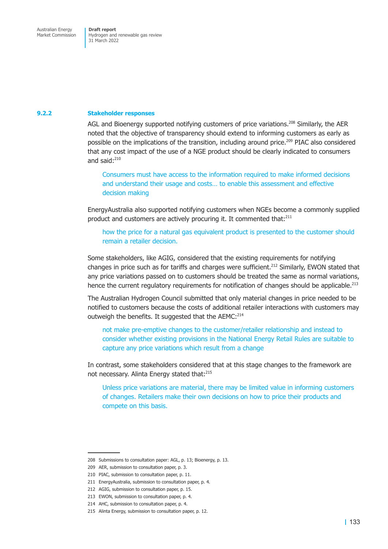#### **9.2.2 Stakeholder responses**

AGL and Bioenergy supported notifying customers of price variations.<sup>208</sup> Similarly, the AER noted that the objective of transparency should extend to informing customers as early as possible on the implications of the transition, including around price.<sup>209</sup> PIAC also considered that any cost impact of the use of a NGE product should be clearly indicated to consumers and said:210

Consumers must have access to the information required to make informed decisions and understand their usage and costs… to enable this assessment and effective decision making

EnergyAustralia also supported notifying customers when NGEs become a commonly supplied product and customers are actively procuring it. It commented that:<sup>211</sup>

how the price for a natural gas equivalent product is presented to the customer should remain a retailer decision.

Some stakeholders, like AGIG, considered that the existing requirements for notifying changes in price such as for tariffs and charges were sufficient.<sup>212</sup> Similarly, EWON stated that any price variations passed on to customers should be treated the same as normal variations, hence the current regulatory requirements for notification of changes should be applicable.<sup>213</sup>

The Australian Hydrogen Council submitted that only material changes in price needed to be notified to customers because the costs of additional retailer interactions with customers may outweigh the benefits. It suggested that the AEMC:<sup>214</sup>

not make pre-emptive changes to the customer/retailer relationship and instead to consider whether existing provisions in the National Energy Retail Rules are suitable to capture any price variations which result from a change

In contrast, some stakeholders considered that at this stage changes to the framework are not necessary. Alinta Energy stated that:<sup>215</sup>

Unless price variations are material, there may be limited value in informing customers of changes. Retailers make their own decisions on how to price their products and compete on this basis.

<sup>208</sup> Submissions to consultation paper: AGL, p. 13; Bioenergy, p. 13.

<sup>209</sup> AER, submission to consultation paper, p. 3.

<sup>210</sup> PIAC, submission to consultation paper, p. 11.

<sup>211</sup> EnergyAustralia, submission to consultation paper, p. 4.

<sup>212</sup> AGIG, submission to consultation paper, p. 15.

<sup>213</sup> EWON, submission to consultation paper, p. 4.

<sup>214</sup> AHC, submission to consultation paper, p. 4.

<sup>215</sup> Alinta Energy, submission to consultation paper, p. 12.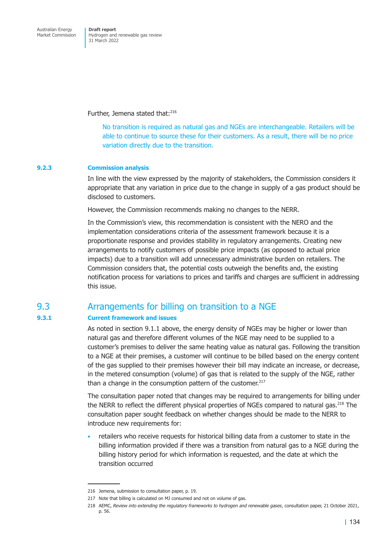Further, Jemena stated that:<sup>216</sup>

No transition is required as natural gas and NGEs are interchangeable. Retailers will be able to continue to source these for their customers. As a result, there will be no price variation directly due to the transition.

# **9.2.3 Commission analysis**

In line with the view expressed by the majority of stakeholders, the Commission considers it appropriate that any variation in price due to the change in supply of a gas product should be disclosed to customers.

However, the Commission recommends making no changes to the NERR.

In the Commission's view, this recommendation is consistent with the NERO and the implementation considerations criteria of the assessment framework because it is a proportionate response and provides stability in regulatory arrangements. Creating new arrangements to notify customers of possible price impacts (as opposed to actual price impacts) due to a transition will add unnecessary administrative burden on retailers. The Commission considers that, the potential costs outweigh the benefits and, the existing notification process for variations to prices and tariffs and charges are sufficient in addressing this issue.

# 9.3 Arrangements for billing on transition to a NGE

# **9.3.1 Current framework and issues**

As noted in section 9.1.1 above, the energy density of NGEs may be higher or lower than natural gas and therefore different volumes of the NGE may need to be supplied to a customer's premises to deliver the same heating value as natural gas. Following the transition to a NGE at their premises, a customer will continue to be billed based on the energy content of the gas supplied to their premises however their bill may indicate an increase, or decrease, in the metered consumption (volume) of gas that is related to the supply of the NGE, rather than a change in the consumption pattern of the customer. $217$ 

The consultation paper noted that changes may be required to arrangements for billing under the NERR to reflect the different physical properties of NGEs compared to natural gas.<sup>218</sup> The consultation paper sought feedback on whether changes should be made to the NERR to introduce new requirements for:

• retailers who receive requests for historical billing data from a customer to state in the billing information provided if there was a transition from natural gas to a NGE during the billing history period for which information is requested, and the date at which the transition occurred

<sup>216</sup> Jemena, submission to consultation paper, p. 19.

<sup>217</sup> Note that billing is calculated on MJ consumed and not on volume of gas.

<sup>218</sup> AEMC, *Review into extending the regulatory frameworks to hydrogen and renewable gases*, consultation paper, 21 October 2021, p. 56.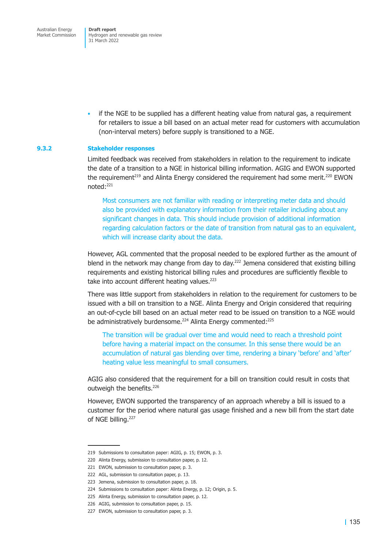Australian Energy Market Commission

**Draft report**  Hydrogen and renewable gas review 31 March 2022

• if the NGE to be supplied has a different heating value from natural gas, a requirement for retailers to issue a bill based on an actual meter read for customers with accumulation (non-interval meters) before supply is transitioned to a NGE.

#### **9.3.2 Stakeholder responses**

Limited feedback was received from stakeholders in relation to the requirement to indicate the date of a transition to a NGE in historical billing information. AGIG and EWON supported the requirement<sup>219</sup> and Alinta Energy considered the requirement had some merit.<sup>220</sup> EWON noted:221

Most consumers are not familiar with reading or interpreting meter data and should also be provided with explanatory information from their retailer including about any significant changes in data. This should include provision of additional information regarding calculation factors or the date of transition from natural gas to an equivalent, which will increase clarity about the data.

However, AGL commented that the proposal needed to be explored further as the amount of blend in the network may change from day to day.<sup>222</sup> Jemena considered that existing billing requirements and existing historical billing rules and procedures are sufficiently flexible to take into account different heating values.<sup>223</sup>

There was little support from stakeholders in relation to the requirement for customers to be issued with a bill on transition to a NGE. Alinta Energy and Origin considered that requiring an out-of-cycle bill based on an actual meter read to be issued on transition to a NGE would be administratively burdensome.<sup>224</sup> Alinta Energy commented:<sup>225</sup>

The transition will be gradual over time and would need to reach a threshold point before having a material impact on the consumer. In this sense there would be an accumulation of natural gas blending over time, rendering a binary 'before' and 'after' heating value less meaningful to small consumers.

AGIG also considered that the requirement for a bill on transition could result in costs that outweigh the benefits.<sup>226</sup>

However, EWON supported the transparency of an approach whereby a bill is issued to a customer for the period where natural gas usage finished and a new bill from the start date of NGE billing.<sup>227</sup>

<sup>219</sup> Submissions to consultation paper: AGIG, p. 15; EWON, p. 3.

<sup>220</sup> Alinta Energy, submission to consultation paper, p. 12.

<sup>221</sup> EWON, submission to consultation paper, p. 3.

<sup>222</sup> AGL, submission to consultation paper, p. 13.

<sup>223</sup> Jemena, submission to consultation paper, p. 18.

<sup>224</sup> Submissions to consultation paper: Alinta Energy, p. 12; Origin, p. 5.

<sup>225</sup> Alinta Energy, submission to consultation paper, p. 12.

<sup>226</sup> AGIG, submission to consultation paper, p. 15.

<sup>227</sup> EWON, submission to consultation paper, p. 3.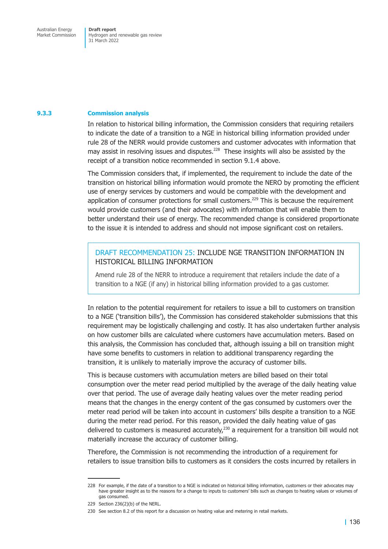Market Commission

Hydrogen and renewable gas review 31 March 2022

#### **9.3.3 Commission analysis**

In relation to historical billing information, the Commission considers that requiring retailers to indicate the date of a transition to a NGE in historical billing information provided under rule 28 of the NERR would provide customers and customer advocates with information that may assist in resolving issues and disputes. $^{228}$  These insights will also be assisted by the receipt of a transition notice recommended in section 9.1.4 above.

The Commission considers that, if implemented, the requirement to include the date of the transition on historical billing information would promote the NERO by promoting the efficient use of energy services by customers and would be compatible with the development and application of consumer protections for small customers.<sup>229</sup> This is because the requirement would provide customers (and their advocates) with information that will enable them to better understand their use of energy. The recommended change is considered proportionate to the issue it is intended to address and should not impose significant cost on retailers.

# DRAFT RECOMMENDATION 25: INCLUDE NGE TRANSITION INFORMATION IN HISTORICAL BILLING INFORMATION

Amend rule 28 of the NERR to introduce a requirement that retailers include the date of a transition to a NGE (if any) in historical billing information provided to a gas customer.

In relation to the potential requirement for retailers to issue a bill to customers on transition to a NGE ('transition bills'), the Commission has considered stakeholder submissions that this requirement may be logistically challenging and costly. It has also undertaken further analysis on how customer bills are calculated where customers have accumulation meters. Based on this analysis, the Commission has concluded that, although issuing a bill on transition might have some benefits to customers in relation to additional transparency regarding the transition, it is unlikely to materially improve the accuracy of customer bills.

This is because customers with accumulation meters are billed based on their total consumption over the meter read period multiplied by the average of the daily heating value over that period. The use of average daily heating values over the meter reading period means that the changes in the energy content of the gas consumed by customers over the meter read period will be taken into account in customers' bills despite a transition to a NGE during the meter read period. For this reason, provided the daily heating value of gas delivered to customers is measured accurately, $^{230}$  a requirement for a transition bill would not materially increase the accuracy of customer billing.

Therefore, the Commission is not recommending the introduction of a requirement for retailers to issue transition bills to customers as it considers the costs incurred by retailers in

<sup>228</sup> For example, if the date of a transition to a NGE is indicated on historical billing information, customers or their advocates may have greater insight as to the reasons for a change to inputs to customers' bills such as changes to heating values or volumes of gas consumed.

<sup>229</sup> Section 236(2)(b) of the NERL.

<sup>230</sup> See section 8.2 of this report for a discussion on heating value and metering in retail markets.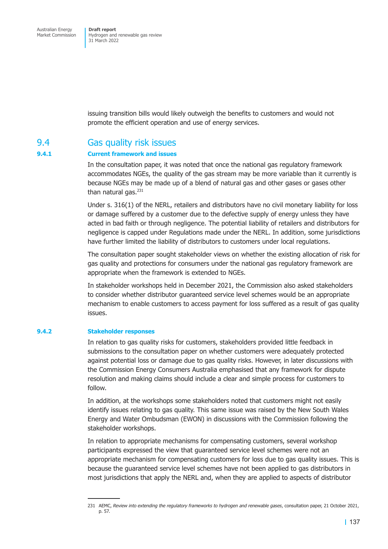issuing transition bills would likely outweigh the benefits to customers and would not promote the efficient operation and use of energy services.

# 9.4 Gas quality risk issues

# **9.4.1 Current framework and issues**

In the consultation paper, it was noted that once the national gas regulatory framework accommodates NGEs, the quality of the gas stream may be more variable than it currently is because NGEs may be made up of a blend of natural gas and other gases or gases other than natural gas. $231$ 

Under s. 316(1) of the NERL, retailers and distributors have no civil monetary liability for loss or damage suffered by a customer due to the defective supply of energy unless they have acted in bad faith or through negligence. The potential liability of retailers and distributors for negligence is capped under Regulations made under the NERL. In addition, some jurisdictions have further limited the liability of distributors to customers under local regulations.

The consultation paper sought stakeholder views on whether the existing allocation of risk for gas quality and protections for consumers under the national gas regulatory framework are appropriate when the framework is extended to NGEs.

In stakeholder workshops held in December 2021, the Commission also asked stakeholders to consider whether distributor guaranteed service level schemes would be an appropriate mechanism to enable customers to access payment for loss suffered as a result of gas quality issues.

# **9.4.2 Stakeholder responses**

In relation to gas quality risks for customers, stakeholders provided little feedback in submissions to the consultation paper on whether customers were adequately protected against potential loss or damage due to gas quality risks. However, in later discussions with the Commission Energy Consumers Australia emphasised that any framework for dispute resolution and making claims should include a clear and simple process for customers to follow.

In addition, at the workshops some stakeholders noted that customers might not easily identify issues relating to gas quality. This same issue was raised by the New South Wales Energy and Water Ombudsman (EWON) in discussions with the Commission following the stakeholder workshops.

In relation to appropriate mechanisms for compensating customers, several workshop participants expressed the view that guaranteed service level schemes were not an appropriate mechanism for compensating customers for loss due to gas quality issues. This is because the guaranteed service level schemes have not been applied to gas distributors in most jurisdictions that apply the NERL and, when they are applied to aspects of distributor

<sup>231</sup> AEMC, *Review into extending the regulatory frameworks to hydrogen and renewable gases*, consultation paper, 21 October 2021, p. 57.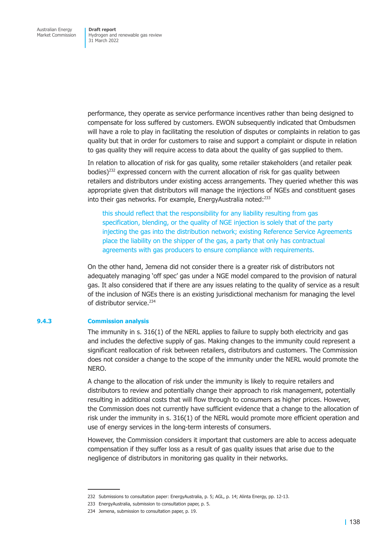performance, they operate as service performance incentives rather than being designed to compensate for loss suffered by customers. EWON subsequently indicated that Ombudsmen will have a role to play in facilitating the resolution of disputes or complaints in relation to gas quality but that in order for customers to raise and support a complaint or dispute in relation to gas quality they will require access to data about the quality of gas supplied to them.

In relation to allocation of risk for gas quality, some retailer stakeholders (and retailer peak bodies)<sup>232</sup> expressed concern with the current allocation of risk for gas quality between retailers and distributors under existing access arrangements. They queried whether this was appropriate given that distributors will manage the injections of NGEs and constituent gases into their gas networks. For example, EnergyAustralia noted:<sup>233</sup>

this should reflect that the responsibility for any liability resulting from gas specification, blending, or the quality of NGE injection is solely that of the party injecting the gas into the distribution network; existing Reference Service Agreements place the liability on the shipper of the gas, a party that only has contractual agreements with gas producers to ensure compliance with requirements.

On the other hand, Jemena did not consider there is a greater risk of distributors not adequately managing 'off spec' gas under a NGE model compared to the provision of natural gas. It also considered that if there are any issues relating to the quality of service as a result of the inclusion of NGEs there is an existing jurisdictional mechanism for managing the level of distributor service.<sup>234</sup>

#### **9.4.3 Commission analysis**

The immunity in s. 316(1) of the NERL applies to failure to supply both electricity and gas and includes the defective supply of gas. Making changes to the immunity could represent a significant reallocation of risk between retailers, distributors and customers. The Commission does not consider a change to the scope of the immunity under the NERL would promote the NERO.

A change to the allocation of risk under the immunity is likely to require retailers and distributors to review and potentially change their approach to risk management, potentially resulting in additional costs that will flow through to consumers as higher prices. However, the Commission does not currently have sufficient evidence that a change to the allocation of risk under the immunity in s. 316(1) of the NERL would promote more efficient operation and use of energy services in the long-term interests of consumers.

However, the Commission considers it important that customers are able to access adequate compensation if they suffer loss as a result of gas quality issues that arise due to the negligence of distributors in monitoring gas quality in their networks.

<sup>232</sup> Submissions to consultation paper: EnergyAustralia, p. 5; AGL, p. 14; Alinta Energy, pp. 12-13.

<sup>233</sup> EnergyAustralia, submission to consultation paper, p. 5.

<sup>234</sup> Jemena, submission to consultation paper, p. 19.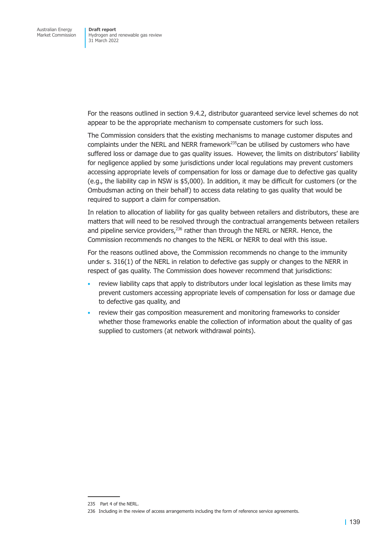For the reasons outlined in section 9.4.2, distributor guaranteed service level schemes do not appear to be the appropriate mechanism to compensate customers for such loss.

The Commission considers that the existing mechanisms to manage customer disputes and complaints under the NERL and NERR framework<sup>235</sup>can be utilised by customers who have suffered loss or damage due to gas quality issues. However, the limits on distributors' liability for negligence applied by some jurisdictions under local regulations may prevent customers accessing appropriate levels of compensation for loss or damage due to defective gas quality (e.g., the liability cap in NSW is \$5,000). In addition, it may be difficult for customers (or the Ombudsman acting on their behalf) to access data relating to gas quality that would be required to support a claim for compensation.

In relation to allocation of liability for gas quality between retailers and distributors, these are matters that will need to be resolved through the contractual arrangements between retailers and pipeline service providers, $236$  rather than through the NERL or NERR. Hence, the Commission recommends no changes to the NERL or NERR to deal with this issue.

For the reasons outlined above, the Commission recommends no change to the immunity under s. 316(1) of the NERL in relation to defective gas supply or changes to the NERR in respect of gas quality. The Commission does however recommend that jurisdictions:

- review liability caps that apply to distributors under local legislation as these limits may prevent customers accessing appropriate levels of compensation for loss or damage due to defective gas quality, and
- review their gas composition measurement and monitoring frameworks to consider whether those frameworks enable the collection of information about the quality of gas supplied to customers (at network withdrawal points).

<sup>235</sup> Part 4 of the NERL.

<sup>236</sup> Including in the review of access arrangements including the form of reference service agreements.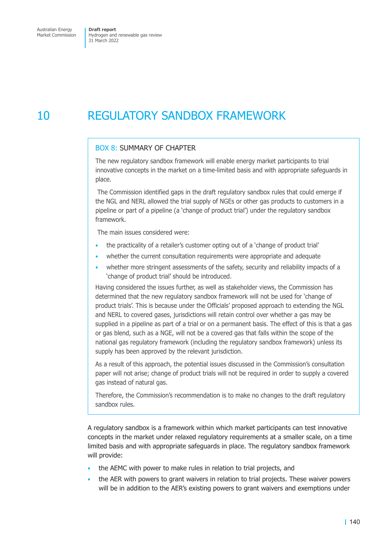# 10 REGULATORY SANDBOX FRAMEWORK

### BOX 8: SUMMARY OF CHAPTER

The new regulatory sandbox framework will enable energy market participants to trial innovative concepts in the market on a time-limited basis and with appropriate safeguards in place.

 The Commission identified gaps in the draft regulatory sandbox rules that could emerge if the NGL and NERL allowed the trial supply of NGEs or other gas products to customers in a pipeline or part of a pipeline (a 'change of product trial') under the regulatory sandbox framework.

The main issues considered were:

- the practicality of a retailer's customer opting out of a 'change of product trial'
- whether the current consultation requirements were appropriate and adequate
- whether more stringent assessments of the safety, security and reliability impacts of a 'change of product trial' should be introduced.

Having considered the issues further, as well as stakeholder views, the Commission has determined that the new regulatory sandbox framework will not be used for 'change of product trials'. This is because under the Officials' proposed approach to extending the NGL and NERL to covered gases, jurisdictions will retain control over whether a gas may be supplied in a pipeline as part of a trial or on a permanent basis. The effect of this is that a gas or gas blend, such as a NGE, will not be a covered gas that falls within the scope of the national gas regulatory framework (including the regulatory sandbox framework) unless its supply has been approved by the relevant jurisdiction.

As a result of this approach, the potential issues discussed in the Commission's consultation paper will not arise; change of product trials will not be required in order to supply a covered gas instead of natural gas.

Therefore, the Commission's recommendation is to make no changes to the draft regulatory sandbox rules.

A regulatory sandbox is a framework within which market participants can test innovative concepts in the market under relaxed regulatory requirements at a smaller scale, on a time limited basis and with appropriate safeguards in place. The regulatory sandbox framework will provide:

- the AEMC with power to make rules in relation to trial projects, and
- the AER with powers to grant waivers in relation to trial projects. These waiver powers will be in addition to the AER's existing powers to grant waivers and exemptions under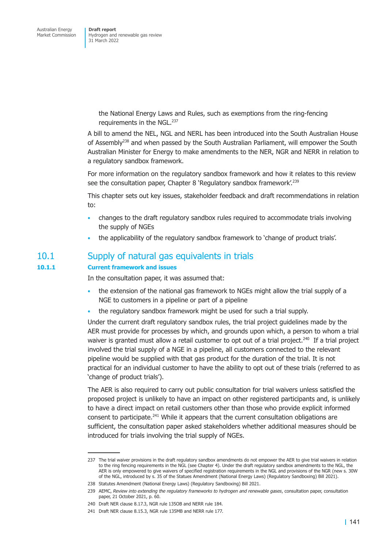> the National Energy Laws and Rules, such as exemptions from the ring-fencing requirements in the NGL.237

A bill to amend the NEL, NGL and NERL has been introduced into the South Australian House of Assembly<sup>238</sup> and when passed by the South Australian Parliament, will empower the South Australian Minister for Energy to make amendments to the NER, NGR and NERR in relation to a regulatory sandbox framework.

For more information on the regulatory sandbox framework and how it relates to this review see the consultation paper, Chapter 8 'Regulatory sandbox framework'.<sup>239</sup>

This chapter sets out key issues, stakeholder feedback and draft recommendations in relation to:

- changes to the draft regulatory sandbox rules required to accommodate trials involving the supply of NGEs
- the applicability of the regulatory sandbox framework to 'change of product trials'.

# 10.1 Supply of natural gas equivalents in trials

### **10.1.1 Current framework and issues**

In the consultation paper, it was assumed that:

- the extension of the national gas framework to NGEs might allow the trial supply of a NGE to customers in a pipeline or part of a pipeline
- the regulatory sandbox framework might be used for such a trial supply.

Under the current draft regulatory sandbox rules, the trial project guidelines made by the AER must provide for processes by which, and grounds upon which, a person to whom a trial waiver is granted must allow a retail customer to opt out of a trial project.<sup>240</sup> If a trial project involved the trial supply of a NGE in a pipeline, all customers connected to the relevant pipeline would be supplied with that gas product for the duration of the trial. It is not practical for an individual customer to have the ability to opt out of these trials (referred to as 'change of product trials').

The AER is also required to carry out public consultation for trial waivers unless satisfied the proposed project is unlikely to have an impact on other registered participants and, is unlikely to have a direct impact on retail customers other than those who provide explicit informed consent to participate. $241$  While it appears that the current consultation obligations are sufficient, the consultation paper asked stakeholders whether additional measures should be introduced for trials involving the trial supply of NGEs.

<sup>237</sup> The trial waiver provisions in the draft regulatory sandbox amendments do not empower the AER to give trial waivers in relation to the ring fencing requirements in the NGL (see Chapter 4). Under the draft regulatory sandbox amendments to the NGL, the AER is only empowered to give waivers of specified registration requirements in the NGL and provisions of the NGR (new s. 30W of the NGL, introduced by s. 35 of the Statues Amendment (National Energy Laws) (Regulatory Sandboxing) Bill 2021).

<sup>238</sup> Statutes Amendment (National Energy Laws) (Regulatory Sandboxing) Bill 2021.

<sup>239</sup> AEMC, *Review into extending the regulatory frameworks to hydrogen and renewable gases*, consultation paper, consultation paper, 21 October 2021, p. 60.

<sup>240</sup> Draft NER clause 8.17.3, NGR rule 135OB and NERR rule 184.

<sup>241</sup> Draft NER clause 8.15.3, NGR rule 135MB and NERR rule 177.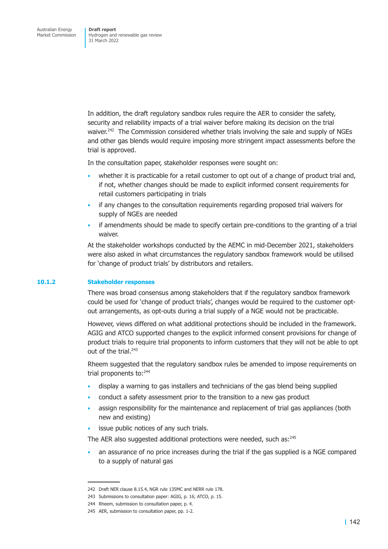In addition, the draft regulatory sandbox rules require the AER to consider the safety, security and reliability impacts of a trial waiver before making its decision on the trial waiver.<sup>242</sup> The Commission considered whether trials involving the sale and supply of NGEs and other gas blends would require imposing more stringent impact assessments before the trial is approved.

In the consultation paper, stakeholder responses were sought on:

- whether it is practicable for a retail customer to opt out of a change of product trial and, if not, whether changes should be made to explicit informed consent requirements for retail customers participating in trials
- if any changes to the consultation requirements regarding proposed trial waivers for supply of NGEs are needed
- if amendments should be made to specify certain pre-conditions to the granting of a trial waiver.

At the stakeholder workshops conducted by the AEMC in mid-December 2021, stakeholders were also asked in what circumstances the regulatory sandbox framework would be utilised for 'change of product trials' by distributors and retailers.

#### **10.1.2 Stakeholder responses**

There was broad consensus among stakeholders that if the regulatory sandbox framework could be used for 'change of product trials', changes would be required to the customer optout arrangements, as opt-outs during a trial supply of a NGE would not be practicable.

However, views differed on what additional protections should be included in the framework. AGIG and ATCO supported changes to the explicit informed consent provisions for change of product trials to require trial proponents to inform customers that they will not be able to opt out of the trial. $243$ 

Rheem suggested that the regulatory sandbox rules be amended to impose requirements on trial proponents to: $244$ 

- display a warning to gas installers and technicians of the gas blend being supplied
- conduct a safety assessment prior to the transition to a new gas product
- assign responsibility for the maintenance and replacement of trial gas appliances (both new and existing)
- issue public notices of any such trials.

The AER also suggested additional protections were needed, such as:<sup>245</sup>

• an assurance of no price increases during the trial if the gas supplied is a NGE compared to a supply of natural gas

<sup>242</sup> Draft NER clause 8.15.4, NGR rule 135MC and NERR rule 178.

<sup>243</sup> Submissions to consultation paper: AGIG, p. 16; ATCO, p. 15.

<sup>244</sup> Rheem, submission to consultation paper, p. 4.

<sup>245</sup> AER, submission to consultation paper, pp. 1-2.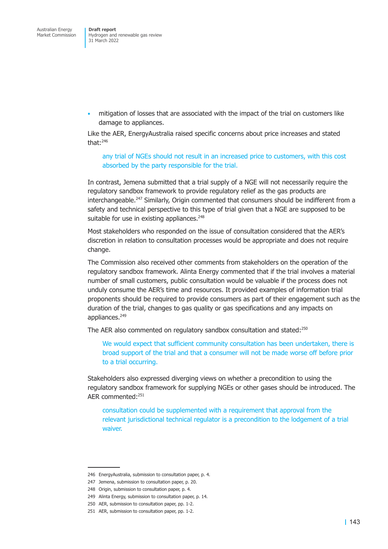• mitigation of losses that are associated with the impact of the trial on customers like damage to appliances.

Like the AER, EnergyAustralia raised specific concerns about price increases and stated that: $246$ 

any trial of NGEs should not result in an increased price to customers, with this cost absorbed by the party responsible for the trial.

In contrast, Jemena submitted that a trial supply of a NGE will not necessarily require the regulatory sandbox framework to provide regulatory relief as the gas products are interchangeable.<sup>247</sup> Similarly, Origin commented that consumers should be indifferent from a safety and technical perspective to this type of trial given that a NGE are supposed to be suitable for use in existing appliances.<sup>248</sup>

Most stakeholders who responded on the issue of consultation considered that the AER's discretion in relation to consultation processes would be appropriate and does not require change.

The Commission also received other comments from stakeholders on the operation of the regulatory sandbox framework. Alinta Energy commented that if the trial involves a material number of small customers, public consultation would be valuable if the process does not unduly consume the AER's time and resources. It provided examples of information trial proponents should be required to provide consumers as part of their engagement such as the duration of the trial, changes to gas quality or gas specifications and any impacts on appliances.<sup>249</sup>

The AER also commented on regulatory sandbox consultation and stated:<sup>250</sup>

We would expect that sufficient community consultation has been undertaken, there is broad support of the trial and that a consumer will not be made worse off before prior to a trial occurring.

Stakeholders also expressed diverging views on whether a precondition to using the regulatory sandbox framework for supplying NGEs or other gases should be introduced. The AER commented:251

consultation could be supplemented with a requirement that approval from the relevant jurisdictional technical regulator is a precondition to the lodgement of a trial waiver.

<sup>246</sup> EnergyAustralia, submission to consultation paper, p. 4.

<sup>247</sup> Jemena, submission to consultation paper, p. 20.

<sup>248</sup> Origin, submission to consultation paper, p. 4.

<sup>249</sup> Alinta Energy, submission to consultation paper, p. 14.

<sup>250</sup> AER, submission to consultation paper, pp. 1-2.

<sup>251</sup> AER, submission to consultation paper, pp. 1-2.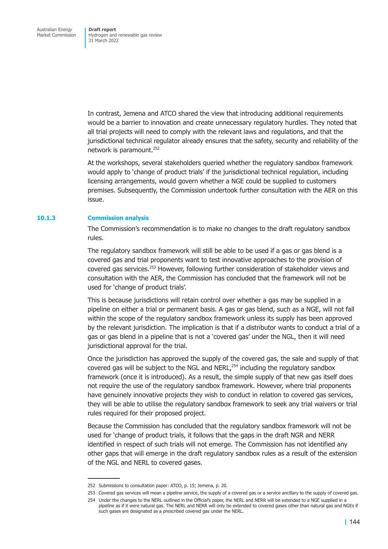In contrast, Jemena and ATCO shared the view that introducing additional requirements would be a barrier to innovation and create unnecessary regulatory hurdles. They noted that all trial projects will need to comply with the relevant laws and regulations, and that the jurisdictional technical regulator already ensures that the safety, security and reliability of the network is paramount.<sup>252</sup>

At the workshops, several stakeholders queried whether the regulatory sandbox framework would apply to 'change of product trials' if the jurisdictional technical regulation, including licensing arrangements, would govern whether a NGE could be supplied to customers premises. Subsequently, the Commission undertook further consultation with the AER on this issue.

#### **10.1.3 Commission analysis**

The Commission's recommendation is to make no changes to the draft regulatory sandbox rules.

The regulatory sandbox framework will still be able to be used if a gas or gas blend is a covered gas and trial proponents want to test innovative approaches to the provision of covered gas services.253 However, following further consideration of stakeholder views and consultation with the AER, the Commission has concluded that the framework will not be used for 'change of product trials'.

This is because jurisdictions will retain control over whether a gas may be supplied in a pipeline on either a trial or permanent basis. A gas or gas blend, such as a NGE, will not fall within the scope of the regulatory sandbox framework unless its supply has been approved by the relevant jurisdiction. The implication is that if a distributor wants to conduct a trial of a gas or gas blend in a pipeline that is not a 'covered gas' under the NGL, then it will need jurisdictional approval for the trial.

Once the jurisdiction has approved the supply of the covered gas, the sale and supply of that covered gas will be subject to the NGL and  $NERL<sup>254</sup>$  including the regulatory sandbox framework (once it is introduced). As a result, the simple supply of that new gas itself does not require the use of the regulatory sandbox framework. However, where trial proponents have genuinely innovative projects they wish to conduct in relation to covered gas services, they will be able to utilise the regulatory sandbox framework to seek any trial waivers or trial rules required for their proposed project.

Because the Commission has concluded that the regulatory sandbox framework will not be used for 'change of product trials, it follows that the gaps in the draft NGR and NERR identified in respect of such trials will not emerge. The Commission has not identified any other gaps that will emerge in the draft regulatory sandbox rules as a result of the extension of the NGL and NERL to covered gases.

<sup>252</sup> Submissions to consultation paper: ATCO, p. 15; Jemena, p. 20.

<sup>253</sup> Covered gas services will mean a pipeline service, the supply of a covered gas or a service ancillary to the supply of covered gas.

<sup>254</sup> Under the changes to the NERL outlined in the Official's paper, the NERL and NERR will be extended to a NGE supplied in a pipeline as if it were natural gas. The NERL and NERR will only be extended to covered gases other than natural gas and NGEs if such gases are designated as a prescribed covered gas under the NERL.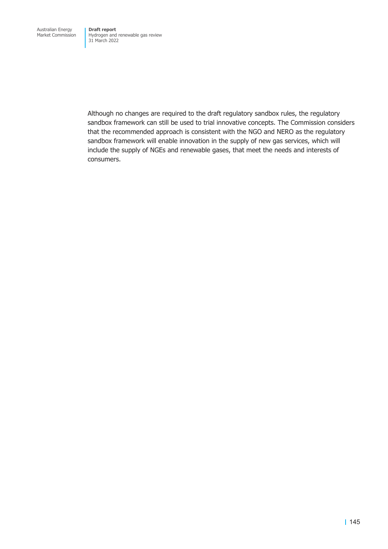Although no changes are required to the draft regulatory sandbox rules, the regulatory sandbox framework can still be used to trial innovative concepts. The Commission considers that the recommended approach is consistent with the NGO and NERO as the regulatory sandbox framework will enable innovation in the supply of new gas services, which will include the supply of NGEs and renewable gases, that meet the needs and interests of consumers.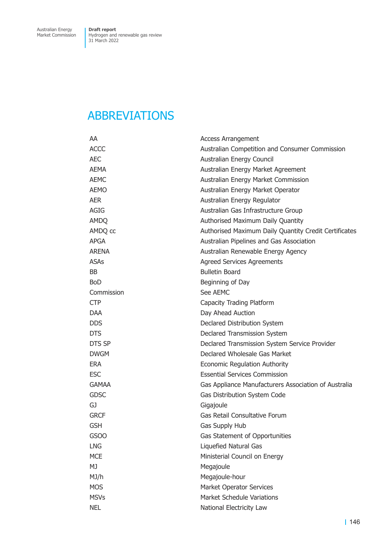# ABBREVIATIONS

| AA               | <b>Access Arrangement</b>                             |
|------------------|-------------------------------------------------------|
| <b>ACCC</b>      | Australian Competition and Consumer Commission        |
| <b>AEC</b>       | Australian Energy Council                             |
| <b>AEMA</b>      | Australian Energy Market Agreement                    |
| <b>AEMC</b>      | Australian Energy Market Commission                   |
| <b>AEMO</b>      | Australian Energy Market Operator                     |
| <b>AER</b>       | Australian Energy Regulator                           |
| <b>AGIG</b>      | Australian Gas Infrastructure Group                   |
| <b>AMDQ</b>      | Authorised Maximum Daily Quantity                     |
| AMDQ cc          | Authorised Maximum Daily Quantity Credit Certificates |
| <b>APGA</b>      | Australian Pipelines and Gas Association              |
| <b>ARENA</b>     | Australian Renewable Energy Agency                    |
| <b>ASAs</b>      | <b>Agreed Services Agreements</b>                     |
| <b>BB</b>        | <b>Bulletin Board</b>                                 |
| <b>BoD</b>       | Beginning of Day                                      |
| Commission       | See AEMC                                              |
| <b>CTP</b>       | Capacity Trading Platform                             |
| <b>DAA</b>       | Day Ahead Auction                                     |
| <b>DDS</b>       | Declared Distribution System                          |
| <b>DTS</b>       | Declared Transmission System                          |
| <b>DTS SP</b>    | Declared Transmission System Service Provider         |
| <b>DWGM</b>      | Declared Wholesale Gas Market                         |
| <b>ERA</b>       | <b>Economic Regulation Authority</b>                  |
| <b>ESC</b>       | <b>Essential Services Commission</b>                  |
| <b>GAMAA</b>     | Gas Appliance Manufacturers Association of Australia  |
| <b>GDSC</b>      | Gas Distribution System Code                          |
| GJ               | Gigajoule                                             |
| <b>GRCF</b>      | Gas Retail Consultative Forum                         |
| <b>GSH</b>       | Gas Supply Hub                                        |
| GSO <sub>O</sub> | Gas Statement of Opportunities                        |
| <b>LNG</b>       | Liquefied Natural Gas                                 |
| <b>MCE</b>       | Ministerial Council on Energy                         |
| MJ               | Megajoule                                             |
| MJ/h             | Megajoule-hour                                        |
| <b>MOS</b>       | <b>Market Operator Services</b>                       |
| <b>MSVs</b>      | <b>Market Schedule Variations</b>                     |
| <b>NEL</b>       | National Electricity Law                              |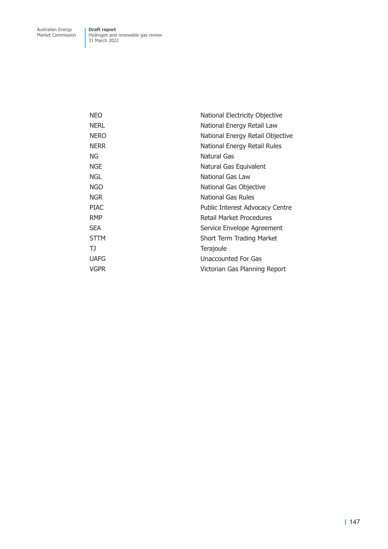| <b>NEO</b>  | National Electricity Objective   |
|-------------|----------------------------------|
| <b>NERL</b> | National Energy Retail Law       |
| <b>NERO</b> | National Energy Retail Objective |
| <b>NERR</b> | National Energy Retail Rules     |
| ΝG          | Natural Gas                      |
| <b>NGE</b>  | Natural Gas Equivalent           |
| <b>NGL</b>  | National Gas Law                 |
| <b>NGO</b>  | National Gas Objective           |
| <b>NGR</b>  | National Gas Rules               |
| <b>PIAC</b> | Public Interest Advocacy Centre  |
| <b>RMP</b>  | <b>Retail Market Procedures</b>  |
| <b>SEA</b>  | Service Envelope Agreement       |
| <b>STTM</b> | Short Term Trading Market        |
| TJ          | Terajoule                        |
| <b>UAFG</b> | Unaccounted For Gas              |
| VGPR        | Victorian Gas Planning Report    |
|             |                                  |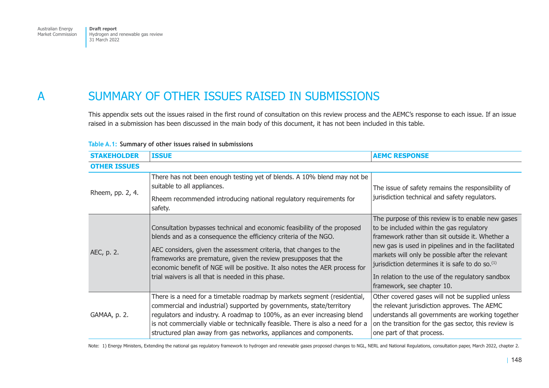# A SUMMARY OF OTHER ISSUES RAISED IN SUBMISSIONS

This appendix sets out the issues raised in the first round of consultation on this review process and the AEMC's response to each issue. If an issue raised in a submission has been discussed in the main body of this document, it has not been included in this table.

| <b>STAKEHOLDER</b>  | <b>ISSUE</b>                                                                                                                                                                                                                                                                                                                                                                                                             | <b>AEMC RESPONSE</b>                                                                                                                                                                                                                                                                                                                                                                                         |
|---------------------|--------------------------------------------------------------------------------------------------------------------------------------------------------------------------------------------------------------------------------------------------------------------------------------------------------------------------------------------------------------------------------------------------------------------------|--------------------------------------------------------------------------------------------------------------------------------------------------------------------------------------------------------------------------------------------------------------------------------------------------------------------------------------------------------------------------------------------------------------|
| <b>OTHER ISSUES</b> |                                                                                                                                                                                                                                                                                                                                                                                                                          |                                                                                                                                                                                                                                                                                                                                                                                                              |
| Rheem, pp. 2, 4.    | There has not been enough testing yet of blends. A 10% blend may not be<br>suitable to all appliances.                                                                                                                                                                                                                                                                                                                   | The issue of safety remains the responsibility of                                                                                                                                                                                                                                                                                                                                                            |
|                     | Rheem recommended introducing national regulatory requirements for<br>safety.                                                                                                                                                                                                                                                                                                                                            | jurisdiction technical and safety regulators.                                                                                                                                                                                                                                                                                                                                                                |
| AEC, p. 2.          | Consultation bypasses technical and economic feasibility of the proposed<br>blends and as a consequence the efficiency criteria of the NGO.<br>AEC considers, given the assessment criteria, that changes to the<br>frameworks are premature, given the review presupposes that the<br>economic benefit of NGE will be positive. It also notes the AER process for<br>trial waivers is all that is needed in this phase. | The purpose of this review is to enable new gases<br>to be included within the gas regulatory<br>framework rather than sit outside it. Whether a<br>new gas is used in pipelines and in the facilitated<br>markets will only be possible after the relevant<br>jurisdiction determines it is safe to do so. <sup>(1)</sup><br>In relation to the use of the regulatory sandbox<br>framework, see chapter 10. |
| GAMAA, p. 2.        | There is a need for a timetable roadmap by markets segment (residential,<br>commercial and industrial) supported by governments, state/territory<br>regulators and industry. A roadmap to 100%, as an ever increasing blend<br>is not commercially viable or technically feasible. There is also a need for a<br>structured plan away from gas networks, appliances and components.                                      | Other covered gases will not be supplied unless<br>the relevant jurisdiction approves. The AEMC<br>understands all governments are working together<br>on the transition for the gas sector, this review is<br>one part of that process.                                                                                                                                                                     |

### **Table A.1: Summary of other issues raised in submissions**

Note: 1) Energy Ministers, Extending the national gas regulatory framework to hydrogen and renewable gases proposed changes to NGL, NERL and National Regulations, consultation paper, March 2022, chapter 2.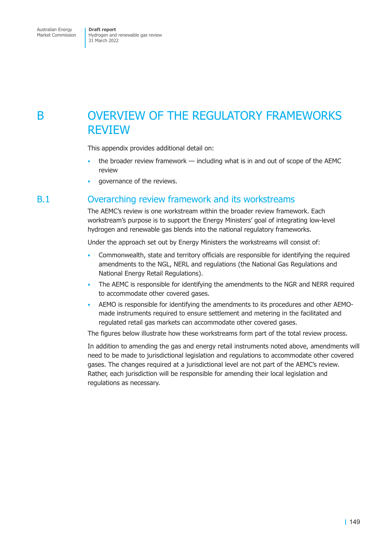# B OVERVIEW OF THE REGULATORY FRAMEWORKS REVIEW

This appendix provides additional detail on:

- the broader review framework including what is in and out of scope of the AEMC review
- governance of the reviews.

## B.1 Overarching review framework and its workstreams

The AEMC's review is one workstream within the broader review framework. Each workstream's purpose is to support the Energy Ministers' goal of integrating low-level hydrogen and renewable gas blends into the national regulatory frameworks.

Under the approach set out by Energy Ministers the workstreams will consist of:

- Commonwealth, state and territory officials are responsible for identifying the required amendments to the NGL, NERL and regulations (the National Gas Regulations and National Energy Retail Regulations).
- The AEMC is responsible for identifying the amendments to the NGR and NERR required to accommodate other covered gases.
- AEMO is responsible for identifying the amendments to its procedures and other AEMOmade instruments required to ensure settlement and metering in the facilitated and regulated retail gas markets can accommodate other covered gases.

The figures below illustrate how these workstreams form part of the total review process.

In addition to amending the gas and energy retail instruments noted above, amendments will need to be made to jurisdictional legislation and regulations to accommodate other covered gases. The changes required at a jurisdictional level are not part of the AEMC's review. Rather, each jurisdiction will be responsible for amending their local legislation and regulations as necessary.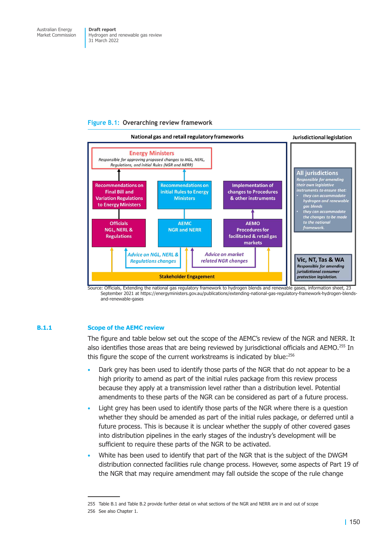### **Figure B.1: Overarching review framework**



Source: Officials, Extending the national gas regulatory framework to hydrogen blends and renewable gases, information sheet, 23 September 2021 at https://energyministers.gov.au/publications/extending-national-gas-regulatory-framework-hydrogen-blendsand-renewable-gases

### **B.1.1 Scope of the AEMC review**

The figure and table below set out the scope of the AEMC's review of the NGR and NERR. It also identifies those areas that are being reviewed by jurisdictional officials and AEMO.<sup>255</sup> In this figure the scope of the current workstreams is indicated by blue:<sup>256</sup>

- Dark grey has been used to identify those parts of the NGR that do not appear to be a high priority to amend as part of the initial rules package from this review process because they apply at a transmission level rather than a distribution level. Potential amendments to these parts of the NGR can be considered as part of a future process.
- Light grey has been used to identify those parts of the NGR where there is a question whether they should be amended as part of the initial rules package, or deferred until a future process. This is because it is unclear whether the supply of other covered gases into distribution pipelines in the early stages of the industry's development will be sufficient to require these parts of the NGR to be activated.
- White has been used to identify that part of the NGR that is the subject of the DWGM distribution connected facilities rule change process. However, some aspects of Part 19 of the NGR that may require amendment may fall outside the scope of the rule change

<sup>255</sup> Table B.1 and Table B.2 provide further detail on what sections of the NGR and NERR are in and out of scope

<sup>256</sup> See also Chapter 1.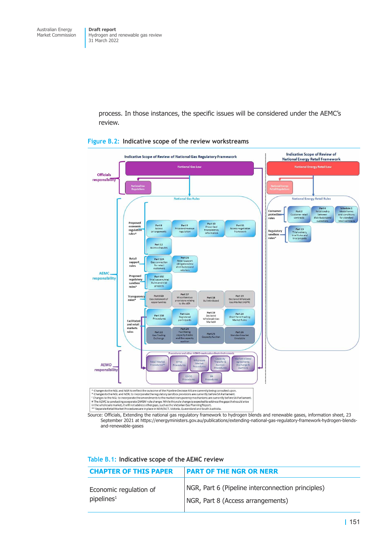> process. In those instances, the specific issues will be considered under the AEMC's review.



#### **Figure B.2: Indicative scope of the review workstreams**

Source: Officials, Extending the national gas regulatory framework to hydrogen blends and renewable gases, information sheet, 23 September 2021 at https://energyministers.gov.au/publications/extending-national-gas-regulatory-framework-hydrogen-blendsand-renewable-gases

|  | Table B.1: Indicative scope of the AEMC review |  |  |  |
|--|------------------------------------------------|--|--|--|
|--|------------------------------------------------|--|--|--|

| <b>CHAPTER OF THIS PAPER</b> | <b>PART OF THE NGR OR NERR</b>                    |
|------------------------------|---------------------------------------------------|
| Economic regulation of       | NGR, Part 6 (Pipeline interconnection principles) |
| pipelines <sup>1</sup>       | NGR, Part 8 (Access arrangements)                 |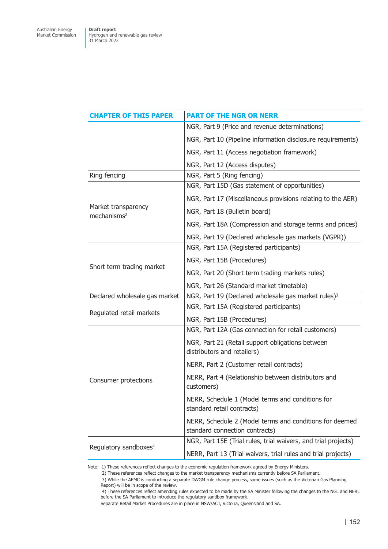| <b>CHAPTER OF THIS PAPER</b>                   | <b>PART OF THE NGR OR NERR</b>                                                            |
|------------------------------------------------|-------------------------------------------------------------------------------------------|
|                                                | NGR, Part 9 (Price and revenue determinations)                                            |
|                                                | NGR, Part 10 (Pipeline information disclosure requirements)                               |
|                                                | NGR, Part 11 (Access negotiation framework)                                               |
|                                                | NGR, Part 12 (Access disputes)                                                            |
| Ring fencing                                   | NGR, Part 5 (Ring fencing)                                                                |
|                                                | NGR, Part 15D (Gas statement of opportunities)                                            |
|                                                | NGR, Part 17 (Miscellaneous provisions relating to the AER)                               |
| Market transparency<br>mechanisms <sup>2</sup> | NGR, Part 18 (Bulletin board)                                                             |
|                                                | NGR, Part 18A (Compression and storage terms and prices)                                  |
|                                                | NGR, Part 19 (Declared wholesale gas markets (VGPR))                                      |
|                                                | NGR, Part 15A (Registered participants)                                                   |
|                                                | NGR, Part 15B (Procedures)                                                                |
| Short term trading market                      | NGR, Part 20 (Short term trading markets rules)                                           |
|                                                | NGR, Part 26 (Standard market timetable)                                                  |
| Declared wholesale gas market                  | NGR, Part 19 (Declared wholesale gas market rules) <sup>3</sup>                           |
|                                                | NGR, Part 15A (Registered participants)                                                   |
| Regulated retail markets                       | NGR, Part 15B (Procedures)                                                                |
|                                                | NGR, Part 12A (Gas connection for retail customers)                                       |
|                                                | NGR, Part 21 (Retail support obligations between<br>distributors and retailers)           |
|                                                | NERR, Part 2 (Customer retail contracts)                                                  |
| Consumer protections                           | NERR, Part 4 (Relationship between distributors and<br>customers)                         |
|                                                | NERR, Schedule 1 (Model terms and conditions for<br>standard retail contracts)            |
|                                                | NERR, Schedule 2 (Model terms and conditions for deemed<br>standard connection contracts) |
|                                                | NGR, Part 15E (Trial rules, trial waivers, and trial projects)                            |
| Regulatory sandboxes <sup>4</sup>              | NERR, Part 13 (Trial waivers, trial rules and trial projects)                             |

Note: 1) These references reflect changes to the economic regulation framework agreed by Energy Ministers.

2) These references reflect changes to the market transparency mechanisms currently before SA Parliament.

 3) While the AEMC is conducting a separate DWGM rule change process, some issues (such as the Victorian Gas Planning Report) will be in scope of the review.

 4) These references reflect amending rules expected to be made by the SA Minister following the changes to the NGL and NERL before the SA Parliament to introduce the regulatory sandbox framework.

Separate Retail Market Procedures are in place in NSW/ACT, Victoria, Queensland and SA.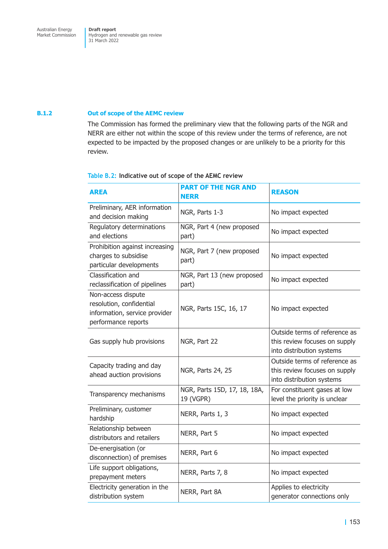#### **B.1.2 Out of scope of the AEMC review**

The Commission has formed the preliminary view that the following parts of the NGR and NERR are either not within the scope of this review under the terms of reference, are not expected to be impacted by the proposed changes or are unlikely to be a priority for this review.

### **Table B.2: Indicative out of scope of the AEMC review**

| <b>AREA</b>                                                                                            | <b>PART OF THE NGR AND</b><br><b>NERR</b> | <b>REASON</b>                                                                               |
|--------------------------------------------------------------------------------------------------------|-------------------------------------------|---------------------------------------------------------------------------------------------|
| Preliminary, AER information<br>and decision making                                                    | NGR, Parts 1-3                            | No impact expected                                                                          |
| Regulatory determinations<br>and elections                                                             | NGR, Part 4 (new proposed<br>part)        | No impact expected                                                                          |
| Prohibition against increasing<br>charges to subsidise<br>particular developments                      | NGR, Part 7 (new proposed<br>part)        | No impact expected                                                                          |
| Classification and<br>reclassification of pipelines                                                    | NGR, Part 13 (new proposed<br>part)       | No impact expected                                                                          |
| Non-access dispute<br>resolution, confidential<br>information, service provider<br>performance reports | NGR, Parts 15C, 16, 17                    | No impact expected                                                                          |
| Gas supply hub provisions                                                                              | NGR, Part 22                              | Outside terms of reference as<br>this review focuses on supply<br>into distribution systems |
| Capacity trading and day<br>ahead auction provisions                                                   | NGR, Parts 24, 25                         | Outside terms of reference as<br>this review focuses on supply<br>into distribution systems |
| Transparency mechanisms                                                                                | NGR, Parts 15D, 17, 18, 18A,<br>19 (VGPR) | For constituent gases at low<br>level the priority is unclear                               |
| Preliminary, customer<br>hardship                                                                      | NERR, Parts 1, 3                          | No impact expected                                                                          |
| Relationship between<br>distributors and retailers                                                     | NERR, Part 5                              | No impact expected                                                                          |
| De-energisation (or<br>disconnection) of premises                                                      | NERR, Part 6                              | No impact expected                                                                          |
| Life support obligations,<br>prepayment meters                                                         | NERR, Parts 7, 8                          | No impact expected                                                                          |
| Electricity generation in the<br>distribution system                                                   | NERR, Part 8A                             | Applies to electricity<br>generator connections only                                        |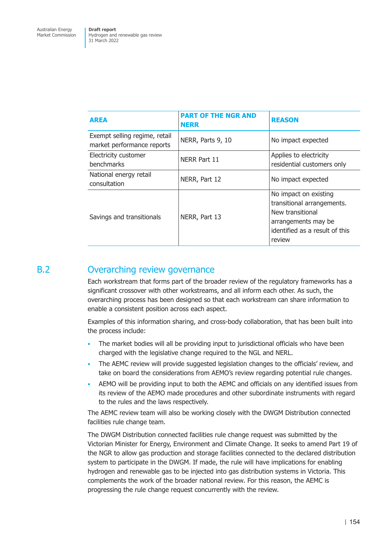| <b>AREA</b>                                                 | <b>PART OF THE NGR AND</b><br><b>NERR</b> | <b>REASON</b>                                                                                                                              |
|-------------------------------------------------------------|-------------------------------------------|--------------------------------------------------------------------------------------------------------------------------------------------|
| Exempt selling regime, retail<br>market performance reports | NERR, Parts 9, 10                         | No impact expected                                                                                                                         |
| Electricity customer<br><b>benchmarks</b>                   | NERR Part 11                              | Applies to electricity<br>residential customers only                                                                                       |
| National energy retail<br>consultation                      | NERR, Part 12                             | No impact expected                                                                                                                         |
| Savings and transitionals                                   | NERR, Part 13                             | No impact on existing<br>transitional arrangements.<br>New transitional<br>arrangements may be<br>identified as a result of this<br>review |

# B.2 Overarching review governance

Each workstream that forms part of the broader review of the regulatory frameworks has a significant crossover with other workstreams, and all inform each other. As such, the overarching process has been designed so that each workstream can share information to enable a consistent position across each aspect.

Examples of this information sharing, and cross-body collaboration, that has been built into the process include:

- The market bodies will all be providing input to jurisdictional officials who have been charged with the legislative change required to the NGL and NERL.
- The AEMC review will provide suggested legislation changes to the officials' review, and take on board the considerations from AEMO's review regarding potential rule changes.
- AEMO will be providing input to both the AEMC and officials on any identified issues from its review of the AEMO made procedures and other subordinate instruments with regard to the rules and the laws respectively.

The AEMC review team will also be working closely with the DWGM Distribution connected facilities rule change team.

The DWGM Distribution connected facilities rule change request was submitted by the Victorian Minister for Energy, Environment and Climate Change. It seeks to amend Part 19 of the NGR to allow gas production and storage facilities connected to the declared distribution system to participate in the DWGM. If made, the rule will have implications for enabling hydrogen and renewable gas to be injected into gas distribution systems in Victoria. This complements the work of the broader national review. For this reason, the AEMC is progressing the rule change request concurrently with the review.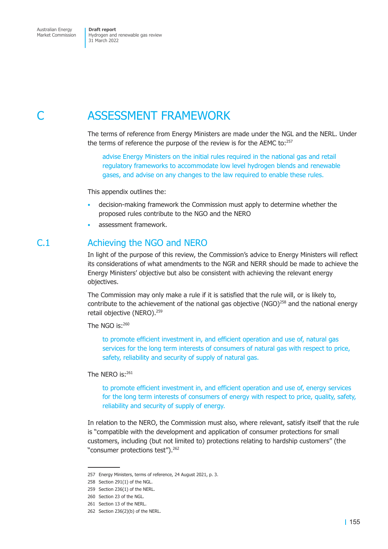# C ASSESSMENT FRAMEWORK

The terms of reference from Energy Ministers are made under the NGL and the NERL. Under the terms of reference the purpose of the review is for the AEMC to:257

advise Energy Ministers on the initial rules required in the national gas and retail regulatory frameworks to accommodate low level hydrogen blends and renewable gases, and advise on any changes to the law required to enable these rules.

This appendix outlines the:

- decision-making framework the Commission must apply to determine whether the proposed rules contribute to the NGO and the NERO
- assessment framework.

# C.1 Achieving the NGO and NERO

In light of the purpose of this review, the Commission's advice to Energy Ministers will reflect its considerations of what amendments to the NGR and NERR should be made to achieve the Energy Ministers' objective but also be consistent with achieving the relevant energy objectives.

The Commission may only make a rule if it is satisfied that the rule will, or is likely to, contribute to the achievement of the national gas objective (NGO)<sup>258</sup> and the national energy retail objective (NERO).<sup>259</sup>

The NGO is:260

to promote efficient investment in, and efficient operation and use of, natural gas services for the long term interests of consumers of natural gas with respect to price, safety, reliability and security of supply of natural gas.

The NERO is:<sup>261</sup>

to promote efficient investment in, and efficient operation and use of, energy services for the long term interests of consumers of energy with respect to price, quality, safety, reliability and security of supply of energy.

In relation to the NERO, the Commission must also, where relevant, satisfy itself that the rule is "compatible with the development and application of consumer protections for small customers, including (but not limited to) protections relating to hardship customers" (the "consumer protections test").<sup>262</sup>

<sup>257</sup> Energy Ministers, terms of reference, 24 August 2021, p. 3.

<sup>258</sup> Section 291(1) of the NGL.

<sup>259</sup> Section 236(1) of the NERL.

<sup>260</sup> Section 23 of the NGL.

<sup>261</sup> Section 13 of the NERL.

<sup>262</sup> Section 236(2)(b) of the NERL.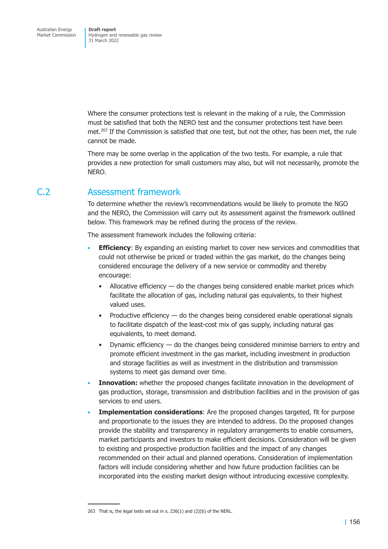Where the consumer protections test is relevant in the making of a rule, the Commission must be satisfied that both the NERO test and the consumer protections test have been met.<sup>263</sup> If the Commission is satisfied that one test, but not the other, has been met, the rule cannot be made.

There may be some overlap in the application of the two tests. For example, a rule that provides a new protection for small customers may also, but will not necessarily, promote the NERO.

# C.2 Assessment framework

To determine whether the review's recommendations would be likely to promote the NGO and the NERO, the Commission will carry out its assessment against the framework outlined below. This framework may be refined during the process of the review.

The assessment framework includes the following criteria:

- **Efficiency:** By expanding an existing market to cover new services and commodities that could not otherwise be priced or traded within the gas market, do the changes being considered encourage the delivery of a new service or commodity and thereby encourage:
	- Allocative efficiency do the changes being considered enable market prices which facilitate the allocation of gas, including natural gas equivalents, to their highest valued uses.
	- Productive efficiency do the changes being considered enable operational signals to facilitate dispatch of the least-cost mix of gas supply, including natural gas equivalents, to meet demand.
	- Dynamic efficiency do the changes being considered minimise barriers to entry and promote efficient investment in the gas market, including investment in production and storage facilities as well as investment in the distribution and transmission systems to meet gas demand over time.
- **Innovation:** whether the proposed changes facilitate innovation in the development of gas production, storage, transmission and distribution facilities and in the provision of gas services to end users.
- **Implementation considerations**: Are the proposed changes targeted, fit for purpose and proportionate to the issues they are intended to address. Do the proposed changes provide the stability and transparency in regulatory arrangements to enable consumers, market participants and investors to make efficient decisions. Consideration will be given to existing and prospective production facilities and the impact of any changes recommended on their actual and planned operations. Consideration of implementation factors will include considering whether and how future production facilities can be incorporated into the existing market design without introducing excessive complexity.

<sup>263</sup> That is, the legal tests set out in s. 236(1) and (2)(b) of the NERL.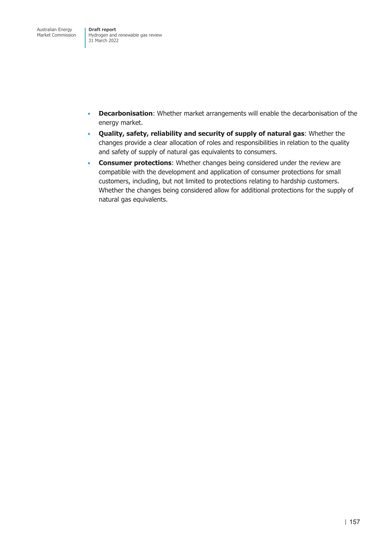- **Decarbonisation**: Whether market arrangements will enable the decarbonisation of the energy market.
- **Quality, safety, reliability and security of supply of natural gas**: Whether the changes provide a clear allocation of roles and responsibilities in relation to the quality and safety of supply of natural gas equivalents to consumers.
- **Consumer protections**: Whether changes being considered under the review are compatible with the development and application of consumer protections for small customers, including, but not limited to protections relating to hardship customers. Whether the changes being considered allow for additional protections for the supply of natural gas equivalents.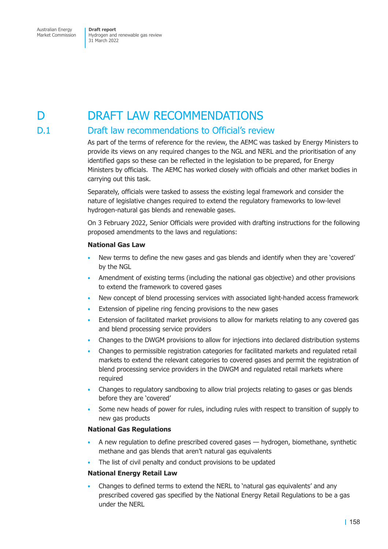# D **DRAFT LAW RECOMMENDATIONS**

# D.1 Draft law recommendations to Official's review

As part of the terms of reference for the review, the AEMC was tasked by Energy Ministers to provide its views on any required changes to the NGL and NERL and the prioritisation of any identified gaps so these can be reflected in the legislation to be prepared, for Energy Ministers by officials. The AEMC has worked closely with officials and other market bodies in carrying out this task.

Separately, officials were tasked to assess the existing legal framework and consider the nature of legislative changes required to extend the regulatory frameworks to low-level hydrogen-natural gas blends and renewable gases.

On 3 February 2022, Senior Officials were provided with drafting instructions for the following proposed amendments to the laws and regulations:

### **National Gas Law**

- New terms to define the new gases and gas blends and identify when they are 'covered' by the NGL
- Amendment of existing terms (including the national gas objective) and other provisions to extend the framework to covered gases
- New concept of blend processing services with associated light-handed access framework
- Extension of pipeline ring fencing provisions to the new gases
- Extension of facilitated market provisions to allow for markets relating to any covered gas and blend processing service providers
- Changes to the DWGM provisions to allow for injections into declared distribution systems
- Changes to permissible registration categories for facilitated markets and regulated retail markets to extend the relevant categories to covered gases and permit the registration of blend processing service providers in the DWGM and regulated retail markets where required
- Changes to regulatory sandboxing to allow trial projects relating to gases or gas blends before they are 'covered'
- Some new heads of power for rules, including rules with respect to transition of supply to new gas products

### **National Gas Regulations**

- A new regulation to define prescribed covered gases hydrogen, biomethane, synthetic methane and gas blends that aren't natural gas equivalents
- The list of civil penalty and conduct provisions to be updated

### **National Energy Retail Law**

• Changes to defined terms to extend the NERL to 'natural gas equivalents' and any prescribed covered gas specified by the National Energy Retail Regulations to be a gas under the NERL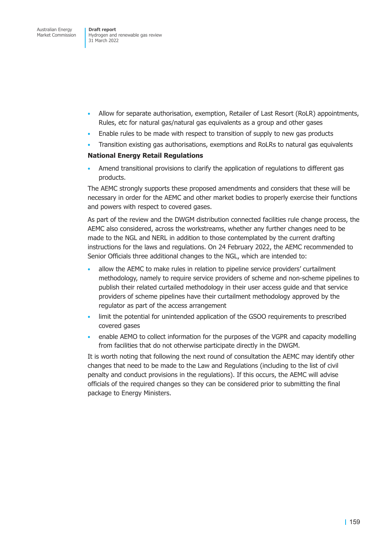- Allow for separate authorisation, exemption, Retailer of Last Resort (RoLR) appointments, Rules, etc for natural gas/natural gas equivalents as a group and other gases
- Enable rules to be made with respect to transition of supply to new gas products
- Transition existing gas authorisations, exemptions and RoLRs to natural gas equivalents

### **National Energy Retail Regulations**

• Amend transitional provisions to clarify the application of regulations to different gas products.

The AEMC strongly supports these proposed amendments and considers that these will be necessary in order for the AEMC and other market bodies to properly exercise their functions and powers with respect to covered gases.

As part of the review and the DWGM distribution connected facilities rule change process, the AEMC also considered, across the workstreams, whether any further changes need to be made to the NGL and NERL in addition to those contemplated by the current drafting instructions for the laws and regulations. On 24 February 2022, the AEMC recommended to Senior Officials three additional changes to the NGL, which are intended to:

- allow the AEMC to make rules in relation to pipeline service providers' curtailment methodology, namely to require service providers of scheme and non-scheme pipelines to publish their related curtailed methodology in their user access guide and that service providers of scheme pipelines have their curtailment methodology approved by the regulator as part of the access arrangement
- limit the potential for unintended application of the GSOO requirements to prescribed covered gases
- enable AEMO to collect information for the purposes of the VGPR and capacity modelling from facilities that do not otherwise participate directly in the DWGM.

It is worth noting that following the next round of consultation the AEMC may identify other changes that need to be made to the Law and Regulations (including to the list of civil penalty and conduct provisions in the regulations). If this occurs, the AEMC will advise officials of the required changes so they can be considered prior to submitting the final package to Energy Ministers.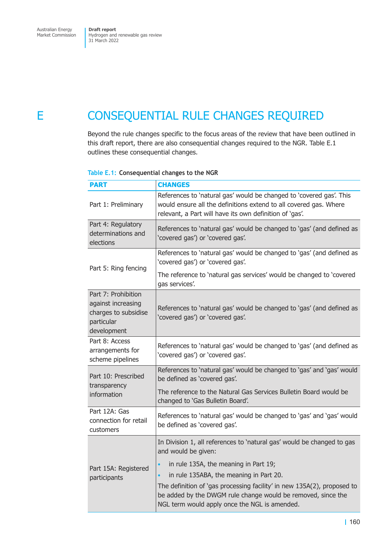# E CONSEQUENTIAL RULE CHANGES REQUIRED

Beyond the rule changes specific to the focus areas of the review that have been outlined in this draft report, there are also consequential changes required to the NGR. Table E.1 outlines these consequential changes.

### **Table E.1: Consequential changes to the NGR**

| <b>PART</b>                                                                                    | <b>CHANGES</b>                                                                                                                                                                                      |
|------------------------------------------------------------------------------------------------|-----------------------------------------------------------------------------------------------------------------------------------------------------------------------------------------------------|
| Part 1: Preliminary                                                                            | References to 'natural gas' would be changed to 'covered gas'. This<br>would ensure all the definitions extend to all covered gas. Where<br>relevant, a Part will have its own definition of 'gas'. |
| Part 4: Regulatory<br>determinations and<br>elections                                          | References to 'natural gas' would be changed to 'gas' (and defined as<br>'covered gas') or 'covered gas'.                                                                                           |
| Part 5: Ring fencing                                                                           | References to 'natural gas' would be changed to 'gas' (and defined as<br>'covered gas') or 'covered gas'.                                                                                           |
|                                                                                                | The reference to 'natural gas services' would be changed to 'covered<br>gas services'.                                                                                                              |
| Part 7: Prohibition<br>against increasing<br>charges to subsidise<br>particular<br>development | References to 'natural gas' would be changed to 'gas' (and defined as<br>'covered gas') or 'covered gas'.                                                                                           |
| Part 8: Access<br>arrangements for<br>scheme pipelines                                         | References to 'natural gas' would be changed to 'gas' (and defined as<br>'covered gas') or 'covered gas'.                                                                                           |
| Part 10: Prescribed<br>transparency<br>information                                             | References to 'natural gas' would be changed to 'gas' and 'gas' would<br>be defined as 'covered gas'.                                                                                               |
|                                                                                                | The reference to the Natural Gas Services Bulletin Board would be<br>changed to 'Gas Bulletin Board'.                                                                                               |
| Part 12A: Gas<br>connection for retail<br>customers                                            | References to 'natural gas' would be changed to 'gas' and 'gas' would<br>be defined as 'covered gas'.                                                                                               |
| Part 15A: Registered                                                                           | In Division 1, all references to 'natural gas' would be changed to gas<br>and would be given:                                                                                                       |
|                                                                                                | in rule 135A, the meaning in Part 19;                                                                                                                                                               |
| participants                                                                                   | in rule 135ABA, the meaning in Part 20.<br>$\bullet$                                                                                                                                                |
|                                                                                                | The definition of 'gas processing facility' in new 135A(2), proposed to<br>be added by the DWGM rule change would be removed, since the<br>NGL term would apply once the NGL is amended.            |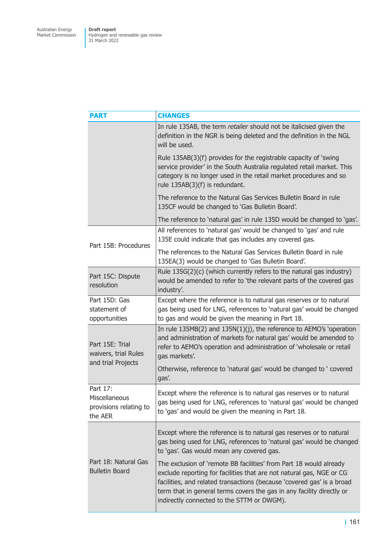| <b>PART</b>                                                    | <b>CHANGES</b>                                                                                                                                                                                                                                                                                                                              |
|----------------------------------------------------------------|---------------------------------------------------------------------------------------------------------------------------------------------------------------------------------------------------------------------------------------------------------------------------------------------------------------------------------------------|
|                                                                | In rule 135AB, the term retailer should not be italicised given the<br>definition in the NGR is being deleted and the definition in the NGL<br>will be used.                                                                                                                                                                                |
|                                                                | Rule 135AB(3)(f) provides for the registrable capacity of 'swing<br>service provider' in the South Australia regulated retail market. This<br>category is no longer used in the retail market procedures and so<br>rule 135AB(3)(f) is redundant.                                                                                           |
|                                                                | The reference to the Natural Gas Services Bulletin Board in rule<br>135CF would be changed to 'Gas Bulletin Board'.                                                                                                                                                                                                                         |
|                                                                | The reference to 'natural gas' in rule 135D would be changed to 'gas'.                                                                                                                                                                                                                                                                      |
| Part 15B: Procedures                                           | All references to 'natural gas' would be changed to 'gas' and rule<br>135E could indicate that gas includes any covered gas.                                                                                                                                                                                                                |
|                                                                | The references to the Natural Gas Services Bulletin Board in rule<br>135EA(3) would be changed to 'Gas Bulletin Board'.                                                                                                                                                                                                                     |
| Part 15C: Dispute<br>resolution                                | Rule 135G(2)(c) (which currently refers to the natural gas industry)<br>would be amended to refer to 'the relevant parts of the covered gas<br>industry'.                                                                                                                                                                                   |
| Part 15D: Gas<br>statement of<br>opportunities                 | Except where the reference is to natural gas reserves or to natural<br>gas being used for LNG, references to 'natural gas' would be changed<br>to gas and would be given the meaning in Part 18.                                                                                                                                            |
| Part 15E: Trial<br>waivers, trial Rules<br>and trial Projects  | In rule $135MB(2)$ and $135N(1)(j)$ , the reference to AEMO's 'operation<br>and administration of markets for natural gas' would be amended to<br>refer to AEMO's operation and administration of 'wholesale or retail<br>gas markets'.                                                                                                     |
|                                                                | Otherwise, reference to 'natural gas' would be changed to ' covered<br>gas'.                                                                                                                                                                                                                                                                |
| Part 17:<br>Miscellaneous<br>provisions relating to<br>the AER | Except where the reference is to natural gas reserves or to natural<br>gas being used for LNG, references to 'natural gas' would be changed<br>to 'gas' and would be given the meaning in Part 18.                                                                                                                                          |
| Part 18: Natural Gas<br><b>Bulletin Board</b>                  | Except where the reference is to natural gas reserves or to natural<br>gas being used for LNG, references to 'natural gas' would be changed<br>to 'gas'. Gas would mean any covered gas.                                                                                                                                                    |
|                                                                | The exclusion of 'remote BB facilities' from Part 18 would already<br>exclude reporting for facilities that are not natural gas, NGE or CG<br>facilities, and related transactions (because 'covered gas' is a broad<br>term that in general terms covers the gas in any facility directly or<br>indirectly connected to the STTM or DWGM). |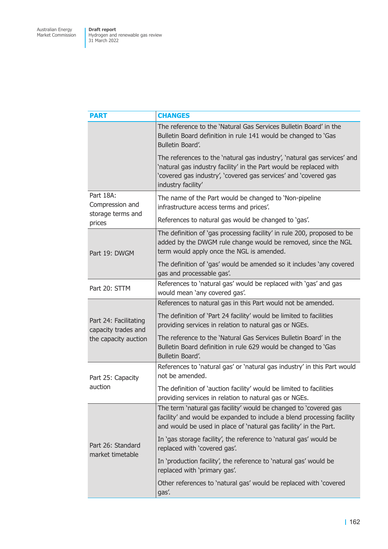| <b>PART</b>                                       | <b>CHANGES</b>                                                                                                                                                                                                                          |
|---------------------------------------------------|-----------------------------------------------------------------------------------------------------------------------------------------------------------------------------------------------------------------------------------------|
|                                                   | The reference to the 'Natural Gas Services Bulletin Board' in the<br>Bulletin Board definition in rule 141 would be changed to 'Gas<br>Bulletin Board'.                                                                                 |
|                                                   | The references to the 'natural gas industry', 'natural gas services' and<br>'natural gas industry facility' in the Part would be replaced with<br>'covered gas industry', 'covered gas services' and 'covered gas<br>industry facility' |
| Part 18A:<br>Compression and<br>storage terms and | The name of the Part would be changed to 'Non-pipeline<br>infrastructure access terms and prices'.                                                                                                                                      |
| prices                                            | References to natural gas would be changed to 'gas'.                                                                                                                                                                                    |
| Part 19: DWGM                                     | The definition of 'gas processing facility' in rule 200, proposed to be<br>added by the DWGM rule change would be removed, since the NGL<br>term would apply once the NGL is amended.                                                   |
|                                                   | The definition of 'gas' would be amended so it includes 'any covered<br>gas and processable gas'.                                                                                                                                       |
| Part 20: STTM                                     | References to 'natural gas' would be replaced with 'gas' and gas<br>would mean 'any covered gas'.                                                                                                                                       |
|                                                   | References to natural gas in this Part would not be amended.                                                                                                                                                                            |
| Part 24: Facilitating<br>capacity trades and      | The definition of 'Part 24 facility' would be limited to facilities<br>providing services in relation to natural gas or NGEs.                                                                                                           |
| the capacity auction                              | The reference to the 'Natural Gas Services Bulletin Board' in the<br>Bulletin Board definition in rule 629 would be changed to 'Gas<br>Bulletin Board'.                                                                                 |
| Part 25: Capacity<br>auction                      | References to 'natural gas' or 'natural gas industry' in this Part would<br>not be amended.                                                                                                                                             |
|                                                   | The definition of 'auction facility' would be limited to facilities<br>providing services in relation to natural gas or NGEs.                                                                                                           |
| Part 26: Standard<br>market timetable             | The term 'natural gas facility' would be changed to 'covered gas<br>facility' and would be expanded to include a blend processing facility<br>and would be used in place of 'natural gas facility' in the Part.                         |
|                                                   | In 'gas storage facility', the reference to 'natural gas' would be<br>replaced with 'covered gas'.                                                                                                                                      |
|                                                   | In 'production facility', the reference to 'natural gas' would be<br>replaced with 'primary gas'.                                                                                                                                       |
|                                                   | Other references to 'natural gas' would be replaced with 'covered<br>gas'.                                                                                                                                                              |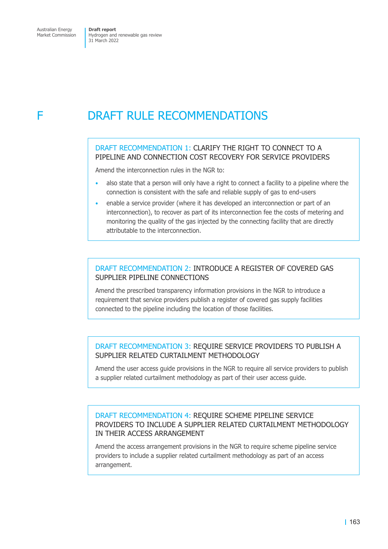# F DRAFT RULE RECOMMENDATIONS

## DRAFT RECOMMENDATION 1: CLARIFY THE RIGHT TO CONNECT TO A PIPELINE AND CONNECTION COST RECOVERY FOR SERVICE PROVIDERS

Amend the interconnection rules in the NGR to:

- also state that a person will only have a right to connect a facility to a pipeline where the connection is consistent with the safe and reliable supply of gas to end-users
- enable a service provider (where it has developed an interconnection or part of an interconnection), to recover as part of its interconnection fee the costs of metering and monitoring the quality of the gas injected by the connecting facility that are directly attributable to the interconnection.

## DRAFT RECOMMENDATION 2: INTRODUCE A REGISTER OF COVERED GAS SUPPLIER PIPELINE CONNECTIONS

Amend the prescribed transparency information provisions in the NGR to introduce a requirement that service providers publish a register of covered gas supply facilities connected to the pipeline including the location of those facilities.

## DRAFT RECOMMENDATION 3: REQUIRE SERVICE PROVIDERS TO PUBLISH A SUPPLIER RELATED CURTAILMENT METHODOLOGY

Amend the user access guide provisions in the NGR to require all service providers to publish a supplier related curtailment methodology as part of their user access guide.

## DRAFT RECOMMENDATION 4: REQUIRE SCHEME PIPELINE SERVICE PROVIDERS TO INCLUDE A SUPPLIER RELATED CURTAILMENT METHODOLOGY IN THEIR ACCESS ARRANGEMENT

Amend the access arrangement provisions in the NGR to require scheme pipeline service providers to include a supplier related curtailment methodology as part of an access arrangement.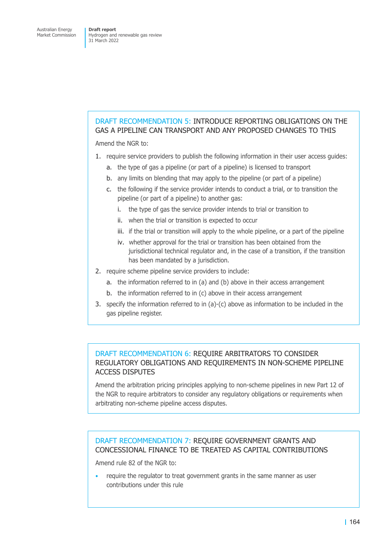## DRAFT RECOMMENDATION 5: INTRODUCE REPORTING OBLIGATIONS ON THE GAS A PIPELINE CAN TRANSPORT AND ANY PROPOSED CHANGES TO THIS

Amend the NGR to:

- 1. require service providers to publish the following information in their user access guides:
	- a. the type of gas a pipeline (or part of a pipeline) is licensed to transport
	- b. any limits on blending that may apply to the pipeline (or part of a pipeline)
	- c. the following if the service provider intends to conduct a trial, or to transition the pipeline (or part of a pipeline) to another gas:
		- i. the type of gas the service provider intends to trial or transition to
		- ii. when the trial or transition is expected to occur
		- iii. if the trial or transition will apply to the whole pipeline, or a part of the pipeline
		- iv. whether approval for the trial or transition has been obtained from the jurisdictional technical regulator and, in the case of a transition, if the transition has been mandated by a jurisdiction.
- 2. require scheme pipeline service providers to include:
	- a. the information referred to in (a) and (b) above in their access arrangement
	- b. the information referred to in (c) above in their access arrangement
- 3. specify the information referred to in (a)-(c) above as information to be included in the gas pipeline register.

## DRAFT RECOMMENDATION 6: REQUIRE ARBITRATORS TO CONSIDER REGULATORY OBLIGATIONS AND REQUIREMENTS IN NON-SCHEME PIPELINE ACCESS DISPUTES

Amend the arbitration pricing principles applying to non-scheme pipelines in new Part 12 of the NGR to require arbitrators to consider any regulatory obligations or requirements when arbitrating non-scheme pipeline access disputes.

## DRAFT RECOMMENDATION 7: REQUIRE GOVERNMENT GRANTS AND CONCESSIONAL FINANCE TO BE TREATED AS CAPITAL CONTRIBUTIONS

Amend rule 82 of the NGR to:

• require the regulator to treat government grants in the same manner as user contributions under this rule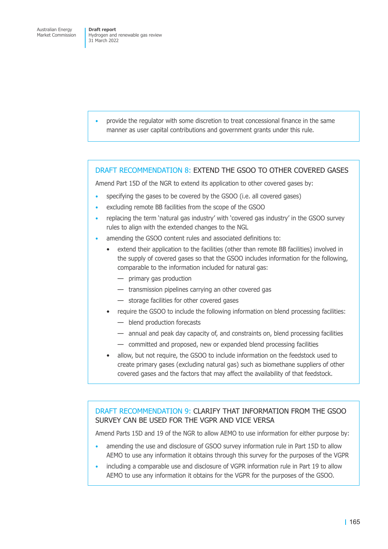• provide the regulator with some discretion to treat concessional finance in the same manner as user capital contributions and government grants under this rule.

### DRAFT RECOMMENDATION 8: EXTEND THE GSOO TO OTHER COVERED GASES

Amend Part 15D of the NGR to extend its application to other covered gases by:

- specifying the gases to be covered by the GSOO (i.e. all covered gases)
- excluding remote BB facilities from the scope of the GSOO
- replacing the term 'natural gas industry' with 'covered gas industry' in the GSOO survey rules to align with the extended changes to the NGL
- amending the GSOO content rules and associated definitions to:
	- extend their application to the facilities (other than remote BB facilities) involved in the supply of covered gases so that the GSOO includes information for the following, comparable to the information included for natural gas:
		- primary gas production
		- transmission pipelines carrying an other covered gas
		- storage facilities for other covered gases
	- require the GSOO to include the following information on blend processing facilities:
		- blend production forecasts
		- annual and peak day capacity of, and constraints on, blend processing facilities
		- committed and proposed, new or expanded blend processing facilities
	- allow, but not require, the GSOO to include information on the feedstock used to create primary gases (excluding natural gas) such as biomethane suppliers of other covered gases and the factors that may affect the availability of that feedstock.

DRAFT RECOMMENDATION 9: CLARIFY THAT INFORMATION FROM THE GSOO SURVEY CAN BE USED FOR THE VGPR AND VICE VERSA

Amend Parts 15D and 19 of the NGR to allow AEMO to use information for either purpose by:

- amending the use and disclosure of GSOO survey information rule in Part 15D to allow AEMO to use any information it obtains through this survey for the purposes of the VGPR
- including a comparable use and disclosure of VGPR information rule in Part 19 to allow AEMO to use any information it obtains for the VGPR for the purposes of the GSOO.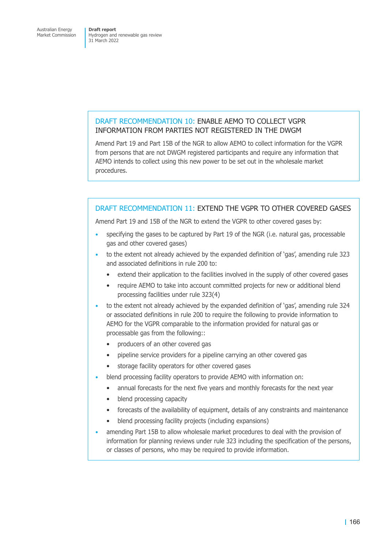### DRAFT RECOMMENDATION 10: ENABLE AEMO TO COLLECT VGPR INFORMATION FROM PARTIES NOT REGISTERED IN THE DWGM

Amend Part 19 and Part 15B of the NGR to allow AEMO to collect information for the VGPR from persons that are not DWGM registered participants and require any information that AEMO intends to collect using this new power to be set out in the wholesale market procedures.

### DRAFT RECOMMENDATION 11: EXTEND THE VGPR TO OTHER COVERED GASES

Amend Part 19 and 15B of the NGR to extend the VGPR to other covered gases by:

- specifying the gases to be captured by Part 19 of the NGR (i.e. natural gas, processable gas and other covered gases)
- to the extent not already achieved by the expanded definition of 'gas', amending rule 323 and associated definitions in rule 200 to:
	- extend their application to the facilities involved in the supply of other covered gases
	- require AEMO to take into account committed projects for new or additional blend processing facilities under rule 323(4)
- to the extent not already achieved by the expanded definition of 'gas', amending rule 324 or associated definitions in rule 200 to require the following to provide information to AEMO for the VGPR comparable to the information provided for natural gas or processable gas from the following::
	- producers of an other covered gas
	- pipeline service providers for a pipeline carrying an other covered gas
	- storage facility operators for other covered gases
- blend processing facility operators to provide AEMO with information on:
	- annual forecasts for the next five years and monthly forecasts for the next year
	- blend processing capacity
	- forecasts of the availability of equipment, details of any constraints and maintenance
	- blend processing facility projects (including expansions)
- amending Part 15B to allow wholesale market procedures to deal with the provision of information for planning reviews under rule 323 including the specification of the persons, or classes of persons, who may be required to provide information.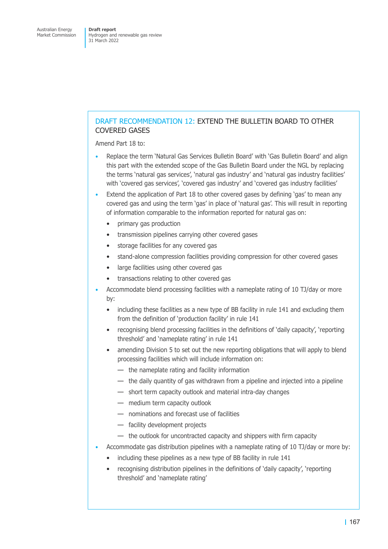## DRAFT RECOMMENDATION 12: EXTEND THE BULLETIN BOARD TO OTHER COVERED GASES

Amend Part 18 to:

- Replace the term 'Natural Gas Services Bulletin Board' with 'Gas Bulletin Board' and align this part with the extended scope of the Gas Bulletin Board under the NGL by replacing the terms 'natural gas services', 'natural gas industry' and 'natural gas industry facilities' with 'covered gas services', 'covered gas industry' and 'covered gas industry facilities'
- Extend the application of Part 18 to other covered gases by defining 'gas' to mean any covered gas and using the term 'gas' in place of 'natural gas'. This will result in reporting of information comparable to the information reported for natural gas on:
	- primary gas production
	- transmission pipelines carrying other covered gases
	- storage facilities for any covered gas
	- stand-alone compression facilities providing compression for other covered gases
	- large facilities using other covered gas
	- transactions relating to other covered gas
- Accommodate blend processing facilities with a nameplate rating of 10 TJ/day or more by:
	- including these facilities as a new type of BB facility in rule 141 and excluding them from the definition of 'production facility' in rule 141
	- recognising blend processing facilities in the definitions of 'daily capacity', 'reporting threshold' and 'nameplate rating' in rule 141
	- amending Division 5 to set out the new reporting obligations that will apply to blend processing facilities which will include information on:
		- the nameplate rating and facility information
		- the daily quantity of gas withdrawn from a pipeline and injected into a pipeline
		- short term capacity outlook and material intra-day changes
		- medium term capacity outlook
		- nominations and forecast use of facilities
		- facility development projects
		- the outlook for uncontracted capacity and shippers with firm capacity
- Accommodate gas distribution pipelines with a nameplate rating of 10 TJ/day or more by:
	- including these pipelines as a new type of BB facility in rule 141
	- recognising distribution pipelines in the definitions of 'daily capacity', 'reporting threshold' and 'nameplate rating'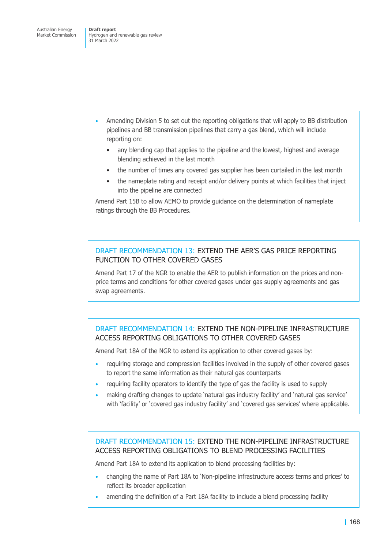- Amending Division 5 to set out the reporting obligations that will apply to BB distribution pipelines and BB transmission pipelines that carry a gas blend, which will include reporting on:
	- any blending cap that applies to the pipeline and the lowest, highest and average blending achieved in the last month
	- the number of times any covered gas supplier has been curtailed in the last month
	- the nameplate rating and receipt and/or delivery points at which facilities that inject into the pipeline are connected

Amend Part 15B to allow AEMO to provide guidance on the determination of nameplate ratings through the BB Procedures.

### DRAFT RECOMMENDATION 13: EXTEND THE AER'S GAS PRICE REPORTING FUNCTION TO OTHER COVERED GASES

Amend Part 17 of the NGR to enable the AER to publish information on the prices and nonprice terms and conditions for other covered gases under gas supply agreements and gas swap agreements.

## DRAFT RECOMMENDATION 14: EXTEND THE NON-PIPELINE INFRASTRUCTURE ACCESS REPORTING OBLIGATIONS TO OTHER COVERED GASES

Amend Part 18A of the NGR to extend its application to other covered gases by:

- requiring storage and compression facilities involved in the supply of other covered gases to report the same information as their natural gas counterparts
- requiring facility operators to identify the type of gas the facility is used to supply
- making drafting changes to update 'natural gas industry facility' and 'natural gas service' with 'facility' or 'covered gas industry facility' and 'covered gas services' where applicable.

## DRAFT RECOMMENDATION 15: EXTEND THE NON-PIPELINE INFRASTRUCTURE ACCESS REPORTING OBLIGATIONS TO BLEND PROCESSING FACILITIES

Amend Part 18A to extend its application to blend processing facilities by:

- changing the name of Part 18A to 'Non-pipeline infrastructure access terms and prices' to reflect its broader application
- amending the definition of a Part 18A facility to include a blend processing facility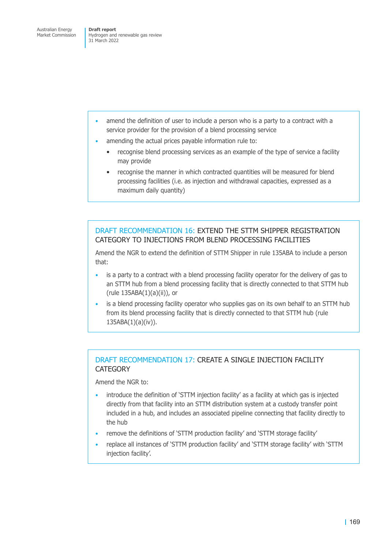- amend the definition of user to include a person who is a party to a contract with a service provider for the provision of a blend processing service
- amending the actual prices payable information rule to:
	- recognise blend processing services as an example of the type of service a facility may provide
	- recognise the manner in which contracted quantities will be measured for blend processing facilities (i.e. as injection and withdrawal capacities, expressed as a maximum daily quantity)

### DRAFT RECOMMENDATION 16: EXTEND THE STTM SHIPPER REGISTRATION CATEGORY TO INJECTIONS FROM BLEND PROCESSING FACILITIES

Amend the NGR to extend the definition of STTM Shipper in rule 135ABA to include a person that:

- is a party to a contract with a blend processing facility operator for the delivery of gas to an STTM hub from a blend processing facility that is directly connected to that STTM hub (rule 135ABA(1)(a)(ii)), or
- is a blend processing facility operator who supplies gas on its own behalf to an STTM hub from its blend processing facility that is directly connected to that STTM hub (rule  $135ABA(1)(a)(iv)).$

## DRAFT RECOMMENDATION 17: CREATE A SINGLE INJECTION FACILITY **CATEGORY**

Amend the NGR to:

- introduce the definition of 'STTM injection facility' as a facility at which gas is injected directly from that facility into an STTM distribution system at a custody transfer point included in a hub, and includes an associated pipeline connecting that facility directly to the hub
- remove the definitions of 'STTM production facility' and 'STTM storage facility'
- replace all instances of 'STTM production facility' and 'STTM storage facility' with 'STTM injection facility'.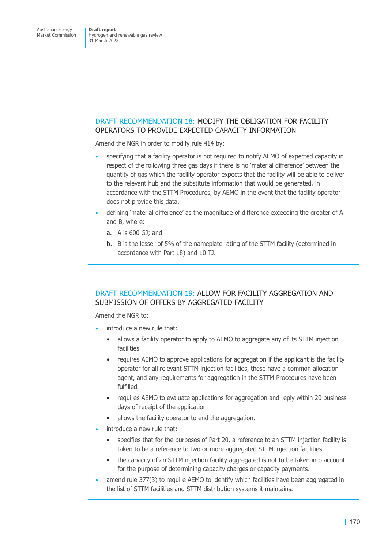## DRAFT RECOMMENDATION 18: MODIFY THE OBLIGATION FOR FACILITY OPERATORS TO PROVIDE EXPECTED CAPACITY INFORMATION

Amend the NGR in order to modify rule 414 by:

- specifying that a facility operator is not required to notify AEMO of expected capacity in respect of the following three gas days if there is no 'material difference' between the quantity of gas which the facility operator expects that the facility will be able to deliver to the relevant hub and the substitute information that would be generated, in accordance with the STTM Procedures, by AEMO in the event that the facility operator does not provide this data.
- defining 'material difference' as the magnitude of difference exceeding the greater of A and B, where:
	- a. A is 600 GJ; and
	- b. B is the lesser of 5% of the nameplate rating of the STTM facility (determined in accordance with Part 18) and 10 TJ.

## DRAFT RECOMMENDATION 19: ALLOW FOR FACILITY AGGREGATION AND SUBMISSION OF OFFERS BY AGGREGATED FACILITY

Amend the NGR to:

- introduce a new rule that:
	- allows a facility operator to apply to AEMO to aggregate any of its STTM injection facilities
	- requires AEMO to approve applications for aggregation if the applicant is the facility operator for all relevant STTM injection facilities, these have a common allocation agent, and any requirements for aggregation in the STTM Procedures have been fulfilled
	- requires AEMO to evaluate applications for aggregation and reply within 20 business days of receipt of the application
	- allows the facility operator to end the aggregation.
- introduce a new rule that:
	- specifies that for the purposes of Part 20, a reference to an STTM injection facility is taken to be a reference to two or more aggregated STTM injection facilities
	- the capacity of an STTM injection facility aggregated is not to be taken into account for the purpose of determining capacity charges or capacity payments.
- amend rule 377(3) to require AEMO to identify which facilities have been aggregated in the list of STTM facilities and STTM distribution systems it maintains.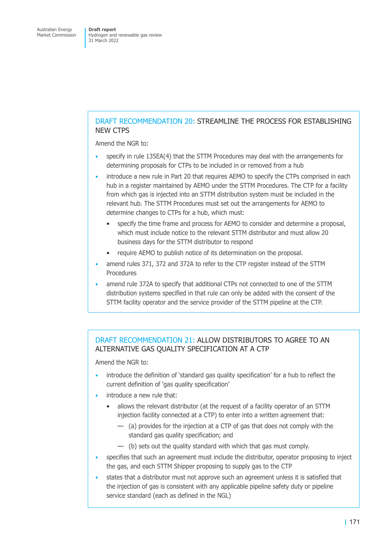## DRAFT RECOMMENDATION 20: STREAMLINE THE PROCESS FOR ESTABLISHING NEW CTPS

Amend the NGR to:

- specify in rule 135EA(4) that the STTM Procedures may deal with the arrangements for determining proposals for CTPs to be included in or removed from a hub
- introduce a new rule in Part 20 that requires AEMO to specify the CTPs comprised in each hub in a register maintained by AEMO under the STTM Procedures. The CTP for a facility from which gas is injected into an STTM distribution system must be included in the relevant hub. The STTM Procedures must set out the arrangements for AEMO to determine changes to CTPs for a hub, which must:
	- specify the time frame and process for AEMO to consider and determine a proposal, which must include notice to the relevant STTM distributor and must allow 20 business days for the STTM distributor to respond
	- require AEMO to publish notice of its determination on the proposal.
- amend rules 371, 372 and 372A to refer to the CTP register instead of the STTM Procedures
- amend rule 372A to specify that additional CTPs not connected to one of the STTM distribution systems specified in that rule can only be added with the consent of the STTM facility operator and the service provider of the STTM pipeline at the CTP.

### DRAFT RECOMMENDATION 21: ALLOW DISTRIBUTORS TO AGREE TO AN ALTERNATIVE GAS QUALITY SPECIFICATION AT A CTP

Amend the NGR to:

- introduce the definition of 'standard gas quality specification' for a hub to reflect the current definition of 'gas quality specification'
- introduce a new rule that:
	- allows the relevant distributor (at the request of a facility operator of an STTM injection facility connected at a CTP) to enter into a written agreement that:
		- (a) provides for the injection at a CTP of gas that does not comply with the standard gas quality specification; and
		- (b) sets out the quality standard with which that gas must comply.
- specifies that such an agreement must include the distributor, operator proposing to inject the gas, and each STTM Shipper proposing to supply gas to the CTP
- states that a distributor must not approve such an agreement unless it is satisfied that the injection of gas is consistent with any applicable pipeline safety duty or pipeline service standard (each as defined in the NGL)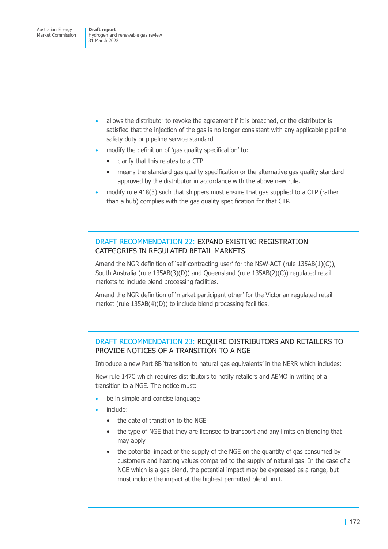- allows the distributor to revoke the agreement if it is breached, or the distributor is satisfied that the injection of the gas is no longer consistent with any applicable pipeline safety duty or pipeline service standard
- modify the definition of 'gas quality specification' to:
	- clarify that this relates to a CTP
	- means the standard gas quality specification or the alternative gas quality standard approved by the distributor in accordance with the above new rule.
- modify rule 418(3) such that shippers must ensure that gas supplied to a CTP (rather than a hub) complies with the gas quality specification for that CTP.

### DRAFT RECOMMENDATION 22: EXPAND EXISTING REGISTRATION CATEGORIES IN REGULATED RETAIL MARKETS

Amend the NGR definition of 'self-contracting user' for the NSW-ACT (rule 135AB(1)(C)), South Australia (rule 135AB(3)(D)) and Queensland (rule 135AB(2)(C)) regulated retail markets to include blend processing facilities.

Amend the NGR definition of 'market participant other' for the Victorian regulated retail market (rule 135AB(4)(D)) to include blend processing facilities.

## DRAFT RECOMMENDATION 23: REQUIRE DISTRIBUTORS AND RETAILERS TO PROVIDE NOTICES OF A TRANSITION TO A NGE

Introduce a new Part 8B 'transition to natural gas equivalents' in the NERR which includes:

New rule 147C which requires distributors to notify retailers and AEMO in writing of a transition to a NGE. The notice must:

- be in simple and concise language
- include:
	- the date of transition to the NGE
	- the type of NGE that they are licensed to transport and any limits on blending that may apply
	- the potential impact of the supply of the NGE on the quantity of gas consumed by customers and heating values compared to the supply of natural gas. In the case of a NGE which is a gas blend, the potential impact may be expressed as a range, but must include the impact at the highest permitted blend limit.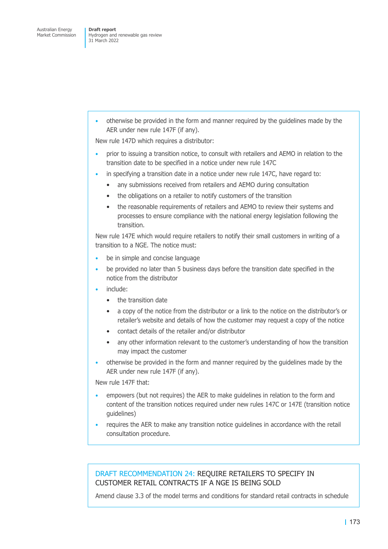• otherwise be provided in the form and manner required by the guidelines made by the AER under new rule 147F (if any).

New rule 147D which requires a distributor:

- prior to issuing a transition notice, to consult with retailers and AEMO in relation to the transition date to be specified in a notice under new rule 147C
- in specifying a transition date in a notice under new rule 147C, have regard to:
	- any submissions received from retailers and AEMO during consultation
	- the obligations on a retailer to notify customers of the transition
	- the reasonable requirements of retailers and AEMO to review their systems and processes to ensure compliance with the national energy legislation following the transition.

New rule 147E which would require retailers to notify their small customers in writing of a transition to a NGE. The notice must:

- be in simple and concise language
- be provided no later than 5 business days before the transition date specified in the notice from the distributor
- include:
	- the transition date
	- a copy of the notice from the distributor or a link to the notice on the distributor's or retailer's website and details of how the customer may request a copy of the notice
	- contact details of the retailer and/or distributor
	- any other information relevant to the customer's understanding of how the transition may impact the customer
- otherwise be provided in the form and manner required by the guidelines made by the AER under new rule 147F (if any).

New rule 147F that:

- empowers (but not requires) the AER to make guidelines in relation to the form and content of the transition notices required under new rules 147C or 147E (transition notice guidelines)
- requires the AER to make any transition notice guidelines in accordance with the retail consultation procedure.

### DRAFT RECOMMENDATION 24: REQUIRE RETAILERS TO SPECIFY IN CUSTOMER RETAIL CONTRACTS IF A NGE IS BEING SOLD

Amend clause 3.3 of the model terms and conditions for standard retail contracts in schedule